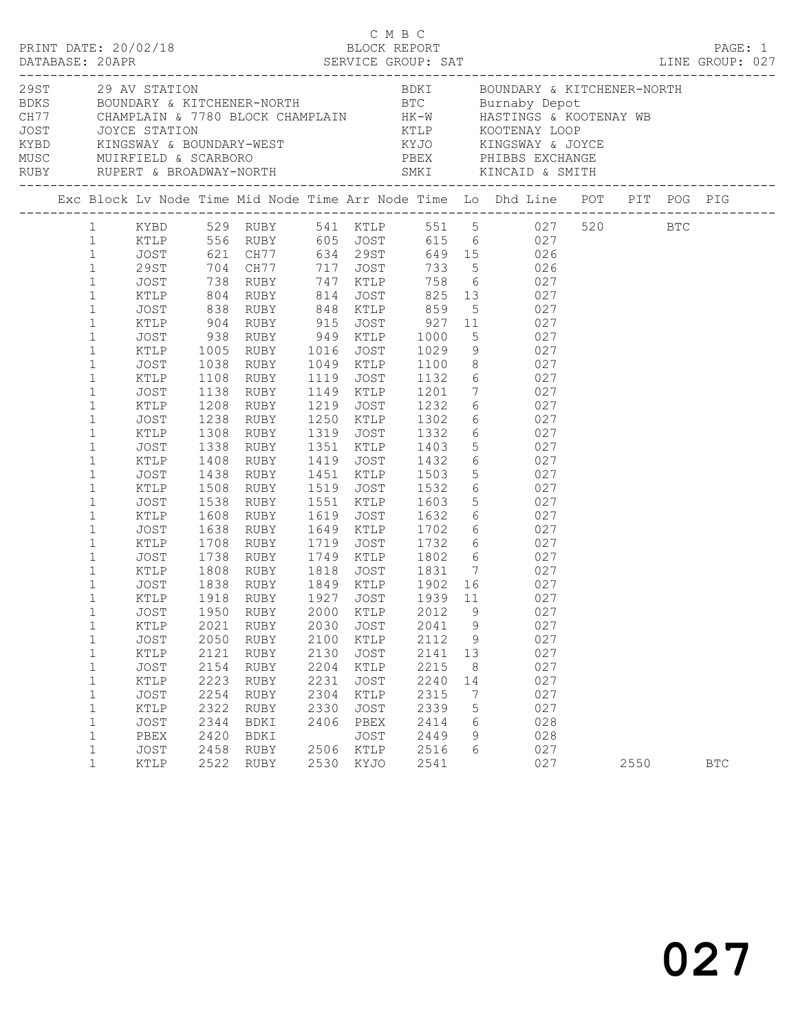|  |                                                                                                                                                                                                                                                                                                                                                                                                                                                                                                    |                                                                                                                                                                                                                                                              |                                                                                                                                                                             |                                                                                                                                                                                                                                                                                                                 |                                                                                              |                                                                                                                             | C M B C                                                                                                                                                                                                                                                          |                                   |                                                                                                                                                                                                                                                                                                                                                                                                                                                                                                                                                                                                                                                                                                      |      |            |  |
|--|----------------------------------------------------------------------------------------------------------------------------------------------------------------------------------------------------------------------------------------------------------------------------------------------------------------------------------------------------------------------------------------------------------------------------------------------------------------------------------------------------|--------------------------------------------------------------------------------------------------------------------------------------------------------------------------------------------------------------------------------------------------------------|-----------------------------------------------------------------------------------------------------------------------------------------------------------------------------|-----------------------------------------------------------------------------------------------------------------------------------------------------------------------------------------------------------------------------------------------------------------------------------------------------------------|----------------------------------------------------------------------------------------------|-----------------------------------------------------------------------------------------------------------------------------|------------------------------------------------------------------------------------------------------------------------------------------------------------------------------------------------------------------------------------------------------------------|-----------------------------------|------------------------------------------------------------------------------------------------------------------------------------------------------------------------------------------------------------------------------------------------------------------------------------------------------------------------------------------------------------------------------------------------------------------------------------------------------------------------------------------------------------------------------------------------------------------------------------------------------------------------------------------------------------------------------------------------------|------|------------|--|
|  |                                                                                                                                                                                                                                                                                                                                                                                                                                                                                                    |                                                                                                                                                                                                                                                              |                                                                                                                                                                             |                                                                                                                                                                                                                                                                                                                 |                                                                                              |                                                                                                                             |                                                                                                                                                                                                                                                                  |                                   |                                                                                                                                                                                                                                                                                                                                                                                                                                                                                                                                                                                                                                                                                                      |      |            |  |
|  |                                                                                                                                                                                                                                                                                                                                                                                                                                                                                                    |                                                                                                                                                                                                                                                              |                                                                                                                                                                             |                                                                                                                                                                                                                                                                                                                 |                                                                                              |                                                                                                                             |                                                                                                                                                                                                                                                                  |                                   | Exc Block Lv Node Time Mid Node Time Arr Node Time Lo Dhd Line POT PIT POG PIG                                                                                                                                                                                                                                                                                                                                                                                                                                                                                                                                                                                                                       |      |            |  |
|  | $\mathbf{1}$<br>$\mathbf{1}$<br>$\mathbf{1}$<br>$\mathbf{1}$<br>$\mathbf{1}$<br>$\mathbf{1}$<br>$\mathbf{1}$<br>$\mathbf{1}$<br>$\mathbf{1}$<br>$\mathbf{1}$<br>$\mathbf{1}$<br>$\mathbf{1}$<br>$\mathbf{1}$<br>$\mathbf{1}$<br>$\mathbf{1}$<br>$\mathbf{1}$<br>$\mathbf{1}$<br>$\mathbf{1}$<br>$\mathbf{1}$<br>$\mathbf{1}$<br>$\mathbf{1}$<br>$\mathbf{1}$<br>$\mathbf{1}$<br>$\mathbf{1}$<br>$\mathbf{1}$<br>1<br>$\mathbf 1$<br>$\mathbf 1$<br>$\mathbf{1}$<br>$\mathbf 1$<br>1<br>$\mathbf 1$ | 29ST<br>JOST<br>KTLP<br>JOST<br>KTLP<br>JOST<br>KTLP<br>JOST<br>KTLP<br>JOST<br>KTLP<br>JOST<br>KTLP<br>JOST<br>KTLP<br>JOST<br>KTLP<br>JOST<br>KTLP<br>JOST<br>KTLP<br>JOST<br>KTLP<br>JOST<br>KTLP<br>JOST<br>KTLP<br>JOST<br>KTLP<br>JOST<br>KTLP<br>JOST | 904<br>1108<br>1138<br>1208<br>1238<br>1308<br>1338<br>1408<br>1438<br>1508<br>1538<br>1608<br>1638<br>1708<br>1738<br>1950<br>2021<br>2050<br>2121<br>2154<br>2223<br>2254 | 938 RUBY 949 KTLP<br>1005 RUBY 1016 JOST<br>1038 RUBY 1049 KTLP<br>RUBY 949 KTLP 1000<br>RUBY 1016 JOST 1029<br>RUBY<br>RUBY<br>RUBY<br>RUBY<br>RUBY<br>RUBY<br>RUBY<br>RUBY<br>RUBY<br>RUBY<br>RUBY<br>RUBY<br>RUBY<br>RUBY<br>1918 RUBY<br>RUBY<br><b>RUBY</b><br>RUBY<br>RUBY<br><b>RUBY</b><br>RUBY<br>RUBY | 1119<br>1519<br>1551<br>1719<br>1927<br>2000<br>2030<br>2100<br>2130<br>2204<br>2231<br>2304 | JOST<br>1149 KTLP<br>1319 JOST<br>JOST<br>KTLP<br>KTLP<br><b>JOST</b><br>KTLP<br><b>JOST</b><br>KTLP<br><b>JOST</b><br>KTLP | 1100<br>1149 KTLP        1201<br>1219    JOST         1232<br>1250    KTLP        1302<br>1332<br>1351 KTLP 1403<br>1419 JOST 1432<br>1451 KTLP 1503<br>1532<br>1603<br>1619 JOST 1632<br>1649 KTLP 1702<br>2012<br>2041<br>2112<br>2141<br>2215<br>2240<br>2315 | 9<br>9<br>9<br>13<br>8<br>14<br>7 | 1 KYBD 529 RUBY 541 KTLP 551 5 027 520 BTC<br>1 KTLP 556 RUBY 605 JOST 615 6 027<br>1 JOST 621 CH77 634 29ST 649 15 026<br>704 CH77 717 JOST 733 5<br>738 RUBY 747 KTLP 758 6 027<br>804 RUBY 814 JOST 825 13 027<br>838 RUBY 848 KTLP 859 5 027<br>RUBY 915 JOST 927 11 027<br>$\begin{array}{ccc} 5 & 027 \\ 9 & 027 \\ 8 & 027 \end{array}$<br>1132 6 027<br>$\begin{array}{ccc} 7 & 027 \\ 6 & 027 \\ 6 & 027 \end{array}$<br>6 027<br>$\begin{array}{ccc} 5 & 027 \\ 6 & 027 \\ 5 & 027 \end{array}$<br>6 027<br>$\begin{array}{ccc} 5 & 027 \\ 6 & 027 \\ 6 & 027 \end{array}$<br>JOST 1732 6 027<br>1749 KTLP 1802 6 027<br>JOST 1939 11 027<br>027<br>027<br>027<br>027<br>027<br>027<br>027 |      |            |  |
|  | 1<br>$\mathbf 1$<br>$\mathbf{1}$<br>$\mathbf 1$<br>$\mathbf{1}$                                                                                                                                                                                                                                                                                                                                                                                                                                    | KTLP<br>JOST<br>PBEX<br>JOST<br>KTLP                                                                                                                                                                                                                         | 2322<br>2344<br>2420<br>2458<br>2522                                                                                                                                        | RUBY<br>BDKI<br>BDKI<br>RUBY<br>RUBY                                                                                                                                                                                                                                                                            | 2330<br>2406<br>2506<br>2530                                                                 | <b>JOST</b><br>PBEX<br><b>JOST</b><br>KTLP<br>KYJO                                                                          | 2339<br>2414<br>2449<br>2516<br>2541                                                                                                                                                                                                                             | 5<br>6<br>9<br>6                  | 027<br>028<br>028<br>027<br>027                                                                                                                                                                                                                                                                                                                                                                                                                                                                                                                                                                                                                                                                      | 2550 | <b>BTC</b> |  |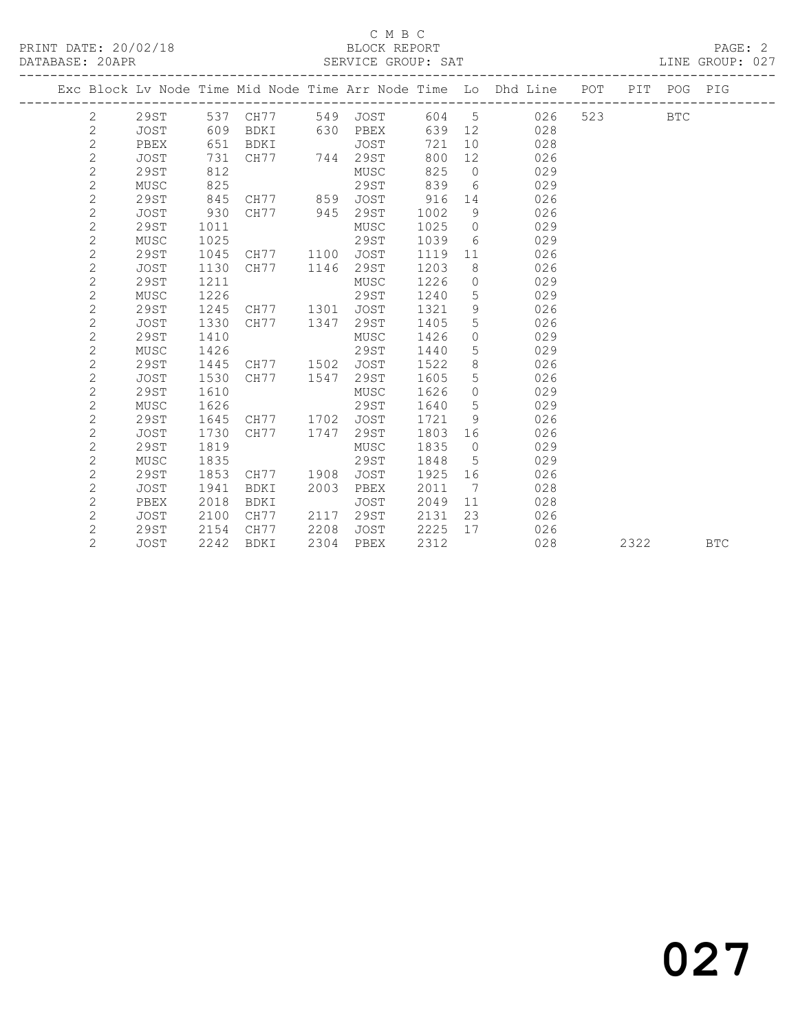### C M B C<br>BLOCK REPORT SERVICE GROUP: SAT

|  |                |             |      |             |      |             |      |                | Exc Block Lv Node Time Mid Node Time Arr Node Time Lo Dhd Line POT |     |      | PIT POG PIG |            |
|--|----------------|-------------|------|-------------|------|-------------|------|----------------|--------------------------------------------------------------------|-----|------|-------------|------------|
|  | 2              | 29ST        | 537  | CH77        | 549  | JOST        | 604  | 5              | 026                                                                | 523 |      | <b>BTC</b>  |            |
|  | $\overline{c}$ | <b>JOST</b> | 609  | BDKI        | 630  | PBEX        | 639  | 12             | 028                                                                |     |      |             |            |
|  | $\overline{c}$ | PBEX        | 651  | BDKI        |      | JOST        | 721  | 10             | 028                                                                |     |      |             |            |
|  | $\overline{c}$ | JOST        | 731  | CH77        | 744  | 29ST        | 800  | 12             | 026                                                                |     |      |             |            |
|  | $\overline{c}$ | 29ST        | 812  |             |      | MUSC        | 825  | $\overline{0}$ | 029                                                                |     |      |             |            |
|  | $\overline{c}$ | MUSC        | 825  |             |      | <b>29ST</b> | 839  | 6              | 029                                                                |     |      |             |            |
|  | $\overline{c}$ | 29ST        | 845  | CH77        | 859  | JOST        | 916  | 14             | 026                                                                |     |      |             |            |
|  | $\overline{c}$ | <b>JOST</b> | 930  | CH77        | 945  | 29ST        | 1002 | 9              | 026                                                                |     |      |             |            |
|  | $\overline{c}$ | 29ST        | 1011 |             |      | MUSC        | 1025 | $\circ$        | 029                                                                |     |      |             |            |
|  | $\overline{2}$ | MUSC        | 1025 |             |      | 29ST        | 1039 | - 6            | 029                                                                |     |      |             |            |
|  | $\overline{c}$ | 29ST        | 1045 | CH77        | 1100 | <b>JOST</b> | 1119 | 11             | 026                                                                |     |      |             |            |
|  | $\overline{c}$ | <b>JOST</b> | 1130 | CH77        | 1146 | 29ST        | 1203 | 8              | 026                                                                |     |      |             |            |
|  | $\overline{c}$ | <b>29ST</b> | 1211 |             |      | MUSC        | 1226 | $\circ$        | 029                                                                |     |      |             |            |
|  | $\overline{c}$ | MUSC        | 1226 |             |      | 29ST        | 1240 | 5              | 029                                                                |     |      |             |            |
|  | $\overline{2}$ | 29ST        | 1245 | CH77        | 1301 | <b>JOST</b> | 1321 | 9              | 026                                                                |     |      |             |            |
|  | $\overline{c}$ | <b>JOST</b> | 1330 | CH77        | 1347 | 29ST        | 1405 | 5              | 026                                                                |     |      |             |            |
|  | $\overline{c}$ | 29ST        | 1410 |             |      | MUSC        | 1426 | $\circ$        | 029                                                                |     |      |             |            |
|  | $\overline{c}$ | MUSC        | 1426 |             |      | <b>29ST</b> | 1440 | 5              | 029                                                                |     |      |             |            |
|  | $\mathbf{2}$   | 29ST        | 1445 | CH77        | 1502 | <b>JOST</b> | 1522 | 8              | 026                                                                |     |      |             |            |
|  | $\overline{2}$ | JOST        | 1530 | CH77        | 1547 | 29ST        | 1605 | 5              | 026                                                                |     |      |             |            |
|  | $\overline{c}$ | <b>29ST</b> | 1610 |             |      | MUSC        | 1626 | $\Omega$       | 029                                                                |     |      |             |            |
|  | $\overline{c}$ | MUSC        | 1626 |             |      | 29ST        | 1640 | 5              | 029                                                                |     |      |             |            |
|  | $\overline{c}$ | 29ST        | 1645 | CH77        | 1702 | <b>JOST</b> | 1721 | 9              | 026                                                                |     |      |             |            |
|  | $\mathbf{2}$   | <b>JOST</b> | 1730 | CH77        | 1747 | 29ST        | 1803 | 16             | 026                                                                |     |      |             |            |
|  | $\overline{c}$ | <b>29ST</b> | 1819 |             |      | MUSC        | 1835 | $\overline{0}$ | 029                                                                |     |      |             |            |
|  | $\overline{c}$ | MUSC        | 1835 |             |      | 29ST        | 1848 | 5              | 029                                                                |     |      |             |            |
|  | $\overline{c}$ | 29ST        | 1853 | CH77        | 1908 | <b>JOST</b> | 1925 | 16             | 026                                                                |     |      |             |            |
|  | $\overline{c}$ | <b>JOST</b> | 1941 | <b>BDKI</b> | 2003 | PBEX        | 2011 | 7              | 028                                                                |     |      |             |            |
|  | $\overline{c}$ | PBEX        | 2018 | <b>BDKI</b> |      | <b>JOST</b> | 2049 | 11             | 028                                                                |     |      |             |            |
|  | $\mathbf{2}$   | <b>JOST</b> | 2100 | CH77        | 2117 | 29ST        | 2131 | 23             | 026                                                                |     |      |             |            |
|  | $\overline{c}$ | 29ST        | 2154 | CH77        | 2208 | JOST        | 2225 | 17             | 026                                                                |     |      |             |            |
|  | $\overline{2}$ | <b>JOST</b> | 2242 | <b>BDKI</b> | 2304 | PBEX        | 2312 |                | 028                                                                |     | 2322 |             | <b>BTC</b> |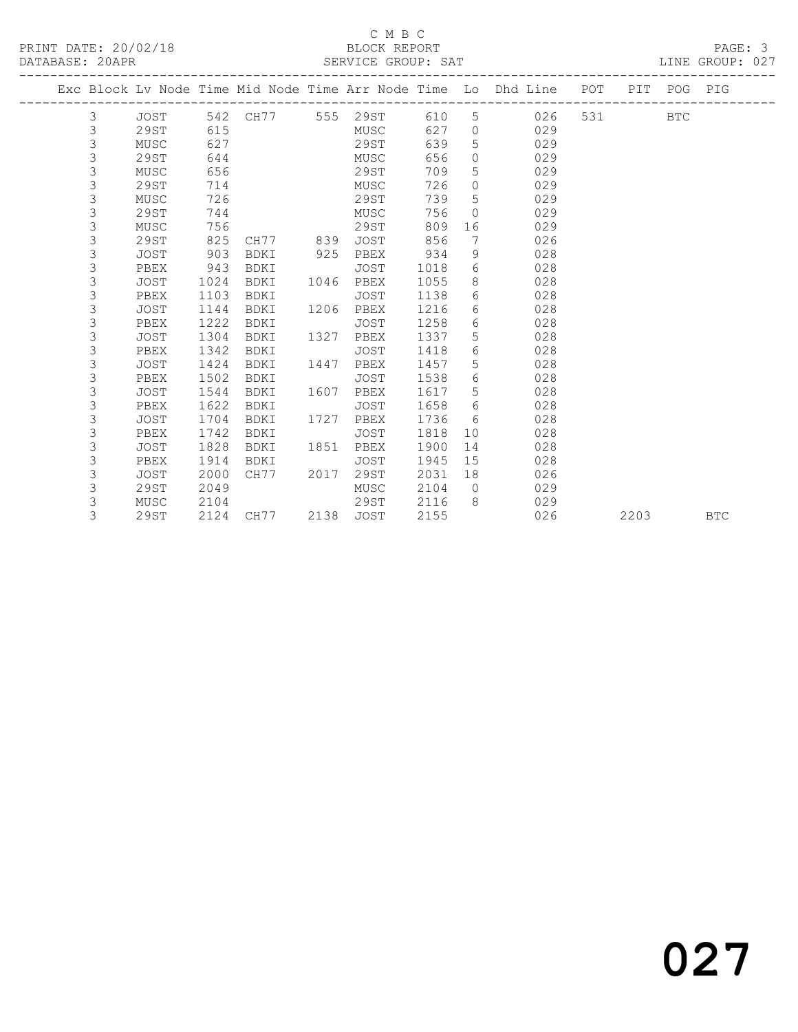### C M B C<br>BLOCK REPORT SERVICE GROUP: SAT

|   |             |      |                   |      |             |      |                | Exc Block Lv Node Time Mid Node Time Arr Node Time Lo Dhd Line POT PIT POG PIG |       |      |            |            |
|---|-------------|------|-------------------|------|-------------|------|----------------|--------------------------------------------------------------------------------|-------|------|------------|------------|
| 3 | JOST        |      | 542 CH77 555 29ST |      |             | 610  |                | $5 \quad \overline{\phantom{1}}$<br>026                                        | 531 7 |      | <b>BTC</b> |            |
| 3 | <b>29ST</b> | 615  |                   |      | MUSC        | 627  | $\overline{0}$ | 029                                                                            |       |      |            |            |
| 3 | MUSC        | 627  |                   |      | 29ST        | 639  | 5              | 029                                                                            |       |      |            |            |
| 3 | 29ST        | 644  |                   |      | MUSC        | 656  | $\circ$        | 029                                                                            |       |      |            |            |
| 3 | MUSC        | 656  |                   |      | 29ST        | 709  | 5              | 029                                                                            |       |      |            |            |
| 3 | 29ST        | 714  |                   |      | MUSC        | 726  | $\circ$        | 029                                                                            |       |      |            |            |
| 3 | MUSC        | 726  |                   |      | 29ST        | 739  | 5              | 029                                                                            |       |      |            |            |
| 3 | 29ST        | 744  |                   |      | MUSC        | 756  | $\Omega$       | 029                                                                            |       |      |            |            |
| 3 | MUSC        | 756  |                   |      | 29ST        | 809  | 16             | 029                                                                            |       |      |            |            |
| 3 | 29ST        | 825  | CH77 839          |      | JOST        | 856  | 7              | 026                                                                            |       |      |            |            |
| 3 | JOST        | 903  | BDKI              | 925  | PBEX        | 934  | 9              | 028                                                                            |       |      |            |            |
| 3 | PBEX        | 943  | BDKI              |      | JOST        | 1018 | 6              | 028                                                                            |       |      |            |            |
| 3 | JOST        | 1024 | BDKI              | 1046 | PBEX        | 1055 | 8              | 028                                                                            |       |      |            |            |
| 3 | PBEX        | 1103 | BDKI              |      | JOST        | 1138 | 6              | 028                                                                            |       |      |            |            |
| 3 | <b>JOST</b> | 1144 | BDKI              | 1206 | PBEX        | 1216 | 6              | 028                                                                            |       |      |            |            |
| 3 | PBEX        | 1222 | BDKI              |      | JOST        | 1258 | 6              | 028                                                                            |       |      |            |            |
| 3 | JOST        | 1304 | BDKI              | 1327 | PBEX        | 1337 | 5              | 028                                                                            |       |      |            |            |
| 3 | PBEX        | 1342 | BDKI              |      | <b>JOST</b> | 1418 | 6              | 028                                                                            |       |      |            |            |
| 3 | <b>JOST</b> | 1424 | BDKI              | 1447 | PBEX        | 1457 | 5              | 028                                                                            |       |      |            |            |
| 3 | PBEX        | 1502 | BDKI              |      | JOST        | 1538 | 6              | 028                                                                            |       |      |            |            |
| 3 | JOST        | 1544 | BDKI              | 1607 | PBEX        | 1617 | 5              | 028                                                                            |       |      |            |            |
| 3 | PBEX        | 1622 | BDKI              |      | JOST        | 1658 | 6              | 028                                                                            |       |      |            |            |
| 3 | <b>JOST</b> | 1704 | BDKI              | 1727 | PBEX        | 1736 | 6              | 028                                                                            |       |      |            |            |
| 3 | PBEX        | 1742 | BDKI              |      | JOST        | 1818 | 10             | 028                                                                            |       |      |            |            |
| 3 | <b>JOST</b> | 1828 | BDKI              | 1851 | PBEX        | 1900 | 14             | 028                                                                            |       |      |            |            |
| 3 | PBEX        | 1914 | BDKI              |      | <b>JOST</b> | 1945 | 15             | 028                                                                            |       |      |            |            |
| 3 | <b>JOST</b> | 2000 | CH77              | 2017 | 29ST        | 2031 | 18             | 026                                                                            |       |      |            |            |
| 3 | <b>29ST</b> | 2049 |                   |      | MUSC        | 2104 | $\bigcirc$     | 029                                                                            |       |      |            |            |
| 3 | MUSC        | 2104 |                   |      | 29ST        | 2116 | 8              | 029                                                                            |       |      |            |            |
| 3 | 29ST        | 2124 | CH77              |      | 2138 JOST   | 2155 |                | 026                                                                            |       | 2203 |            | <b>BTC</b> |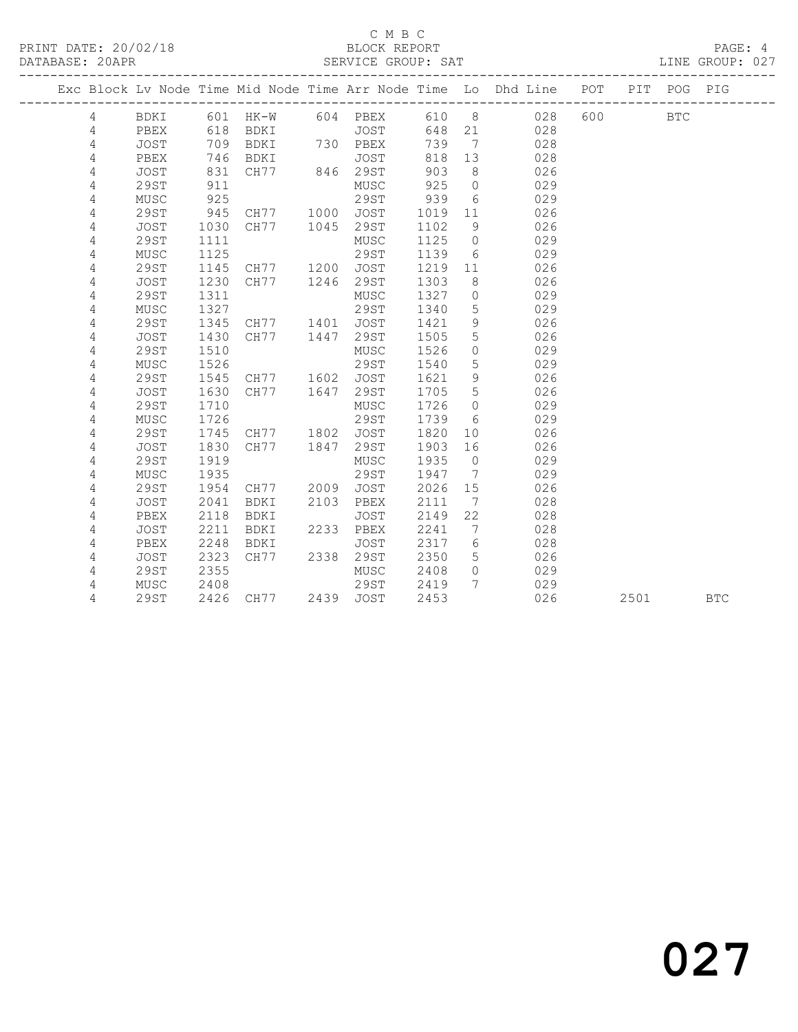### C M B C<br>BLOCK REPORT

LINE GROUP: 027

|            | Exc Block Lv Node Time Mid Node Time Arr Node Time Lo Dhd Line POT |      |        |      |             |      |                | __________________________ |     |      | PIT POG PIG |            |
|------------|--------------------------------------------------------------------|------|--------|------|-------------|------|----------------|----------------------------|-----|------|-------------|------------|
| 4          | BDKI                                                               | 601  | $HK-W$ |      | 604 PBEX    | 610  | 8 <sup>8</sup> | 028                        | 600 |      | <b>BTC</b>  |            |
| 4          | PBEX                                                               | 618  | BDKI   |      | JOST        | 648  | 21             | 028                        |     |      |             |            |
| 4          | <b>JOST</b>                                                        | 709  | BDKI   |      | 730 PBEX    | 739  | $\overline{7}$ | 028                        |     |      |             |            |
| 4          | PBEX                                                               | 746  | BDKI   |      | JOST        | 818  | 13             | 028                        |     |      |             |            |
| 4          | <b>JOST</b>                                                        | 831  | CH77   | 846  | 29ST        | 903  | 8              | 026                        |     |      |             |            |
| 4          | 29ST                                                               | 911  |        |      | MUSC        | 925  | $\circ$        | 029                        |     |      |             |            |
| 4          | MUSC                                                               | 925  |        |      | 29ST        | 939  | 6              | 029                        |     |      |             |            |
| 4          | 29ST                                                               | 945  | CH77   | 1000 | JOST        | 1019 | 11             | 026                        |     |      |             |            |
| 4          | <b>JOST</b>                                                        | 1030 | CH77   | 1045 | 29ST        | 1102 | 9              | 026                        |     |      |             |            |
| $\sqrt{4}$ | <b>29ST</b>                                                        | 1111 |        |      | MUSC        | 1125 | $\circ$        | 029                        |     |      |             |            |
| 4          | MUSC                                                               | 1125 |        |      | <b>29ST</b> | 1139 | 6              | 029                        |     |      |             |            |
| 4          | <b>29ST</b>                                                        | 1145 | CH77   | 1200 | <b>JOST</b> | 1219 | 11             | 026                        |     |      |             |            |
| 4          | <b>JOST</b>                                                        | 1230 | CH77   | 1246 | 29ST        | 1303 | 8              | 026                        |     |      |             |            |
| 4          | <b>29ST</b>                                                        | 1311 |        |      | MUSC        | 1327 | $\circ$        | 029                        |     |      |             |            |
| 4          | MUSC                                                               | 1327 |        |      | 29ST        | 1340 | 5              | 029                        |     |      |             |            |
| 4          | 29ST                                                               | 1345 | CH77   | 1401 | JOST        | 1421 | 9              | 026                        |     |      |             |            |
| 4          | <b>JOST</b>                                                        | 1430 | CH77   | 1447 | 29ST        | 1505 | 5              | 026                        |     |      |             |            |
| 4          | 29ST                                                               | 1510 |        |      | MUSC        | 1526 | $\circ$        | 029                        |     |      |             |            |
| 4          | MUSC                                                               | 1526 |        |      | <b>29ST</b> | 1540 | 5              | 029                        |     |      |             |            |
| 4          | 29ST                                                               | 1545 | CH77   | 1602 | JOST        | 1621 | $\overline{9}$ | 026                        |     |      |             |            |
| 4          | <b>JOST</b>                                                        | 1630 | CH77   | 1647 | 29ST        | 1705 | 5              | 026                        |     |      |             |            |
| 4          | 29ST                                                               | 1710 |        |      | MUSC        | 1726 | $\circ$        | 029                        |     |      |             |            |
| 4          | MUSC                                                               | 1726 |        |      | 29ST        | 1739 | 6              | 029                        |     |      |             |            |
| 4          | 29ST                                                               | 1745 | CH77   | 1802 | JOST        | 1820 | 10             | 026                        |     |      |             |            |
| 4          | <b>JOST</b>                                                        | 1830 | CH77   | 1847 | 29ST        | 1903 | 16             | 026                        |     |      |             |            |
| 4          | <b>29ST</b>                                                        | 1919 |        |      | MUSC        | 1935 | $\overline{0}$ | 029                        |     |      |             |            |
| 4          | MUSC                                                               | 1935 |        |      | 29ST        | 1947 | 7              | 029                        |     |      |             |            |
| 4          | 29ST                                                               | 1954 | CH77   | 2009 | <b>JOST</b> | 2026 | 15             | 026                        |     |      |             |            |
| 4          | <b>JOST</b>                                                        | 2041 | BDKI   | 2103 | PBEX        | 2111 | 7              | 028                        |     |      |             |            |
| 4          | PBEX                                                               | 2118 | BDKI   |      | <b>JOST</b> | 2149 | 22             | 028                        |     |      |             |            |
| 4          | JOST                                                               | 2211 | BDKI   | 2233 | PBEX        | 2241 | 7              | 028                        |     |      |             |            |
| 4          | PBEX                                                               | 2248 | BDKI   |      | <b>JOST</b> | 2317 | 6              | 028                        |     |      |             |            |
| 4          | JOST                                                               | 2323 | CH77   | 2338 | 29ST        | 2350 | 5              | 026                        |     |      |             |            |
| 4          | <b>29ST</b>                                                        | 2355 |        |      | MUSC        | 2408 | $\circ$        | 029                        |     |      |             |            |
| 4          | MUSC                                                               | 2408 |        |      | 29ST        | 2419 | 7              | 029                        |     |      |             |            |
| 4          | 29ST                                                               | 2426 | CH77   |      | 2439 JOST   | 2453 |                | 026                        |     | 2501 |             | <b>BTC</b> |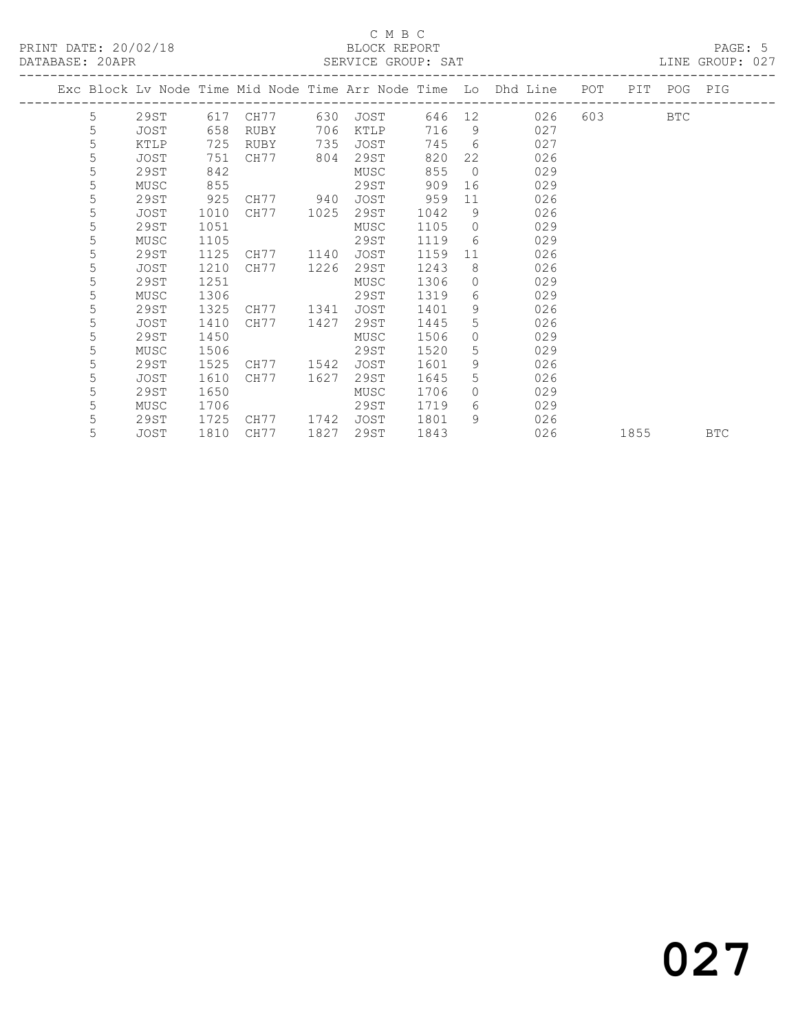### C M B C<br>BLOCK REPORT SERVICE GROUP: SAT

|  |   |      |      |      |      |             |      |                | Exc Block Lv Node Time Mid Node Time Arr Node Time Lo Dhd Line | POT | PIT  | POG PIG    |            |
|--|---|------|------|------|------|-------------|------|----------------|----------------------------------------------------------------|-----|------|------------|------------|
|  | 5 | 29ST | 617  | CH77 | 630  | JOST        | 646  | 12             | 026                                                            | 603 |      | <b>BTC</b> |            |
|  | 5 | JOST | 658  | RUBY | 706  | KTLP        | 716  | 9              | 027                                                            |     |      |            |            |
|  | 5 | KTLP | 725  | RUBY | 735  | JOST        | 745  | 6              | 027                                                            |     |      |            |            |
|  | 5 | JOST | 751  | CH77 | 804  | 29ST        | 820  | 22             | 026                                                            |     |      |            |            |
|  | 5 | 29ST | 842  |      |      | MUSC        | 855  | $\overline{0}$ | 029                                                            |     |      |            |            |
|  | 5 | MUSC | 855  |      |      | 29ST        | 909  | 16             | 029                                                            |     |      |            |            |
|  | 5 | 29ST | 925  | CH77 | 940  | JOST        | 959  | 11             | 026                                                            |     |      |            |            |
|  | 5 | JOST | 1010 | CH77 | 1025 | 29ST        | 1042 | 9              | 026                                                            |     |      |            |            |
|  | 5 | 29ST | 1051 |      |      | MUSC        | 1105 | $\Omega$       | 029                                                            |     |      |            |            |
|  | 5 | MUSC | 1105 |      |      | 29ST        | 1119 | 6              | 029                                                            |     |      |            |            |
|  | 5 | 29ST | 1125 | CH77 | 1140 | JOST        | 1159 | 11             | 026                                                            |     |      |            |            |
|  | 5 | JOST | 1210 | CH77 | 1226 | 29ST        | 1243 | 8              | 026                                                            |     |      |            |            |
|  | 5 | 29ST | 1251 |      |      | MUSC        | 1306 | $\circ$        | 029                                                            |     |      |            |            |
|  | 5 | MUSC | 1306 |      |      | 29ST        | 1319 | 6              | 029                                                            |     |      |            |            |
|  | 5 | 29ST | 1325 | CH77 | 1341 | <b>JOST</b> | 1401 | 9              | 026                                                            |     |      |            |            |
|  | 5 | JOST | 1410 | CH77 | 1427 | 29ST        | 1445 | 5              | 026                                                            |     |      |            |            |
|  | 5 | 29ST | 1450 |      |      | MUSC        | 1506 | $\Omega$       | 029                                                            |     |      |            |            |
|  | 5 | MUSC | 1506 |      |      | 29ST        | 1520 | 5              | 029                                                            |     |      |            |            |
|  | 5 | 29ST | 1525 | CH77 | 1542 | JOST        | 1601 | 9              | 026                                                            |     |      |            |            |
|  | 5 | JOST | 1610 | CH77 | 1627 | 29ST        | 1645 | 5              | 026                                                            |     |      |            |            |
|  | 5 | 29ST | 1650 |      |      | MUSC        | 1706 | $\Omega$       | 029                                                            |     |      |            |            |
|  | 5 | MUSC | 1706 |      |      | 29ST        | 1719 | 6              | 029                                                            |     |      |            |            |
|  | 5 | 29ST | 1725 | CH77 | 1742 | JOST        | 1801 | 9              | 026                                                            |     |      |            |            |
|  | 5 | JOST | 1810 | CH77 | 1827 | 29ST        | 1843 |                | 026                                                            |     | 1855 |            | <b>BTC</b> |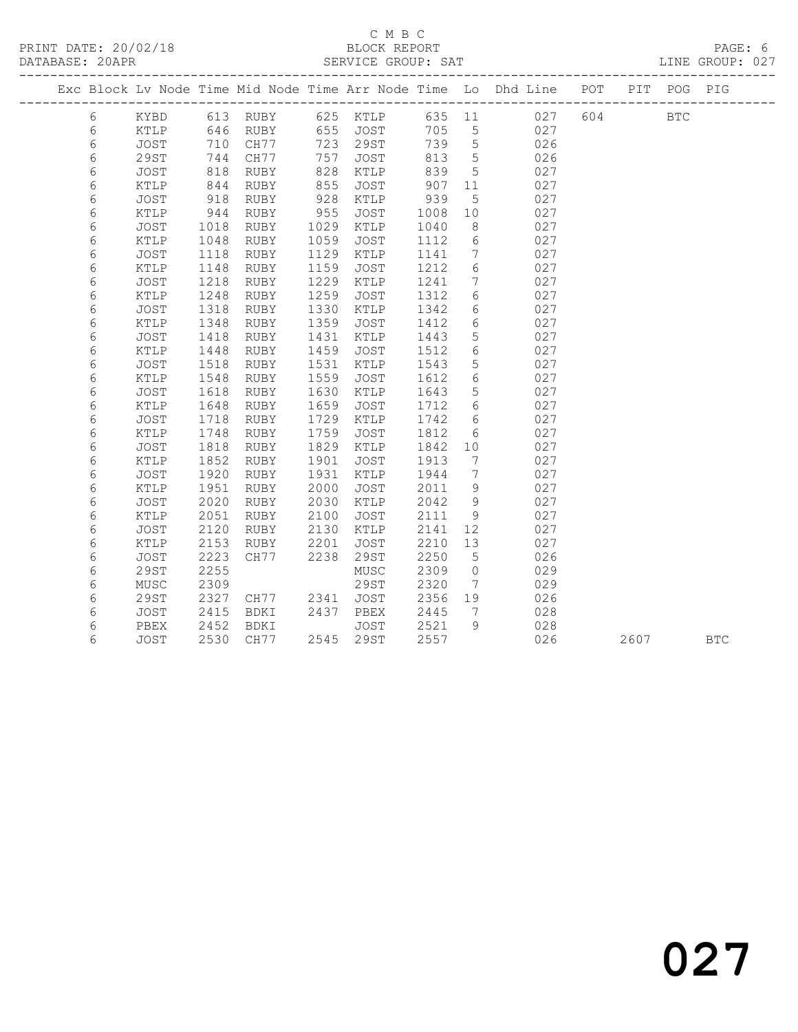### C M B C<br>BLOCK REPORT SERVICE GROUP: SAT

|  |            |               |      |          |      |             |      |                              | Exc Block Lv Node Time Mid Node Time Arr Node Time Lo Dhd Line POT |     |      | PIT POG PIG  |            |
|--|------------|---------------|------|----------|------|-------------|------|------------------------------|--------------------------------------------------------------------|-----|------|--------------|------------|
|  | 6          | KYBD          |      | 613 RUBY |      | 625 KTLP    |      |                              | 635 11 027                                                         | 604 |      | $_{\rm BTC}$ |            |
|  | 6          | KTLP          | 646  | RUBY     |      | 655 JOST    | 705  | $5^{\circ}$                  | 027                                                                |     |      |              |            |
|  | $\epsilon$ | JOST          | 710  | CH77     | 723  | 29ST        | 739  | $5\overline{)}$              | 026                                                                |     |      |              |            |
|  | 6          | 29ST          | 744  | CH77     | 757  | JOST        | 813  | $5\overline{)}$              | 026                                                                |     |      |              |            |
|  | 6          | JOST          | 818  | RUBY     | 828  | KTLP        | 839  | 5                            | 027                                                                |     |      |              |            |
|  | 6          | KTLP          | 844  | RUBY     | 855  | JOST        | 907  | 11                           | 027                                                                |     |      |              |            |
|  | 6          | JOST          | 918  | RUBY     | 928  | KTLP        | 939  | 5                            | 027                                                                |     |      |              |            |
|  | 6          | KTLP          | 944  | RUBY     | 955  | JOST        | 1008 | 10                           | 027                                                                |     |      |              |            |
|  | 6          | JOST          | 1018 | RUBY     | 1029 | KTLP        | 1040 | 8                            | 027                                                                |     |      |              |            |
|  | 6          | KTLP          | 1048 | RUBY     | 1059 | JOST        | 1112 | $6\,$                        | 027                                                                |     |      |              |            |
|  | 6          | JOST          | 1118 | RUBY     | 1129 | KTLP        | 1141 | $7\phantom{.0}$              | 027                                                                |     |      |              |            |
|  | 6          | KTLP          | 1148 | RUBY     | 1159 | JOST        | 1212 | $6\,$                        | 027                                                                |     |      |              |            |
|  | 6          | JOST          | 1218 | RUBY     | 1229 | KTLP        | 1241 | $7\overline{ }$              | 027                                                                |     |      |              |            |
|  | 6          | KTLP          | 1248 | RUBY     | 1259 | JOST        | 1312 | 6                            | 027                                                                |     |      |              |            |
|  | 6          | JOST          | 1318 | RUBY     | 1330 | KTLP        | 1342 | $6\overline{6}$              | 027                                                                |     |      |              |            |
|  | 6          | KTLP          | 1348 | RUBY     | 1359 | JOST        | 1412 | 6                            | 027                                                                |     |      |              |            |
|  | 6          | JOST          | 1418 | RUBY     | 1431 | KTLP        | 1443 | $\overline{5}$               | 027                                                                |     |      |              |            |
|  | 6          | KTLP          | 1448 | RUBY     | 1459 | JOST        | 1512 | 6                            | 027                                                                |     |      |              |            |
|  | 6          | JOST          | 1518 | RUBY     | 1531 | KTLP        | 1543 | 5                            | 027                                                                |     |      |              |            |
|  | 6          | KTLP          | 1548 | RUBY     | 1559 | JOST        | 1612 | $6\phantom{.}6$              | 027                                                                |     |      |              |            |
|  | 6          | JOST          | 1618 | RUBY     | 1630 | KTLP        | 1643 | 5                            | 027                                                                |     |      |              |            |
|  | 6          | $\verb KTLP $ | 1648 | RUBY     | 1659 | JOST        | 1712 | 6                            | 027                                                                |     |      |              |            |
|  | 6          | JOST          | 1718 | RUBY     | 1729 | KTLP        | 1742 | 6                            | 027                                                                |     |      |              |            |
|  | 6          | KTLP          | 1748 | RUBY     | 1759 | JOST        | 1812 | 6                            | 027                                                                |     |      |              |            |
|  | 6          | JOST          | 1818 | RUBY     | 1829 | KTLP        | 1842 | 10                           | 027                                                                |     |      |              |            |
|  | 6          | KTLP          | 1852 | RUBY     | 1901 | JOST        | 1913 | $7\phantom{.0}$              | 027                                                                |     |      |              |            |
|  | 6          | JOST          | 1920 | RUBY     | 1931 | KTLP        | 1944 | $7\phantom{.0}$              | 027                                                                |     |      |              |            |
|  | 6          | KTLP          | 1951 | RUBY     | 2000 | <b>JOST</b> | 2011 | 9                            | 027                                                                |     |      |              |            |
|  | 6          | JOST          | 2020 | RUBY     | 2030 | KTLP        | 2042 | 9                            | 027                                                                |     |      |              |            |
|  | 6          | KTLP          | 2051 | RUBY     | 2100 | JOST        | 2111 | 9                            | 027                                                                |     |      |              |            |
|  | 6          | JOST          | 2120 | RUBY     | 2130 | KTLP        | 2141 | 12                           | 027                                                                |     |      |              |            |
|  | 6          | KTLP          | 2153 | RUBY     | 2201 | <b>JOST</b> | 2210 | 13                           | 027                                                                |     |      |              |            |
|  | 6          | JOST          | 2223 | CH77     | 2238 | 29ST        | 2250 | 5                            | 026                                                                |     |      |              |            |
|  | 6          | <b>29ST</b>   | 2255 |          |      | MUSC        | 2309 | $\circ$                      | 029                                                                |     |      |              |            |
|  | 6          | MUSC          | 2309 |          |      | 29ST        | 2320 | $7\phantom{.0}$              | 029                                                                |     |      |              |            |
|  | 6          | <b>29ST</b>   | 2327 | CH77     | 2341 | JOST        | 2356 | 19                           | 026                                                                |     |      |              |            |
|  | 6          | JOST          | 2415 | BDKI     | 2437 | PBEX        | 2445 | $7\phantom{.0}\phantom{.0}7$ | 028                                                                |     |      |              |            |
|  | 6          | PBEX          | 2452 | BDKI     |      | JOST        | 2521 | 9                            | 028                                                                |     |      |              |            |
|  | 6          | <b>JOST</b>   | 2530 | CH77     | 2545 | 29ST        | 2557 |                              | 026                                                                |     | 2607 |              | <b>BTC</b> |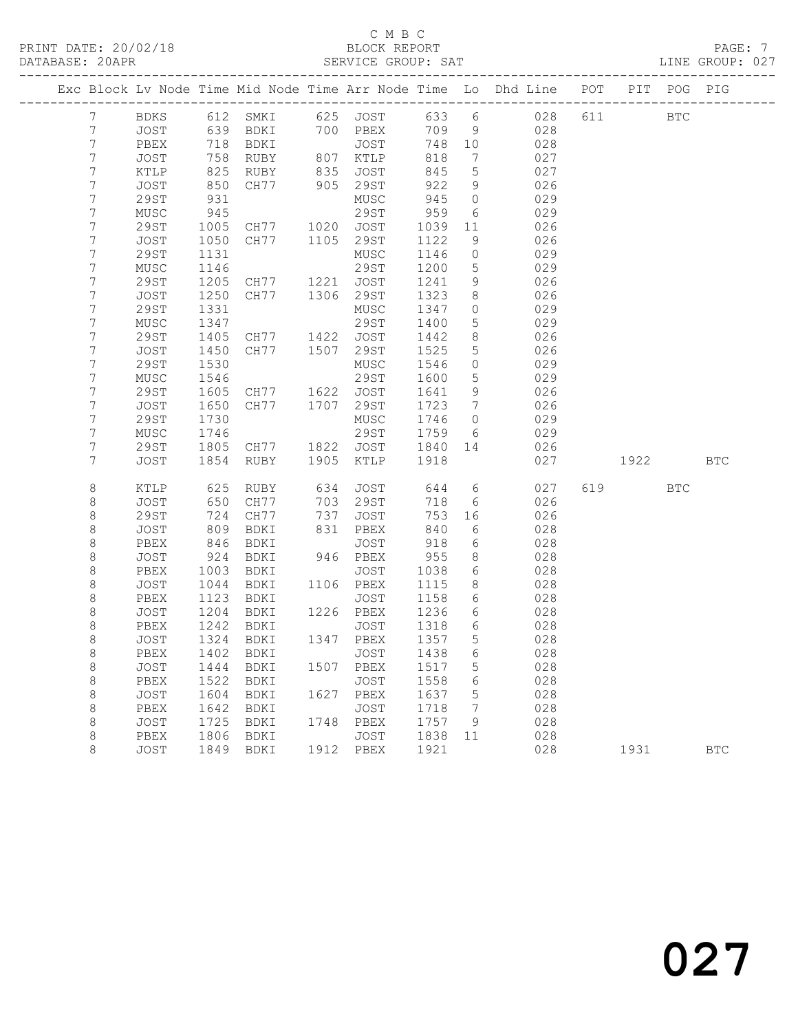# C M B C<br>BLOCK REPORT

LINE GROUP: 027

|                |              |              |                                  |      |                      |              |                     | Exc Block Lv Node Time Mid Node Time Arr Node Time Lo Dhd Line POT |     |             | PIT POG PIG |            |
|----------------|--------------|--------------|----------------------------------|------|----------------------|--------------|---------------------|--------------------------------------------------------------------|-----|-------------|-------------|------------|
| $7\phantom{.}$ | BDKS         |              |                                  |      |                      |              |                     | 612 SMKI 625 JOST 633 6 028                                        | 611 | <b>BTC</b>  |             |            |
| 7              | JOST         | 639          |                                  |      | BDKI 700 PBEX        | 709 9        |                     | 028                                                                |     |             |             |            |
| 7              | PBEX         | 718          | BDKI                             |      | JOST                 | 748 10       |                     | 028                                                                |     |             |             |            |
| 7              | JOST         | 758          | RUBY                             |      | 807 KTLP             | 818          | $\overline{7}$      | 027                                                                |     |             |             |            |
| 7              | KTLP         | 825          | RUBY                             |      | 835 JOST<br>905 29ST | 845          | $5\overline{)}$     | 027                                                                |     |             |             |            |
| 7              | JOST         | 850          | CH77                             |      |                      | 922          | 9                   | 026                                                                |     |             |             |            |
| 7              | 29ST         | 931          |                                  |      | MUSC                 | 945          | $\overline{0}$      | 029                                                                |     |             |             |            |
| 7              | MUSC         | 945          |                                  |      | 29ST                 | 959          | 6                   | 029                                                                |     |             |             |            |
| 7              | 29ST         | 1005         | CH77 1020 JOST                   |      |                      | 1039         | 11                  | 026                                                                |     |             |             |            |
| 7              | JOST         | 1050         | CH77 1105                        |      | 29ST                 | 1122         | 9                   | 026                                                                |     |             |             |            |
| 7              | 29ST         | 1131         |                                  |      | MUSC                 | 1146         | $\overline{0}$      | 029                                                                |     |             |             |            |
| 7              | MUSC         | 1146         |                                  |      | 29ST                 | 1200         | 5                   | 029                                                                |     |             |             |            |
| 7              | 29ST         | 1205         | CH77 1221 JOST<br>CH77 1306 29ST |      |                      | 1241         | 9                   | 026                                                                |     |             |             |            |
| 7<br>7         | JOST         | 1250         |                                  |      |                      | 1323         | 8                   | 026                                                                |     |             |             |            |
|                | <b>29ST</b>  | 1331<br>1347 |                                  |      | MUSC<br>29ST         | 1347<br>1400 | $\overline{0}$<br>5 | 029<br>029                                                         |     |             |             |            |
| 7<br>7         | MUSC<br>29ST | 1405         |                                  |      |                      | 1442         | 8 <sup>8</sup>      | 026                                                                |     |             |             |            |
| $\overline{7}$ | JOST         | 1450         | CH77 1422 JOST<br>CH77 1507 29ST |      |                      | 1525         | $5\phantom{.0}$     | 026                                                                |     |             |             |            |
| 7              | 29ST         | 1530         |                                  |      | MUSC                 | 1546         | $\overline{0}$      | 029                                                                |     |             |             |            |
| 7              | MUSC         | 1546         |                                  |      | 29ST                 | 1600         | $5\phantom{.0}$     | 029                                                                |     |             |             |            |
| 7              | 29ST         | 1605         | CH77 1622 JOST                   |      |                      | 1641         | 9                   | 026                                                                |     |             |             |            |
| $\overline{7}$ | JOST         | 1650         | CH77 1707 29ST                   |      |                      | 1723         | $7\overline{)}$     | 026                                                                |     |             |             |            |
| 7              | 29ST         | 1730         |                                  |      | MUSC                 | 1746         | $\overline{0}$      | 029                                                                |     |             |             |            |
| 7              | MUSC         | 1746         |                                  |      | 29ST                 | 1759         | 6                   | 029                                                                |     |             |             |            |
| 7              | 29ST         | 1805         | CH77                             |      | 1822 JOST            | 1840         | 14                  | 026                                                                |     |             |             |            |
| $\overline{7}$ | JOST         | 1854         | RUBY                             | 1905 | KTLP                 | 1918         |                     | 027                                                                |     | 1922   1922 |             | <b>BTC</b> |
|                |              |              |                                  |      |                      |              |                     |                                                                    |     |             |             |            |
| 8              | KTLP         | 625          | RUBY                             | 634  | JOST                 | 644          |                     | $6\overline{6}$<br>027                                             |     | 619         | <b>BTC</b>  |            |
| 8              | JOST         | 650          | CH77                             | 703  | 29ST                 | 718          | 6                   | 026                                                                |     |             |             |            |
| $\,8\,$        | 29ST         | 724          | CH77                             | 737  | JOST                 | 753          | 16                  | 026                                                                |     |             |             |            |
| 8              | JOST         | 809          | BDKI                             |      | 831 PBEX             | 840          | 6                   | 028                                                                |     |             |             |            |
| 8              | PBEX         | 846          | BDKI                             |      | JOST                 | 918          | 6                   | 028                                                                |     |             |             |            |
| 8              | JOST         | 924          | BDKI                             |      | 946 PBEX             | 955          | 8                   | 028                                                                |     |             |             |            |
| $\,8\,$        | PBEX         | 1003         | BDKI                             |      | JOST                 | 1038         | 6                   | 028                                                                |     |             |             |            |
| $\,8\,$        | JOST         | 1044         | BDKI                             |      | 1106 PBEX            | 1115         | 8 <sup>8</sup>      | 028                                                                |     |             |             |            |
| 8              | PBEX         | 1123         | BDKI                             |      | JOST                 | 1158         | 6                   | 028                                                                |     |             |             |            |
| 8              | JOST         | 1204         | BDKI                             |      | 1226 PBEX            | 1236         | 6                   | 028                                                                |     |             |             |            |
| $\,8\,$        | PBEX         | 1242         | BDKI                             |      | JOST<br>1347 PBEX    | 1318         | 6                   | 028                                                                |     |             |             |            |
| 8              | JOST         | 1324         | BDKI                             |      |                      | 1357         | 5                   | 028                                                                |     |             |             |            |
| 8              |              |              | PBEX 1402 BDKI JOST 1438 6       |      |                      |              |                     | 028                                                                |     |             |             |            |
| 8<br>8         | JOST<br>PBEX | 1444<br>1522 | BDKI<br>BDKI                     | 1507 | PBEX<br>JOST         | 1517<br>1558 | 5<br>6              | 028<br>028                                                         |     |             |             |            |
| $\,8\,$        | JOST         | 1604         | BDKI                             |      | 1627 PBEX            | 1637         | $\mathsf S$         | 028                                                                |     |             |             |            |
| 8              | PBEX         | 1642         | BDKI                             |      | JOST                 | 1718         | 7                   | 028                                                                |     |             |             |            |
| 8              | JOST         | 1725         | BDKI                             | 1748 | PBEX                 | 1757         | 9                   | 028                                                                |     |             |             |            |
| 8              | PBEX         | 1806         | BDKI                             |      | JOST                 | 1838         | 11                  | 028                                                                |     |             |             |            |
| 8              | JOST         | 1849         | BDKI                             |      | 1912 PBEX            | 1921         |                     | 028                                                                |     | 1931        |             | <b>BTC</b> |
|                |              |              |                                  |      |                      |              |                     |                                                                    |     |             |             |            |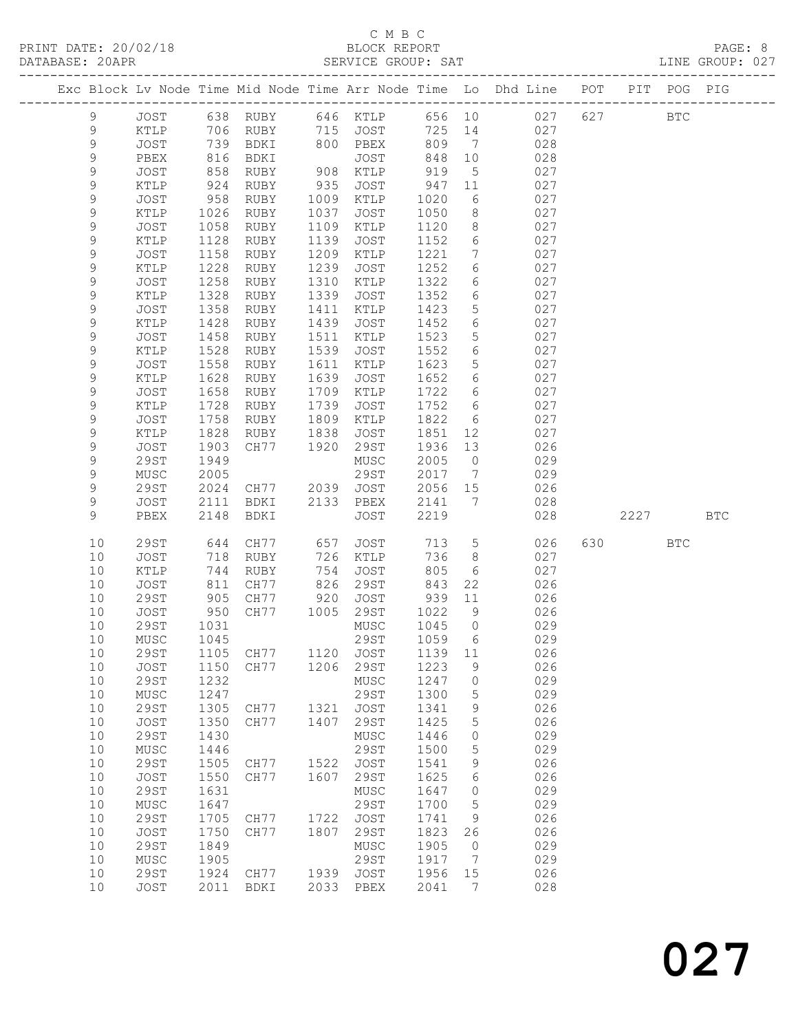### C M B C<br>BLOCK REPORT SERVICE GROUP: SAT

|  |                 |                |      |          |      |                   |        |                   | Exc Block Lv Node Time Mid Node Time Arr Node Time Lo Dhd Line POT |     |      | PIT POG PIG |            |
|--|-----------------|----------------|------|----------|------|-------------------|--------|-------------------|--------------------------------------------------------------------|-----|------|-------------|------------|
|  | $\mathsf 9$     | JOST           |      | 638 RUBY |      | 646 KTLP          | 656 10 |                   | 027                                                                | 627 |      | <b>BTC</b>  |            |
|  | 9               | KTLP           | 706  | RUBY     |      | 715 JOST          | 725    | 14                | 027                                                                |     |      |             |            |
|  | $\mathsf 9$     | JOST           | 739  | BDKI     |      | 800 PBEX          | 809    | $\overline{7}$    | 028                                                                |     |      |             |            |
|  | 9               | PBEX           | 816  | BDKI     |      | JOST              | 848    | 10                | 028                                                                |     |      |             |            |
|  | 9               | JOST           | 858  | RUBY     | 908  | KTLP              | 919    | 5                 | 027                                                                |     |      |             |            |
|  | 9               | KTLP           | 924  | RUBY     | 935  | JOST              | 947    | 11                | 027                                                                |     |      |             |            |
|  | $\mathsf 9$     | JOST           | 958  | RUBY     | 1009 | KTLP              | 1020   | 6                 | 027                                                                |     |      |             |            |
|  | 9               | KTLP           | 1026 | RUBY     | 1037 | JOST              | 1050   | 8                 | 027                                                                |     |      |             |            |
|  | 9               | JOST           | 1058 | RUBY     | 1109 | KTLP              | 1120   | 8                 | 027                                                                |     |      |             |            |
|  | 9               | KTLP           | 1128 | RUBY     | 1139 | JOST              | 1152   | 6                 | 027                                                                |     |      |             |            |
|  | $\mathsf 9$     | JOST           | 1158 | RUBY     | 1209 | KTLP              | 1221   | $7\phantom{.0}$   | 027                                                                |     |      |             |            |
|  | 9               | KTLP           | 1228 | RUBY     | 1239 | JOST              | 1252   | 6                 | 027                                                                |     |      |             |            |
|  | 9               | JOST           | 1258 | RUBY     | 1310 | KTLP              | 1322   | 6                 | 027                                                                |     |      |             |            |
|  | 9               | KTLP           | 1328 | RUBY     | 1339 | JOST              | 1352   | 6                 | 027                                                                |     |      |             |            |
|  | $\mathsf 9$     | JOST           | 1358 | RUBY     | 1411 | KTLP              | 1423   | $5\phantom{.0}$   | 027                                                                |     |      |             |            |
|  | 9               | KTLP           | 1428 | RUBY     | 1439 | JOST              | 1452   | 6                 | 027                                                                |     |      |             |            |
|  | 9               | JOST           | 1458 | RUBY     | 1511 | KTLP              | 1523   | 5                 | 027                                                                |     |      |             |            |
|  | 9               | KTLP           | 1528 | RUBY     | 1539 | JOST              | 1552   | 6                 | 027                                                                |     |      |             |            |
|  | $\mathsf 9$     | JOST           | 1558 | RUBY     | 1611 | KTLP              | 1623   | 5                 | 027                                                                |     |      |             |            |
|  | 9               | KTLP           | 1628 | RUBY     | 1639 | JOST              | 1652   | 6                 | 027                                                                |     |      |             |            |
|  | 9               | JOST           | 1658 | RUBY     | 1709 | KTLP              | 1722   | 6                 | 027                                                                |     |      |             |            |
|  | 9               | KTLP           | 1728 | RUBY     | 1739 | JOST              | 1752   | 6                 | 027                                                                |     |      |             |            |
|  | 9               | JOST           | 1758 | RUBY     | 1809 | KTLP              | 1822   | 6                 | 027                                                                |     |      |             |            |
|  | $\mathsf 9$     | KTLP           | 1828 | RUBY     | 1838 | JOST              | 1851   | 12                | 027                                                                |     |      |             |            |
|  | 9               | <b>JOST</b>    | 1903 | CH77     | 1920 | 29ST              | 1936   | 13                | 026                                                                |     |      |             |            |
|  | 9               | <b>29ST</b>    | 1949 |          |      | MUSC              | 2005   | $\overline{0}$    | 029                                                                |     |      |             |            |
|  | 9               | MUSC           | 2005 |          |      | 29ST              | 2017   | $\overline{7}$    | 029                                                                |     |      |             |            |
|  | $\mathsf 9$     | <b>29ST</b>    | 2024 | CH77     | 2039 | JOST              | 2056   | 15                | 026                                                                |     |      |             |            |
|  | 9               | JOST           | 2111 | BDKI     | 2133 | PBEX              | 2141   | $7\phantom{.0}\,$ | 028                                                                |     |      |             |            |
|  | 9               | PBEX           | 2148 | BDKI     |      | JOST              | 2219   |                   | 028                                                                |     | 2227 |             | <b>BTC</b> |
|  | 10              | 29ST           | 644  | CH77     | 657  | JOST              | 713    | $5\phantom{.0}$   | 026                                                                | 630 |      | BTC         |            |
|  | 10              | JOST           | 718  | RUBY     | 726  | KTLP              | 736    | 8                 | 027                                                                |     |      |             |            |
|  | 10              | KTLP           | 744  | RUBY     | 754  | JOST              | 805    | 6                 | 027                                                                |     |      |             |            |
|  | 10              | JOST           | 811  | CH77     | 826  | 29ST              | 843    | 22                | 026                                                                |     |      |             |            |
|  | 10              | 29ST           | 905  | CH77     | 920  | JOST              | 939    | 11                | 026                                                                |     |      |             |            |
|  | 10              | JOST           | 950  | CH77     | 1005 | 29ST              | 1022   | 9                 | 026                                                                |     |      |             |            |
|  | 10              | 29ST           | 1031 |          |      | MUSC              | 1045   | $\overline{0}$    | 029                                                                |     |      |             |            |
|  | 10              | MUSC           | 1045 |          |      | 29ST              | 1059   | 6                 | 029                                                                |     |      |             |            |
|  | 10 <sub>1</sub> | 29ST 1105 CH77 |      |          |      | 1120 JOST 1139 11 |        |                   | 026                                                                |     |      |             |            |
|  | 10              | JOST           | 1150 | CH77     | 1206 | 29ST              | 1223   | 9                 | 026                                                                |     |      |             |            |
|  | 10              | 29ST           | 1232 |          |      | MUSC              | 1247   | 0                 | 029                                                                |     |      |             |            |
|  | 10              | ${\tt MUSC}$   | 1247 |          |      | 29ST              | 1300   | 5                 | 029                                                                |     |      |             |            |
|  | 10              | <b>29ST</b>    | 1305 | CH77     | 1321 | JOST              | 1341   | 9                 | 026                                                                |     |      |             |            |
|  | 10              | JOST           | 1350 | CH77     | 1407 | 29ST              | 1425   | 5                 | 026                                                                |     |      |             |            |
|  | 10              | 29ST           | 1430 |          |      | MUSC              | 1446   | 0                 | 029                                                                |     |      |             |            |
|  | 10              | ${\tt MUSC}$   | 1446 |          |      | 29ST              | 1500   | 5                 | 029                                                                |     |      |             |            |
|  | 10              | <b>29ST</b>    | 1505 | CH77     | 1522 | <b>JOST</b>       | 1541   | 9                 | 026                                                                |     |      |             |            |
|  | 10              | JOST           | 1550 | CH77     | 1607 | <b>29ST</b>       | 1625   | 6                 | 026                                                                |     |      |             |            |
|  | 10              | 29ST           | 1631 |          |      | MUSC              | 1647   | 0                 | 029                                                                |     |      |             |            |
|  | 10              | MUSC           | 1647 |          |      | 29ST              | 1700   | 5                 | 029                                                                |     |      |             |            |
|  | 10              | <b>29ST</b>    | 1705 | CH77     | 1722 | <b>JOST</b>       | 1741   | 9                 | 026                                                                |     |      |             |            |
|  | 10              | JOST           | 1750 | CH77     | 1807 | 29ST              | 1823   | 26                | 026                                                                |     |      |             |            |
|  | 10              | <b>29ST</b>    | 1849 |          |      | MUSC              | 1905   | $\overline{0}$    | 029                                                                |     |      |             |            |
|  | 10              | MUSC           | 1905 |          |      | 29ST              | 1917   | 7                 | 029                                                                |     |      |             |            |
|  | 10              | <b>29ST</b>    | 1924 | CH77     | 1939 | JOST              | 1956   | 15                | 026                                                                |     |      |             |            |
|  | 10              | JOST           | 2011 | BDKI     | 2033 | PBEX              | 2041   | 7                 | 028                                                                |     |      |             |            |
|  |                 |                |      |          |      |                   |        |                   |                                                                    |     |      |             |            |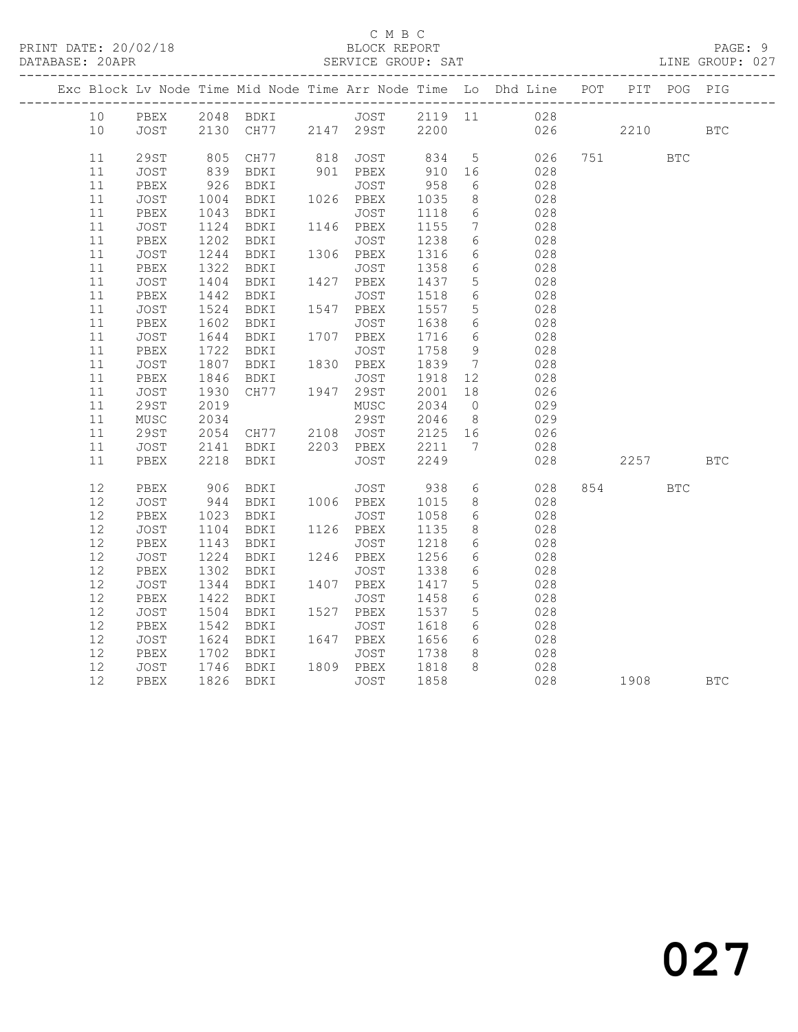### C M B C<br>BLOCK REPORT SERVICE GROUP: SAT

|      |    |             |      |                |                                         |                   |                   |                              | Exc Block Lv Node Time Mid Node Time Arr Node Time Lo Dhd Line POT        |          | PIT POG PIG |            |
|------|----|-------------|------|----------------|-----------------------------------------|-------------------|-------------------|------------------------------|---------------------------------------------------------------------------|----------|-------------|------------|
|      | 10 |             |      |                |                                         |                   |                   |                              |                                                                           |          |             |            |
| 10   |    |             |      |                |                                         |                   |                   |                              | PBEX 2048 BDKI JOST 2119 11 028<br>JOST 2130 CH77 2147 29ST 2200 026 2210 |          |             | <b>BTC</b> |
|      |    |             |      |                |                                         |                   |                   |                              |                                                                           |          |             |            |
| 11   |    | <b>29ST</b> | 805  | CH77           |                                         | 818 JOST 834      |                   |                              | 5 026                                                                     | 751      | <b>BTC</b>  |            |
| 11   |    | JOST        | 839  | BDKI           |                                         | 901 PBEX          | 910               | 16                           | 028                                                                       |          |             |            |
| 11   |    | PBEX        | 926  | BDKI           |                                         | JOST              | 958               | 6                            | 028                                                                       |          |             |            |
| 11   |    | JOST        | 1004 | BDKI           |                                         | $1026$ PBEX       | 1035              | 8                            | 028                                                                       |          |             |            |
| 11   |    | PBEX        | 1043 | BDKI           |                                         | JOST              | 1118              | $6\overline{6}$              | 028                                                                       |          |             |            |
| 11   |    | JOST        | 1124 | BDKI           |                                         | 1146 PBEX         | 1155              | $7\overline{ }$              | 028                                                                       |          |             |            |
| 11   |    | PBEX        | 1202 | BDKI           |                                         | JOST              | $\frac{1}{1238}$  | 6                            | 028                                                                       |          |             |            |
| 11   |    | JOST        | 1244 | BDKI           |                                         | 1306 PBEX         | 1316              | $6\overline{6}$              | 028                                                                       |          |             |            |
| 11   |    | PBEX        | 1322 | BDKI           |                                         | JOST              |                   | $6\overline{6}$              | 028                                                                       |          |             |            |
| 11   |    | JOST        | 1404 | BDKI           | $\begin{array}{c}\n0 \\ 0\n\end{array}$ | 1427 PBEX         | $1350$<br>$1437$  | $5\overline{)}$              | 028                                                                       |          |             |            |
| 11   |    | PBEX        | 1442 | BDKI           |                                         | JOST              | 1518              | 6                            | 028                                                                       |          |             |            |
| 11   |    | JOST        | 1524 | BDKI           |                                         | 1547 PBEX         | 1557              | 5 <sup>5</sup>               | 028                                                                       |          |             |            |
| 11   |    | PBEX        | 1602 | BDKI           |                                         | JOST              | 1638              | 6                            | 028                                                                       |          |             |            |
| 11   |    | JOST        | 1644 | BDKI           |                                         | 1707 PBEX         | 1716              | $6\overline{6}$              | 028                                                                       |          |             |            |
| 11   |    | PBEX        |      | 1722 BDKI      |                                         | JOST              | 1758              | 9                            | 028                                                                       |          |             |            |
| 11   |    | JOST        |      | 1807 BDKI      |                                         | 1830 PBEX         | 1839              | $7\phantom{.0}\phantom{.0}7$ | 028                                                                       |          |             |            |
| 11   |    | PBEX        | 1846 | BDKI           |                                         | JOST<br>1947 29ST | 1918              | 12                           | 028                                                                       |          |             |            |
| 11   |    | JOST        | 1930 | CH77           |                                         |                   | 2001              | 18                           | 026                                                                       |          |             |            |
| 11   |    | 29ST        | 2019 |                |                                         | MUSC              | 2034              | $\overline{0}$               | 029                                                                       |          |             |            |
| 11   |    | MUSC        | 2034 |                |                                         | 29ST              | 2046 8<br>2125 16 |                              | $029$<br>$026$                                                            |          |             |            |
|      | 11 | 29ST        | 2054 | CH77 2108 JOST |                                         |                   |                   |                              |                                                                           |          |             |            |
| 11   |    | JOST        | 2141 | BDKI           |                                         | 2203 PBEX         | 2211              | $7\phantom{.0}\phantom{.0}7$ | 028                                                                       |          |             |            |
|      | 11 | PBEX        | 2218 | BDKI           |                                         | JOST              | 2249              |                              | 028                                                                       | 2257     |             | <b>BTC</b> |
|      |    |             |      |                |                                         |                   |                   |                              |                                                                           |          |             |            |
| 12   |    | PBEX        | 906  | BDKI           |                                         | JOST              | 938               | 6                            | 028                                                                       | 854      | <b>BTC</b>  |            |
| 12   |    | <b>JOST</b> |      | 944 BDKI       |                                         | 1006 PBEX         | 1015              | 8 <sup>8</sup>               | 028                                                                       |          |             |            |
| 12   |    | PBEX        | 1023 | BDKI           |                                         | JOST              | 1058              | 6                            | 028                                                                       |          |             |            |
| 12   |    | JOST        | 1104 | BDKI           |                                         | 1126 PBEX         | 1135              | 8                            | 028                                                                       |          |             |            |
| 12   |    | PBEX        | 1143 | BDKI           |                                         | JOST              | 1218              | 6                            | 028                                                                       |          |             |            |
| 12   |    | JOST        |      | 1224 BDKI      |                                         | 1246 PBEX         | 1256              | $6\overline{6}$              | 028                                                                       |          |             |            |
| 12   |    | PBEX        | 1302 | BDKI           |                                         | JOST              | 1338              | 6                            | 028                                                                       |          |             |            |
| 12   |    | JOST        | 1344 | BDKI           |                                         | 1407 PBEX         | 1417              | $5\overline{)}$              | 028                                                                       |          |             |            |
| 12   |    | PBEX        | 1422 | BDKI           |                                         | JOST              | 1458              | 6                            | 028                                                                       |          |             |            |
| 12   |    | JOST        | 1504 | BDKI           |                                         | 1527 PBEX         | 1537              | 5 <sup>5</sup>               | 028                                                                       |          |             |            |
| 12   |    | PBEX        | 1542 | BDKI           |                                         | JOST              | 1618              | 6                            | 028                                                                       |          |             |            |
| $12$ |    | JOST        | 1624 | BDKI           |                                         | 1647 PBEX         | 1656              | 6                            | 028                                                                       |          |             |            |
| 12   |    | PBEX        | 1702 | BDKI           |                                         | JOST<br>1809 PBEX | 1738<br>1818      | 8 <sup>8</sup>               | 028                                                                       |          |             |            |
| 12   |    | JOST        |      | 1746 BDKI      |                                         |                   |                   | 8                            | 028                                                                       |          |             |            |
| 12   |    | PBEX        |      | 1826 BDKI      |                                         | JOST              | 1858              |                              | 028                                                                       | 1908 BTC |             |            |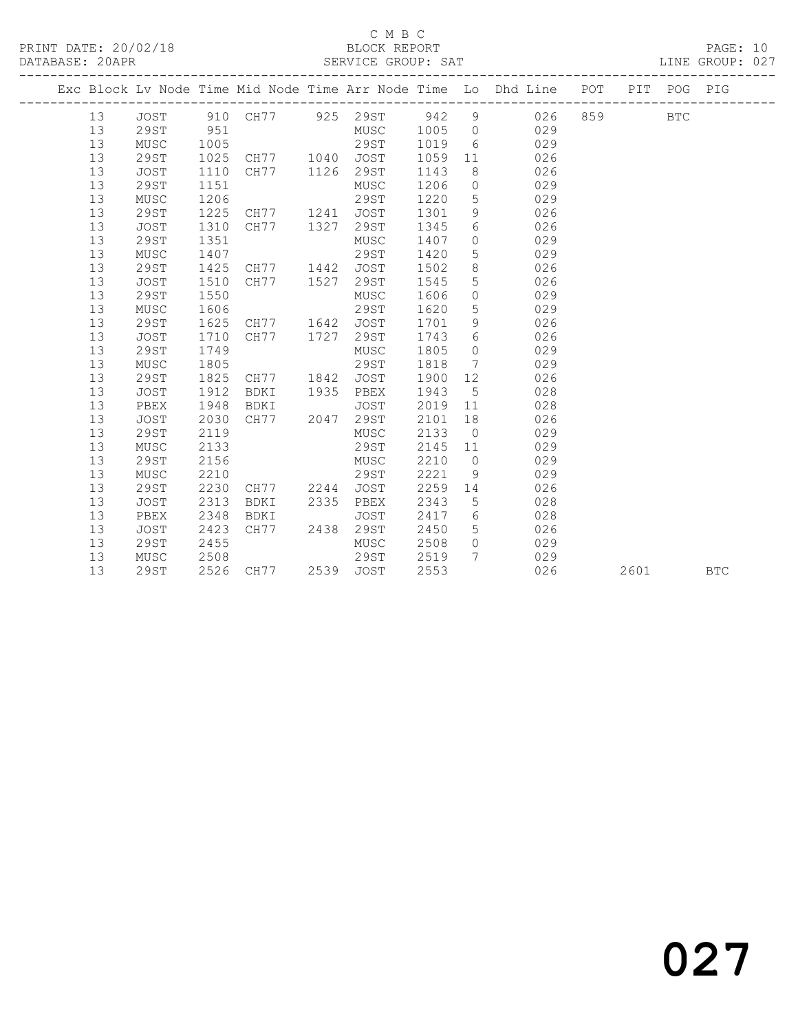### C M B C<br>BLOCK REPORT

PAGE: 10<br>LINE GROUP: 027

|  |    |             |      |                     |      |             |      |                 | Exc Block Lv Node Time Mid Node Time Arr Node Time Lo Dhd Line POT PIT POG PIG |      |            |            |
|--|----|-------------|------|---------------------|------|-------------|------|-----------------|--------------------------------------------------------------------------------|------|------------|------------|
|  | 13 | JOST        |      |                     |      |             |      |                 | 910 CH77 925 29ST 942 9 026 859                                                |      | <b>BTC</b> |            |
|  | 13 | 29ST        | 951  |                     |      | MUSC 1005   |      | $\overline{0}$  | 029                                                                            |      |            |            |
|  | 13 | MUSC        | 1005 |                     |      | 29ST        | 1019 | 6               | 029                                                                            |      |            |            |
|  | 13 | 29ST        | 1025 | CH77 1040 JOST      |      |             | 1059 | 11              | 026                                                                            |      |            |            |
|  | 13 | <b>JOST</b> | 1110 | CH77 1126 29ST      |      |             | 1143 | 8               | 026                                                                            |      |            |            |
|  | 13 | 29ST        | 1151 |                     |      | MUSC        | 1206 | $\circ$         | 029                                                                            |      |            |            |
|  | 13 | MUSC        | 1206 |                     |      | 29ST        | 1220 | 5               | 029                                                                            |      |            |            |
|  | 13 | 29ST        | 1225 | CH77 1241           |      | <b>JOST</b> | 1301 | 9               | 026                                                                            |      |            |            |
|  | 13 | <b>JOST</b> | 1310 | CH77                | 1327 | 29ST        | 1345 | 6               | 026                                                                            |      |            |            |
|  | 13 | 29ST        | 1351 |                     |      | MUSC        | 1407 | 0               | 029                                                                            |      |            |            |
|  | 13 | MUSC        | 1407 |                     |      | 29ST        | 1420 | 5               | 029                                                                            |      |            |            |
|  | 13 | 29ST        | 1425 | CH77 1442           |      | <b>JOST</b> | 1502 | 8               | 026                                                                            |      |            |            |
|  | 13 | <b>JOST</b> | 1510 | CH77                | 1527 | 29ST        | 1545 | 5               | 026                                                                            |      |            |            |
|  | 13 | 29ST        | 1550 |                     |      | MUSC        | 1606 | $\circ$         | 029                                                                            |      |            |            |
|  | 13 | MUSC        | 1606 |                     |      | 29ST        | 1620 | 5               | 029                                                                            |      |            |            |
|  | 13 | 29ST        | 1625 | CH77 1642           |      | JOST        | 1701 | 9               | 026                                                                            |      |            |            |
|  | 13 | <b>JOST</b> | 1710 | CH77                | 1727 | 29ST        | 1743 | 6               | 026                                                                            |      |            |            |
|  | 13 | 29ST        | 1749 |                     |      | MUSC        | 1805 | $\Omega$        | 029                                                                            |      |            |            |
|  | 13 | MUSC        | 1805 |                     |      | 29ST        | 1818 | $7\overline{ }$ | 029                                                                            |      |            |            |
|  | 13 | 29ST        | 1825 | CH77 1842           |      | JOST        | 1900 | 12              | 026                                                                            |      |            |            |
|  | 13 | <b>JOST</b> | 1912 | BDKI                | 1935 | PBEX        | 1943 | $5^{\circ}$     | 028                                                                            |      |            |            |
|  | 13 | PBEX        | 1948 | BDKI                |      | JOST        | 2019 | 11              | 028                                                                            |      |            |            |
|  | 13 | JOST        | 2030 | CH77 2047           |      | 29ST        | 2101 | 18              | 026                                                                            |      |            |            |
|  | 13 | 29ST        | 2119 |                     |      | MUSC        | 2133 | $\overline{0}$  | 029                                                                            |      |            |            |
|  | 13 | MUSC        | 2133 |                     |      | 29ST        | 2145 | 11              | 029                                                                            |      |            |            |
|  | 13 | 29ST        | 2156 |                     |      | MUSC        | 2210 | $\overline{0}$  | 029                                                                            |      |            |            |
|  | 13 | MUSC        | 2210 |                     |      | 29ST        | 2221 | 9               | 029                                                                            |      |            |            |
|  | 13 | 29ST        | 2230 | CH77 2244           |      | JOST        | 2259 | 14              | 026                                                                            |      |            |            |
|  | 13 | JOST        | 2313 | BDKI                | 2335 | PBEX        | 2343 | $5\phantom{.0}$ | 028                                                                            |      |            |            |
|  | 13 | PBEX        | 2348 | BDKI                |      | <b>JOST</b> | 2417 | 6               | 028                                                                            |      |            |            |
|  | 13 | <b>JOST</b> | 2423 | CH77                | 2438 | 29ST        | 2450 | 5               | 026                                                                            |      |            |            |
|  | 13 | 29ST        | 2455 |                     |      | MUSC        | 2508 | $\circ$         | 029                                                                            |      |            |            |
|  | 13 | MUSC        | 2508 |                     |      | 29ST        | 2519 | $7\phantom{.0}$ | 029                                                                            |      |            |            |
|  | 13 | 29ST        |      | 2526 CH77 2539 JOST |      |             | 2553 |                 | 026                                                                            | 2601 |            | <b>BTC</b> |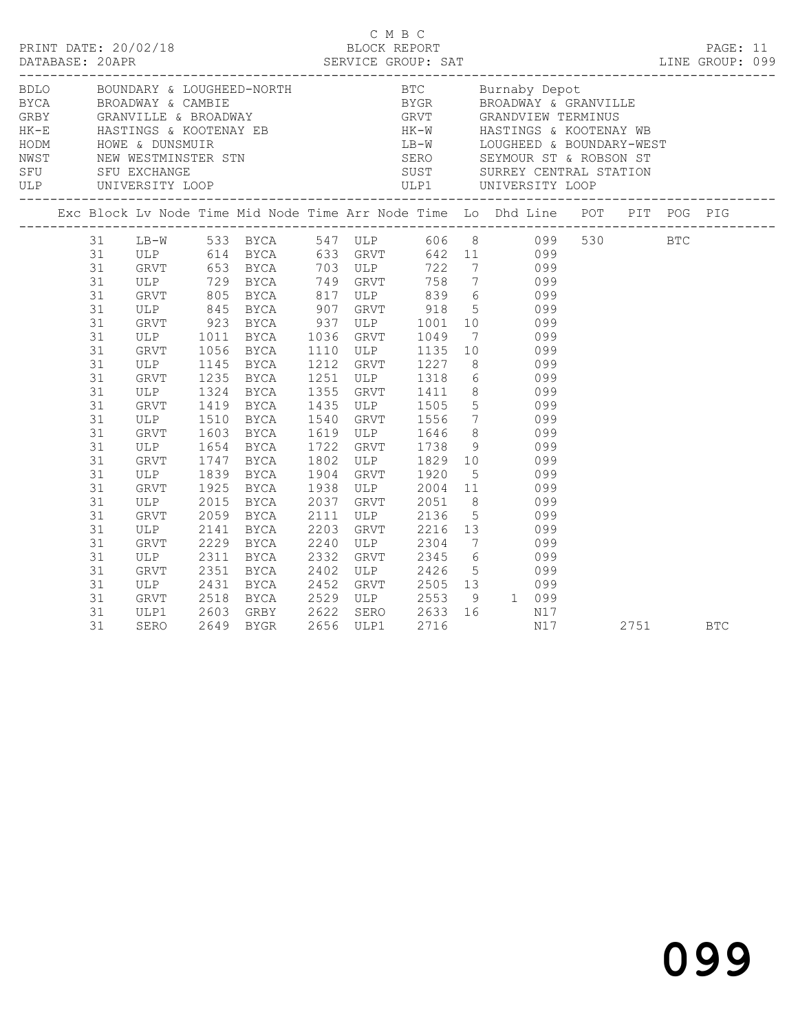|                                                                                  |                                                                                                                                   |                                                                      | C M B C<br>PRINT DATE: 20/02/18 BLOCK REPORT PAGE: 11<br>DATABASE: 20APR SERVICE GROUP: SAT LINE GROUP: 099                                                                                                                                                                                                                                                                                                     |                                                                                                                                                                                                                                                                                                                                         |      |                     |     |  |      |            |  |
|----------------------------------------------------------------------------------|-----------------------------------------------------------------------------------------------------------------------------------|----------------------------------------------------------------------|-----------------------------------------------------------------------------------------------------------------------------------------------------------------------------------------------------------------------------------------------------------------------------------------------------------------------------------------------------------------------------------------------------------------|-----------------------------------------------------------------------------------------------------------------------------------------------------------------------------------------------------------------------------------------------------------------------------------------------------------------------------------------|------|---------------------|-----|--|------|------------|--|
|                                                                                  |                                                                                                                                   |                                                                      |                                                                                                                                                                                                                                                                                                                                                                                                                 |                                                                                                                                                                                                                                                                                                                                         |      |                     |     |  |      |            |  |
|                                                                                  |                                                                                                                                   |                                                                      | Exc Block Lv Node Time Mid Node Time Arr Node Time Lo Dhd Line POT PIT POG PIG                                                                                                                                                                                                                                                                                                                                  |                                                                                                                                                                                                                                                                                                                                         |      |                     |     |  |      |            |  |
| 31<br>31<br>31<br>31<br>31<br>31<br>31<br>31<br>31<br>31<br>31<br>31<br>31       | GRVT 805<br>ULP<br>GRVT 1056<br>ULP 1145<br>GRVT<br>ULP<br>GRVT<br>ULP                                                            | 1011<br>1324<br>1419<br>1510                                         | 31 LB-W 533 BYCA 547 ULP 606 8 099 530 BTC<br>ULP 614 BYCA 633 GRVT 642 11 099<br>GRVT 653 BYCA 703 ULP 722 7 099<br>ULP 729 BYCA 749 GRVT 758 7 099<br>GRVT 805 BYCA 817 ULP 839 6 099<br>ULP 845 BYCA 907 GRVT 918 5 099<br>GRVT 923 BYCA 937 ULP 1001 10 099<br>BYCA 1036 GRVT 1049 7 099<br>BYCA 1110 ULP 1135 10 099<br>BYCA 1212 GRVT 1227 8 099<br>1145 BYCA<br>1235 BYCA<br><b>BYCA</b><br>BYCA<br>BYCA | 1212 GKV1 1227 6<br>1251 ULP 1318 6 099<br>1355 GRVT 1411 8 099<br>1435 ULP 1505 5 099<br>1540 GRVT 1556 7 099                                                                                                                                                                                                                          |      |                     |     |  |      |            |  |
| 31<br>31<br>31<br>31<br>31<br>31<br>31<br>31<br>31<br>31<br>31<br>31<br>31<br>31 | GRVT<br>ULP 1654 BYCA<br>GRVT 1747 BYCA<br><b>ULP</b><br>GRVT<br>ULP<br>GRVT<br>ULP<br>GRVT<br>ULP<br>GRVT<br>ULP<br>GRVT<br>ULP1 | 1603<br>1839<br>1925<br>2015<br>2059<br>2311<br>2351<br>2431<br>2603 | BYCA<br><b>BYCA</b><br>BYCA<br>BYCA<br>BYCA<br>2141 BICA<br>2229 BYCA<br><b>BYCA</b><br>BYCA<br><b>BYCA</b><br>2518 BYCA<br>GRBY 2622                                                                                                                                                                                                                                                                           | 1619 ULP 1646 8 099<br>1722 GRVT 1738 9 099<br>1802 ULP 1829 10 099<br>1904 GRVT 1920 5 099<br>1938 ULP 2004 11 099<br>2037 GRVT 2051 8 099<br>2111 ULP 2136<br>2203 GRVT 2216 13 099<br>2240 ULP 2304 7 099<br>2332 GRVT 2345 6 099<br>2402 ULP 2426 5 099<br>2452 GRVT 2505 13 099<br>2529 ULP 2553 9 1 099<br>SERO 2633<br>ULP1 2716 |      | 5 099<br>$16$ $N17$ |     |  |      |            |  |
| 31                                                                               | SERO                                                                                                                              | 2649                                                                 | <b>BYGR</b>                                                                                                                                                                                                                                                                                                                                                                                                     | 2656 ULP1                                                                                                                                                                                                                                                                                                                               | 2716 |                     | N17 |  | 2751 | <b>BTC</b> |  |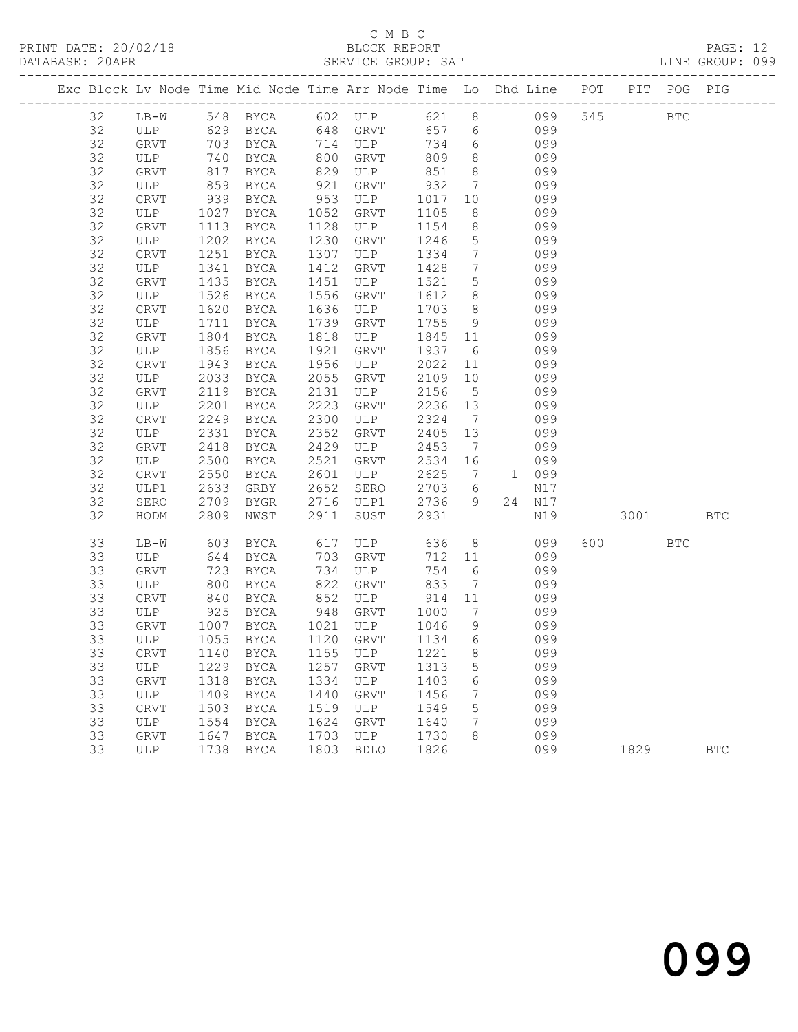## C M B C

| DATABASE: 20APR                                                                |        |      |             |      | SERVICE GROUP: SAT |      |                 |              |     |     |      |            | LINE GROUP: 099 |  |
|--------------------------------------------------------------------------------|--------|------|-------------|------|--------------------|------|-----------------|--------------|-----|-----|------|------------|-----------------|--|
| Exc Block Lv Node Time Mid Node Time Arr Node Time Lo Dhd Line POT PIT POG PIG |        |      |             |      |                    |      |                 |              |     |     |      |            |                 |  |
| 32                                                                             | $LB-W$ |      | 548 BYCA    |      | 602 ULP            | 621  | 8               |              | 099 | 545 |      | <b>BTC</b> |                 |  |
| 32                                                                             | ULP    | 629  | BYCA        | 648  | GRVT               | 657  | 6               |              | 099 |     |      |            |                 |  |
| 32                                                                             | GRVT   | 703  | <b>BYCA</b> | 714  | ULP                | 734  | 6               |              | 099 |     |      |            |                 |  |
| 32                                                                             | ULP    | 740  | BYCA        | 800  | GRVT               | 809  | 8               |              | 099 |     |      |            |                 |  |
| 32                                                                             | GRVT   | 817  | <b>BYCA</b> | 829  | ULP                | 851  | 8               |              | 099 |     |      |            |                 |  |
| 32                                                                             | ULP    | 859  | BYCA        | 921  | GRVT               | 932  | $7\phantom{.0}$ |              | 099 |     |      |            |                 |  |
| 32                                                                             | GRVT   | 939  | BYCA        | 953  | ULP                | 1017 | 10              |              | 099 |     |      |            |                 |  |
| 32                                                                             | ULP    | 1027 | BYCA        | 1052 | GRVT               | 1105 | 8               |              | 099 |     |      |            |                 |  |
| 32                                                                             | GRVT   | 1113 | BYCA        | 1128 | ULP                | 1154 | 8               |              | 099 |     |      |            |                 |  |
| 32                                                                             | ULP    | 1202 | <b>BYCA</b> | 1230 | GRVT               | 1246 | 5               |              | 099 |     |      |            |                 |  |
| 32                                                                             | GRVT   | 1251 | BYCA        | 1307 | ULP                | 1334 | 7               |              | 099 |     |      |            |                 |  |
| 32                                                                             | ULP    | 1341 | <b>BYCA</b> | 1412 | <b>GRVT</b>        | 1428 | 7               |              | 099 |     |      |            |                 |  |
| 32                                                                             | GRVT   | 1435 | <b>BYCA</b> | 1451 | ULP                | 1521 | 5               |              | 099 |     |      |            |                 |  |
| 32                                                                             | ULP    | 1526 | BYCA        | 1556 | GRVT               | 1612 | 8               |              | 099 |     |      |            |                 |  |
| 32                                                                             | GRVT   | 1620 | <b>BYCA</b> | 1636 | ULP                | 1703 | 8               |              | 099 |     |      |            |                 |  |
| 32                                                                             | ULP    | 1711 | <b>BYCA</b> | 1739 | GRVT               | 1755 | 9               |              | 099 |     |      |            |                 |  |
| 32                                                                             | GRVT   | 1804 | <b>BYCA</b> | 1818 | ULP                | 1845 | 11              |              | 099 |     |      |            |                 |  |
| 32                                                                             | ULP    | 1856 | BYCA        | 1921 | GRVT               | 1937 | 6               |              | 099 |     |      |            |                 |  |
| 32                                                                             | GRVT   | 1943 | BYCA        | 1956 | ULP                | 2022 | 11              |              | 099 |     |      |            |                 |  |
| 32                                                                             | ULP    | 2033 | <b>BYCA</b> | 2055 | GRVT               | 2109 | 10              |              | 099 |     |      |            |                 |  |
| 32                                                                             | GRVT   | 2119 | <b>BYCA</b> | 2131 | ULP                | 2156 | $5^{\circ}$     |              | 099 |     |      |            |                 |  |
| 32                                                                             | ULP    | 2201 | <b>BYCA</b> | 2223 | GRVT               | 2236 | 13              |              | 099 |     |      |            |                 |  |
| 32                                                                             | GRVT   | 2249 | <b>BYCA</b> | 2300 | ULP                | 2324 | 7               |              | 099 |     |      |            |                 |  |
| 32                                                                             | ULP    | 2331 | <b>BYCA</b> | 2352 | <b>GRVT</b>        | 2405 | 13              |              | 099 |     |      |            |                 |  |
| 32                                                                             | GRVT   | 2418 | <b>BYCA</b> | 2429 | ULP                | 2453 | 7               |              | 099 |     |      |            |                 |  |
| 32                                                                             | ULP    | 2500 | <b>BYCA</b> | 2521 | GRVT               | 2534 | 16              |              | 099 |     |      |            |                 |  |
| 32                                                                             | GRVT   | 2550 | <b>BYCA</b> | 2601 | ULP                | 2625 | 7               | $\mathbf{1}$ | 099 |     |      |            |                 |  |
| 32                                                                             | ULP1   | 2633 | GRBY        | 2652 | SERO               | 2703 | 6               |              | N17 |     |      |            |                 |  |
| 32                                                                             | SERO   | 2709 | BYGR        | 2716 | ULP1               | 2736 | 9               | 24           | N17 |     |      |            |                 |  |
| 32                                                                             | HODM   | 2809 | NWST        | 2911 | SUST               | 2931 |                 |              | N19 |     | 3001 |            | <b>BTC</b>      |  |
| 33                                                                             | $LB-W$ |      | 603 BYCA    |      | 617 ULP            | 636  | 8               |              | 099 | 600 |      | <b>BTC</b> |                 |  |

 33 ULP 644 BYCA 703 GRVT 712 11 099 33 GRVT 723 BYCA 734 ULP 754 6 099

 33 GRVT 1007 BYCA 1021 ULP 1046 9 099 33 ULP 1055 BYCA 1120 GRVT 1134 6 099

 33 ULP 1409 BYCA 1440 GRVT 1456 7 099 33 GRVT 1503 BYCA 1519 ULP 1549 5 099 33 ULP 1554 BYCA 1624 GRVT 1640 7 099 33 GRVT 1647 BYCA 1703 ULP 1730 8 099

 33 ULP 800 BYCA 822 GRVT 833 7 099 33 GRVT 840 BYCA 852 ULP 914 11 099 33 ULP 925 BYCA 948 GRVT 1000 7 099

 33 GRVT 1140 BYCA 1155 ULP 1221 8 099 33 ULP 1229 BYCA 1257 GRVT 1313 5 099 33 GRVT 1318 BYCA 1334 ULP 1403 6 099

33 ULP 1738 BYCA 1803 BDLO 1826 099 1829 BTC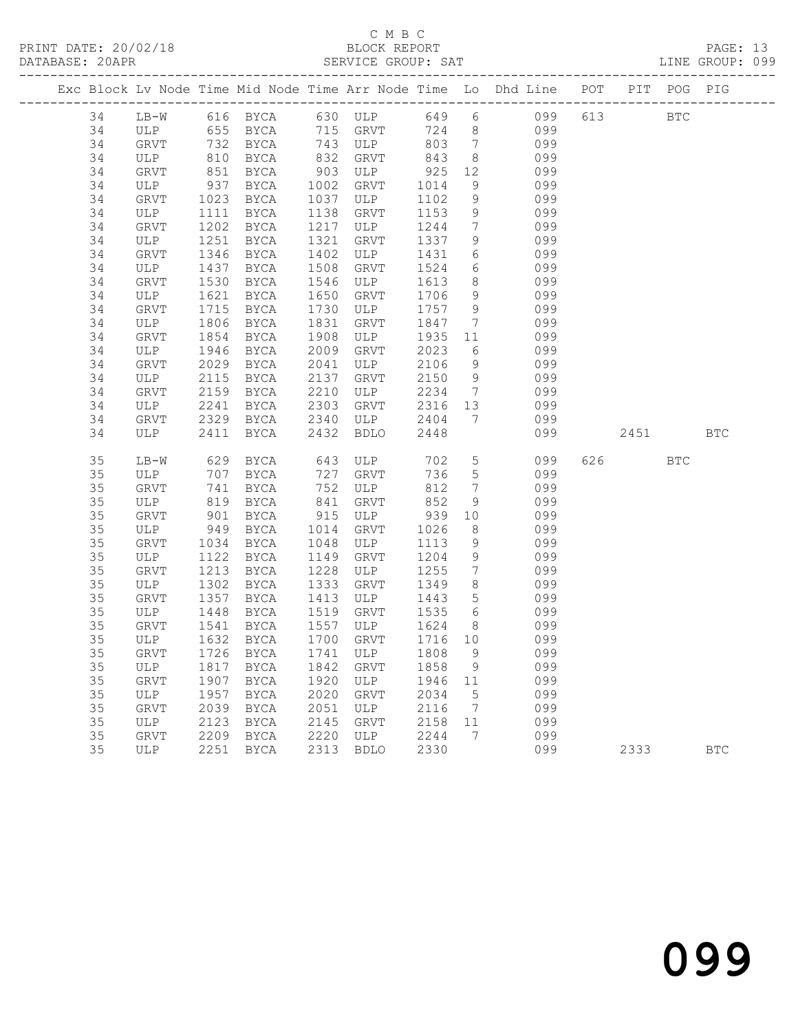### C M B C<br>BLOCK REPORT SERVICE GROUP: SAT

|          |             |              |                                                |              |             |              |                                   | Exc Block Lv Node Time Mid Node Time Arr Node Time Lo Dhd Line POT | PIT POG PIG |            |            |
|----------|-------------|--------------|------------------------------------------------|--------------|-------------|--------------|-----------------------------------|--------------------------------------------------------------------|-------------|------------|------------|
| 34       |             |              |                                                |              |             |              |                                   | LB-W 616 BYCA 630 ULP 649 6 099<br>ULP 655 BYCA 715 GRVT 724 8 099 | 613 BTC     |            |            |
| 34       |             |              |                                                |              |             |              |                                   |                                                                    |             |            |            |
| 34       | GRVT        | 732          | BYCA                                           |              | 743 ULP     |              |                                   | 803 7 099                                                          |             |            |            |
| 34       | ULP         | 810          | BYCA                                           | 832          | GRVT        | 843          | 8 <sup>8</sup>                    | 099                                                                |             |            |            |
| 34       | GRVT        | 851<br>937   | BYCA                                           | 903          | ULP         | 925          | 12                                | 099                                                                |             |            |            |
| 34       | ULP         |              | BYCA                                           | 1002         | GRVT        | 1014         | 9                                 | 099                                                                |             |            |            |
| 34       | GRVT        | 1023         | BYCA                                           | 1037         | ULP         | 1102         | 9                                 | 099                                                                |             |            |            |
| 34       | ULP         | 1111         | BYCA                                           | 1138         | GRVT        | 1153         | 9                                 | 099                                                                |             |            |            |
| 34       | GRVT        | 1202         | BYCA                                           | 1217         | ULP         | 1244         | $7\overline{ }$                   | 099                                                                |             |            |            |
| 34       | ULP         | 1251         | <b>BYCA</b>                                    | 1321         | GRVT        | 1337         | 9                                 | 099                                                                |             |            |            |
| 34       | GRVT        | 1346         | BYCA                                           | 1402         | ULP         | 1431         | $6\overline{6}$                   | 099                                                                |             |            |            |
| 34       | ULP         | 1437         | BYCA                                           | 1508         | GRVT        | 1524         | $6\overline{6}$                   | 099                                                                |             |            |            |
| 34       | GRVT        | 1530         | BYCA                                           | 1546         | ULP         | 1613         | 8 <sup>8</sup>                    | 099                                                                |             |            |            |
| 34       | ULP         | 1621         | BYCA                                           | 1650         | GRVT        | 1706         | 9                                 | 099                                                                |             |            |            |
| 34       | GRVT        | 1715         | <b>BYCA</b>                                    | 1730         | ULP         | 1757         | 9                                 | 099                                                                |             |            |            |
| 34       | ULP         | 1806         | BYCA                                           | 1831         | GRVT        | 1847         | $7\overline{ }$                   | 099                                                                |             |            |            |
| 34       | GRVT        | 1854         | BYCA                                           | 1908         | ULP<br>GRVT | 1935         | 11                                | 099                                                                |             |            |            |
| 34<br>34 | ULP         | 1946         | BYCA                                           | 2009<br>2041 |             | 2023<br>2106 | 6<br>9                            | 099<br>099                                                         |             |            |            |
| 34       | GRVT        | 2029<br>2115 | BYCA                                           | 2137         | ULP         | 2150         | 9                                 | 099                                                                |             |            |            |
| 34       | ULP<br>GRVT | 2159         | BYCA<br>BYCA                                   | 2210         | GRVT<br>ULP | 2234         |                                   |                                                                    |             |            |            |
| 34       | ULP         | 2241         | BYCA                                           | 2303         | GRVT        | 2316 13      |                                   | 7 099<br>099                                                       |             |            |            |
| 34       | GRVT        | 2329         | BYCA                                           | 2340         | ULP         | 2404         | $7\overline{ }$                   | 099                                                                |             |            |            |
| 34       | ULP         | 2411         | BYCA                                           | 2432         | <b>BDLO</b> | 2448         |                                   | 099                                                                | 2451        |            | <b>BTC</b> |
|          |             |              |                                                |              |             |              |                                   |                                                                    |             |            |            |
| 35       |             |              | LB-W 629 BYCA 643 ULP<br>ULP 707 BYCA 727 GRVT |              |             | 702          | $5\overline{)}$                   | 099                                                                | 626 30      | <b>BTC</b> |            |
| 35       |             |              |                                                |              |             | 736          | 5 <sup>5</sup>                    | 099                                                                |             |            |            |
| 35       | GRVT        | 741          | BYCA                                           | 752          | ULP         | 812          | $7\phantom{0}$                    | 099                                                                |             |            |            |
| 35       | ULP         | 819          | BYCA                                           | 841          | GRVT        | 852          | 9                                 | 099                                                                |             |            |            |
| 35       | GRVT        | 901<br>949   | BYCA                                           | 915          | ULP         | 939          | 10                                | 099                                                                |             |            |            |
| 35       | ULP         |              | BYCA                                           | 1014         | GRVT        | 1026         | 8 <sup>8</sup>                    | 099                                                                |             |            |            |
| 35       | GRVT        | 1034         | BYCA                                           | 1048         | ULP         | 1113         | 9                                 | 099                                                                |             |            |            |
| 35       | ULP         | 1122         | BYCA                                           | 1149         | GRVT        | 1204         | 9                                 | 099                                                                |             |            |            |
| 35       | GRVT        | 1213         | BYCA                                           | 1228         | ULP         | 1255         | $7\overline{ }$                   | 099                                                                |             |            |            |
| 35<br>35 | ULP         | 1302<br>1357 | BYCA                                           | 1333<br>1413 | GRVT        | 1349<br>1443 | 8 <sup>8</sup><br>$5\overline{)}$ | 099<br>099                                                         |             |            |            |
| 35       | GRVT<br>ULP | 1448         | BYCA<br><b>BYCA</b>                            | 1519         | ULP<br>GRVT | 1535         | $6\overline{6}$                   | 099                                                                |             |            |            |
| 35       | GRVT        | 1541         | BYCA                                           | 1557         | ULP         | 1624         | 8 <sup>8</sup>                    | 099                                                                |             |            |            |
| 35       | ULP         | 1632         | BYCA                                           |              | 1700 GRVT   | 1716 10      |                                   | 099                                                                |             |            |            |
| 35       |             |              | GRVT 1726 BYCA 1741 ULP 1808 9                 |              |             |              |                                   | 099                                                                |             |            |            |
| 35       | ULP         |              | 1817 BYCA                                      | 1842         | GRVT        | 1858         | 9                                 | 099                                                                |             |            |            |
| 35       | GRVT        | 1907         | BYCA                                           | 1920         | ULP         | 1946         | 11                                | 099                                                                |             |            |            |
| 35       | ULP         | 1957         | BYCA                                           | 2020         | <b>GRVT</b> | 2034         | 5                                 | 099                                                                |             |            |            |
| 35       | GRVT        | 2039         | BYCA                                           | 2051         | ULP         | 2116         | $7\phantom{.0}\phantom{.0}7$      | 099                                                                |             |            |            |
| 35       | ULP         | 2123         | BYCA                                           | 2145         | GRVT        | 2158         | 11                                | 099                                                                |             |            |            |
| 35       | <b>GRVT</b> | 2209         | BYCA                                           | 2220         | ULP         | 2244         | 7                                 | 099                                                                |             |            |            |
| 35       | <b>ULP</b>  | 2251         | BYCA                                           | 2313         | <b>BDLO</b> | 2330         |                                   | 099                                                                | 2333        |            | <b>BTC</b> |
|          |             |              |                                                |              |             |              |                                   |                                                                    |             |            |            |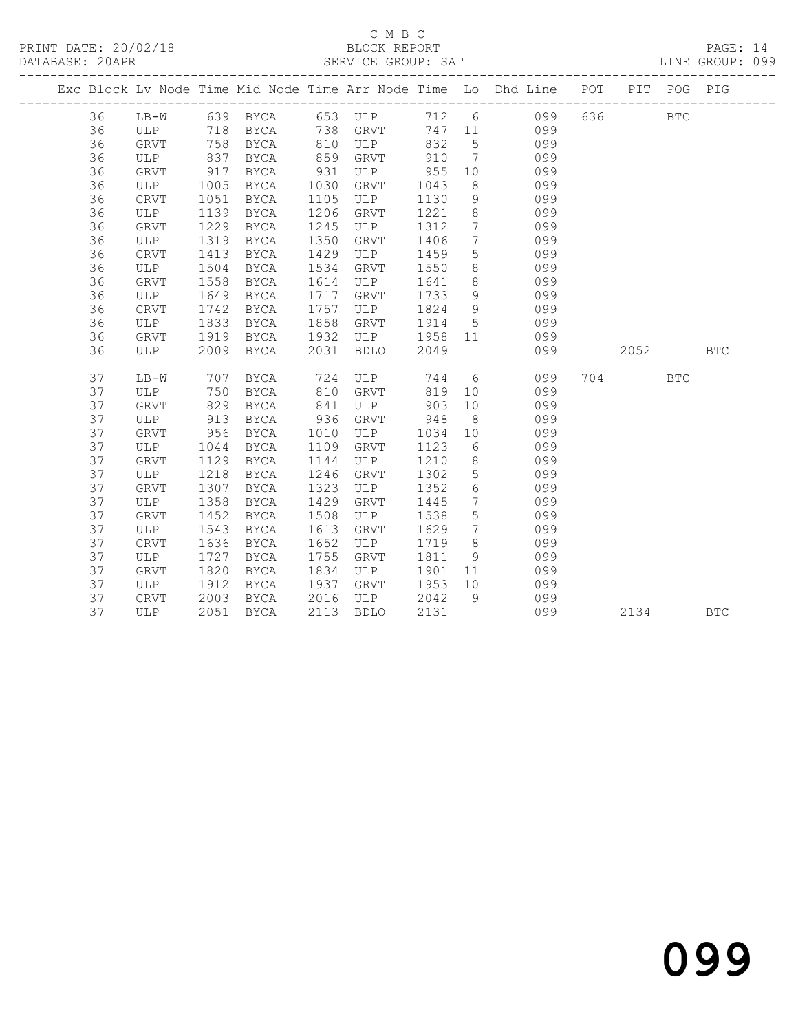## C M B C<br>BLOCK REPORT

PAGE: 14<br>LINE GROUP: 099

|    |         |            |                       |            |               |         |                              | Exc Block Lv Node Time Mid Node Time Arr Node Time Lo Dhd Line POT |         | PIT POG PIG  |            |
|----|---------|------------|-----------------------|------------|---------------|---------|------------------------------|--------------------------------------------------------------------|---------|--------------|------------|
| 36 |         |            | LB-W 639 BYCA 653 ULP |            |               |         |                              | 712 6 099                                                          | 636 8   | $_{\rm BTC}$ |            |
| 36 | ULP 718 |            |                       |            | BYCA 738 GRVT |         |                              | 747 11 099                                                         |         |              |            |
| 36 | GRVT    | 758        | BYCA                  |            | 810 ULP       | 832     | $5\overline{)}$              | 099                                                                |         |              |            |
| 36 | ULP     | 837<br>917 | BYCA                  | 859<br>931 | GRVT          | 910     | $7\overline{ }$              | 099                                                                |         |              |            |
| 36 | GRVT    |            | BYCA                  |            | ULP           | 955     | 10                           | 099                                                                |         |              |            |
| 36 | ULP     | 1005       | BYCA                  | 1030       | GRVT          | 1043    | 8 <sup>8</sup>               | 099                                                                |         |              |            |
| 36 | GRVT    | 1051       | BYCA                  | 1105       | ULP           | 1130    | 9                            | 099                                                                |         |              |            |
| 36 | ULP     | 1139       | BYCA                  | 1206       | GRVT          | 1221    | 8 <sup>8</sup>               | 099                                                                |         |              |            |
| 36 | GRVT    | 1229       | BYCA                  | 1245       | ULP           | 1312    | $7\phantom{0}$               | 099                                                                |         |              |            |
| 36 | ULP     | 1319       | BYCA                  | 1350       | GRVT          | 1406    | $7\overline{ }$              | 099                                                                |         |              |            |
| 36 | GRVT    | 1413       | BYCA                  | 1429       | ULP           | 1459    | 5 <sup>5</sup>               | 099                                                                |         |              |            |
| 36 | ULP     | 1504       | BYCA                  | 1534       | GRVT          | 1550    | 8 <sup>8</sup>               | 099                                                                |         |              |            |
| 36 | GRVT    | 1558       | BYCA                  | 1614       | ULP           | 1641    | 8 <sup>8</sup>               | 099                                                                |         |              |            |
| 36 | ULP     | 1649       | BYCA                  | 1717       | GRVT          | 1733    | 9                            | 099                                                                |         |              |            |
| 36 | GRVT    | 1742       | BYCA                  | 1757       | ULP           | 1824    | 9                            | 099                                                                |         |              |            |
| 36 | ULP     | 1833       | BYCA                  | 1858       | GRVT          | 1914    | 5 <sup>5</sup>               | 099                                                                |         |              |            |
| 36 | GRVT    | 1919       | BYCA                  | 1932       | ULP           | 1958 11 |                              | 099                                                                |         |              |            |
| 36 | ULP     | 2009       | BYCA                  | 2031       | BDLO          | 2049    |                              | 099                                                                | 2052 70 |              | <b>BTC</b> |
| 37 | $LB-W$  | 707        | BYCA                  |            | 724 ULP       |         |                              | 744 6<br>099                                                       | 704     | <b>BTC</b>   |            |
| 37 | ULP     | 750        | BYCA                  | 810        | GRVT          | 819     | 10                           | 099                                                                |         |              |            |
| 37 | GRVT    | 829        | BYCA                  | 841        | ULP           | 903     | 10                           | 099                                                                |         |              |            |
| 37 | ULP     | 913        | BYCA                  | 936        | GRVT          | 948     | 8 <sup>8</sup>               | 099                                                                |         |              |            |
| 37 | GRVT    | 956        | BYCA                  | 1010       | ULP           | 1034    | 10                           | 099                                                                |         |              |            |
| 37 | ULP     | 1044       | BYCA                  | 1109       | GRVT          | 1123    | 6                            | 099                                                                |         |              |            |
| 37 | GRVT    | 1129       | BYCA                  | 1144       | ULP           | 1210    | 8 <sup>8</sup>               | 099                                                                |         |              |            |
| 37 | ULP     | 1218       | BYCA                  | 1246       | GRVT          | 1302    | 5 <sup>5</sup>               | 099                                                                |         |              |            |
| 37 | GRVT    | 1307       | BYCA                  | 1323       | ULP           | 1352    | $6\overline{6}$              | 099                                                                |         |              |            |
| 37 | ULP     | 1358       | BYCA                  | 1429       | GRVT          | 1445    | $7\phantom{.0}\phantom{.0}7$ | 099                                                                |         |              |            |
| 37 | GRVT    | 1452       | BYCA                  | 1508       | ULP           | 1538    | $5\overline{)}$              | 099                                                                |         |              |            |
| 37 | ULP     | 1543       | BYCA                  | 1613       | GRVT          | 1629    | $\overline{7}$               | 099                                                                |         |              |            |
| 37 | GRVT    | 1636       | BYCA                  | 1652       | ULP           | 1719    | 8 <sup>8</sup>               | 099                                                                |         |              |            |
| 37 | ULP     | 1727       | BYCA                  | 1755       | GRVT          | 1811    | 9 <sup>°</sup>               | 099                                                                |         |              |            |
| 37 | GRVT    | 1820       | BYCA                  | 1834       | ULP           | 1901    |                              | 099<br>11 — 1                                                      |         |              |            |
| 37 | ULP     | 1912       | BYCA                  | 1937       | GRVT          | 1953    | 10                           | 099                                                                |         |              |            |
| 37 | GRVT    | 2003       | BYCA                  | 2016       | ULP           | 2042    | 9                            | 099                                                                |         |              |            |
| 37 | ULP     |            | 2051 BYCA             | 2113       | <b>BDLO</b>   | 2131    |                              | 099                                                                | 2134    |              | <b>BTC</b> |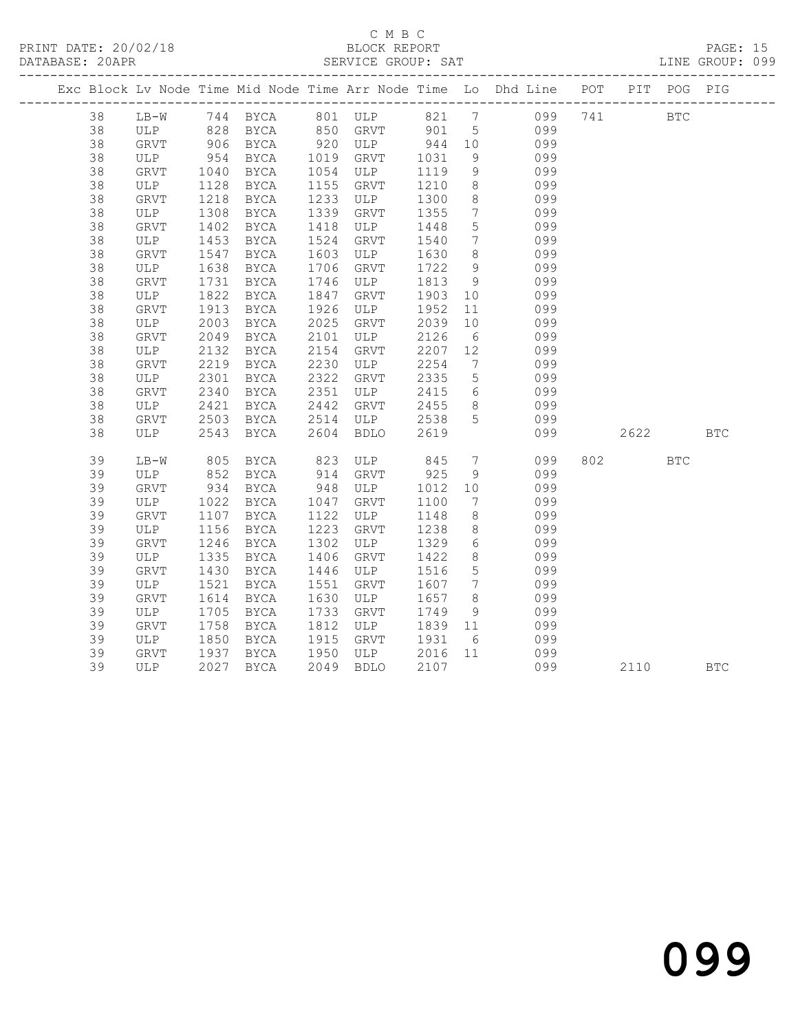### C M B C

| DATABASE: 20APR |              |             |             |      |                        |         |                              |                                                                                |         |            | LINE GROUP: 099 |
|-----------------|--------------|-------------|-------------|------|------------------------|---------|------------------------------|--------------------------------------------------------------------------------|---------|------------|-----------------|
|                 |              |             |             |      |                        |         |                              | Exc Block Lv Node Time Mid Node Time Arr Node Time Lo Dhd Line POT PIT POG PIG |         |            |                 |
| 38              | LB-W         |             |             |      | 744 BYCA 801 ULP 821 7 |         |                              | 099                                                                            | 741 BTC |            |                 |
| 38              | ULP          | 828         | <b>BYCA</b> |      | 850 GRVT               | 901 5   |                              | 099                                                                            |         |            |                 |
| 38              | GRVT         |             | 906 BYCA    |      | 920 ULP 944 10         |         |                              | 099                                                                            |         |            |                 |
| 38              | ULP          | 954<br>1040 | BYCA        |      | 1019 GRVT              | 1031    | 9                            | 099                                                                            |         |            |                 |
| 38              | GRVT         |             | <b>BYCA</b> |      | 1054 ULP               | 1119    | 9                            | 099                                                                            |         |            |                 |
| 38              | ULP          | 1128        | BYCA        | 1155 | GRVT                   | 1210    | 8 <sup>8</sup>               | 099                                                                            |         |            |                 |
| 38              | GRVT         | 1218        | BYCA        | 1233 | ULP                    | 1300    | 8                            | 099                                                                            |         |            |                 |
| 38              | ULP          | 1308        | BYCA        | 1339 | GRVT                   | 1355    | $7\overline{ }$              | 099                                                                            |         |            |                 |
| 38              | ${\tt GRVT}$ | 1402        | BYCA        | 1418 | ULP                    | 1448    | $5\phantom{.0}$              | 099                                                                            |         |            |                 |
| 38              | ULP          | 1453        | BYCA        | 1524 | GRVT                   | 1540    | $7\overline{ }$              | 099                                                                            |         |            |                 |
| 38              | GRVT         | 1547        | BYCA        | 1603 | ULP                    | 1630    | 8 <sup>8</sup>               | 099                                                                            |         |            |                 |
| 38              | ULP          | 1638        | BYCA        | 1706 | GRVT                   | 1722    | 9                            | 099                                                                            |         |            |                 |
| 38              | GRVT         | 1731        | BYCA        | 1746 | ULP                    | 1813    | - 9                          | 099                                                                            |         |            |                 |
| 38              | ULP          | 1822        | BYCA        | 1847 | GRVT                   | 1903    | 10                           | 099                                                                            |         |            |                 |
| 38              | GRVT         | 1913        | BYCA        | 1926 | ULP                    | 1952    | 11                           | 099                                                                            |         |            |                 |
| 38              | ULP          | 2003        | BYCA        | 2025 | GRVT                   | 2039    | 10                           | 099                                                                            |         |            |                 |
| 38              | GRVT         | 2049        | <b>BYCA</b> | 2101 | ULP                    | 2126    | $6\overline{6}$              | 099                                                                            |         |            |                 |
| 38              | ULP          | 2132        | BYCA        | 2154 | GRVT                   | 2207    | 12                           | 099                                                                            |         |            |                 |
| 38              | GRVT         | 2219        | BYCA        | 2230 | ULP                    | 2254    | $7\overline{ }$              | 099                                                                            |         |            |                 |
| 38              | ULP          | 2301        | BYCA        | 2322 | GRVT                   | 2335    | $5\overline{)}$              | 099                                                                            |         |            |                 |
| 38              | GRVT         | 2340        | BYCA        | 2351 | ULP                    | 2415    | $6\overline{6}$              | 099                                                                            |         |            |                 |
| 38              | ULP          | 2421        | BYCA        | 2442 | GRVT                   | 2455    | 8 <sup>8</sup>               | 099                                                                            |         |            |                 |
| 38              | GRVT         | 2503        | BYCA        |      | 2514 ULP               | 2538    | $5\overline{)}$              | 099                                                                            |         |            |                 |
| 38              | ULP          | 2543        | BYCA        | 2604 | <b>BDLO</b>            | 2619    |                              | 099                                                                            | 2622    |            | <b>BTC</b>      |
| 39              | LB-W         | 805         | BYCA        | 823  | ULP                    | 845     | $7\overline{)}$              | 099                                                                            | 802 300 | <b>BTC</b> |                 |
| 39              | ULP          | 852         | BYCA        | 914  | GRVT                   | 925     | 9                            | 099                                                                            |         |            |                 |
| 39              | GRVT         | 934         | BYCA        | 948  | ULP                    | 1012    | 10                           | 099                                                                            |         |            |                 |
| 39              | ULP          | 1022        | BYCA        | 1047 | GRVT                   | 1100    | $7\phantom{.0}\phantom{.0}7$ | 099                                                                            |         |            |                 |
| 39              | GRVT         | 1107        | BYCA        | 1122 | ULP                    | 1148    | 8                            | 099                                                                            |         |            |                 |
| 39              | ULP          | 1156        | BYCA        | 1223 | GRVT                   | 1238    | 8                            | 099                                                                            |         |            |                 |
| 39              | GRVT         | 1246        | BYCA        | 1302 | ULP                    | 1329    | 6                            | 099                                                                            |         |            |                 |
| 39              | ULP          | 1335        | BYCA        | 1406 | GRVT                   | 1422    | 8                            | 099                                                                            |         |            |                 |
| 39              | GRVT         | 1430        | BYCA        | 1446 | ULP                    | 1516    | $5\phantom{.0}$              | 099                                                                            |         |            |                 |
| 39              | ULP          | 1521        | BYCA        | 1551 | GRVT                   | 1607    | $\overline{7}$               | 099                                                                            |         |            |                 |
| 39              | GRVT         | 1614        | BYCA        | 1630 | ULP                    | 1657    | 8 <sup>8</sup>               | 099                                                                            |         |            |                 |
| 39              | ULP          | 1705        | BYCA        | 1733 | GRVT                   | 1749    | 9                            | 099                                                                            |         |            |                 |
| 39              | GRVT         | 1758        | BYCA        | 1812 | ULP                    | 1839 11 |                              | 099                                                                            |         |            |                 |
| 39              | ULP          | 1850        | BYCA        | 1915 | GRVT                   | 1931    | 6                            | 099                                                                            |         |            |                 |
| 39              | GRVT         | 1937        | BYCA        | 1950 | ULP                    | 2016    |                              | 11 099                                                                         |         |            |                 |
| 39              | ULP          | 2027        | BYCA        | 2049 | <b>BDLO</b>            | 2107    |                              | 099                                                                            | 2110    |            | <b>BTC</b>      |

099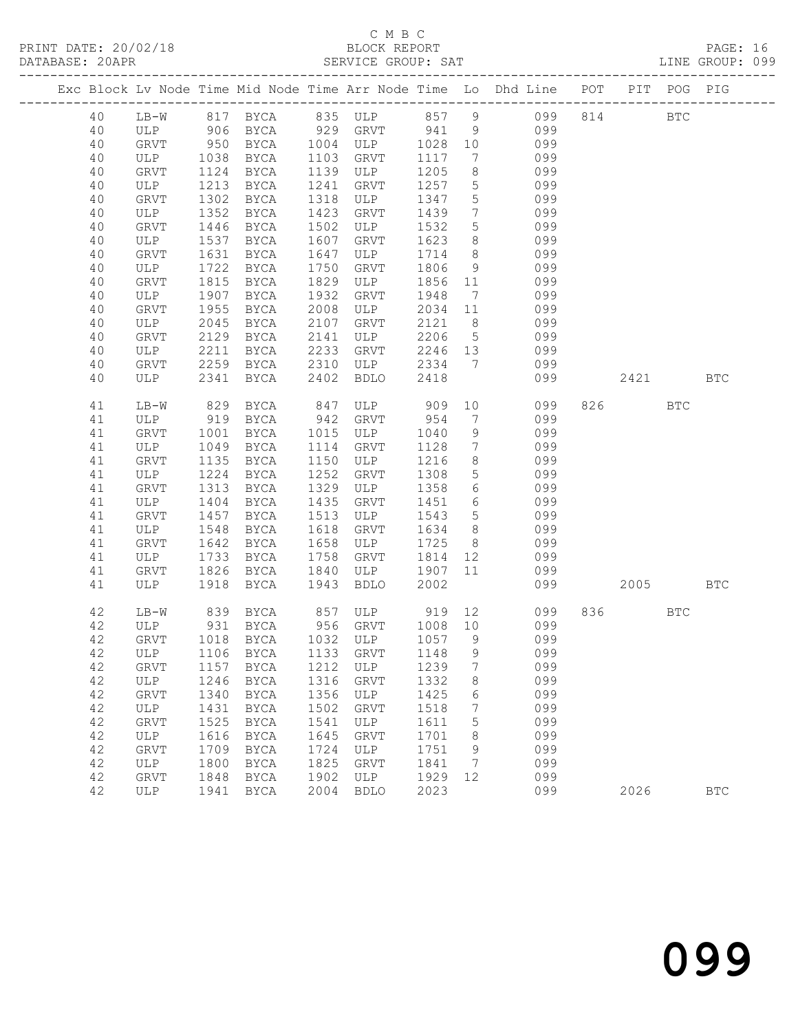### C M B C<br>BLOCK REPORT SERVICE GROUP: SAT

|          |                    |              |                                   |              |                    |              |                                   | Exc Block Lv Node Time Mid Node Time Arr Node Time Lo Dhd Line POT PIT POG PIG |          |            |            |
|----------|--------------------|--------------|-----------------------------------|--------------|--------------------|--------------|-----------------------------------|--------------------------------------------------------------------------------|----------|------------|------------|
| 40       |                    |              |                                   |              |                    |              |                                   | LB-W 817 BYCA 835 ULP 857 9 099 814 BTC                                        |          |            |            |
| 40       |                    |              |                                   |              |                    |              |                                   | ULP 906 BYCA 929 GRVT 941 9 099                                                |          |            |            |
| 40       | GRVT               |              | 950 BYCA 1004 ULP                 |              |                    | 1028 10      |                                   | 099                                                                            |          |            |            |
| 40       | ULP                | 1038         | BYCA                              |              | 1103 GRVT          | 1117         | $\overline{7}$                    | 099                                                                            |          |            |            |
| 40       | GRVT               | 1124         | BYCA                              |              | 1139 ULP           | 1205         | 8 <sup>8</sup>                    | 099                                                                            |          |            |            |
| 40       | ULP                | 1213         | BYCA                              | 1241         | GRVT               | 1257         | $5\overline{)}$                   | 099                                                                            |          |            |            |
| 40       | GRVT               | 1302         | BYCA                              | 1318         | ULP                | 1347         | 5                                 | 099                                                                            |          |            |            |
| 40       | ULP                | 1352         | BYCA                              | 1423         | GRVT               | 1439         | $7\overline{ }$                   | 099                                                                            |          |            |            |
| 40       | GRVT               | 1446         | BYCA                              | 1502         | ULP                | 1532         | 5 <sup>5</sup>                    | 099                                                                            |          |            |            |
| 40       | ULP                | 1537         | BYCA                              | 1607         | GRVT               | 1623         | 8 <sup>8</sup>                    | 099                                                                            |          |            |            |
| 40<br>40 | GRVT<br>ULP        | 1631<br>1722 | BYCA<br>BYCA                      | 1647<br>1750 | ULP<br>GRVT        | 1714<br>1806 | 8 <sup>8</sup><br>9               | 099<br>099                                                                     |          |            |            |
| 40       | GRVT               | 1815         | BYCA                              | 1829         | ULP                | 1856 11      |                                   | 099                                                                            |          |            |            |
| 40       | ULP                | 1907         | BYCA                              | 1932         | GRVT               | 1948         | $7\overline{ }$                   | 099                                                                            |          |            |            |
| 40       | GRVT               | 1955         | BYCA                              | 2008         | ULP                | 2034 11      |                                   | 099                                                                            |          |            |            |
| 40       | ULP                | 2045         | BYCA                              | 2107         | GRVT               | 2121         | 8 <sup>8</sup>                    | 099                                                                            |          |            |            |
| 40       | GRVT               | 2129         | BYCA                              | 2141         | ULP                | 2206 5       |                                   | 099                                                                            |          |            |            |
| 40       | ULP                | 2211         | BYCA                              | 2233         | GRVT               | 2246 13      |                                   | 099                                                                            |          |            |            |
| 40       | GRVT               |              | 2259 BYCA                         | 2310         | ULP                | 2334 7       |                                   | 099                                                                            |          |            |            |
| 40       | ULP                | 2341         | BYCA 2402                         |              | BDLO               | 2418         |                                   | 099                                                                            | 2421 BTC |            |            |
| 41       | $LB-W$             | 829          | BYCA                              |              | 847 ULP 909        |              |                                   | 10<br>099                                                                      | 826 32   | BTC        |            |
| 41       | ULP                |              | 919 BYCA                          |              | 942 GRVT           | 954          | $7\overline{ }$                   | 099                                                                            |          |            |            |
| 41       | GRVT               | 1001         | <b>BYCA</b>                       |              | 1015 ULP           | 1040         | 9                                 | 099                                                                            |          |            |            |
| 41       | ULP                | 1049         | BYCA                              | 1114         | GRVT               | 1128         | $7\overline{ }$                   | 099                                                                            |          |            |            |
| 41       | GRVT               | 1135         | BYCA                              |              | 1150 ULP           | 1216         | 8 <sup>8</sup>                    | 099                                                                            |          |            |            |
| 41       | ULP                | 1224         | BYCA                              | 1252         | GRVT               | 1308         | 5 <sup>5</sup>                    | 099                                                                            |          |            |            |
| 41       | GRVT               | 1313         | BYCA                              | 1329         | ULP                | 1358         | $6\overline{6}$                   | 099                                                                            |          |            |            |
| 41       | ULP                | 1404         | BYCA                              | 1435         | GRVT               | 1451         | $6\overline{6}$                   | 099                                                                            |          |            |            |
| 41<br>41 | GRVT               | 1457<br>1548 | BYCA                              | 1513<br>1618 | ULP                | 1543<br>1634 | $5\overline{)}$<br>8 <sup>8</sup> | 099<br>099                                                                     |          |            |            |
| 41       | ULP<br>GRVT        | 1642         | BYCA<br>BYCA                      | 1658         | GRVT<br>ULP        | 1725         | 8 <sup>8</sup>                    | 099                                                                            |          |            |            |
| 41       | ULP                | 1733         | BYCA                              | 1758         | GRVT               | 1814         | 12                                | 099                                                                            |          |            |            |
| 41       | GRVT               | 1826         | BYCA                              | 1840         | ULP                | 1907 11      |                                   | 099                                                                            |          |            |            |
| 41       | ULP                |              | 1918 BYCA                         | 1943         | BDLO               | 2002         |                                   | 099                                                                            | 2005 BTC |            |            |
| 42       | LB-W               |              | 839 BYCA                          |              | 857 ULP 919        |              |                                   | 12 and $\overline{a}$<br>099                                                   | 836 8    | <b>BTC</b> |            |
| 42       | ULP                | 931          | BYCA                              |              | 956 GRVT 1008 10   |              |                                   | 099                                                                            |          |            |            |
| 42       | GRVT               |              | 1018 BYCA 1032 ULP                |              |                    | 1057 9       |                                   | 099                                                                            |          |            |            |
|          |                    |              | 42 ULP 1106 BYCA 1133 GRVT 1148 9 |              |                    |              |                                   | 099                                                                            |          |            |            |
| 42       | GRVT               | 1157         | BYCA                              | 1212         | ULP                | 1239         | 7                                 | 099                                                                            |          |            |            |
| 42       | ULP                | 1246         | BYCA                              | 1316         | GRVT               | 1332         | 8                                 | 099                                                                            |          |            |            |
| 42       | GRVT               | 1340         | BYCA                              | 1356         | ULP                | 1425         | 6                                 | 099                                                                            |          |            |            |
| 42       | ULP                | 1431         | BYCA                              | 1502         | GRVT               | 1518         | 7                                 | 099                                                                            |          |            |            |
| 42       | GRVT               | 1525         | BYCA                              | 1541         | ULP                | 1611         | 5                                 | 099                                                                            |          |            |            |
| 42       | ULP                | 1616         | BYCA                              | 1645         | GRVT               | 1701         | 8                                 | 099                                                                            |          |            |            |
| 42       | GRVT               | 1709         | BYCA                              | 1724         | ULP                | 1751         | 9                                 | 099                                                                            |          |            |            |
| 42       | ULP<br><b>GRVT</b> | 1800         | BYCA                              | 1825         | GRVT               | 1841         | 7                                 | 099                                                                            |          |            |            |
| 42<br>42 | ULP                | 1848         | BYCA                              | 1902<br>2004 | ULP<br><b>BDLO</b> | 1929<br>2023 | 12                                | 099<br>099                                                                     |          |            | <b>BTC</b> |
|          |                    | 1941         | BYCA                              |              |                    |              |                                   |                                                                                | 2026     |            |            |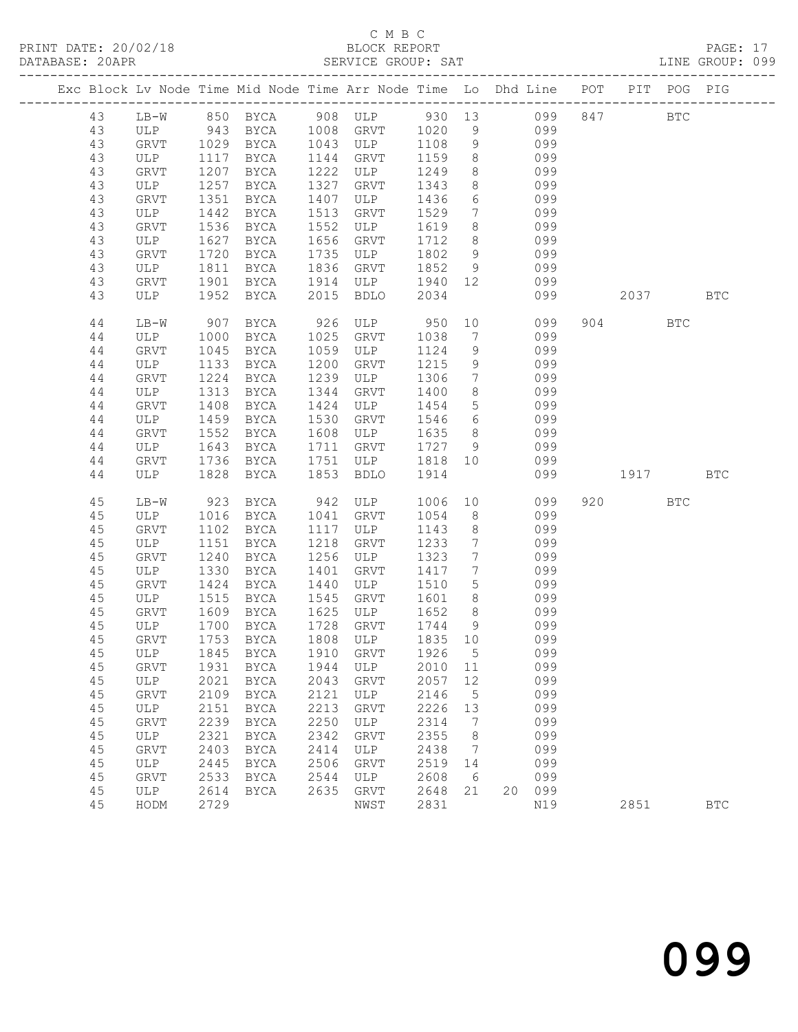# C M B C<br>BLOCK REPORT<br>SERVICE GROUP: SAT

| C M B C<br>PRINT DATE: 20/02/18 BLOCK REPORT<br>DATABASE: 20APR SERVICE GROUP: SAT LINE GROUP: 099<br>Exc Block Lv Node Time Mid Node Time Arr Node Time Lo Dhd Line POT PIT POG PIG<br>LB-W 850 BYCA 908 ULP 930 13 099 847<br>43<br><b>BTC</b><br>ULP 943 BYCA 1008 GRVT 1020 9 099<br>GRVT 1029 BYCA 1043 ULP 1108 9 099<br>ULP 1117 BYCA 1144 GRVT 1159 8 099<br>43<br>43<br>43<br>8 099<br>43<br>1207<br>1222<br><b>GRVT</b><br>BYCA<br>ULP<br>1249<br>8 099<br>1257<br>1327<br>43<br>ULP<br>BYCA<br>GRVT<br>1343<br>6 099<br>7 099<br>43<br>1351<br>BYCA<br>1407<br>1436<br><b>GRVT</b><br>ULP<br>43<br>1442<br>1513<br>1529<br>ULP<br>BYCA<br>GRVT<br>8 099<br>43<br>1536<br>1552<br>1619<br>GRVT<br>BYCA<br>ULP<br>8 099<br>1627<br>1656<br>43<br>ULP<br>BYCA<br>GRVT<br>1712<br>9 099<br>9 099<br>1720<br>1735<br>43<br>GRVT<br>BYCA<br>ULP<br>1802<br>43<br>1836<br>1852<br>ULP<br>1811<br>BYCA<br>GRVT<br>1940 12 099<br>43<br>GRVT<br>1901<br>BYCA<br>1914<br>ULP<br>43<br>ULP<br>1952<br>BYCA<br>2015<br><b>BDLO</b><br>2034<br>099<br>2037 BTC<br>10<br>926 ULP 950<br>099<br>904 BTC<br>44<br>$LB-W$<br>907<br>BYCA<br>7 099<br>44<br>ULP<br>1025<br>1038<br>1000<br>BYCA<br>GRVT<br>9 099<br>BYCA<br>1059<br>1124<br>44<br><b>GRVT</b><br>1045<br>ULP<br>1200<br>1215<br>9 099<br>7 099<br>44<br>ULP<br>1133<br>BYCA<br>GRVT<br>1224<br>1239<br>1306<br>$7\overline{ }$<br>44<br>GRVT<br>BYCA<br>ULP<br>099<br>8<br>$4\,4$<br>1313<br>1344<br>ULP<br>BYCA<br>GRVT<br>1400<br>5 099<br>1408<br>1424<br>44<br><b>GRVT</b><br>BYCA<br>ULP<br>1454<br>6 099<br>8 099<br>9 099<br>1459<br>1530<br>44<br>BYCA<br>GRVT<br>1546<br>ULP<br>1552<br>1608<br>1635<br>44<br><b>GRVT</b><br>BYCA<br>ULP<br>1643<br>1711<br>1727<br>44<br>ULP<br>BYCA<br>GRVT<br>1818 10 099<br>1751<br>44<br><b>GRVT</b><br>1736<br>BYCA<br>ULP<br>1828<br>1853<br>1914<br>44<br>ULP<br>BYCA<br><b>BDLO</b><br>099<br>1917 BTC<br>10<br>942<br>45<br>920 BTC<br>923<br>BYCA<br>1006<br>099<br>LB-W<br>ULP<br>$8 - 8$<br>099<br>45<br>ULP<br>1016<br>BYCA<br>1041<br>GRVT<br>1054<br>8<br>45<br><b>GRVT</b><br>1102<br>BYCA<br>1117<br>ULP<br>1143<br>099<br>45<br>1151<br>1218<br>1233<br>$7\overline{ }$<br>099<br>ULP<br>BYCA<br>GRVT<br>099<br>7 <sup>7</sup><br>45<br>1240<br>1256<br>1323<br>GRVT<br>BYCA<br>ULP<br>099<br>1401<br>7<br>45<br>ULP<br>1330<br>BYCA<br>GRVT<br>1417<br>5 099<br>45<br><b>GRVT</b><br>1424<br>BYCA<br>1440<br>ULP<br>1510<br>45<br>ULP<br>1515<br>1545<br>1601<br>8<br>099<br>BYCA<br>GRVT<br>1625<br>1652<br>8<br>099<br>45<br>1609<br><b>BYCA</b><br>ULP<br><b>GRVT</b><br>1728<br>099<br>45<br>1700<br>1744<br>$_{\rm ULP}$<br><b>BYCA</b><br>GRVT<br>9<br>1808<br>1835<br>099<br>45<br>GRVT<br>1753<br><b>BYCA</b><br>ULP<br>10<br>45<br>1845<br>1910<br>1926<br>099<br>ULP<br><b>BYCA</b><br>GRVT<br>5<br>45<br>1931<br>1944<br>2010<br>099<br>GRVT<br><b>BYCA</b><br>ULP<br>11<br>45<br>$\ensuremath{\mathsf{ULP}}$<br>2021<br><b>BYCA</b><br>2043<br>2057<br>12<br>099<br>GRVT<br>2121<br>2146<br>5<br>099<br>45<br>GRVT<br>2109<br><b>BYCA</b><br>ULP<br>45<br>2151<br>2213<br>2226<br>099<br>$_{\rm ULP}$<br><b>BYCA</b><br>GRVT<br>13<br>$4\,5$<br>2239<br>2250<br>2314<br>7<br>099<br>GRVT<br><b>BYCA</b><br>ULP<br>$4\,5$<br>2342<br>099<br>2321<br>2355<br>8<br>ULP<br><b>BYCA</b><br>GRVT<br>45<br>2403<br>2414<br>099<br>GRVT<br><b>BYCA</b><br>ULP<br>2438<br>7<br>45<br>2445<br>2506<br>2519<br>099<br><b>BYCA</b><br>GRVT<br>ULP<br>14<br>45<br>2533<br>2544<br>2608<br>099<br>GRVT<br><b>BYCA</b><br>ULP<br>6<br>45<br>2635<br>2648<br>21<br>099<br>2614<br><b>BYCA</b><br>GRVT<br>20<br>ULP |    |      |      |  |      |      |  |     |      |            |  |
|--------------------------------------------------------------------------------------------------------------------------------------------------------------------------------------------------------------------------------------------------------------------------------------------------------------------------------------------------------------------------------------------------------------------------------------------------------------------------------------------------------------------------------------------------------------------------------------------------------------------------------------------------------------------------------------------------------------------------------------------------------------------------------------------------------------------------------------------------------------------------------------------------------------------------------------------------------------------------------------------------------------------------------------------------------------------------------------------------------------------------------------------------------------------------------------------------------------------------------------------------------------------------------------------------------------------------------------------------------------------------------------------------------------------------------------------------------------------------------------------------------------------------------------------------------------------------------------------------------------------------------------------------------------------------------------------------------------------------------------------------------------------------------------------------------------------------------------------------------------------------------------------------------------------------------------------------------------------------------------------------------------------------------------------------------------------------------------------------------------------------------------------------------------------------------------------------------------------------------------------------------------------------------------------------------------------------------------------------------------------------------------------------------------------------------------------------------------------------------------------------------------------------------------------------------------------------------------------------------------------------------------------------------------------------------------------------------------------------------------------------------------------------------------------------------------------------------------------------------------------------------------------------------------------------------------------------------------------------------------------------------------------------------------------------------------------------------------------------------------------------------------------------------------------------------------------------------------------------------------------------------------------------------------------------------------------------------------------------------------------------------------------------------------------------------------------------------------------------------------------------------------------------------------------------------------------------------------------------------------------------------------|----|------|------|--|------|------|--|-----|------|------------|--|
|                                                                                                                                                                                                                                                                                                                                                                                                                                                                                                                                                                                                                                                                                                                                                                                                                                                                                                                                                                                                                                                                                                                                                                                                                                                                                                                                                                                                                                                                                                                                                                                                                                                                                                                                                                                                                                                                                                                                                                                                                                                                                                                                                                                                                                                                                                                                                                                                                                                                                                                                                                                                                                                                                                                                                                                                                                                                                                                                                                                                                                                                                                                                                                                                                                                                                                                                                                                                                                                                                                                                                                                                                                      |    |      |      |  |      |      |  |     |      |            |  |
|                                                                                                                                                                                                                                                                                                                                                                                                                                                                                                                                                                                                                                                                                                                                                                                                                                                                                                                                                                                                                                                                                                                                                                                                                                                                                                                                                                                                                                                                                                                                                                                                                                                                                                                                                                                                                                                                                                                                                                                                                                                                                                                                                                                                                                                                                                                                                                                                                                                                                                                                                                                                                                                                                                                                                                                                                                                                                                                                                                                                                                                                                                                                                                                                                                                                                                                                                                                                                                                                                                                                                                                                                                      |    |      |      |  |      |      |  |     |      |            |  |
|                                                                                                                                                                                                                                                                                                                                                                                                                                                                                                                                                                                                                                                                                                                                                                                                                                                                                                                                                                                                                                                                                                                                                                                                                                                                                                                                                                                                                                                                                                                                                                                                                                                                                                                                                                                                                                                                                                                                                                                                                                                                                                                                                                                                                                                                                                                                                                                                                                                                                                                                                                                                                                                                                                                                                                                                                                                                                                                                                                                                                                                                                                                                                                                                                                                                                                                                                                                                                                                                                                                                                                                                                                      |    |      |      |  |      |      |  |     |      |            |  |
|                                                                                                                                                                                                                                                                                                                                                                                                                                                                                                                                                                                                                                                                                                                                                                                                                                                                                                                                                                                                                                                                                                                                                                                                                                                                                                                                                                                                                                                                                                                                                                                                                                                                                                                                                                                                                                                                                                                                                                                                                                                                                                                                                                                                                                                                                                                                                                                                                                                                                                                                                                                                                                                                                                                                                                                                                                                                                                                                                                                                                                                                                                                                                                                                                                                                                                                                                                                                                                                                                                                                                                                                                                      |    |      |      |  |      |      |  |     |      |            |  |
|                                                                                                                                                                                                                                                                                                                                                                                                                                                                                                                                                                                                                                                                                                                                                                                                                                                                                                                                                                                                                                                                                                                                                                                                                                                                                                                                                                                                                                                                                                                                                                                                                                                                                                                                                                                                                                                                                                                                                                                                                                                                                                                                                                                                                                                                                                                                                                                                                                                                                                                                                                                                                                                                                                                                                                                                                                                                                                                                                                                                                                                                                                                                                                                                                                                                                                                                                                                                                                                                                                                                                                                                                                      |    |      |      |  |      |      |  |     |      |            |  |
|                                                                                                                                                                                                                                                                                                                                                                                                                                                                                                                                                                                                                                                                                                                                                                                                                                                                                                                                                                                                                                                                                                                                                                                                                                                                                                                                                                                                                                                                                                                                                                                                                                                                                                                                                                                                                                                                                                                                                                                                                                                                                                                                                                                                                                                                                                                                                                                                                                                                                                                                                                                                                                                                                                                                                                                                                                                                                                                                                                                                                                                                                                                                                                                                                                                                                                                                                                                                                                                                                                                                                                                                                                      |    |      |      |  |      |      |  |     |      |            |  |
|                                                                                                                                                                                                                                                                                                                                                                                                                                                                                                                                                                                                                                                                                                                                                                                                                                                                                                                                                                                                                                                                                                                                                                                                                                                                                                                                                                                                                                                                                                                                                                                                                                                                                                                                                                                                                                                                                                                                                                                                                                                                                                                                                                                                                                                                                                                                                                                                                                                                                                                                                                                                                                                                                                                                                                                                                                                                                                                                                                                                                                                                                                                                                                                                                                                                                                                                                                                                                                                                                                                                                                                                                                      |    |      |      |  |      |      |  |     |      |            |  |
|                                                                                                                                                                                                                                                                                                                                                                                                                                                                                                                                                                                                                                                                                                                                                                                                                                                                                                                                                                                                                                                                                                                                                                                                                                                                                                                                                                                                                                                                                                                                                                                                                                                                                                                                                                                                                                                                                                                                                                                                                                                                                                                                                                                                                                                                                                                                                                                                                                                                                                                                                                                                                                                                                                                                                                                                                                                                                                                                                                                                                                                                                                                                                                                                                                                                                                                                                                                                                                                                                                                                                                                                                                      |    |      |      |  |      |      |  |     |      |            |  |
|                                                                                                                                                                                                                                                                                                                                                                                                                                                                                                                                                                                                                                                                                                                                                                                                                                                                                                                                                                                                                                                                                                                                                                                                                                                                                                                                                                                                                                                                                                                                                                                                                                                                                                                                                                                                                                                                                                                                                                                                                                                                                                                                                                                                                                                                                                                                                                                                                                                                                                                                                                                                                                                                                                                                                                                                                                                                                                                                                                                                                                                                                                                                                                                                                                                                                                                                                                                                                                                                                                                                                                                                                                      |    |      |      |  |      |      |  |     |      |            |  |
|                                                                                                                                                                                                                                                                                                                                                                                                                                                                                                                                                                                                                                                                                                                                                                                                                                                                                                                                                                                                                                                                                                                                                                                                                                                                                                                                                                                                                                                                                                                                                                                                                                                                                                                                                                                                                                                                                                                                                                                                                                                                                                                                                                                                                                                                                                                                                                                                                                                                                                                                                                                                                                                                                                                                                                                                                                                                                                                                                                                                                                                                                                                                                                                                                                                                                                                                                                                                                                                                                                                                                                                                                                      |    |      |      |  |      |      |  |     |      |            |  |
|                                                                                                                                                                                                                                                                                                                                                                                                                                                                                                                                                                                                                                                                                                                                                                                                                                                                                                                                                                                                                                                                                                                                                                                                                                                                                                                                                                                                                                                                                                                                                                                                                                                                                                                                                                                                                                                                                                                                                                                                                                                                                                                                                                                                                                                                                                                                                                                                                                                                                                                                                                                                                                                                                                                                                                                                                                                                                                                                                                                                                                                                                                                                                                                                                                                                                                                                                                                                                                                                                                                                                                                                                                      |    |      |      |  |      |      |  |     |      |            |  |
|                                                                                                                                                                                                                                                                                                                                                                                                                                                                                                                                                                                                                                                                                                                                                                                                                                                                                                                                                                                                                                                                                                                                                                                                                                                                                                                                                                                                                                                                                                                                                                                                                                                                                                                                                                                                                                                                                                                                                                                                                                                                                                                                                                                                                                                                                                                                                                                                                                                                                                                                                                                                                                                                                                                                                                                                                                                                                                                                                                                                                                                                                                                                                                                                                                                                                                                                                                                                                                                                                                                                                                                                                                      |    |      |      |  |      |      |  |     |      |            |  |
|                                                                                                                                                                                                                                                                                                                                                                                                                                                                                                                                                                                                                                                                                                                                                                                                                                                                                                                                                                                                                                                                                                                                                                                                                                                                                                                                                                                                                                                                                                                                                                                                                                                                                                                                                                                                                                                                                                                                                                                                                                                                                                                                                                                                                                                                                                                                                                                                                                                                                                                                                                                                                                                                                                                                                                                                                                                                                                                                                                                                                                                                                                                                                                                                                                                                                                                                                                                                                                                                                                                                                                                                                                      |    |      |      |  |      |      |  |     |      |            |  |
|                                                                                                                                                                                                                                                                                                                                                                                                                                                                                                                                                                                                                                                                                                                                                                                                                                                                                                                                                                                                                                                                                                                                                                                                                                                                                                                                                                                                                                                                                                                                                                                                                                                                                                                                                                                                                                                                                                                                                                                                                                                                                                                                                                                                                                                                                                                                                                                                                                                                                                                                                                                                                                                                                                                                                                                                                                                                                                                                                                                                                                                                                                                                                                                                                                                                                                                                                                                                                                                                                                                                                                                                                                      |    |      |      |  |      |      |  |     |      |            |  |
|                                                                                                                                                                                                                                                                                                                                                                                                                                                                                                                                                                                                                                                                                                                                                                                                                                                                                                                                                                                                                                                                                                                                                                                                                                                                                                                                                                                                                                                                                                                                                                                                                                                                                                                                                                                                                                                                                                                                                                                                                                                                                                                                                                                                                                                                                                                                                                                                                                                                                                                                                                                                                                                                                                                                                                                                                                                                                                                                                                                                                                                                                                                                                                                                                                                                                                                                                                                                                                                                                                                                                                                                                                      |    |      |      |  |      |      |  |     |      |            |  |
|                                                                                                                                                                                                                                                                                                                                                                                                                                                                                                                                                                                                                                                                                                                                                                                                                                                                                                                                                                                                                                                                                                                                                                                                                                                                                                                                                                                                                                                                                                                                                                                                                                                                                                                                                                                                                                                                                                                                                                                                                                                                                                                                                                                                                                                                                                                                                                                                                                                                                                                                                                                                                                                                                                                                                                                                                                                                                                                                                                                                                                                                                                                                                                                                                                                                                                                                                                                                                                                                                                                                                                                                                                      |    |      |      |  |      |      |  |     |      |            |  |
|                                                                                                                                                                                                                                                                                                                                                                                                                                                                                                                                                                                                                                                                                                                                                                                                                                                                                                                                                                                                                                                                                                                                                                                                                                                                                                                                                                                                                                                                                                                                                                                                                                                                                                                                                                                                                                                                                                                                                                                                                                                                                                                                                                                                                                                                                                                                                                                                                                                                                                                                                                                                                                                                                                                                                                                                                                                                                                                                                                                                                                                                                                                                                                                                                                                                                                                                                                                                                                                                                                                                                                                                                                      |    |      |      |  |      |      |  |     |      |            |  |
|                                                                                                                                                                                                                                                                                                                                                                                                                                                                                                                                                                                                                                                                                                                                                                                                                                                                                                                                                                                                                                                                                                                                                                                                                                                                                                                                                                                                                                                                                                                                                                                                                                                                                                                                                                                                                                                                                                                                                                                                                                                                                                                                                                                                                                                                                                                                                                                                                                                                                                                                                                                                                                                                                                                                                                                                                                                                                                                                                                                                                                                                                                                                                                                                                                                                                                                                                                                                                                                                                                                                                                                                                                      |    |      |      |  |      |      |  |     |      |            |  |
|                                                                                                                                                                                                                                                                                                                                                                                                                                                                                                                                                                                                                                                                                                                                                                                                                                                                                                                                                                                                                                                                                                                                                                                                                                                                                                                                                                                                                                                                                                                                                                                                                                                                                                                                                                                                                                                                                                                                                                                                                                                                                                                                                                                                                                                                                                                                                                                                                                                                                                                                                                                                                                                                                                                                                                                                                                                                                                                                                                                                                                                                                                                                                                                                                                                                                                                                                                                                                                                                                                                                                                                                                                      |    |      |      |  |      |      |  |     |      |            |  |
|                                                                                                                                                                                                                                                                                                                                                                                                                                                                                                                                                                                                                                                                                                                                                                                                                                                                                                                                                                                                                                                                                                                                                                                                                                                                                                                                                                                                                                                                                                                                                                                                                                                                                                                                                                                                                                                                                                                                                                                                                                                                                                                                                                                                                                                                                                                                                                                                                                                                                                                                                                                                                                                                                                                                                                                                                                                                                                                                                                                                                                                                                                                                                                                                                                                                                                                                                                                                                                                                                                                                                                                                                                      |    |      |      |  |      |      |  |     |      |            |  |
|                                                                                                                                                                                                                                                                                                                                                                                                                                                                                                                                                                                                                                                                                                                                                                                                                                                                                                                                                                                                                                                                                                                                                                                                                                                                                                                                                                                                                                                                                                                                                                                                                                                                                                                                                                                                                                                                                                                                                                                                                                                                                                                                                                                                                                                                                                                                                                                                                                                                                                                                                                                                                                                                                                                                                                                                                                                                                                                                                                                                                                                                                                                                                                                                                                                                                                                                                                                                                                                                                                                                                                                                                                      |    |      |      |  |      |      |  |     |      |            |  |
|                                                                                                                                                                                                                                                                                                                                                                                                                                                                                                                                                                                                                                                                                                                                                                                                                                                                                                                                                                                                                                                                                                                                                                                                                                                                                                                                                                                                                                                                                                                                                                                                                                                                                                                                                                                                                                                                                                                                                                                                                                                                                                                                                                                                                                                                                                                                                                                                                                                                                                                                                                                                                                                                                                                                                                                                                                                                                                                                                                                                                                                                                                                                                                                                                                                                                                                                                                                                                                                                                                                                                                                                                                      |    |      |      |  |      |      |  |     |      |            |  |
|                                                                                                                                                                                                                                                                                                                                                                                                                                                                                                                                                                                                                                                                                                                                                                                                                                                                                                                                                                                                                                                                                                                                                                                                                                                                                                                                                                                                                                                                                                                                                                                                                                                                                                                                                                                                                                                                                                                                                                                                                                                                                                                                                                                                                                                                                                                                                                                                                                                                                                                                                                                                                                                                                                                                                                                                                                                                                                                                                                                                                                                                                                                                                                                                                                                                                                                                                                                                                                                                                                                                                                                                                                      |    |      |      |  |      |      |  |     |      |            |  |
|                                                                                                                                                                                                                                                                                                                                                                                                                                                                                                                                                                                                                                                                                                                                                                                                                                                                                                                                                                                                                                                                                                                                                                                                                                                                                                                                                                                                                                                                                                                                                                                                                                                                                                                                                                                                                                                                                                                                                                                                                                                                                                                                                                                                                                                                                                                                                                                                                                                                                                                                                                                                                                                                                                                                                                                                                                                                                                                                                                                                                                                                                                                                                                                                                                                                                                                                                                                                                                                                                                                                                                                                                                      |    |      |      |  |      |      |  |     |      |            |  |
|                                                                                                                                                                                                                                                                                                                                                                                                                                                                                                                                                                                                                                                                                                                                                                                                                                                                                                                                                                                                                                                                                                                                                                                                                                                                                                                                                                                                                                                                                                                                                                                                                                                                                                                                                                                                                                                                                                                                                                                                                                                                                                                                                                                                                                                                                                                                                                                                                                                                                                                                                                                                                                                                                                                                                                                                                                                                                                                                                                                                                                                                                                                                                                                                                                                                                                                                                                                                                                                                                                                                                                                                                                      |    |      |      |  |      |      |  |     |      |            |  |
|                                                                                                                                                                                                                                                                                                                                                                                                                                                                                                                                                                                                                                                                                                                                                                                                                                                                                                                                                                                                                                                                                                                                                                                                                                                                                                                                                                                                                                                                                                                                                                                                                                                                                                                                                                                                                                                                                                                                                                                                                                                                                                                                                                                                                                                                                                                                                                                                                                                                                                                                                                                                                                                                                                                                                                                                                                                                                                                                                                                                                                                                                                                                                                                                                                                                                                                                                                                                                                                                                                                                                                                                                                      |    |      |      |  |      |      |  |     |      |            |  |
|                                                                                                                                                                                                                                                                                                                                                                                                                                                                                                                                                                                                                                                                                                                                                                                                                                                                                                                                                                                                                                                                                                                                                                                                                                                                                                                                                                                                                                                                                                                                                                                                                                                                                                                                                                                                                                                                                                                                                                                                                                                                                                                                                                                                                                                                                                                                                                                                                                                                                                                                                                                                                                                                                                                                                                                                                                                                                                                                                                                                                                                                                                                                                                                                                                                                                                                                                                                                                                                                                                                                                                                                                                      |    |      |      |  |      |      |  |     |      |            |  |
|                                                                                                                                                                                                                                                                                                                                                                                                                                                                                                                                                                                                                                                                                                                                                                                                                                                                                                                                                                                                                                                                                                                                                                                                                                                                                                                                                                                                                                                                                                                                                                                                                                                                                                                                                                                                                                                                                                                                                                                                                                                                                                                                                                                                                                                                                                                                                                                                                                                                                                                                                                                                                                                                                                                                                                                                                                                                                                                                                                                                                                                                                                                                                                                                                                                                                                                                                                                                                                                                                                                                                                                                                                      |    |      |      |  |      |      |  |     |      |            |  |
|                                                                                                                                                                                                                                                                                                                                                                                                                                                                                                                                                                                                                                                                                                                                                                                                                                                                                                                                                                                                                                                                                                                                                                                                                                                                                                                                                                                                                                                                                                                                                                                                                                                                                                                                                                                                                                                                                                                                                                                                                                                                                                                                                                                                                                                                                                                                                                                                                                                                                                                                                                                                                                                                                                                                                                                                                                                                                                                                                                                                                                                                                                                                                                                                                                                                                                                                                                                                                                                                                                                                                                                                                                      |    |      |      |  |      |      |  |     |      |            |  |
|                                                                                                                                                                                                                                                                                                                                                                                                                                                                                                                                                                                                                                                                                                                                                                                                                                                                                                                                                                                                                                                                                                                                                                                                                                                                                                                                                                                                                                                                                                                                                                                                                                                                                                                                                                                                                                                                                                                                                                                                                                                                                                                                                                                                                                                                                                                                                                                                                                                                                                                                                                                                                                                                                                                                                                                                                                                                                                                                                                                                                                                                                                                                                                                                                                                                                                                                                                                                                                                                                                                                                                                                                                      |    |      |      |  |      |      |  |     |      |            |  |
|                                                                                                                                                                                                                                                                                                                                                                                                                                                                                                                                                                                                                                                                                                                                                                                                                                                                                                                                                                                                                                                                                                                                                                                                                                                                                                                                                                                                                                                                                                                                                                                                                                                                                                                                                                                                                                                                                                                                                                                                                                                                                                                                                                                                                                                                                                                                                                                                                                                                                                                                                                                                                                                                                                                                                                                                                                                                                                                                                                                                                                                                                                                                                                                                                                                                                                                                                                                                                                                                                                                                                                                                                                      |    |      |      |  |      |      |  |     |      |            |  |
|                                                                                                                                                                                                                                                                                                                                                                                                                                                                                                                                                                                                                                                                                                                                                                                                                                                                                                                                                                                                                                                                                                                                                                                                                                                                                                                                                                                                                                                                                                                                                                                                                                                                                                                                                                                                                                                                                                                                                                                                                                                                                                                                                                                                                                                                                                                                                                                                                                                                                                                                                                                                                                                                                                                                                                                                                                                                                                                                                                                                                                                                                                                                                                                                                                                                                                                                                                                                                                                                                                                                                                                                                                      |    |      |      |  |      |      |  |     |      |            |  |
|                                                                                                                                                                                                                                                                                                                                                                                                                                                                                                                                                                                                                                                                                                                                                                                                                                                                                                                                                                                                                                                                                                                                                                                                                                                                                                                                                                                                                                                                                                                                                                                                                                                                                                                                                                                                                                                                                                                                                                                                                                                                                                                                                                                                                                                                                                                                                                                                                                                                                                                                                                                                                                                                                                                                                                                                                                                                                                                                                                                                                                                                                                                                                                                                                                                                                                                                                                                                                                                                                                                                                                                                                                      |    |      |      |  |      |      |  |     |      |            |  |
|                                                                                                                                                                                                                                                                                                                                                                                                                                                                                                                                                                                                                                                                                                                                                                                                                                                                                                                                                                                                                                                                                                                                                                                                                                                                                                                                                                                                                                                                                                                                                                                                                                                                                                                                                                                                                                                                                                                                                                                                                                                                                                                                                                                                                                                                                                                                                                                                                                                                                                                                                                                                                                                                                                                                                                                                                                                                                                                                                                                                                                                                                                                                                                                                                                                                                                                                                                                                                                                                                                                                                                                                                                      |    |      |      |  |      |      |  |     |      |            |  |
|                                                                                                                                                                                                                                                                                                                                                                                                                                                                                                                                                                                                                                                                                                                                                                                                                                                                                                                                                                                                                                                                                                                                                                                                                                                                                                                                                                                                                                                                                                                                                                                                                                                                                                                                                                                                                                                                                                                                                                                                                                                                                                                                                                                                                                                                                                                                                                                                                                                                                                                                                                                                                                                                                                                                                                                                                                                                                                                                                                                                                                                                                                                                                                                                                                                                                                                                                                                                                                                                                                                                                                                                                                      |    |      |      |  |      |      |  |     |      |            |  |
|                                                                                                                                                                                                                                                                                                                                                                                                                                                                                                                                                                                                                                                                                                                                                                                                                                                                                                                                                                                                                                                                                                                                                                                                                                                                                                                                                                                                                                                                                                                                                                                                                                                                                                                                                                                                                                                                                                                                                                                                                                                                                                                                                                                                                                                                                                                                                                                                                                                                                                                                                                                                                                                                                                                                                                                                                                                                                                                                                                                                                                                                                                                                                                                                                                                                                                                                                                                                                                                                                                                                                                                                                                      |    |      |      |  |      |      |  |     |      |            |  |
|                                                                                                                                                                                                                                                                                                                                                                                                                                                                                                                                                                                                                                                                                                                                                                                                                                                                                                                                                                                                                                                                                                                                                                                                                                                                                                                                                                                                                                                                                                                                                                                                                                                                                                                                                                                                                                                                                                                                                                                                                                                                                                                                                                                                                                                                                                                                                                                                                                                                                                                                                                                                                                                                                                                                                                                                                                                                                                                                                                                                                                                                                                                                                                                                                                                                                                                                                                                                                                                                                                                                                                                                                                      |    |      |      |  |      |      |  |     |      |            |  |
|                                                                                                                                                                                                                                                                                                                                                                                                                                                                                                                                                                                                                                                                                                                                                                                                                                                                                                                                                                                                                                                                                                                                                                                                                                                                                                                                                                                                                                                                                                                                                                                                                                                                                                                                                                                                                                                                                                                                                                                                                                                                                                                                                                                                                                                                                                                                                                                                                                                                                                                                                                                                                                                                                                                                                                                                                                                                                                                                                                                                                                                                                                                                                                                                                                                                                                                                                                                                                                                                                                                                                                                                                                      |    |      |      |  |      |      |  |     |      |            |  |
|                                                                                                                                                                                                                                                                                                                                                                                                                                                                                                                                                                                                                                                                                                                                                                                                                                                                                                                                                                                                                                                                                                                                                                                                                                                                                                                                                                                                                                                                                                                                                                                                                                                                                                                                                                                                                                                                                                                                                                                                                                                                                                                                                                                                                                                                                                                                                                                                                                                                                                                                                                                                                                                                                                                                                                                                                                                                                                                                                                                                                                                                                                                                                                                                                                                                                                                                                                                                                                                                                                                                                                                                                                      |    |      |      |  |      |      |  |     |      |            |  |
|                                                                                                                                                                                                                                                                                                                                                                                                                                                                                                                                                                                                                                                                                                                                                                                                                                                                                                                                                                                                                                                                                                                                                                                                                                                                                                                                                                                                                                                                                                                                                                                                                                                                                                                                                                                                                                                                                                                                                                                                                                                                                                                                                                                                                                                                                                                                                                                                                                                                                                                                                                                                                                                                                                                                                                                                                                                                                                                                                                                                                                                                                                                                                                                                                                                                                                                                                                                                                                                                                                                                                                                                                                      |    |      |      |  |      |      |  |     |      |            |  |
|                                                                                                                                                                                                                                                                                                                                                                                                                                                                                                                                                                                                                                                                                                                                                                                                                                                                                                                                                                                                                                                                                                                                                                                                                                                                                                                                                                                                                                                                                                                                                                                                                                                                                                                                                                                                                                                                                                                                                                                                                                                                                                                                                                                                                                                                                                                                                                                                                                                                                                                                                                                                                                                                                                                                                                                                                                                                                                                                                                                                                                                                                                                                                                                                                                                                                                                                                                                                                                                                                                                                                                                                                                      |    |      |      |  |      |      |  |     |      |            |  |
|                                                                                                                                                                                                                                                                                                                                                                                                                                                                                                                                                                                                                                                                                                                                                                                                                                                                                                                                                                                                                                                                                                                                                                                                                                                                                                                                                                                                                                                                                                                                                                                                                                                                                                                                                                                                                                                                                                                                                                                                                                                                                                                                                                                                                                                                                                                                                                                                                                                                                                                                                                                                                                                                                                                                                                                                                                                                                                                                                                                                                                                                                                                                                                                                                                                                                                                                                                                                                                                                                                                                                                                                                                      |    |      |      |  |      |      |  |     |      |            |  |
|                                                                                                                                                                                                                                                                                                                                                                                                                                                                                                                                                                                                                                                                                                                                                                                                                                                                                                                                                                                                                                                                                                                                                                                                                                                                                                                                                                                                                                                                                                                                                                                                                                                                                                                                                                                                                                                                                                                                                                                                                                                                                                                                                                                                                                                                                                                                                                                                                                                                                                                                                                                                                                                                                                                                                                                                                                                                                                                                                                                                                                                                                                                                                                                                                                                                                                                                                                                                                                                                                                                                                                                                                                      |    |      |      |  |      |      |  |     |      |            |  |
|                                                                                                                                                                                                                                                                                                                                                                                                                                                                                                                                                                                                                                                                                                                                                                                                                                                                                                                                                                                                                                                                                                                                                                                                                                                                                                                                                                                                                                                                                                                                                                                                                                                                                                                                                                                                                                                                                                                                                                                                                                                                                                                                                                                                                                                                                                                                                                                                                                                                                                                                                                                                                                                                                                                                                                                                                                                                                                                                                                                                                                                                                                                                                                                                                                                                                                                                                                                                                                                                                                                                                                                                                                      |    |      |      |  |      |      |  |     |      |            |  |
|                                                                                                                                                                                                                                                                                                                                                                                                                                                                                                                                                                                                                                                                                                                                                                                                                                                                                                                                                                                                                                                                                                                                                                                                                                                                                                                                                                                                                                                                                                                                                                                                                                                                                                                                                                                                                                                                                                                                                                                                                                                                                                                                                                                                                                                                                                                                                                                                                                                                                                                                                                                                                                                                                                                                                                                                                                                                                                                                                                                                                                                                                                                                                                                                                                                                                                                                                                                                                                                                                                                                                                                                                                      |    |      |      |  |      |      |  |     |      |            |  |
|                                                                                                                                                                                                                                                                                                                                                                                                                                                                                                                                                                                                                                                                                                                                                                                                                                                                                                                                                                                                                                                                                                                                                                                                                                                                                                                                                                                                                                                                                                                                                                                                                                                                                                                                                                                                                                                                                                                                                                                                                                                                                                                                                                                                                                                                                                                                                                                                                                                                                                                                                                                                                                                                                                                                                                                                                                                                                                                                                                                                                                                                                                                                                                                                                                                                                                                                                                                                                                                                                                                                                                                                                                      |    |      |      |  |      |      |  |     |      |            |  |
|                                                                                                                                                                                                                                                                                                                                                                                                                                                                                                                                                                                                                                                                                                                                                                                                                                                                                                                                                                                                                                                                                                                                                                                                                                                                                                                                                                                                                                                                                                                                                                                                                                                                                                                                                                                                                                                                                                                                                                                                                                                                                                                                                                                                                                                                                                                                                                                                                                                                                                                                                                                                                                                                                                                                                                                                                                                                                                                                                                                                                                                                                                                                                                                                                                                                                                                                                                                                                                                                                                                                                                                                                                      |    |      |      |  |      |      |  |     |      |            |  |
|                                                                                                                                                                                                                                                                                                                                                                                                                                                                                                                                                                                                                                                                                                                                                                                                                                                                                                                                                                                                                                                                                                                                                                                                                                                                                                                                                                                                                                                                                                                                                                                                                                                                                                                                                                                                                                                                                                                                                                                                                                                                                                                                                                                                                                                                                                                                                                                                                                                                                                                                                                                                                                                                                                                                                                                                                                                                                                                                                                                                                                                                                                                                                                                                                                                                                                                                                                                                                                                                                                                                                                                                                                      |    |      |      |  |      |      |  |     |      |            |  |
|                                                                                                                                                                                                                                                                                                                                                                                                                                                                                                                                                                                                                                                                                                                                                                                                                                                                                                                                                                                                                                                                                                                                                                                                                                                                                                                                                                                                                                                                                                                                                                                                                                                                                                                                                                                                                                                                                                                                                                                                                                                                                                                                                                                                                                                                                                                                                                                                                                                                                                                                                                                                                                                                                                                                                                                                                                                                                                                                                                                                                                                                                                                                                                                                                                                                                                                                                                                                                                                                                                                                                                                                                                      | 45 | HODM | 2729 |  | NWST | 2831 |  | N19 | 2851 | <b>BTC</b> |  |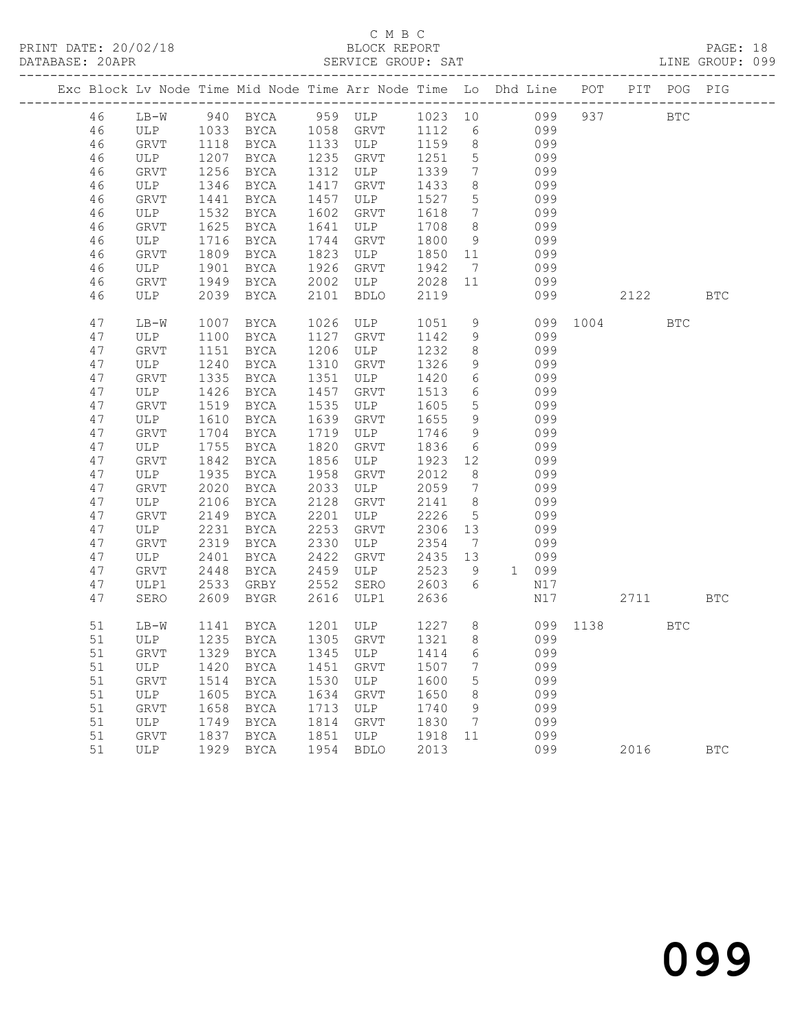# C M B C<br>BLOCK REPORT

PAGE: 18<br>LINE GROUP: 099

|  |    |             |      |                         |      |                         |         |                 | Exc Block Lv Node Time Mid Node Time Arr Node Time Lo Dhd Line POT PIT POG PIG |          |              |            |
|--|----|-------------|------|-------------------------|------|-------------------------|---------|-----------------|--------------------------------------------------------------------------------|----------|--------------|------------|
|  | 46 | $LB-W$      |      |                         |      |                         |         |                 | 940 BYCA 959 ULP 1023 10 099 937                                               |          | $_{\rm BTC}$ |            |
|  | 46 | ULP         |      | 1033 BYCA 1058 GRVT     |      |                         |         |                 | 1112 6 099                                                                     |          |              |            |
|  | 46 | GRVT        | 1118 | <b>BYCA</b>             |      | 1133 ULP                | 1159    | 8 <sup>8</sup>  | 099                                                                            |          |              |            |
|  | 46 | ULP         | 1207 | BYCA                    | 1235 | GRVT                    | 1251    | $5\overline{)}$ | 099                                                                            |          |              |            |
|  | 46 | GRVT        | 1256 | BYCA                    | 1312 | ULP                     | 1339    | $\overline{7}$  | 099                                                                            |          |              |            |
|  | 46 | ULP         | 1346 | BYCA                    | 1417 | GRVT                    | 1433    | 8               | 099                                                                            |          |              |            |
|  | 46 | GRVT        | 1441 | BYCA                    | 1457 | ULP                     | 1527    | 5 <sup>5</sup>  | 099                                                                            |          |              |            |
|  | 46 | ULP         | 1532 | BYCA                    | 1602 | GRVT                    | 1618    | $7\overline{ }$ | 099                                                                            |          |              |            |
|  | 46 | <b>GRVT</b> | 1625 | BYCA                    | 1641 | ULP                     | 1708    | 8 <sup>8</sup>  | 099                                                                            |          |              |            |
|  | 46 | ULP         | 1716 | BYCA                    | 1744 | GRVT                    | 1800    | 9               | 099                                                                            |          |              |            |
|  | 46 | GRVT        | 1809 | BYCA                    | 1823 | ULP                     | 1850    | 11              | 099                                                                            |          |              |            |
|  | 46 | ULP         | 1901 | BYCA                    | 1926 | GRVT                    | 1942    | $\overline{7}$  | 099                                                                            |          |              |            |
|  | 46 | GRVT        | 1949 | BYCA                    | 2002 | ULP                     | 2028 11 |                 | 099                                                                            |          |              |            |
|  | 46 | ULP         | 2039 | BYCA                    | 2101 | BDLO                    | 2119    |                 | 099                                                                            | 2122 BTC |              |            |
|  | 47 | $LB-W$      | 1007 | BYCA                    |      | 1026 ULP                | 1051    | 9               | 099 1004                                                                       |          | <b>BTC</b>   |            |
|  | 47 | ULP         | 1100 | BYCA                    | 1127 | GRVT                    | 1142    | 9               | 099                                                                            |          |              |            |
|  | 47 | GRVT        | 1151 | BYCA                    | 1206 | ULP                     | 1232    | 8               | 099                                                                            |          |              |            |
|  | 47 | ULP         | 1240 | BYCA                    | 1310 | GRVT                    | 1326    | 9               | 099                                                                            |          |              |            |
|  | 47 | GRVT        | 1335 | BYCA                    | 1351 | ULP                     | 1420    | 6               | 099                                                                            |          |              |            |
|  | 47 | ULP         | 1426 | BYCA                    | 1457 | GRVT                    | 1513    | 6               | 099                                                                            |          |              |            |
|  | 47 | GRVT        | 1519 | BYCA                    | 1535 | ULP                     | 1605    | $5\overline{)}$ | 099                                                                            |          |              |            |
|  | 47 | ULP         | 1610 | BYCA                    | 1639 | GRVT                    | 1655    | 9               | 099                                                                            |          |              |            |
|  | 47 | GRVT        | 1704 | BYCA                    | 1719 | ULP                     | 1746    | 9               | 099                                                                            |          |              |            |
|  | 47 | ULP         | 1755 | BYCA                    | 1820 | GRVT                    | 1836    | 6               | 099                                                                            |          |              |            |
|  | 47 | GRVT        | 1842 | BYCA                    | 1856 | ULP                     | 1923    | 12              | 099                                                                            |          |              |            |
|  | 47 | ULP         | 1935 | BYCA                    | 1958 | GRVT                    | 2012    | 8               | 099                                                                            |          |              |            |
|  | 47 | GRVT        | 2020 | BYCA                    | 2033 | ULP                     | 2059    | $7\overline{ }$ | 099                                                                            |          |              |            |
|  | 47 | ULP         | 2106 | BYCA                    | 2128 | GRVT                    | 2141    | 8 <sup>8</sup>  | 099                                                                            |          |              |            |
|  | 47 | GRVT        | 2149 | BYCA                    | 2201 | ULP                     | 2226    | $5\overline{)}$ | 099                                                                            |          |              |            |
|  | 47 | ULP         | 2231 | BYCA                    | 2253 | GRVT                    | 2306    | 13              | 099                                                                            |          |              |            |
|  | 47 | GRVT        | 2319 | BYCA                    | 2330 | ULP                     | 2354    | 7               | 099                                                                            |          |              |            |
|  | 47 | ULP         | 2401 | BYCA                    | 2422 | GRVT                    | 2435    | 13              | 099                                                                            |          |              |            |
|  | 47 | <b>GRVT</b> | 2448 | BYCA                    | 2459 | ULP                     | 2523    | 9               | 1 099                                                                          |          |              |            |
|  | 47 | ULP1        | 2533 | GRBY                    | 2552 | SERO                    | 2603    | 6               | N17                                                                            |          |              |            |
|  | 47 | SERO        | 2609 | BYGR                    | 2616 | ULP1                    | 2636    |                 | N17                                                                            | 2711     |              | <b>BTC</b> |
|  | 51 | $LB-W$      |      |                         |      | 1141 BYCA 1201 ULP 1227 |         |                 | 8 099 1138                                                                     |          | BTC          |            |
|  | 51 | ULP         |      | 1235 BYCA               |      | 1305 GRVT               | 1321    |                 | 8 099                                                                          |          |              |            |
|  | 51 |             |      | GRVT 1329 BYCA 1345 ULP |      |                         | 1414 6  |                 | 099                                                                            |          |              |            |
|  | 51 | ULP         | 1420 | <b>BYCA</b>             | 1451 | <b>GRVT</b>             | 1507    | 7               | 099                                                                            |          |              |            |
|  | 51 | GRVT        | 1514 | <b>BYCA</b>             | 1530 | ULP                     | 1600    | 5               | 099                                                                            |          |              |            |
|  | 51 | <b>ULP</b>  | 1605 | BYCA                    | 1634 | GRVT                    | 1650    | 8               | 099                                                                            |          |              |            |
|  | 51 | GRVT        | 1658 | <b>BYCA</b>             | 1713 | ULP                     | 1740    | 9               | 099                                                                            |          |              |            |
|  | 51 | ULP         | 1749 | <b>BYCA</b>             | 1814 | GRVT                    | 1830    | 7               | 099                                                                            |          |              |            |
|  | 51 | GRVT        | 1837 | BYCA                    | 1851 | ULP                     | 1918    | 11              | 099                                                                            |          |              |            |
|  | 51 | <b>ULP</b>  | 1929 | <b>BYCA</b>             | 1954 | <b>BDLO</b>             | 2013    |                 | 099                                                                            | 2016     |              | <b>BTC</b> |
|  |    |             |      |                         |      |                         |         |                 |                                                                                |          |              |            |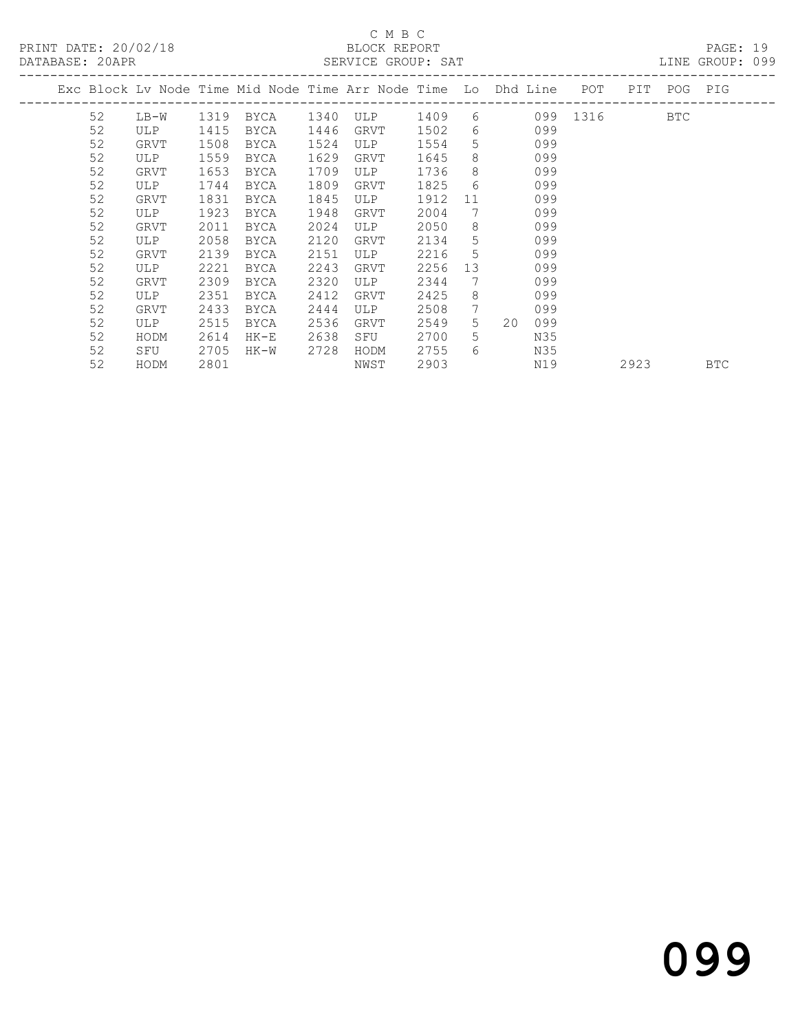PRINT DATE: 20/02/18 BLOCK REPORT BATABASE: 20APR

## C M B C<br>BLOCK REPORT

PAGE: 19<br>LINE GROUP: 099

|    |             |      | Exc Block Lv Node Time Mid Node Time Arr Node Time Lo Dhd Line |      |            |      |    |           | POT      | PIT  | POG | PIG        |
|----|-------------|------|----------------------------------------------------------------|------|------------|------|----|-----------|----------|------|-----|------------|
| 52 | LB-W        | 1319 | BYCA                                                           | 1340 | ULP        | 1409 | 6  |           | 099 1316 |      | BTC |            |
| 52 | <b>ULP</b>  | 1415 | <b>BYCA</b>                                                    | 1446 | GRVT       | 1502 | 6  | 099       |          |      |     |            |
| 52 | GRVT        | 1508 | <b>BYCA</b>                                                    | 1524 | ULP        | 1554 | 5. | 099       |          |      |     |            |
| 52 | <b>ULP</b>  | 1559 | <b>BYCA</b>                                                    | 1629 | GRVT       | 1645 | 8  | 099       |          |      |     |            |
| 52 | GRVT        | 1653 | <b>BYCA</b>                                                    | 1709 | ULP        | 1736 | 8  | 099       |          |      |     |            |
| 52 | ULP         | 1744 | BYCA                                                           | 1809 | GRVT       | 1825 | 6  | 099       |          |      |     |            |
| 52 | GRVT        | 1831 | <b>BYCA</b>                                                    | 1845 | ULP        | 1912 | 11 | 099       |          |      |     |            |
| 52 | <b>ULP</b>  | 1923 | <b>BYCA</b>                                                    | 1948 | GRVT       | 2004 | 7  | 099       |          |      |     |            |
| 52 | <b>GRVT</b> | 2011 | <b>BYCA</b>                                                    | 2024 | <b>ULP</b> | 2050 | 8  | 099       |          |      |     |            |
| 52 | <b>ULP</b>  | 2058 | BYCA                                                           | 2120 | GRVT       | 2134 | 5  | 099       |          |      |     |            |
| 52 | GRVT        | 2139 | <b>BYCA</b>                                                    | 2151 | ULP        | 2216 | 5  | 099       |          |      |     |            |
| 52 | ULP         | 2221 | <b>BYCA</b>                                                    | 2243 | GRVT       | 2256 | 13 | 099       |          |      |     |            |
| 52 | GRVT        | 2309 | BYCA                                                           | 2320 | <b>ULP</b> | 2344 | 7  | 099       |          |      |     |            |
| 52 | ULP         | 2351 | <b>BYCA</b>                                                    | 2412 | GRVT       | 2425 | 8  | 099       |          |      |     |            |
| 52 | GRVT        | 2433 | <b>BYCA</b>                                                    | 2444 | ULP        | 2508 | 7  | 099       |          |      |     |            |
| 52 | ULP         | 2515 | BYCA                                                           | 2536 | GRVT       | 2549 | 5  | 20<br>099 |          |      |     |            |
| 52 | HODM        | 2614 | $HK-E$                                                         | 2638 | SFU        | 2700 | 5. | N35       |          |      |     |            |
| 52 | SFU         | 2705 | HK-W                                                           | 2728 | HODM       | 2755 | 6  | N35       |          |      |     |            |
| 52 | HODM        | 2801 |                                                                |      | NWST       | 2903 |    | N19       |          | 2923 |     | <b>BTC</b> |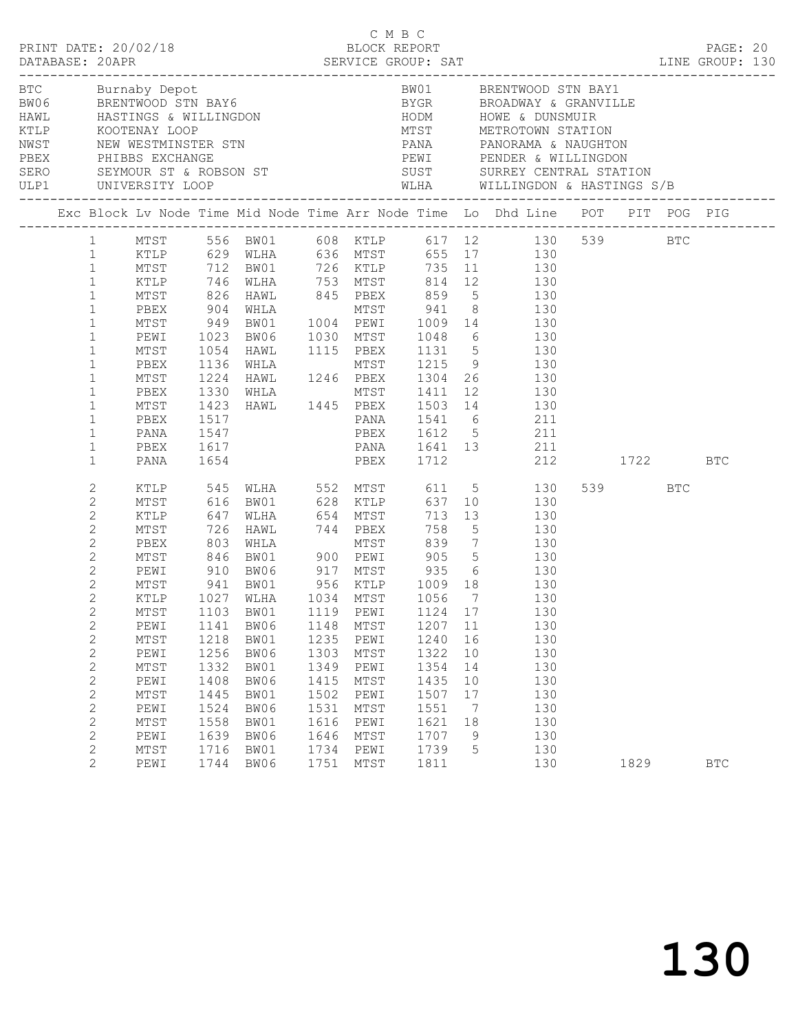|  |                                                                                                                                                                                                                                                                                                                                            |                                                                                                      |                                                                                      |                                                                                                                                                                                                                    |                                                                                      | C M B C<br>BLOCK REPORT                                                              |                                                                                             |                                                       | LINE GROUP: 130                                                                                                                                                                                                                                                                                                                                                                                                                                                                                                                                        |                 | PAGE: 20   |  |
|--|--------------------------------------------------------------------------------------------------------------------------------------------------------------------------------------------------------------------------------------------------------------------------------------------------------------------------------------------|------------------------------------------------------------------------------------------------------|--------------------------------------------------------------------------------------|--------------------------------------------------------------------------------------------------------------------------------------------------------------------------------------------------------------------|--------------------------------------------------------------------------------------|--------------------------------------------------------------------------------------|---------------------------------------------------------------------------------------------|-------------------------------------------------------|--------------------------------------------------------------------------------------------------------------------------------------------------------------------------------------------------------------------------------------------------------------------------------------------------------------------------------------------------------------------------------------------------------------------------------------------------------------------------------------------------------------------------------------------------------|-----------------|------------|--|
|  |                                                                                                                                                                                                                                                                                                                                            | ULP1 UNIVERSITY LOOP                                                                                 |                                                                                      | BTC Burnaby Depot<br>BW06 BRENTWOOD STN BAY6<br>HAWL HASTINGS & WILLINGDON<br>KTLP KOOTENAY LOOP<br>NWST NEW WESTMINSTER STN<br>PBEX PHIBBS EXCHANGE<br>SERO SEYMOUR ST & ROBSON ST<br>SERO SEYMOUR ST & ROBSON ST |                                                                                      |                                                                                      |                                                                                             |                                                       | BW01 BRENTWOOD STN BAY1<br>BYGR         BROADWAY & GRANVILLE<br>HODM          HOWE & DUNSMUIR<br>MTST        METROTOWN STATION<br>PANA PANORAMA & NAUGHTON<br>PEWI PENDER & WILLINGDON<br>SUST SURREY CENTRAL STATION<br>WLHA WILLINGDON & HASTINGS S/B                                                                                                                                                                                                                                                                                                |                 |            |  |
|  |                                                                                                                                                                                                                                                                                                                                            |                                                                                                      |                                                                                      |                                                                                                                                                                                                                    |                                                                                      |                                                                                      |                                                                                             |                                                       | Exc Block Lv Node Time Mid Node Time Arr Node Time Lo Dhd Line POT PIT POG PIG                                                                                                                                                                                                                                                                                                                                                                                                                                                                         |                 |            |  |
|  | 1<br>$\mathbf{1}$<br>$\mathbf{1}$<br>$\mathbf{1}$<br>$\mathbf{1}$<br>$\mathbf{1}$<br>$\mathbf{1}$<br>$\mathbf{1}$<br>$\mathbf{1}$<br>$\mathbf{1}$<br>$\mathbf{1}$<br>$\mathbf{1}$<br>$\mathbf{1}$<br>$\mathbf{1}$<br>$\mathbf{1}$                                                                                                          | PBEX<br>MTST<br>PEWI<br>MTST<br>PBEX<br>MTST<br>PBEX<br>MTST<br>PBEX<br>PANA<br>PBEX<br>PANA         | 1517<br>1547                                                                         | 1617<br>1654                                                                                                                                                                                                       |                                                                                      |                                                                                      |                                                                                             |                                                       | 1 MTST 556 BW01 608 KTLP 617 12 130 539 BTC<br>1 KTLP 629 WLHA 636 MTST 655 17 130<br>MTST 712 BW01 726 KTLP 735 11 130<br>KTLP 746 WLHA 753 MTST 814 12 130<br>MTST 826 HAWL 845 PBEX 859 5 130<br>904 WHLA MTST 941 8 130<br>949 BW01 1004 PEWI 1009 14 130<br>1023 BW06 1030 MTST 1048 6 130<br>1054 HAWL 1115 PBEX 1131 5 130<br>1136 WHLA MTST 1215 9 130<br>1224 HAWL 1246 PBEX 1304 26 130<br>1330 WHLA MTST 1411 12 130<br>1423 HAWL 1445 PBEX 1503 14 130<br>PANA 1541 6 211<br>PBEX 1612 5 211<br>PANA 1641 13 211<br>PBEX 1712 212 1722 BTC |                 |            |  |
|  | $\mathbf{2}$<br>$\mathbf{2}$<br>$\mathbf{2}$<br>$\mathbf{2}$<br>$\mathbf{2}$<br>$\mathbf{2}$<br>$\mathbf{2}$<br>$\mathbf{2}$<br>$\overline{2}$<br>$2^{\circ}$<br>2<br>$\mathbf{2}$<br>$\overline{c}$<br>$\mathbf{2}$<br>$\mathbf{2}$<br>$\mathbf{2}$<br>$\overline{c}$<br>$\mathbf{2}$<br>$\mathbf{2}$<br>$\overline{c}$<br>$\overline{2}$ | MTST<br>KTLP<br>PEWI<br>MTST<br>PEWI<br>MTST<br>PEWI<br>MTST<br>PEWI<br>MTST<br>PEWI<br>MTST<br>PEWI | 1141<br>1218<br>1256<br>1332<br>1408<br>1445<br>1524<br>1558<br>1639<br>1716<br>1744 | 726 HAWL 744 PBEX<br>1027 WLHA 1034 MTST 1056 7<br>MTST 1103 BW01 1119 PEWI 1124 17<br>BW06<br>BW01<br>BW06<br>BW01<br>BW06<br>BW01<br>BW06<br>BW01<br>BW06<br>BW01<br>BW06                                        | 1148<br>1235<br>1303<br>1349<br>1415<br>1502<br>1531<br>1616<br>1646<br>1734<br>1751 | MTST<br>PEWI<br>MTST<br>PEWI<br>MTST<br>PEWI<br>MTST<br>PEWI<br>MTST<br>PEWI<br>MTST | 758<br>1207<br>1240<br>1322<br>1354<br>1435<br>1507<br>1551<br>1621<br>1707<br>1739<br>1811 | 11<br>16<br>10<br>14<br>10<br>17<br>7<br>18<br>9<br>5 | XTLP 545 WLHA 552 MTST 611 5 130<br>MTST 616 BW01 628 KTLP 637 10 130<br>KTLP 647 WLHA 654 MTST 713 13 130<br>5 130<br>PBEX 803 WHLA MTST 839 7 130<br>MTST 846 BW01 900 PEWI 905 5 130<br>PEWI 910 BW06 917 MTST 935 6 130<br>MTST 941 BW01 956 KTLP 1009 18 130<br>130<br>130<br>130<br>130<br>130<br>130<br>130<br>130<br>130<br>130<br>130<br>130<br>130                                                                                                                                                                                           | 539 BTC<br>1829 | <b>BTC</b> |  |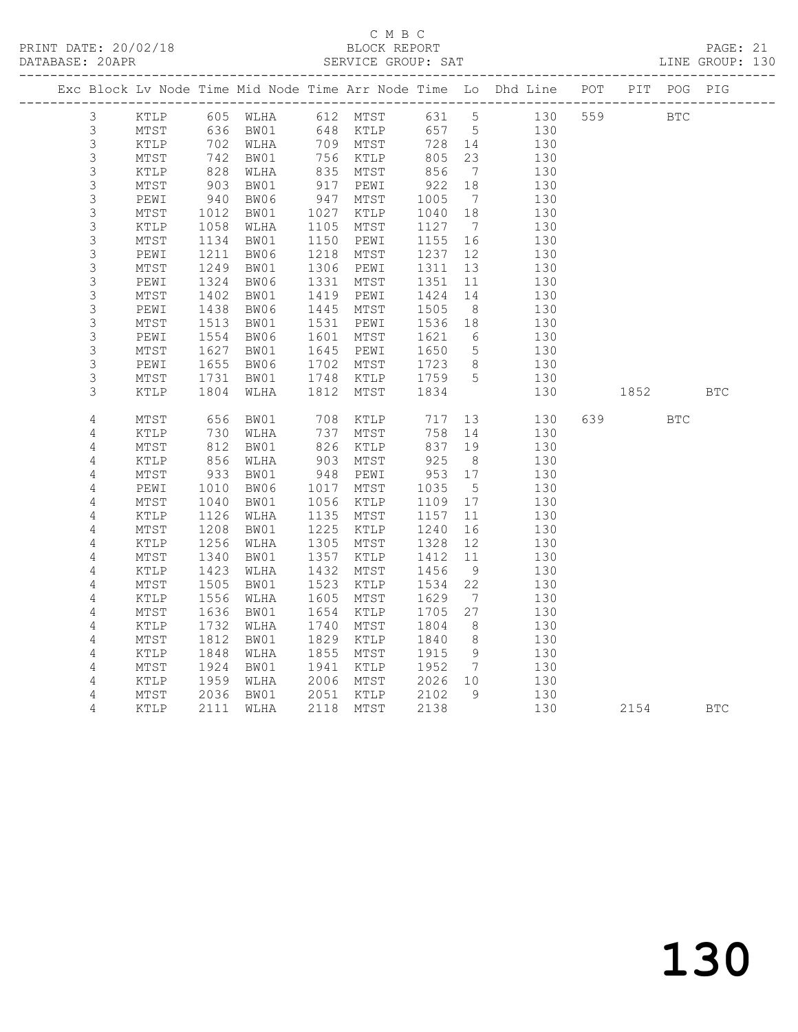# C M B C<br>BLOCK REPORT

PAGE: 21<br>LINE GROUP: 130

|  |                |                 |                 |                                                    |            |                      |                       |                              | Exc Block Lv Node Time Mid Node Time Arr Node Time Lo Dhd Line POT PIT POG PIG |          |            |            |
|--|----------------|-----------------|-----------------|----------------------------------------------------|------------|----------------------|-----------------------|------------------------------|--------------------------------------------------------------------------------|----------|------------|------------|
|  | $\mathfrak{Z}$ |                 |                 |                                                    |            |                      |                       |                              | KTLP 605 WLHA 612 MTST 631 5 130                                               | 559 BTC  |            |            |
|  | $\mathfrak{Z}$ | MTST            |                 | 636 BW01      648  KTLP<br>702  WLHA     709  MTST |            |                      | 657 5                 |                              | 130                                                                            |          |            |            |
|  | $\mathsf S$    | KTLP            |                 | 00 د 6<br>702 WLHA<br>10™ ¤                        |            |                      | 728 14                |                              | 130                                                                            |          |            |            |
|  | $\mathfrak{Z}$ | MTST            | $\frac{7}{828}$ | BW01                                               |            | 756 KTLP<br>835 MTST | 805<br>856            | 23                           | 130                                                                            |          |            |            |
|  | $\mathsf S$    | KTLP            |                 | WLHA                                               |            |                      |                       | $\overline{7}$               | 130                                                                            |          |            |            |
|  | $\mathsf S$    | $\mathtt{MTST}$ | 903<br>940      | BW01                                               | 917        | PEWI                 | 922                   | 18                           | 130                                                                            |          |            |            |
|  | $\mathsf 3$    | PEWI            |                 | BW06                                               | 947        | MTST                 | 1005                  | $7\phantom{.0}\phantom{.0}7$ | 130                                                                            |          |            |            |
|  | $\mathsf S$    | MTST            | 1012            | BW01                                               |            | 1027 KTLP            | 1040                  | 18                           | 130                                                                            |          |            |            |
|  | $\mathsf 3$    | KTLP            | 1058            | WLHA                                               | 1105       | MTST                 | 1127                  | $\overline{7}$               | 130                                                                            |          |            |            |
|  | 3              | MTST            | 1134            | BW01                                               | 1150       | PEWI                 | 1155                  | 16                           | 130                                                                            |          |            |            |
|  | $\mathsf S$    | PEWI            | 1211            | BW06                                               | 1218       | MTST                 | 1237                  | 12                           | 130                                                                            |          |            |            |
|  | $\mathfrak{Z}$ | $\mathtt{MTST}$ | 1249            | BW01                                               | 1306       | PEWI                 | 1311                  | 13                           | 130                                                                            |          |            |            |
|  | $\mathsf S$    | PEWI            | 1324            | BW06                                               | 1331       | MTST                 | 1351                  | 11                           | 130                                                                            |          |            |            |
|  | $\mathsf 3$    | MTST            | 1402            | BW01                                               | 1419       | PEWI                 | 1424                  | 14                           | 130                                                                            |          |            |            |
|  | $\mathsf S$    | PEWI            | 1438            | BW06                                               | 1445       | MTST                 | 1505                  | 8 <sup>8</sup>               | 130                                                                            |          |            |            |
|  | 3              | MTST            | 1513            | BW01                                               | 1531       | PEWI                 | 1536                  | 18                           | 130                                                                            |          |            |            |
|  | $\mathsf 3$    | PEWI            | 1554            | BW06                                               | 1601       | MTST                 | 1621                  | 6                            | 130                                                                            |          |            |            |
|  | $\mathsf S$    | $\mathtt{MTST}$ | 1627            | BW01                                               | 1645       | PEWI                 | 1650                  | $5\phantom{.0}$              | 130                                                                            |          |            |            |
|  | $\mathsf 3$    | PEWI            | 1655            | BW06                                               |            | 1702 MTST            | 1723<br>1759 5        | 8 <sup>8</sup>               | 130                                                                            |          |            |            |
|  | 3              | MTST            | 1731            | BW01                                               |            | 1748 KTLP            |                       |                              | 130                                                                            |          |            |            |
|  | 3              | KTLP            | 1804            | WLHA                                               | 1812       | MTST                 | 1834                  |                              | 130                                                                            | 1852     |            | <b>BTC</b> |
|  | 4              | MTST            | 656             | BW01                                               |            | KTLP                 | 717                   |                              | 13<br>130                                                                      | 639 — 10 | <b>BTC</b> |            |
|  | $\sqrt{4}$     | KTLP            | 730             | WLHA                                               | 708<br>737 | MTST                 | 758                   | 14                           | 130                                                                            |          |            |            |
|  | 4              | MTST            | 812             | BW01                                               | 826        | KTLP                 | 837                   | 19                           | 130                                                                            |          |            |            |
|  | 4              | KTLP            |                 | WLHA                                               |            | MTST                 |                       |                              | 130                                                                            |          |            |            |
|  | $\sqrt{4}$     | MTST            | 856<br>933      | BW01                                               | 903<br>948 | PEWI                 | 925<br>953 17<br>-- 5 |                              | 130                                                                            |          |            |            |
|  | 4              | PEWI            | 1010            | BW06                                               | 1017       | MTST                 | 1035                  | $5^{\circ}$                  | 130                                                                            |          |            |            |
|  | $\sqrt{4}$     | $\mathtt{MTST}$ | 1040            | BW01                                               | 1056       | KTLP                 | 1109 17               |                              | 130                                                                            |          |            |            |
|  | 4              | KTLP            | 1126            | WLHA                                               | 1135       | MTST                 | 1157                  | 11                           | 130                                                                            |          |            |            |
|  | $\sqrt{4}$     | MTST            | 1208            | BW01                                               | 1225       | KTLP                 | 1240                  | 16                           | 130                                                                            |          |            |            |
|  | 4              | KTLP            | 1256            | WLHA                                               | 1305       | MTST                 | 1328                  | 12                           | 130                                                                            |          |            |            |
|  | 4              | $\mathtt{MTST}$ | 1340            | BW01                                               | 1357       | KTLP                 | 1412                  | 11                           | 130                                                                            |          |            |            |
|  | $\sqrt{4}$     | $\texttt{KTLP}$ | 1423            | WLHA                                               | 1432       | MTST                 | 1456                  | 9                            | 130                                                                            |          |            |            |
|  | 4              | $\mathtt{MTST}$ | 1505            | BW01                                               | 1523       | KTLP                 | 1534                  | 22                           | 130                                                                            |          |            |            |
|  | $\sqrt{4}$     | KTLP            | 1556            | WLHA                                               | 1605       | MTST                 | 1629                  | $\overline{7}$               | 130                                                                            |          |            |            |
|  | 4              | MTST            | 1636            | BW01                                               | 1654       | KTLP                 | 1705                  | 27                           | 130                                                                            |          |            |            |
|  | 4              | $\texttt{KTLP}$ | 1732            | WLHA                                               | 1740       | MTST                 | 1804                  | 8 <sup>8</sup>               | 130                                                                            |          |            |            |
|  | 4              | MTST            | 1812            | BW01                                               | 1829       | KTLP                 | 1840                  | 8 <sup>8</sup>               | 130                                                                            |          |            |            |
|  | $\overline{4}$ | KTLP            | 1848            | WLHA                                               | 1855       | MTST                 | 1915                  | 9                            | 130                                                                            |          |            |            |
|  | $\sqrt{4}$     | $\mathtt{MTST}$ | 1924            | BW01                                               | 1941       | KTLP                 | 1952                  | $\overline{7}$               | 130                                                                            |          |            |            |
|  | 4              | KTLP            | 1959            | WLHA                                               |            | 2006 MTST            | 2026 10               |                              | 130                                                                            |          |            |            |
|  | 4              | MTST            | 2036            | BW01                                               | 2051       | KTLP                 | 2102                  | - 9                          | 130                                                                            |          |            |            |
|  | 4              | KTLP            | 2111            | WLHA                                               |            | 2118 MTST            | 2138                  |                              | 130                                                                            | 2154 BTC |            |            |
|  |                |                 |                 |                                                    |            |                      |                       |                              |                                                                                |          |            |            |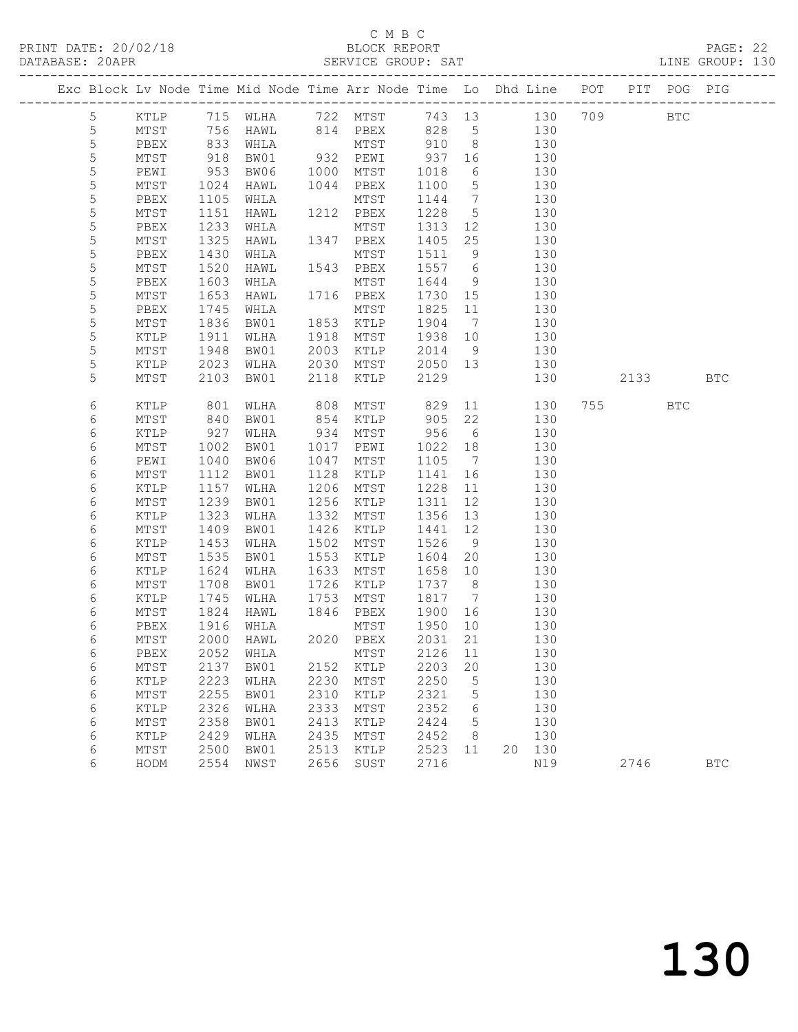### C M B C<br>BLOCK REPORT

PAGE: 22<br>LINE GROUP: 130

|             |   |              |                 | Exc Block Lv Node Time Mid Node Time Arr Node Time Lo Dhd Line POT |              |                         |                |                 |        |            |          | PIT POG PIG  |            |
|-------------|---|--------------|-----------------|--------------------------------------------------------------------|--------------|-------------------------|----------------|-----------------|--------|------------|----------|--------------|------------|
|             | 5 | KTLP         |                 | 715 WLHA                                                           |              | 722 MTST 743 13 130 709 |                |                 |        |            |          | $_{\rm BTC}$ |            |
| $\mathsf S$ |   | MTST         | $\frac{1}{833}$ | HAWL                                                               |              | 814 PBEX                |                |                 |        | 130        |          |              |            |
| $\mathsf S$ |   | PBEX         |                 | WHLA                                                               |              | MTST                    | 828 5<br>910 8 |                 |        | 130        |          |              |            |
| 5           |   | MTST         | 918             | BW01                                                               |              | 932 PEWI                | 937 16         |                 | 130    |            |          |              |            |
| 5           |   | PEWI         | 953             | BW06                                                               | 1000         | MTST                    | 1018           | 6               |        | 130        |          |              |            |
| 5           |   | MTST         | 1024            | HAWL                                                               |              | 1044 PBEX               | 1100           | $5\overline{)}$ |        | 130        |          |              |            |
| 5           |   | PBEX         | 1105            | WHLA                                                               |              | MTST                    | 1144           | $\overline{7}$  |        | 130        |          |              |            |
| $\mathsf S$ |   | MTST         | 1151            | HAWL                                                               |              | 1212 PBEX               | 1228           | $5\overline{)}$ |        | 130        |          |              |            |
| 5           |   | PBEX         | 1233            | WHLA                                                               |              | MTST                    | 1313           | 12              |        | 130        |          |              |            |
| 5           |   | MTST         | 1325            | HAWL                                                               |              | 1347 PBEX               | 1405           | 25              |        | 130        |          |              |            |
| 5           |   | PBEX         | 1430            | WHLA                                                               |              | MTST                    | 1511           | 9               |        | 130        |          |              |            |
| 5           |   | MTST         | 1520            | HAWL                                                               |              | 1543 PBEX               | 1557           | 6               |        | 130        |          |              |            |
| 5           |   | PBEX         | 1603            | WHLA                                                               |              | MTST                    | 1644           | 9               |        | 130        |          |              |            |
| 5           |   | MTST         | 1653            | HAWL                                                               |              | 1716 PBEX               | 1730           | 15              |        | 130        |          |              |            |
| $\mathsf S$ |   | PBEX         | 1745            | WHLA                                                               |              | MTST                    | 1825           | 11              |        | 130        |          |              |            |
| 5           |   | MTST         | 1836            | BW01                                                               |              | 1853 KTLP               | 1904           | $7\overline{ }$ |        | 130        |          |              |            |
| 5           |   | KTLP         | 1911            | WLHA                                                               | 1918         | MTST                    | 1938           | 10              |        | 130        |          |              |            |
| 5           |   | MTST         | 1948            | BW01                                                               | 2003         | KTLP                    | 2014           | - 9             |        | 130        |          |              |            |
| 5           |   | KTLP         | 2023            | WLHA                                                               | 2030         | MTST                    | 2050 13        |                 |        | 130        |          |              |            |
| 5           |   | MTST         | 2103            | BW01                                                               | 2118         | KTLP                    | 2129           |                 |        | 130        | 2133 BTC |              |            |
| 6           |   | KTLP         | 801             | WLHA                                                               | 808          | MTST                    | 829            |                 | 11 — 1 | 130        | 755      | <b>BTC</b>   |            |
| 6           |   | MTST         |                 | BW01                                                               | 854          | KTLP                    |                | 22              |        | 130        |          |              |            |
| 6           |   | KTLP         | 840<br>927      | WLHA                                                               | 934          | MTST                    | 905<br>956     | 6               |        | 130        |          |              |            |
| 6           |   | MTST         | 1002            | BW01                                                               | 1017         | PEWI                    | 1022           | 18              |        | 130        |          |              |            |
| 6           |   | PEWI         | 1040            | BW06                                                               | 1047         | MTST                    | 1105           | $\overline{7}$  |        | 130        |          |              |            |
| 6           |   | MTST         | 1112            | BW01                                                               | 1128         | KTLP                    | 1141           | 16              |        | 130        |          |              |            |
| 6           |   | KTLP         | 1157            | WLHA                                                               | 1206         | MTST                    | 1228           | 11              |        | 130        |          |              |            |
| 6           |   | MTST         | 1239            | BW01                                                               | 1256         | KTLP                    | 1311           | 12              |        | 130        |          |              |            |
| 6           |   | KTLP         | 1323            | WLHA                                                               | 1332         | MTST                    | 1356           | 13              |        | 130        |          |              |            |
| 6           |   | MTST         | 1409            | BW01                                                               | 1426         | KTLP                    | 1441           | 12              |        | 130        |          |              |            |
| 6           |   | KTLP         | 1453            | WLHA                                                               | 1502         | MTST                    | 1526           | 9               |        | 130        |          |              |            |
| 6           |   | MTST         | 1535            | BW01                                                               | 1553         | KTLP                    | 1604           | 20              |        | 130        |          |              |            |
| 6           |   | KTLP         | 1624            | WLHA                                                               | 1633         | MTST                    | 1658           | 10              |        | 130        |          |              |            |
| 6           |   | MTST         | 1708            | BW01                                                               | 1726         | KTLP                    | 1737           | 8 <sup>8</sup>  |        | 130        |          |              |            |
| 6           |   | KTLP         | 1745            | WLHA                                                               | 1753         | MTST                    | 1817           | $\overline{7}$  |        | 130        |          |              |            |
| 6           |   | MTST         | 1824            | HAWL                                                               | 1846         | PBEX                    | 1900           | 16              |        | 130        |          |              |            |
| 6           |   | PBEX         | 1916            | WHLA                                                               |              | MTST                    | 1950           | 10              |        | 130        |          |              |            |
| 6           |   | MTST         | 2000            | HAWL                                                               |              | 2020 PBEX               | 2031           | 21              |        | 130        |          |              |            |
| 6           |   |              |                 | PBEX 2052 WHLA MTST 2126 11                                        |              |                         |                |                 |        | 130        |          |              |            |
| 6           |   | MTST         | 2137            | BW01                                                               | 2152         | KTLP                    | 2203           | 20              |        | 130        |          |              |            |
| 6           |   | KTLP         | 2223<br>2255    | WLHA                                                               | 2230<br>2310 | MTST                    | 2250<br>2321   | 5               |        | 130<br>130 |          |              |            |
| 6<br>6      |   | MTST<br>KTLP | 2326            | BW01<br>WLHA                                                       | 2333         | KTLP<br>MTST            | 2352           | 5<br>6          |        | 130        |          |              |            |
| 6           |   | MTST         | 2358            | BW01                                                               | 2413         | KTLP                    | 2424           | 5               |        | 130        |          |              |            |
| 6           |   | KTLP         | 2429            | WLHA                                                               | 2435         | MTST                    | 2452           | 8               |        | 130        |          |              |            |
| 6           |   | MTST         | 2500            | BW01                                                               | 2513         | KTLP                    | 2523           | 11              | 20     | 130        |          |              |            |
| 6           |   | HODM         | 2554            | NWST                                                               | 2656         | SUST                    | 2716           |                 |        | N19        | 2746     |              | <b>BTC</b> |
|             |   |              |                 |                                                                    |              |                         |                |                 |        |            |          |              |            |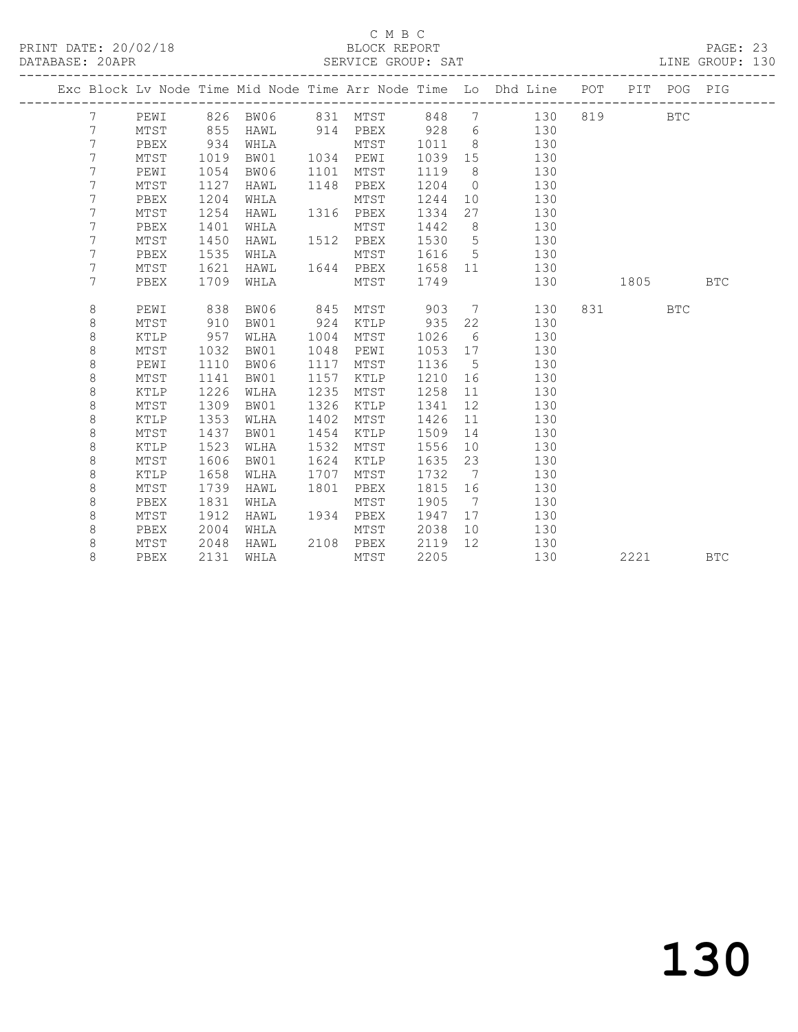### C M B C<br>BLOCK REPORT

PAGE: 23<br>LINE GROUP: 130

|  |                |      |      |          |      |                |         |                 | Exc Block Lv Node Time Mid Node Time Arr Node Time Lo Dhd Line POT PIT POG PIG |     |      |            |            |
|--|----------------|------|------|----------|------|----------------|---------|-----------------|--------------------------------------------------------------------------------|-----|------|------------|------------|
|  | 7              | PEWI |      | 826 BW06 |      | 831 MTST       | 848 7   |                 | 130                                                                            | 819 |      | <b>BTC</b> |            |
|  | 7              | MTST | 855  | HAWL     |      | 914 PBEX 928 6 |         |                 | 130                                                                            |     |      |            |            |
|  | 7              | PBEX | 934  | WHLA     |      | MTST           | 1011    | 8 <sup>8</sup>  | 130                                                                            |     |      |            |            |
|  | $\overline{7}$ | MTST | 1019 | BW01     |      | 1034 PEWI      | 1039 15 |                 | 130                                                                            |     |      |            |            |
|  | $\overline{7}$ | PEWI | 1054 | BW06     |      | 1101 MTST      | 1119    | 8 <sup>8</sup>  | 130                                                                            |     |      |            |            |
|  | $\overline{7}$ | MTST | 1127 | HAWL     |      | 1148 PBEX      | 1204    | $\overline{0}$  | 130                                                                            |     |      |            |            |
|  | 7              | PBEX | 1204 | WHLA     |      | MTST           | 1244    | 10              | 130                                                                            |     |      |            |            |
|  | 7              | MTST | 1254 | HAWL     |      | 1316 PBEX      | 1334    | 27              | 130                                                                            |     |      |            |            |
|  | 7              | PBEX | 1401 | WHLA     |      | MTST           | 1442    | 8               | 130                                                                            |     |      |            |            |
|  | 7              | MTST | 1450 | HAWL     |      | 1512 PBEX      | 1530    | $5\overline{)}$ | 130                                                                            |     |      |            |            |
|  | 7              | PBEX | 1535 | WHLA     |      | MTST           | 1616    |                 | $5^{\circ}$<br>130                                                             |     |      |            |            |
|  | 7              | MTST | 1621 | HAWL     |      | 1644 PBEX      | 1658    |                 | 130                                                                            |     |      |            |            |
|  | $\overline{7}$ | PBEX | 1709 | WHLA     |      | MTST           | 1749    |                 | 130                                                                            |     | 1805 |            | <b>BTC</b> |
|  |                |      |      |          |      |                |         |                 |                                                                                |     |      |            |            |
|  | 8              | PEWI | 838  | BW06     | 845  | MTST           | 903     |                 | $7\overline{ }$<br>130                                                         | 831 |      | <b>BTC</b> |            |
|  | 8              | MTST | 910  | BW01     | 924  | KTLP           | 935     | 22              | 130                                                                            |     |      |            |            |
|  | 8              | KTLP | 957  | WLHA     | 1004 | MTST           | 1026    | 6               | 130                                                                            |     |      |            |            |
|  | 8              | MTST | 1032 | BW01     | 1048 | PEWI           | 1053    | 17              | 130                                                                            |     |      |            |            |
|  | 8              | PEWI | 1110 | BW06     | 1117 | MTST           | 1136    | $5^{\circ}$     | 130                                                                            |     |      |            |            |
|  | 8              | MTST | 1141 | BW01     | 1157 | KTLP           | 1210    | 16              | 130                                                                            |     |      |            |            |
|  | 8              | KTLP | 1226 | WLHA     | 1235 | MTST           | 1258    | 11              | 130                                                                            |     |      |            |            |
|  | $\,8\,$        | MTST | 1309 | BW01     | 1326 | KTLP           | 1341    | 12              | 130                                                                            |     |      |            |            |
|  | $\,8\,$        | KTLP | 1353 | WLHA     | 1402 | MTST           | 1426    | 11              | 130                                                                            |     |      |            |            |
|  | 8              | MTST | 1437 | BW01     | 1454 | KTLP           | 1509    | 14              | 130                                                                            |     |      |            |            |
|  | 8              | KTLP | 1523 | WLHA     | 1532 | MTST           | 1556    | 10 <sub>1</sub> | 130                                                                            |     |      |            |            |
|  | 8              | MTST | 1606 | BW01     | 1624 | KTLP           | 1635    | 23              | 130                                                                            |     |      |            |            |
|  | 8              | KTLP | 1658 | WLHA     | 1707 | MTST           | 1732    | $\overline{7}$  | 130                                                                            |     |      |            |            |
|  | 8              | MTST | 1739 | HAWL     | 1801 | PBEX           | 1815    |                 | 16 16<br>130                                                                   |     |      |            |            |
|  | 8              | PBEX | 1831 | WHLA     |      | MTST           | 1905    | $\overline{7}$  | 130                                                                            |     |      |            |            |
|  | 8              | MTST | 1912 | HAWL     |      | 1934 PBEX      | 1947    |                 | 17<br>130                                                                      |     |      |            |            |
|  | 8              | PBEX | 2004 | WHLA     |      | MTST           | 2038    | 10              | 130                                                                            |     |      |            |            |
|  | 8              | MTST | 2048 | HAWL     |      | 2108 PBEX      | 2119    | 12 <sup>°</sup> | 130                                                                            |     |      |            |            |
|  | 8              | PBEX | 2131 | WHLA     |      | MTST           | 2205    |                 | 130                                                                            |     | 2221 |            | <b>BTC</b> |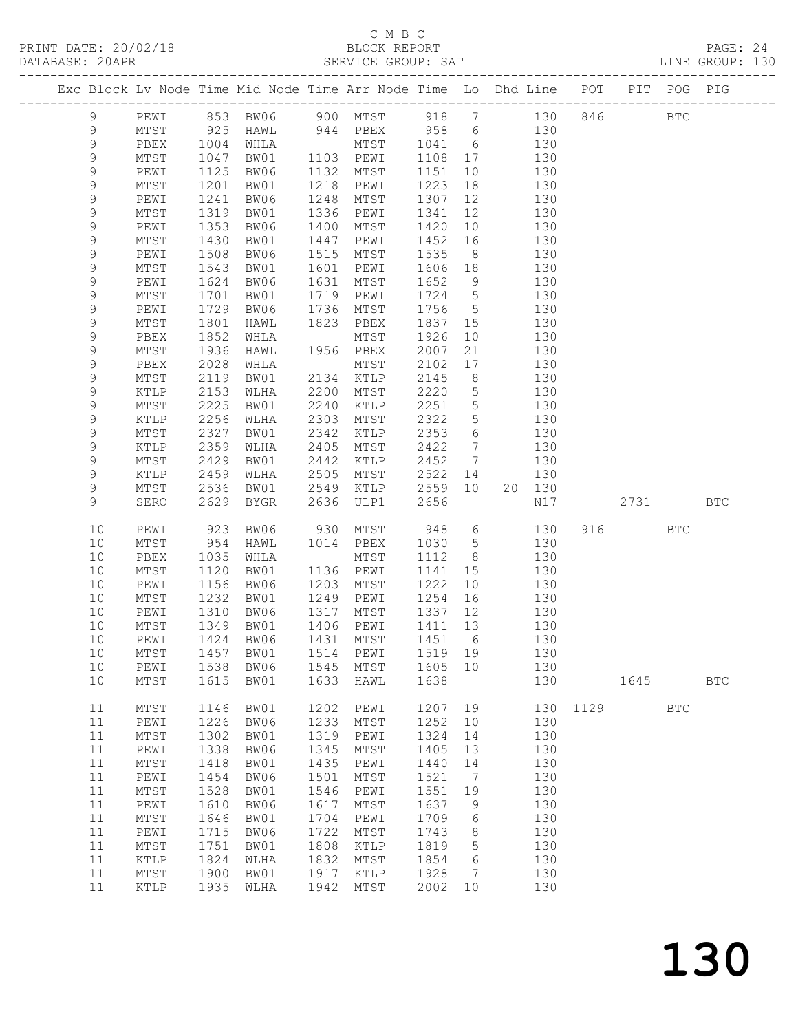PRINT DATE: 20/02/18 BLOCK REPORT BATABASE: 20APR

### C M B C<br>BLOCK REPORT

PAGE: 24<br>LINE GROUP: 130

|                  |    |                 |      | Exc Block Lv Node Time Mid Node Time Arr Node Time Lo Dhd Line POT |      | ATTLATAT ATIONT. |         |                 |        | --------------------- |      | PIT POG PIG  |              |
|------------------|----|-----------------|------|--------------------------------------------------------------------|------|------------------|---------|-----------------|--------|-----------------------|------|--------------|--------------|
| 9                |    | PEWI            |      | 853 BW06                                                           |      | 900 MTST 918 7   |         |                 | 130    | 846                   |      | $_{\rm BTC}$ |              |
| 9                |    | MTST            | 925  | HAWL                                                               |      | 944 PBEX         | 958 6   |                 | 130    |                       |      |              |              |
| 9                |    | PBEX            | 1004 | WHLA                                                               |      | MTST             | 1041    | 6               | 130    |                       |      |              |              |
| $\mathsf 9$      |    | MTST            | 1047 | BW01                                                               |      | 1103 PEWI        | 1108 17 |                 | 130    |                       |      |              |              |
| $\mathsf 9$      |    | PEWI            | 1125 | BW06                                                               | 1132 | MTST             | 1151    | 10              | 130    |                       |      |              |              |
| 9                |    | MTST            | 1201 | BW01                                                               | 1218 | PEWI             | 1223    | 18              | 130    |                       |      |              |              |
| 9                |    | PEWI            | 1241 | BW06                                                               | 1248 | MTST             | 1307    | 12              | 130    |                       |      |              |              |
| 9                |    | MTST            | 1319 | BW01                                                               | 1336 | PEWI             | 1341    | 12              | 130    |                       |      |              |              |
| $\mathsf 9$      |    | PEWI            | 1353 | BW06                                                               | 1400 | MTST             | 1420    | 10              | 130    |                       |      |              |              |
| 9                |    | MTST            | 1430 | BW01                                                               | 1447 | PEWI             | 1452    | 16              | 130    |                       |      |              |              |
| 9                |    | PEWI            | 1508 | BW06                                                               | 1515 | MTST             | 1535    | 8 <sup>8</sup>  | 130    |                       |      |              |              |
| 9                |    | MTST            | 1543 | BW01                                                               | 1601 | PEWI             | 1606    | 18              | 130    |                       |      |              |              |
| $\mathsf 9$      |    | PEWI            | 1624 | BW06                                                               | 1631 | MTST             | 1652    | 9               | 130    |                       |      |              |              |
| 9                |    | MTST            | 1701 | BW01                                                               | 1719 | PEWI             | 1724    | $5\overline{)}$ | 130    |                       |      |              |              |
| 9                |    | PEWI            | 1729 | BW06                                                               | 1736 | MTST             | 1756    | $5\overline{)}$ | 130    |                       |      |              |              |
|                  |    | $\mathtt{MTST}$ | 1801 |                                                                    | 1823 |                  | 1837    |                 | 130    |                       |      |              |              |
| 9<br>$\mathsf 9$ |    |                 | 1852 | HAWL                                                               |      | PBEX             | 1926    | 15<br>10        | 130    |                       |      |              |              |
|                  |    | PBEX            |      | WHLA                                                               |      | MTST             |         |                 |        |                       |      |              |              |
| $\mathsf 9$      |    | MTST            | 1936 | HAWL                                                               |      | 1956 PBEX        | 2007    | 21              | 130    |                       |      |              |              |
| $\mathsf 9$      |    | PBEX            | 2028 | WHLA                                                               |      | MTST             | 2102    | 17              | 130    |                       |      |              |              |
| 9                |    | MTST            | 2119 | BW01                                                               | 2134 | KTLP             | 2145    | 8 <sup>8</sup>  | 130    |                       |      |              |              |
| 9                |    | KTLP            | 2153 | WLHA                                                               | 2200 | MTST             | 2220    | $5\phantom{.0}$ | 130    |                       |      |              |              |
| $\mathsf 9$      |    | MTST            | 2225 | BW01                                                               | 2240 | KTLP             | 2251    | $5\overline{)}$ | 130    |                       |      |              |              |
| $\mathsf 9$      |    | KTLP            | 2256 | WLHA                                                               | 2303 | MTST             | 2322    | $5\phantom{.0}$ | 130    |                       |      |              |              |
| $\mathsf 9$      |    | MTST            | 2327 | BW01                                                               | 2342 | KTLP             | 2353    | 6               | 130    |                       |      |              |              |
| 9                |    | KTLP            | 2359 | WLHA                                                               | 2405 | MTST             | 2422    | $7\overline{ }$ | 130    |                       |      |              |              |
| $\mathsf 9$      |    | MTST            | 2429 | BW01                                                               | 2442 | KTLP             | 2452    | $7\overline{ }$ | 130    |                       |      |              |              |
| 9                |    | KTLP            | 2459 | WLHA                                                               | 2505 | MTST             | 2522    | 14              | 130    |                       |      |              |              |
| 9                |    | MTST            | 2536 | BW01                                                               | 2549 | KTLP             | 2559    | 10              | 20 130 |                       |      |              |              |
| 9                |    | SERO            | 2629 | BYGR                                                               | 2636 | ULP1             | 2656    |                 | N17    |                       | 2731 |              | <b>BTC</b>   |
|                  | 10 | PEWI            | 923  | BW06                                                               | 930  | MTST             | 948     | 6               | 130    | 916                   |      | <b>BTC</b>   |              |
|                  | 10 | MTST            | 954  | HAWL                                                               | 1014 | PBEX             | 1030    | $5\overline{)}$ | 130    |                       |      |              |              |
|                  | 10 | PBEX            | 1035 | WHLA                                                               |      | MTST             | 1112    | 8 <sup>8</sup>  | 130    |                       |      |              |              |
|                  | 10 | $\mathtt{MTST}$ | 1120 | BW01                                                               |      | 1136 PEWI        | 1141    | 15              | 130    |                       |      |              |              |
|                  | 10 | PEWI            | 1156 | BW06                                                               | 1203 | MTST             | 1222    | 10              | 130    |                       |      |              |              |
|                  | 10 | MTST            | 1232 | BW01                                                               | 1249 | PEWI             | 1254    | 16              | 130    |                       |      |              |              |
|                  | 10 | PEWI            | 1310 | BW06                                                               | 1317 | MTST             | 1337    | 12              | 130    |                       |      |              |              |
|                  | 10 | MTST            | 1349 | BW01                                                               | 1406 | PEWI             | 1411    | 13              | 130    |                       |      |              |              |
|                  | 10 | PEWI            | 1424 | BW06                                                               | 1431 | MTST             | 1451    | 6               | 130    |                       |      |              |              |
|                  | 10 | MTST            | 1457 | BW01                                                               | 1514 | PEWI             | 1519    | 19              | 130    |                       |      |              |              |
|                  | 10 | PEWI            | 1538 | BW06                                                               | 1545 | $\mathtt{MTST}$  | 1605    | 10              | 130    |                       |      |              |              |
|                  | 10 | MTST            | 1615 | BW01                                                               | 1633 | HAWL             | 1638    |                 | 130    |                       | 1645 |              | $_{\rm BTC}$ |
|                  | 11 | MTST            | 1146 | BW01                                                               | 1202 | PEWI             | 1207    | 19              | 130    | 1129                  |      | <b>BTC</b>   |              |
|                  | 11 | PEWI            | 1226 | BW06                                                               | 1233 | $\mathtt{MTST}$  | 1252    | 10              | 130    |                       |      |              |              |
|                  | 11 | $MTST$          | 1302 | BW01                                                               | 1319 | PEWI             | 1324    | 14              | 130    |                       |      |              |              |
|                  | 11 | PEWI            | 1338 | BW06                                                               | 1345 | MTST             | 1405    | 13              | 130    |                       |      |              |              |
|                  | 11 | MTST            | 1418 | BW01                                                               | 1435 | PEWI             | 1440    | 14              | 130    |                       |      |              |              |
|                  | 11 | PEWI            | 1454 | BW06                                                               | 1501 | MTST             | 1521    | 7               | 130    |                       |      |              |              |
|                  | 11 | MTST            | 1528 | BW01                                                               | 1546 | PEWI             | 1551    | 19              | 130    |                       |      |              |              |
|                  | 11 | PEWI            | 1610 | BW06                                                               | 1617 | $\mathtt{MTST}$  | 1637    | 9               | 130    |                       |      |              |              |
|                  | 11 | MTST            | 1646 | BW01                                                               | 1704 | PEWI             | 1709    | 6               | 130    |                       |      |              |              |
|                  | 11 | PEWI            | 1715 | BW06                                                               | 1722 | MTST             | 1743    | 8               | 130    |                       |      |              |              |
|                  | 11 | $\mathtt{MTST}$ | 1751 | BW01                                                               | 1808 | KTLP             | 1819    | 5               | 130    |                       |      |              |              |
|                  | 11 | $\verb KTLP $   | 1824 | WLHA                                                               | 1832 | MTST             | 1854    | 6               | 130    |                       |      |              |              |
|                  | 11 | MTST            | 1900 | BW01                                                               | 1917 | KTLP             | 1928    | 7               | 130    |                       |      |              |              |
|                  | 11 | KTLP            | 1935 | WLHA                                                               | 1942 | MTST             | 2002    | 10              | 130    |                       |      |              |              |
|                  |    |                 |      |                                                                    |      |                  |         |                 |        |                       |      |              |              |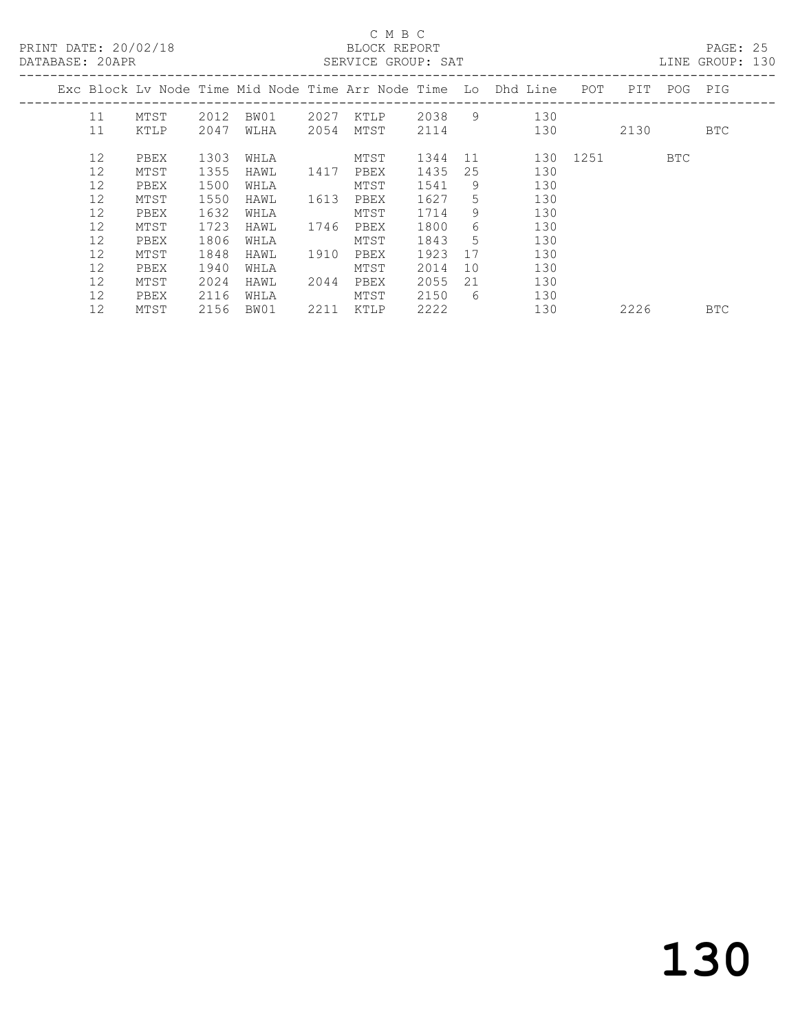| PRINT DATE: 20/02/18<br>DATABASE: 20APR |      |      |      |      | C M B C<br><b>ELOCK REPORT</b><br>SERVICE GROUP: SAT |         |    |                                                                    |          |             | PAGE: 25<br>LINE GROUP: 130 |  |
|-----------------------------------------|------|------|------|------|------------------------------------------------------|---------|----|--------------------------------------------------------------------|----------|-------------|-----------------------------|--|
|                                         |      |      |      |      |                                                      |         |    | Exc Block Lv Node Time Mid Node Time Arr Node Time Lo Dhd Line POT |          | PIT POG PIG |                             |  |
| 11                                      | MTST | 2012 | BW01 |      |                                                      |         |    | 2027 KTLP 2038 9 130                                               |          |             |                             |  |
| 11                                      | KTLP | 2047 | WLHA |      | 2054 MTST                                            | 2114    |    | 130                                                                |          | 2130        | BTC                         |  |
| 12                                      | PBEX | 1303 | WHLA |      | MTST                                                 | 1344 11 |    |                                                                    | 130 1251 | BTC         |                             |  |
| 12                                      | MTST | 1355 | HAWL | 1417 | PBEX                                                 | 1435    | 25 | 130                                                                |          |             |                             |  |
| 12                                      | PBEX | 1500 | WHLA |      | MTST                                                 | 1541    | 9  | 130                                                                |          |             |                             |  |
| 12                                      | MTST | 1550 | HAWL | 1613 | PBEX                                                 | 1627    | 5  | 130                                                                |          |             |                             |  |
| 12                                      | PBEX | 1632 | WHLA |      | MTST                                                 | 1714    | 9  | 130                                                                |          |             |                             |  |
| $12 \overline{ }$                       | MTST | 1723 | HAWL |      | 1746 PBEX                                            | 1800    | 6  | 130                                                                |          |             |                             |  |
| $12 \overline{ }$                       | PBEX | 1806 | WHLA |      | MTST                                                 | 1843    | 5  | 130                                                                |          |             |                             |  |
| 12                                      | MTST | 1848 | HAWL | 1910 | PBEX                                                 | 1923    | 17 | 130                                                                |          |             |                             |  |
| 12                                      | PBEX | 1940 | WHLA |      | MTST                                                 | 2014    | 10 | 130                                                                |          |             |                             |  |
| 12                                      | MTST | 2024 | HAWL | 2044 | PBEX                                                 | 2055    | 21 | 130                                                                |          |             |                             |  |
| 12                                      | PBEX | 2116 | WHLA |      | MTST                                                 | 2150    | 6  | 130                                                                |          |             |                             |  |
| 12                                      | MTST | 2156 | BW01 | 2211 | KTLP                                                 | 2222    |    | 130                                                                |          | 2226        | <b>BTC</b>                  |  |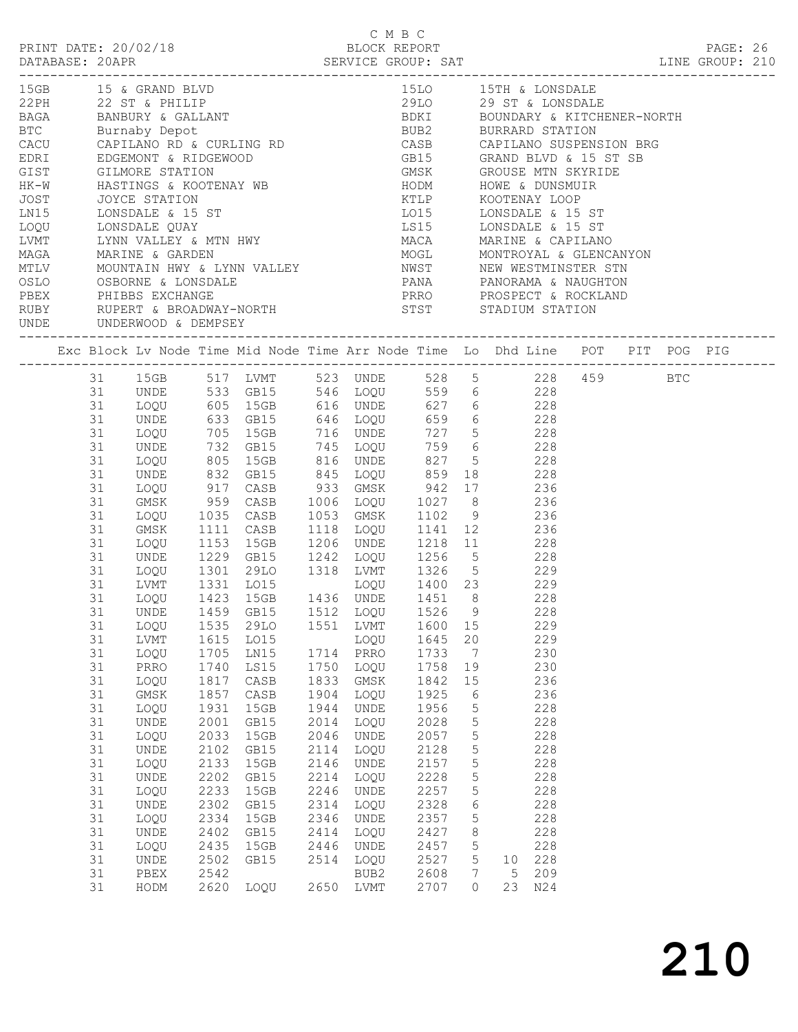|                                                                               |                              |      |                                    |      | C M B C                      |      |          |                                                                                                                                                                                         |  |  |  |
|-------------------------------------------------------------------------------|------------------------------|------|------------------------------------|------|------------------------------|------|----------|-----------------------------------------------------------------------------------------------------------------------------------------------------------------------------------------|--|--|--|
|                                                                               |                              |      |                                    |      |                              |      |          | 15GB 15 & GRAND BLVD<br>22 ST & PHILIP 15LO 15TH & LONSDALE<br>BAGA BANBURY & GALLANT 19DKI BOUNDARY & KITCHENER-NORTH<br>BTC Burnaby Depot 19DB2 BURRARD STATION                       |  |  |  |
|                                                                               |                              |      |                                    |      |                              |      |          |                                                                                                                                                                                         |  |  |  |
|                                                                               |                              |      |                                    |      |                              |      |          |                                                                                                                                                                                         |  |  |  |
|                                                                               |                              |      |                                    |      |                              |      |          |                                                                                                                                                                                         |  |  |  |
|                                                                               |                              |      |                                    |      |                              |      |          |                                                                                                                                                                                         |  |  |  |
|                                                                               |                              |      |                                    |      |                              |      |          |                                                                                                                                                                                         |  |  |  |
|                                                                               |                              |      |                                    |      |                              |      |          |                                                                                                                                                                                         |  |  |  |
|                                                                               |                              |      |                                    |      |                              |      |          |                                                                                                                                                                                         |  |  |  |
|                                                                               |                              |      |                                    |      |                              |      |          |                                                                                                                                                                                         |  |  |  |
|                                                                               |                              |      |                                    |      |                              |      |          |                                                                                                                                                                                         |  |  |  |
|                                                                               |                              |      |                                    |      |                              |      |          |                                                                                                                                                                                         |  |  |  |
|                                                                               |                              |      |                                    |      |                              |      |          |                                                                                                                                                                                         |  |  |  |
|                                                                               |                              |      |                                    |      |                              |      |          |                                                                                                                                                                                         |  |  |  |
|                                                                               |                              |      |                                    |      |                              |      |          |                                                                                                                                                                                         |  |  |  |
|                                                                               |                              |      |                                    |      |                              |      |          |                                                                                                                                                                                         |  |  |  |
|                                                                               |                              |      |                                    |      |                              |      |          |                                                                                                                                                                                         |  |  |  |
| RUBY RUPERT & BROADWAY-NORTH STST STADIUM STATION<br>UNDE UNDERWOOD & DEMPSEY |                              |      |                                    |      |                              |      |          |                                                                                                                                                                                         |  |  |  |
|                                                                               |                              |      |                                    |      |                              |      |          |                                                                                                                                                                                         |  |  |  |
|                                                                               |                              |      |                                    |      |                              |      |          | 31 15GB 517 LVMT 523 UNDE 528 5 228 459 BTC<br>31 UNDE 533 GB15 546 LOQU 559 6 228<br>31 LOQU 605 15GB 616 UNDE 627 6 228                                                               |  |  |  |
|                                                                               |                              |      |                                    |      |                              |      |          |                                                                                                                                                                                         |  |  |  |
|                                                                               |                              |      |                                    |      |                              |      |          |                                                                                                                                                                                         |  |  |  |
| 31                                                                            |                              |      |                                    |      |                              |      |          |                                                                                                                                                                                         |  |  |  |
| 31<br>31                                                                      |                              |      |                                    |      |                              |      |          |                                                                                                                                                                                         |  |  |  |
| 31                                                                            |                              |      |                                    |      |                              |      |          | UNDE 633 GB15 646 LOQU 659 6 228<br>LOQU 705 15GB 716 UNDE 727 5 228<br>UNDE 732 GB15 745 LOQU 759 6 228<br>LOQU 805 15GB 816 UNDE 827 5 228                                            |  |  |  |
| 31                                                                            | UNDE                         |      |                                    |      |                              |      |          | 832 GB15 845 LOQU 859 18 228                                                                                                                                                            |  |  |  |
| 31                                                                            |                              |      |                                    |      |                              |      |          |                                                                                                                                                                                         |  |  |  |
| 31                                                                            |                              |      |                                    |      |                              |      |          | 100U 917 CASB 933 GMSK 942 17 236<br>GMSK 959 CASB 1006 LOQU 1027 8 236<br>100U 1035 CASB 1053 GMSK 1102 9 236                                                                          |  |  |  |
| 31                                                                            |                              |      |                                    |      |                              |      |          |                                                                                                                                                                                         |  |  |  |
| 31                                                                            | GMSK                         |      | 1111 CASB                          |      |                              |      |          | 1118 LOQU 1141 12 236                                                                                                                                                                   |  |  |  |
| 31                                                                            |                              |      |                                    |      |                              |      |          | 1153 15GB 1206 UNDE 1218 11 228<br>UNDE 1229 GB15 1242 LOQU 1256 5 228<br>LOQU 1301 29LO 1318 LVMT 1326 5 229<br>LVMT 1331 LO15 LOQU 1400 23 229<br>LOQU 1423 15GB 1436 UNDE 1451 8 228 |  |  |  |
| 31                                                                            |                              |      |                                    |      |                              |      |          |                                                                                                                                                                                         |  |  |  |
| 31                                                                            |                              |      |                                    |      |                              |      |          |                                                                                                                                                                                         |  |  |  |
| 31                                                                            |                              |      |                                    |      |                              |      |          |                                                                                                                                                                                         |  |  |  |
| 31                                                                            |                              |      |                                    |      |                              |      |          |                                                                                                                                                                                         |  |  |  |
|                                                                               |                              |      | 31 UNDE 1459 GB15 1512 LOQU 1526 9 |      |                              |      |          | 228                                                                                                                                                                                     |  |  |  |
| 31                                                                            | LOQU                         | 1535 | 29LO                               | 1551 | LVMT                         | 1600 | 15       | 229                                                                                                                                                                                     |  |  |  |
| 31                                                                            | LVMT                         | 1615 | LO15                               |      | LOQU                         | 1645 | 20       | 229                                                                                                                                                                                     |  |  |  |
| 31                                                                            | LOQU                         | 1705 | LN15                               | 1714 | PRRO                         | 1733 | 7        | 230                                                                                                                                                                                     |  |  |  |
| 31                                                                            | PRRO                         | 1740 | LS15                               | 1750 | LOQU                         | 1758 | 19       | 230                                                                                                                                                                                     |  |  |  |
| 31                                                                            | LOQU                         | 1817 | $\mathtt{CASB}$                    | 1833 | GMSK                         | 1842 | $15$     | 236                                                                                                                                                                                     |  |  |  |
| 31                                                                            | GMSK                         | 1857 | $\mathtt{CASB}$                    | 1904 | LOQU                         | 1925 | 6        | 236                                                                                                                                                                                     |  |  |  |
| 31                                                                            | LOQU                         | 1931 | 15GB                               | 1944 | UNDE                         | 1956 | 5        | 228                                                                                                                                                                                     |  |  |  |
| 31                                                                            | $\ensuremath{\mathsf{UNDE}}$ | 2001 | GB15                               | 2014 | LOQU                         | 2028 | 5        | 228                                                                                                                                                                                     |  |  |  |
| 31                                                                            | LOQU                         | 2033 | 15GB                               | 2046 | UNDE                         | 2057 | 5        | 228                                                                                                                                                                                     |  |  |  |
| 31                                                                            | UNDE                         | 2102 | GB15                               | 2114 | LOQU                         | 2128 | 5        | 228                                                                                                                                                                                     |  |  |  |
| 31                                                                            | LOQU                         | 2133 | 15GB                               | 2146 | UNDE                         | 2157 | 5        | 228                                                                                                                                                                                     |  |  |  |
| 31                                                                            | UNDE                         | 2202 | GB15                               | 2214 | LOQU                         | 2228 | 5        | 228                                                                                                                                                                                     |  |  |  |
| 31                                                                            | LOQU                         | 2233 | 15GB                               | 2246 | $\ensuremath{\mathsf{UNDE}}$ | 2257 | 5        | 228                                                                                                                                                                                     |  |  |  |
| 31                                                                            | UNDE                         | 2302 | GB15                               | 2314 | LOQU                         | 2328 | 6        | 228                                                                                                                                                                                     |  |  |  |
| 31                                                                            | LOQU                         | 2334 | 15GB                               | 2346 | UNDE                         | 2357 | 5        | 228                                                                                                                                                                                     |  |  |  |
| 31                                                                            | UNDE                         | 2402 | GB15                               | 2414 | LOQU                         | 2427 | 8        | 228                                                                                                                                                                                     |  |  |  |
| 31                                                                            | LOQU                         | 2435 | 15GB                               | 2446 | UNDE                         | 2457 | 5        | 228                                                                                                                                                                                     |  |  |  |
| 31                                                                            | UNDE                         | 2502 | GB15                               | 2514 | LOQU                         | 2527 | 5        | 228<br>10                                                                                                                                                                               |  |  |  |
| 31                                                                            | PBEX                         | 2542 |                                    |      | BUB2                         | 2608 | 7        | 209<br>5                                                                                                                                                                                |  |  |  |
| 31                                                                            | HODM                         | 2620 | LOQU                               | 2650 | LVMT                         | 2707 | $\Omega$ | 23<br>N24                                                                                                                                                                               |  |  |  |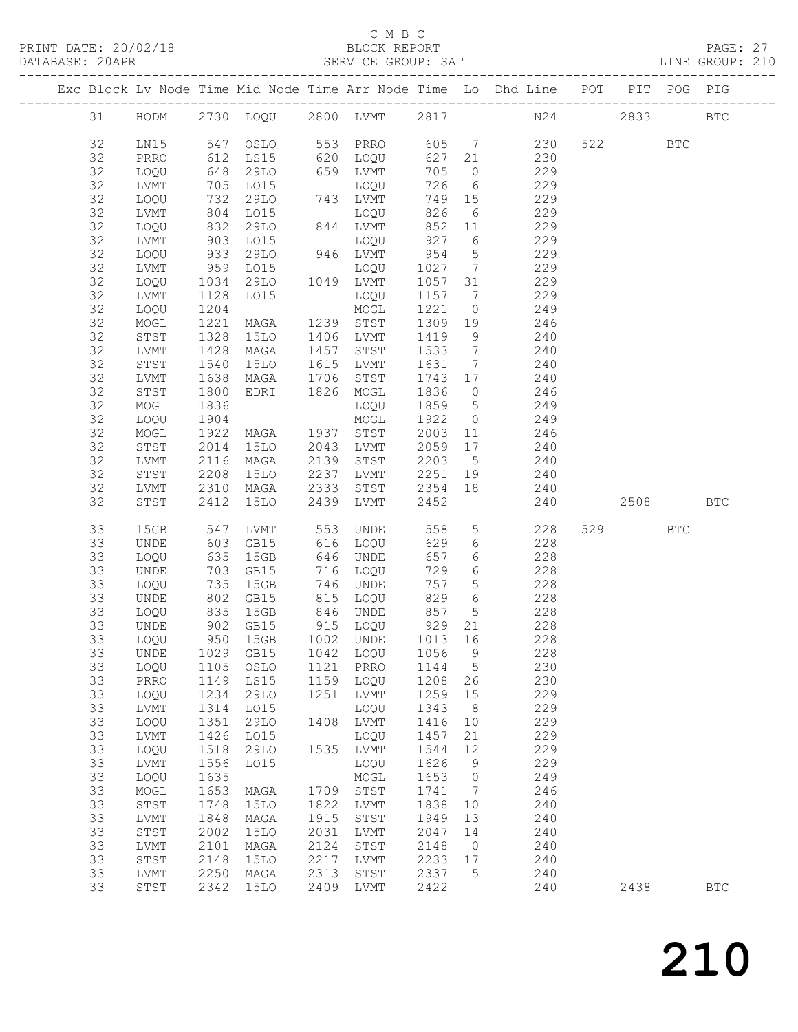### C M B C<br>BLOCK REPORT SERVICE GROUP: SAT

PRINT DATE: 20/02/18 BLOCK REPORT PAGE: 27

|          |              |              |                                 |      |              |                |                              | Exc Block Lv Node Time Mid Node Time Arr Node Time Lo Dhd Line POT PIT POG PIG |      |            |              |
|----------|--------------|--------------|---------------------------------|------|--------------|----------------|------------------------------|--------------------------------------------------------------------------------|------|------------|--------------|
| 31       |              |              |                                 |      |              |                |                              | HODM 2730 LOQU 2800 LVMT 2817 N24 2833                                         |      |            | $_{\rm BTC}$ |
| 32       | LN15         |              | 547 OSLO 553 PRRO               |      |              |                |                              | 605 7 230                                                                      | 522  | <b>BTC</b> |              |
| 32       | PRRO         | 612          | LS15                            |      | 620 LOQU     | 627 21         |                              | 230                                                                            |      |            |              |
| 32       | LOQU         | $-648$       | 29LO                            |      | 659 LVMT     | 705            | $\overline{0}$               | 229                                                                            |      |            |              |
| 32       | LVMT         |              | LO15                            |      | LOQU         | 726            | $6\overline{6}$              | 229                                                                            |      |            |              |
| 32       | LOQU         | 732          | 29LO                            |      | 743 LVMT     | 749 15         |                              | 229                                                                            |      |            |              |
| 32       | LVMT         | 804          | LO15                            |      | LOQU         | 826            | 6                            | 229                                                                            |      |            |              |
| 32       | LOQU         | 832<br>903   | 29LO                            |      | 844 LVMT     | 852 11         |                              | 229                                                                            |      |            |              |
| 32       | LVMT         |              | LO15                            |      | LOQU         | 852<br>927     | $6\overline{6}$              | 229                                                                            |      |            |              |
| 32       | LOQU         | 933          | 29LO                            |      | 946 LVMT     | 954            | $5^{\circ}$                  | 229                                                                            |      |            |              |
| 32       | LVMT         | 959          | LO15                            |      | LOQU         | 1027           | $\overline{7}$               | 229                                                                            |      |            |              |
| 32       | LOQU         | 1034<br>1128 | 29LO                            |      | 1049 LVMT    | 1057 31        |                              | 229                                                                            |      |            |              |
| 32       | LVMT         |              | LO15                            |      | LOQU         | 1157 7         |                              | 229                                                                            |      |            |              |
| 32       | LOQU         | 1204         |                                 |      | MOGL         | 1221           | $\overline{0}$               | 249                                                                            |      |            |              |
| 32       | MOGL         | 1221         | MAGA                            |      | 1239 STST    | 1309           | 19                           | 246                                                                            |      |            |              |
| 32       | STST         | 1328         | 15LO                            |      | 1406 LVMT    | 1419           | 9                            | 240                                                                            |      |            |              |
| 32       | LVMT         | 1428         | MAGA                            |      | 1457 STST    | 1533           | $\overline{7}$               | 240                                                                            |      |            |              |
| 32       | STST         | 1540         | 15LO                            |      | 1615 LVMT    | 1631           | $\overline{7}$               | 240<br>240                                                                     |      |            |              |
| 32       | LVMT         | 1638         | MAGA                            | 1706 | STST         | 1743 17        |                              |                                                                                |      |            |              |
| 32       | STST         | 1800         | EDRI                            |      | 1826 MOGL    | 1836<br>1859 5 | $\overline{0}$               | 246                                                                            |      |            |              |
| 32<br>32 | MOGL         | 1836<br>1904 |                                 |      | LOQU         | 1922           | $\overline{0}$               | 249<br>249                                                                     |      |            |              |
| 32       | LOQU<br>MOGL | 1922         | MAGA 1937 STST                  |      | MOGL         | 2003           | 11                           | 246                                                                            |      |            |              |
| 32       | STST         | 2014         | 15LO                            | 2043 | LVMT         | 2059           | 17                           | 240                                                                            |      |            |              |
| 32       | LVMT         | 2116         | MAGA                            |      | 2139 STST    | 2203 5         |                              | 240                                                                            |      |            |              |
| 32       | STST         | 2208         | 15LO                            | 2237 | LVMT         | 2251 19        |                              | 240                                                                            |      |            |              |
| 32       | LVMT         | 2310         | MAGA                            | 2333 | STST         | 2354 18        |                              | 240                                                                            |      |            |              |
| 32       | STST         | 2412         | 15LO                            | 2439 | LVMT         | 2452           |                              | 240                                                                            | 2508 |            | <b>BTC</b>   |
|          |              |              |                                 |      |              |                |                              |                                                                                |      |            |              |
| 33       | 15GB         | 547          | LVMT                            |      | 553 UNDE     | 558            |                              | 5 <sub>1</sub><br>228                                                          | 529  | <b>BTC</b> |              |
| 33       | UNDE         | 603          | GB15                            |      | 616 LOQU     | 629            | 6                            | 228                                                                            |      |            |              |
| 33       | LOQU         | 635          | 15GB                            |      | 646 UNDE     | 657            | 6                            | 228                                                                            |      |            |              |
| 33       | UNDE         | 703          | GB15                            |      | 716 LOQU     | 729            | 6                            | 228                                                                            |      |            |              |
| 33       | LOQU         | 735          | 15GB                            |      | 746 UNDE     | 757            | 5 <sup>5</sup>               | 228                                                                            |      |            |              |
| 33       | UNDE         | 802          | GB15                            |      | 815 LOQU     | 829            | 6                            | 228                                                                            |      |            |              |
| 33       | LOQU         | 835          | 15GB                            |      | 846 UNDE     | 857            | $5\overline{)}$              | 228                                                                            |      |            |              |
| 33       | UNDE         | 902<br>950   | GB15                            |      | 915 LOQU     | 929            | 21                           | 228                                                                            |      |            |              |
| 33       | LOQU         |              | 15GB                            |      | 1002 UNDE    | 1013 16        |                              | 228                                                                            |      |            |              |
| 33       |              |              | UNDE 1029 GB15 1042 LOQU 1056 9 |      |              |                |                              | 228                                                                            |      |            |              |
| 33       | LOQU         | 1105         | OSLO                            | 1121 | PRRO         | 1144           | $5^{\circ}$                  | 230                                                                            |      |            |              |
| 33       | PRRO         | 1149         | LS15                            |      | 1159 LOQU    | 1208           | 26                           | 230                                                                            |      |            |              |
| 33       | LOQU         | 1234         | 29LO                            | 1251 | LVMT         | 1259           | 15                           | 229                                                                            |      |            |              |
| 33       | LVMT         | 1314         | L015                            |      | LOQU         | 1343           | 8 <sup>8</sup>               | 229                                                                            |      |            |              |
| 33       | LOQU         | 1351         | 29LO                            | 1408 | LVMT         | 1416           | 10                           | 229                                                                            |      |            |              |
| 33       | LVMT         | 1426         | LO15                            |      | LOQU         | 1457           | 21                           | 229                                                                            |      |            |              |
| 33       | LOQU         | 1518         | 29LO                            |      | 1535 LVMT    | 1544           | 12                           | 229                                                                            |      |            |              |
| 33<br>33 | LVMT         | 1556<br>1635 | LO15                            |      | LOQU         | 1626<br>1653   | 9<br>$\overline{0}$          | 229<br>249                                                                     |      |            |              |
| 33       | LOQU<br>MOGL | 1653         | MAGA                            | 1709 | MOGL<br>STST | 1741           | $7\phantom{.0}\phantom{.0}7$ | 246                                                                            |      |            |              |
| 33       | STST         | 1748         | 15LO                            | 1822 | LVMT         | 1838           | 10                           | 240                                                                            |      |            |              |
| 33       | ${\rm LVMT}$ | 1848         | MAGA                            | 1915 | STST         | 1949           | 13                           | 240                                                                            |      |            |              |
| 33       | STST         | 2002         | <b>15LO</b>                     | 2031 | LVMT         | 2047           | 14                           | 240                                                                            |      |            |              |
| 33       | LVMT         | 2101         | MAGA                            | 2124 | STST         | 2148           | $\overline{0}$               | 240                                                                            |      |            |              |
| 33       | STST         | 2148         | <b>15LO</b>                     | 2217 | LVMT         | 2233           | 17                           | 240                                                                            |      |            |              |
| 33       | LVMT         | 2250         | MAGA                            | 2313 | STST         | 2337           | $5\phantom{0}$               | 240                                                                            |      |            |              |
| 33       | STST         | 2342         | 15LO                            | 2409 | LVMT         | 2422           |                              | 240                                                                            | 2438 |            | <b>BTC</b>   |
|          |              |              |                                 |      |              |                |                              |                                                                                |      |            |              |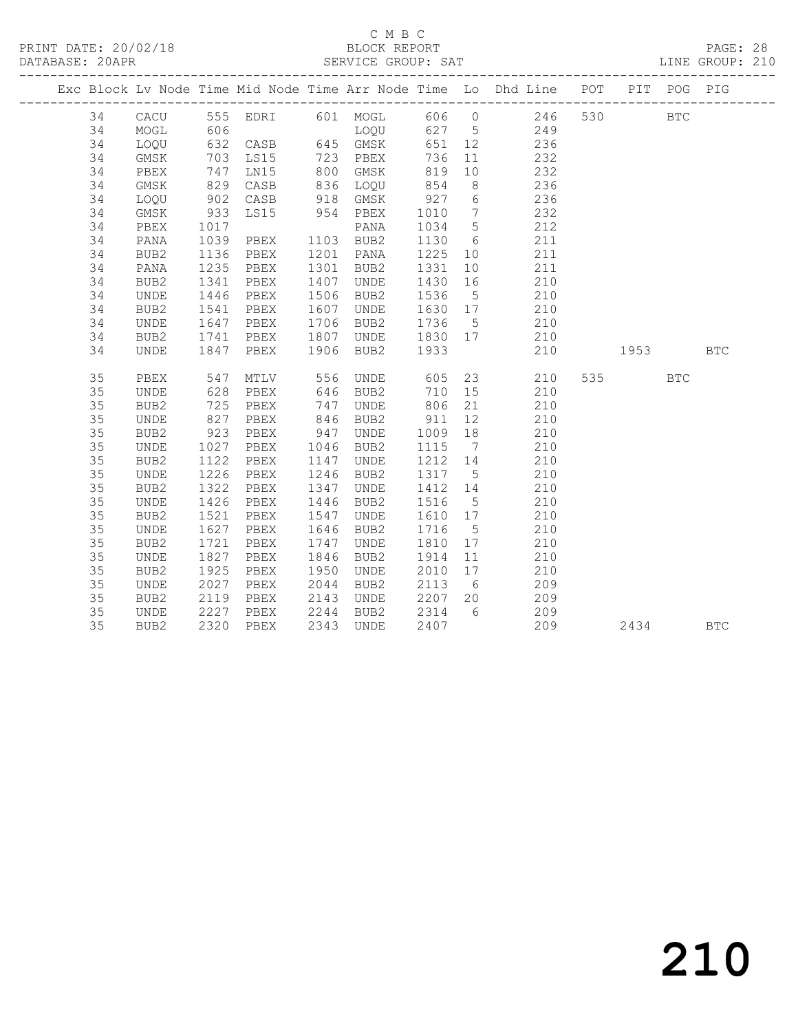### C M B C<br>
C M B C<br>
ELOCK REPORT DATABASE: 20APR SERVICE GROUP: SAT LINE GROUP: 210

|    |                  |                  |                                |      |                              |                             |                | Exc Block Lv Node Time Mid Node Time Arr Node Time Lo Dhd Line POT PIT POG PIG |          |            |            |
|----|------------------|------------------|--------------------------------|------|------------------------------|-----------------------------|----------------|--------------------------------------------------------------------------------|----------|------------|------------|
| 34 |                  |                  |                                |      |                              |                             |                | CACU 555 EDRI 601 MOGL 606 0 246 530                                           |          | <b>BTC</b> |            |
| 34 | MOGL             |                  |                                |      |                              |                             |                |                                                                                |          |            |            |
| 34 | LOQU             |                  |                                |      |                              |                             |                |                                                                                |          |            |            |
| 34 | GMSK             |                  |                                |      |                              |                             |                | 232                                                                            |          |            |            |
| 34 | PBEX             | 747              | LN15                           |      | 800 GMSK                     | 819                         | 10             | 232                                                                            |          |            |            |
| 34 | GMSK             | 829              | CASB                           |      | 836 LOQU 854                 |                             | 8 <sup>8</sup> | 236                                                                            |          |            |            |
| 34 | LOQU             | 902              | CASB 918 GMSK<br>LS15 954 PBEX |      |                              | $927$ 6<br>1010 7<br>1034 5 |                | 236                                                                            |          |            |            |
| 34 | GMSK             | $933$<br>$1017$  |                                |      |                              |                             |                | $\begin{array}{c} 232 \\ 212 \end{array}$                                      |          |            |            |
| 34 | PBEX             |                  |                                |      | PANA                         | 1034 5                      |                |                                                                                |          |            |            |
| 34 | PANA             | 1039             | PBEX                           |      | 1103 BUB2                    | 1130 6                      |                | 211                                                                            |          |            |            |
| 34 | BUB2             | 1136             | PBEX                           |      | 1201 PANA                    |                             |                | 1225 10 211                                                                    |          |            |            |
| 34 | PANA             | 1235             | PBEX                           |      | 1301 BUB2                    | 1331                        |                | 10<br>211                                                                      |          |            |            |
| 34 | BUB2             | 1341             | PBEX                           |      | 1407 UNDE                    | 1430 16                     |                | 210                                                                            |          |            |            |
| 34 | UNDE             | 1446             | PBEX                           |      | 1506 BUB2                    | 1536 5                      |                | $\begin{array}{c} 210 \\ 210 \end{array}$                                      |          |            |            |
| 34 | BUB2             | $\frac{1}{1541}$ | PBEX                           |      | 1607 UNDE                    | 1630 17                     |                |                                                                                |          |            |            |
| 34 | UNDE             | 1647             | PBEX                           |      | 1706 BUB2                    | 1736 5                      |                | 210                                                                            |          |            |            |
| 34 | BUB2             | 1741             | PBEX                           |      | 1807 UNDE 1830 17            |                             |                | 210                                                                            |          |            |            |
| 34 | UNDE             | 1847             | PBEX                           |      | 1906 BUB2 1933               |                             |                | 210                                                                            | 1953 BTC |            |            |
|    |                  |                  |                                |      |                              |                             |                |                                                                                |          |            |            |
| 35 | PBEX             | 547              |                                |      | MTLV 556 UNDE 605 23         |                             |                | 210                                                                            | 535 7    | <b>BTC</b> |            |
| 35 | UNDE             | 628              | PBEX                           |      | $646$ BUB2                   | 710 15                      |                | 210                                                                            |          |            |            |
| 35 | BUB2             | 725              | PBEX                           |      | 747 UNDE                     |                             |                | 806 21<br>210                                                                  |          |            |            |
| 35 | UNDE             | 827              | PBEX                           |      | 846 BUB2                     |                             |                | 911 12 210                                                                     |          |            |            |
| 35 | BUB <sub>2</sub> | 923              | PBEX                           |      | 947 UNDE                     | 1009 18                     |                | 210                                                                            |          |            |            |
| 35 | UNDE             | 1027<br>1122     | PBEX                           |      | 1046 BUB2                    | 1115 7                      |                | 210                                                                            |          |            |            |
| 35 | BUB2             |                  | PBEX                           |      | 1147 UNDE                    | 1212 14                     |                | 210<br>210                                                                     |          |            |            |
| 35 | UNDE             | 1226             | PBEX                           |      | 1246 BUB2                    | 1317 5                      |                |                                                                                |          |            |            |
| 35 | BUB2             | 1322             | PBEX                           | 1347 | UNDE                         | 1412 14                     |                | 210                                                                            |          |            |            |
| 35 | UNDE             | 1426             | PBEX                           |      | 1446 BUB2                    | 1516 5                      |                | 210                                                                            |          |            |            |
| 35 | BUB2             | 1521             | PBEX                           | 1547 | UNDE                         | 1610 17                     |                | 210                                                                            |          |            |            |
| 35 | UNDE             | 1627<br>1721     | PBEX                           |      | 1646 BUB2                    | 1716 5                      |                | 210                                                                            |          |            |            |
| 35 | BUB2             |                  | PBEX                           |      | 1747 UNDE                    | 1810 17                     |                | 210                                                                            |          |            |            |
| 35 | UNDE             | 1827             | PBEX                           | 1846 | BUB2                         | 1914 11                     |                | 210                                                                            |          |            |            |
| 35 | BUB2             | 1925             | PBEX                           | 1950 | UNDE                         | 2010 17                     |                | 210                                                                            |          |            |            |
| 35 | UNDE             | 2027             | PBEX                           |      | 2044 BUB2                    | 2113 6                      |                | 209                                                                            |          |            |            |
| 35 | BUB2             | 2119             | PBEX                           |      | 2143 UNDE                    | 2207 20                     |                | 209                                                                            |          |            |            |
| 35 | UNDE             | 2227<br>2320     | PBEX                           |      | 2244 BUB2<br>--<br>2343 UNDE | 2314 6                      |                | 209                                                                            |          |            |            |
| 35 | BUB2             |                  | 2320 PBEX                      |      |                              | 2407                        |                | 209                                                                            | 2434     |            | <b>BTC</b> |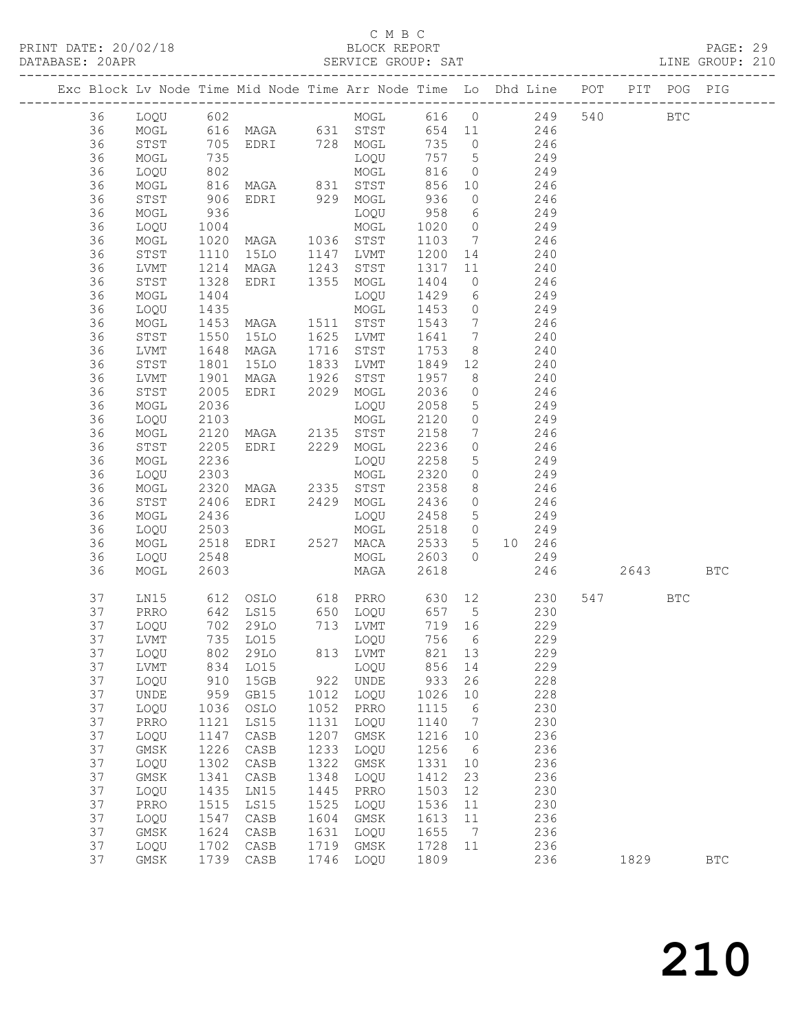### C M B C<br>BLOCK REPORT

PAGE: 29<br>LINE GROUP: 210

|          |              |                          | Exc Block Lv Node Time Mid Node Time Arr Node Time Lo Dhd Line POT |              |                 |              |                 |                |                |         | PIT POG PIG |            |
|----------|--------------|--------------------------|--------------------------------------------------------------------|--------------|-----------------|--------------|-----------------|----------------|----------------|---------|-------------|------------|
| 36       |              |                          |                                                                    |              |                 |              |                 |                |                |         | <b>BTC</b>  |            |
| 36       |              |                          |                                                                    |              |                 |              |                 |                |                |         |             |            |
| 36       |              |                          |                                                                    |              |                 |              |                 |                |                |         |             |            |
| 36       | MOGL         | 735                      |                                                                    |              | LOQU 757 5 249  |              |                 |                |                |         |             |            |
| 36       | LOQU         |                          |                                                                    |              |                 | 816          |                 | $0$ 249        |                |         |             |            |
| 36       | MOGL         |                          |                                                                    |              |                 | 856 10       |                 |                |                |         |             |            |
| 36       | STST         | 802<br>816<br>906        | MOGL<br>MAGA 831 STST<br>EDRI 929 MOGL                             |              |                 | 856<br>936   | $\overline{O}$  |                | 246<br>246     |         |             |            |
| 36       | MOGL         | 936                      |                                                                    |              | LOQU            | 958          |                 | 6 249          |                |         |             |            |
| 36       | LOQU         | 1004                     |                                                                    |              |                 | 1020 0       |                 | 249            |                |         |             |            |
| 36       | MOGL         |                          | MOGL<br>MAGA 1036 STST<br>15LO 1147 LVMT                           |              |                 | 1103 7       |                 | 246            |                |         |             |            |
| 36       | STST         | 1020<br>1110             |                                                                    |              |                 | 1200 14      |                 |                |                |         |             |            |
| 36       | LVMT         | 1214                     | MAGA 1243 STST                                                     |              |                 | 1317         |                 | 11 240         |                |         |             |            |
| 36       | STST         | 1328                     | EDRI 1355 MOGL                                                     |              |                 | 1404         |                 | $0$ 246        |                |         |             |            |
| 36       |              |                          |                                                                    |              |                 | 1429         |                 |                |                |         |             |            |
|          | MOGL         | 1404<br>$\frac{1}{1435}$ |                                                                    |              | LOQU            |              | $6\overline{6}$ |                | 249<br>249     |         |             |            |
| 36       | LOQU         |                          |                                                                    |              | MOGL            | 1453         | $\overline{0}$  | 246            |                |         |             |            |
| 36       | MOGL         | 1453                     | MAGA 1511 STST                                                     |              |                 | 1543         | $\overline{7}$  |                |                |         |             |            |
| 36       | STST         | 1550                     | 15LO                                                               |              | 1625 LVMT       | 1641 7       |                 | 240            |                |         |             |            |
| 36       | LVMT         | $1640$<br>$1801$         | MAGA                                                               |              | 1716 STST       | 1753         | 8 <sup>8</sup>  |                | 240            |         |             |            |
| 36       | STST         |                          | 15LO                                                               |              | 1833 LVMT       | 1849 12      |                 |                | 240            |         |             |            |
| 36       | LVMT         | 1901                     | MAGA 1926 STST                                                     |              |                 | 1957         | 8 <sup>8</sup>  | 240            |                |         |             |            |
| 36       | STST         | 2005                     | EDRI 2029 MOGL                                                     |              |                 | 2036         |                 | $0 \t 246$     |                |         |             |            |
| 36       | MOGL         | 2036                     |                                                                    |              | LOQU            | 2058         | 5 <sup>5</sup>  |                | 249            |         |             |            |
| 36       | LOQU         | 2103                     |                                                                    |              | MOGL            | 2120         | $\overline{0}$  |                | 249            |         |             |            |
| 36       | MOGL         | 2120                     | MAGA 2135 STST                                                     |              |                 | 2158         | $7\overline{ }$ | 246            |                |         |             |            |
| 36       | STST         | 2205                     | EDRI 2229 MOGL                                                     |              |                 | 2236         | $\overline{0}$  | 246            |                |         |             |            |
| 36       | MOGL         | 2236                     |                                                                    |              | LOQU            | 2258         | 5 <sub>5</sub>  |                | 249            |         |             |            |
| 36       | LOQU         | 2303                     |                                                                    |              | MOGL            | 2320         | $\overline{O}$  |                | $249$<br>$246$ |         |             |            |
| 36       | MOGL         | 2320                     | MAGA 2335 STST                                                     |              |                 | 2358         | 8 <sup>8</sup>  |                |                |         |             |            |
| 36       | STST         | 2406                     | EDRI 2429 MOGL                                                     |              |                 | 2436         | $\overline{0}$  | 246            |                |         |             |            |
| 36       | MOGL         | 2436                     |                                                                    |              | LOQU            | 2458         | 5 <sup>5</sup>  | 249            |                |         |             |            |
| 36       | LOQU         | 2503<br>2518             |                                                                    |              | MOGL            | 2518 0       |                 |                | 249            |         |             |            |
| 36       | MOGL         |                          | EDRI 2527 MACA                                                     |              |                 | 2533         |                 | 5 10 246       |                |         |             |            |
| 36       | LOQU         | 2548                     |                                                                    |              | MOGL            | 2603         |                 | $\overline{0}$ | 249            |         |             |            |
| 36       | MOGL         | 2603                     |                                                                    |              | MAGA            | 2618         |                 |                | 246            | 2643    |             | <b>BTC</b> |
| 37       | LN15         |                          |                                                                    |              |                 |              |                 |                | 230            | 547 BTC |             |            |
| 37       | PRRO         |                          | 642 LS15 650 LOQU 657 5 230                                        |              |                 |              |                 |                |                |         |             |            |
| 37       | LOQU         | 702                      | 29LO                                                               |              | 713 LVMT        | 719 16       |                 |                | 229            |         |             |            |
| 37       | LVMT         |                          | 735 LO15                                                           |              | LOQU            | 756 6        |                 |                | 229            |         |             |            |
|          |              |                          |                                                                    |              | 813 LVMT 821 13 |              |                 |                |                |         |             |            |
|          |              |                          | 37 LOQU 802 29LO                                                   |              |                 |              |                 |                | 229            |         |             |            |
| 37<br>37 | LVMT         | 834<br>910               | L015<br>15GB                                                       | 922          | LOQU<br>UNDE    | 856          | 14<br>26        |                | 229<br>228     |         |             |            |
| 37       | LOQU         |                          |                                                                    |              |                 | 933          | 10              |                | 228            |         |             |            |
| 37       | UNDE         | 959                      | GB15                                                               | 1012<br>1052 | LOQU<br>PRRO    | 1026         |                 |                | 230            |         |             |            |
| 37       | LOQU         | 1036                     | OSLO                                                               | 1131         |                 | 1115         | 6<br>7          |                | 230            |         |             |            |
|          | PRRO         | 1121                     | LS15                                                               |              | LOQU            | 1140         |                 |                |                |         |             |            |
| 37       | LOQU         | 1147                     | CASB                                                               | 1207         | $\rm{GMSK}$     | 1216         | 10              |                | 236            |         |             |            |
| 37       | GMSK         | 1226                     | $\mathtt{CASB}$                                                    | 1233         | LOQU            | 1256         | - 6             |                | 236            |         |             |            |
| 37       | LOQU         | 1302                     | CASB                                                               | 1322         | GMSK            | 1331         | 10              |                | 236            |         |             |            |
| 37<br>37 | GMSK         | 1341                     | CASB                                                               | 1348         | LOQU            | 1412<br>1503 | 23              |                | 236<br>230     |         |             |            |
| 37       | LOQU<br>PRRO | 1435<br>1515             | LN15<br>LS15                                                       | 1445<br>1525 | PRRO<br>LOQU    | 1536         | 12<br>11        |                | 230            |         |             |            |
| 37       |              | 1547                     | CASB                                                               | 1604         |                 | 1613         | 11              |                | 236            |         |             |            |
| 37       | LOQU         | 1624                     | CASB                                                               | 1631         | GMSK            | 1655         | $7\phantom{.0}$ |                | 236            |         |             |            |
| 37       | GMSK<br>LOQU | 1702                     | CASB                                                               | 1719         | LOQU<br>GMSK    | 1728         | 11              |                | 236            |         |             |            |
| 37       | GMSK         | 1739                     | CASB                                                               | 1746         | LOQU            | 1809         |                 |                | 236            | 1829    |             | <b>BTC</b> |
|          |              |                          |                                                                    |              |                 |              |                 |                |                |         |             |            |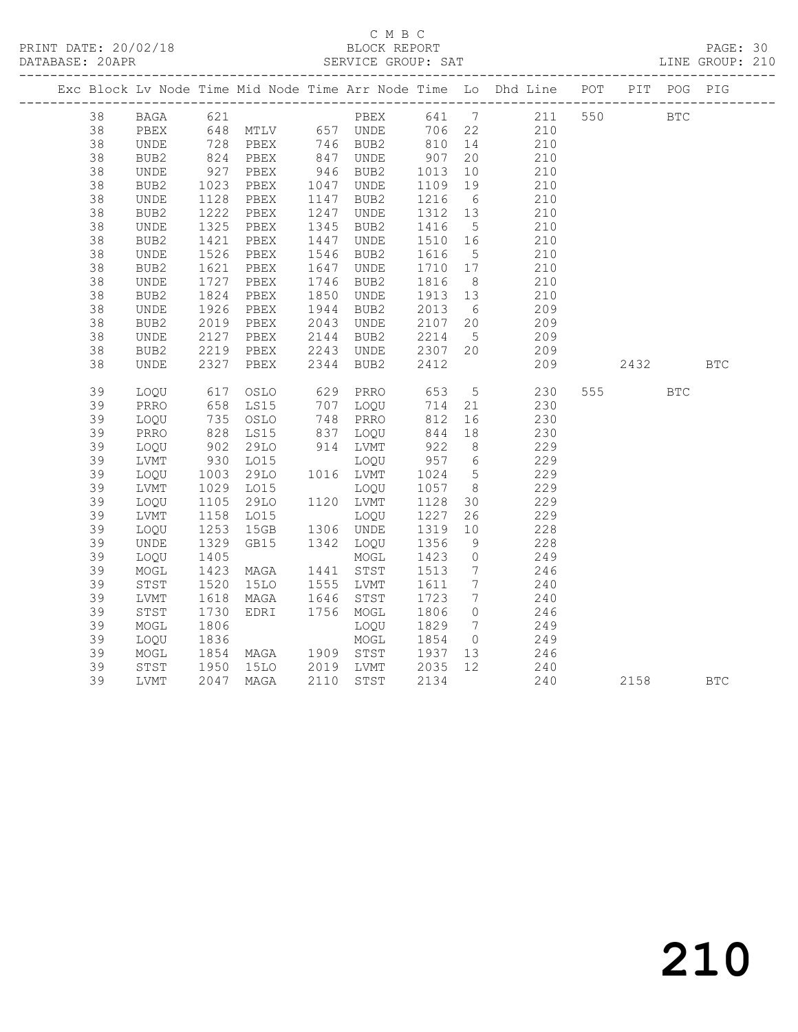### C M B C<br>
C M B C<br>
ELOCK REPORT DATABASE: 20APR SERVICE GROUP: SAT LINE GROUP: 210

|    |             |                        |                                                        |      |           |         |                              | Exc Block Lv Node Time Mid Node Time Arr Node Time Lo Dhd Line POT PIT POG PIG |            |            |            |
|----|-------------|------------------------|--------------------------------------------------------|------|-----------|---------|------------------------------|--------------------------------------------------------------------------------|------------|------------|------------|
| 38 |             | BAGA 621               |                                                        |      |           |         |                              | PBEX 641 7 211 550                                                             | <b>BTC</b> |            |            |
| 38 | PBEX        |                        | 648 MTLV 657 UNDE                                      |      |           |         |                              | 706 22 210                                                                     |            |            |            |
| 38 | UNDE        |                        | 728 PBEX      746  BUB2<br>824   PBEX       847   UNDE |      |           | 810 14  |                              | 210                                                                            |            |            |            |
| 38 | BUB2        |                        |                                                        |      |           | 907     | 20                           | 210                                                                            |            |            |            |
| 38 | UNDE        | 927<br>1023            | PBEX                                                   |      | 946 BUB2  | 1013    | 10                           | 210                                                                            |            |            |            |
| 38 | BUB2        |                        | PBEX                                                   |      | 1047 UNDE | 1109    | 19                           | 210                                                                            |            |            |            |
| 38 | UNDE        | 1128                   | PBEX                                                   | 1147 | BUB2      | 1216    | 6                            | 210                                                                            |            |            |            |
| 38 | BUB2        | 1222                   | PBEX                                                   | 1247 | UNDE      | 1312 13 |                              | 210                                                                            |            |            |            |
| 38 | <b>UNDE</b> | 1325                   | PBEX                                                   | 1345 | BUB2      | 1416    | $5\overline{)}$              | 210                                                                            |            |            |            |
| 38 | BUB2        | 1421                   | PBEX                                                   | 1447 | UNDE      | 1510    | 16                           | 210                                                                            |            |            |            |
| 38 | UNDE        | 1526                   | PBEX                                                   | 1546 | BUB2      | 1616    | $5^{\circ}$                  | 210                                                                            |            |            |            |
| 38 | BUB2        | 1621                   | PBEX                                                   | 1647 | UNDE      | 1710 17 |                              | 210                                                                            |            |            |            |
| 38 | UNDE        | 1727                   | PBEX                                                   | 1746 | BUB2      | 1816    | 8 <sup>8</sup>               | 210                                                                            |            |            |            |
| 38 | BUB2        | 1824<br>$1824$<br>1926 | PBEX                                                   | 1850 | UNDE      | 1913 13 |                              | 210                                                                            |            |            |            |
| 38 | UNDE        |                        | PBEX                                                   | 1944 | BUB2      | 2013    | $6\overline{6}$              | 209                                                                            |            |            |            |
| 38 | BUB2        | 2019                   | PBEX                                                   | 2043 | UNDE      | 2107    | 20                           | 209                                                                            |            |            |            |
| 38 | <b>UNDE</b> | 2127<br>2219           | PBEX                                                   | 2144 | BUB2      | 2214    | $5\overline{)}$              | 209                                                                            |            |            |            |
| 38 | BUB2        |                        | PBEX                                                   | 2243 | UNDE      |         |                              | 209                                                                            |            |            |            |
| 38 | UNDE        | 2327                   | PBEX                                                   | 2344 | BUB2      | 2412    |                              | 209                                                                            | 2432       |            | <b>BTC</b> |
| 39 | LOQU        | 617                    | OSLO                                                   |      | 629 PRRO  | 653     |                              | 5 <sub>1</sub><br>230                                                          | 555 75     | <b>BTC</b> |            |
| 39 | PRRO        | 658                    | LS15                                                   |      | 707 LOQU  | 714     | 21                           | 230                                                                            |            |            |            |
| 39 | LOQU        | 735<br>828             | OSLO                                                   |      | 748 PRRO  | 812     | 16                           | 230                                                                            |            |            |            |
| 39 | PRRO        |                        | LS15                                                   |      | 837 LOQU  | 844     | 18                           | 230                                                                            |            |            |            |
| 39 | LOQU        | 902<br>930             | 29LO                                                   |      | 914 LVMT  | 922     | 8 <sup>8</sup>               | 229                                                                            |            |            |            |
| 39 | LVMT        |                        | L015                                                   |      | LOQU      | 957 6   |                              | 229                                                                            |            |            |            |
| 39 | LOQU        | 1003                   | 29LO                                                   |      | 1016 LVMT | 1024    | $5\overline{)}$              | 229                                                                            |            |            |            |
| 39 | LVMT        | 1029<br>1105           | LO15                                                   |      | LOQU      | 1057    | 8 <sup>8</sup>               | 229                                                                            |            |            |            |
| 39 | LOQU        |                        | 29LO                                                   |      | 1120 LVMT | 1128    | 30                           | 229                                                                            |            |            |            |
| 39 | LVMT        | 1158                   | L015                                                   |      | LOQU      | 1227    | 26                           | 229                                                                            |            |            |            |
| 39 | LOQU        | 1253<br>1329           | 15GB                                                   |      | 1306 UNDE | 1319    | 10                           | 228                                                                            |            |            |            |
| 39 | UNDE        |                        | GB15                                                   |      | 1342 LOQU | 1356    | 9                            | 228                                                                            |            |            |            |
| 39 | LOQU        | 1405                   |                                                        |      | MOGL      | 1423    | $\overline{0}$               | 249                                                                            |            |            |            |
| 39 | MOGL        | 1423                   | MAGA                                                   |      | 1441 STST | 1513    | $7\overline{ }$              | 246                                                                            |            |            |            |
| 39 | STST        | 1520                   | 15LO                                                   |      | 1555 LVMT | 1611    | $7\phantom{.0}$              | 240                                                                            |            |            |            |
| 39 | LVMT        | 1618                   | MAGA                                                   | 1646 | STST      | 1723    | $7\phantom{.0}\phantom{.0}7$ | 240                                                                            |            |            |            |
| 39 | STST        | 1730                   | EDRI                                                   |      | 1756 MOGL | 1806    | $\overline{0}$               | 246                                                                            |            |            |            |
| 39 | MOGL        | 1806                   |                                                        |      | LOQU      | 1829    | $7\overline{ }$              | 249                                                                            |            |            |            |
| 39 | LOQU        | 1836                   |                                                        |      | MOGL      | 1854    | $\overline{0}$               | 249                                                                            |            |            |            |
| 39 | MOGL        | 1854<br>1950           | MAGA 1909 STST                                         |      |           | 1937    | 13                           | 246                                                                            |            |            |            |
| 39 | STST        |                        | 15LO 2019 LVMT                                         |      |           | 2035    | 12                           | 240                                                                            |            |            |            |
| 39 | LVMT        | 2047                   | MAGA                                                   |      | 2110 STST | 2134    |                              | 240                                                                            | 2158       |            | <b>BTC</b> |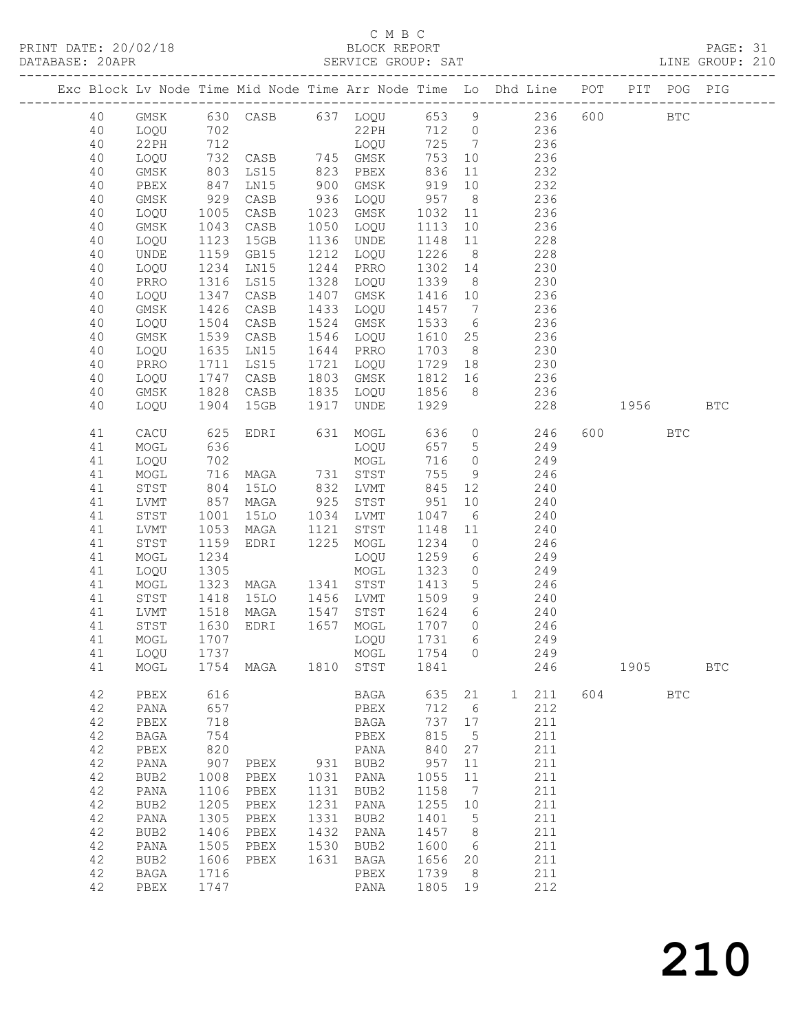### C M B C<br>BLOCK REPORT

| DATABASE: 20APR |          |              |                          |                       |      |                          |                                                    |                         | SERVICE GROUP: SAT LINE GROUP: 210                                             |     |         |            |            |  |
|-----------------|----------|--------------|--------------------------|-----------------------|------|--------------------------|----------------------------------------------------|-------------------------|--------------------------------------------------------------------------------|-----|---------|------------|------------|--|
|                 |          |              |                          |                       |      |                          |                                                    |                         | Exc Block Lv Node Time Mid Node Time Arr Node Time Lo Dhd Line POT PIT POG PIG |     |         |            |            |  |
|                 | 40       |              |                          |                       |      |                          |                                                    |                         | GMSK 630 CASB 637 LOQU 653 9 236 600 BTC                                       |     |         |            |            |  |
|                 | 40       | LOQU         | 702                      |                       |      |                          |                                                    |                         | 22PH 712 0 236                                                                 |     |         |            |            |  |
|                 | 40       | 22 PH        |                          |                       |      |                          |                                                    |                         |                                                                                |     |         |            |            |  |
|                 | 40       | LOQU         |                          |                       |      |                          |                                                    |                         |                                                                                |     |         |            |            |  |
|                 | 40       | GMSK         |                          |                       |      |                          |                                                    |                         |                                                                                |     |         |            |            |  |
|                 | 40       | PBEX         | 847                      | LN15                  |      | 900 GMSK 919             |                                                    |                         | 10 232                                                                         |     |         |            |            |  |
|                 | 40       | GMSK         | 929                      | CASB                  |      | 936 LOQU                 | 957 8                                              |                         | 236                                                                            |     |         |            |            |  |
|                 | 40       | LOQU         | 1005                     | CASB                  |      | 1023 GMSK                | 1032 11                                            |                         | $\frac{236}{11}$                                                               |     |         |            |            |  |
|                 | 40       | GMSK         | 1043                     | CASB                  |      | 1050 LOQU                | 1113                                               |                         |                                                                                |     |         |            |            |  |
|                 | 40       | LOQU         | 1123                     | 15GB                  |      | 1136 UNDE                | 1148 11                                            |                         | 228                                                                            |     |         |            |            |  |
|                 | 40       | UNDE         | 1159                     | GB15                  |      | 1212 LOQU                | 1226                                               | 8 <sup>8</sup>          | 228                                                                            |     |         |            |            |  |
|                 | 40       | LOQU         | 1234<br>1316             | LN15                  |      | 1244 PRRO                | 1302 14<br>1339 8                                  |                         | 230                                                                            |     |         |            |            |  |
|                 | 40       | PRRO         |                          | LS15                  |      | 1328 LOQU                | 1339                                               |                         | 230<br>1416 10 236                                                             |     |         |            |            |  |
|                 | 40       | LOQU         | 1347                     | CASB                  | 1407 | GMSK                     |                                                    |                         |                                                                                |     |         |            |            |  |
|                 | 40       | GMSK         | 1426                     | CASB                  | 1433 | LOQU                     |                                                    |                         | 1457 7 236                                                                     |     |         |            |            |  |
|                 | 40       | LOQU         | 1504<br>$150 -$<br>1539  | CASB                  | 1524 | GMSK<br>1546 LOQU        | 1533                                               |                         | 236<br>$\frac{6}{1}$<br>236                                                    |     |         |            |            |  |
|                 | 40<br>40 | GMSK         | 1635                     | CASB<br>LN15          |      | 1644 PRRO                | 1610 25                                            |                         | 1703 8 230                                                                     |     |         |            |            |  |
|                 | 40       | LOQU<br>PRRO | 1711                     | LS15                  |      | 1721 LOQU                |                                                    |                         | 1729 18 230                                                                    |     |         |            |            |  |
|                 | 40       | LOQU         |                          | CASB                  |      | 1803 GMSK                |                                                    |                         | 1812 16 236                                                                    |     |         |            |            |  |
|                 | 40       | GMSK         | 1747<br>1828             | CASB                  |      | 1835 LOQU                | 1856 8                                             |                         | 236                                                                            |     |         |            |            |  |
|                 | 40       | LOQU         | 1904                     | 15GB                  |      | 1917 UNDE                | 1929                                               |                         | 228                                                                            |     |         | 1956 1990  | <b>BTC</b> |  |
|                 |          |              |                          |                       |      |                          |                                                    |                         |                                                                                |     |         |            |            |  |
|                 | 41<br>41 | CACU         | 625<br>636               |                       |      | EDRI 631 MOGL            | 636                                                | $\overline{O}$<br>657 5 | 246<br>249                                                                     |     | 600 000 | <b>BTC</b> |            |  |
|                 | 41       | MOGL<br>LOQU | 702                      |                       |      | LOQU<br>MOGL             | 716                                                |                         | $\overline{O}$<br>249                                                          |     |         |            |            |  |
|                 | 41       | MOGL         | 716                      |                       |      | MAGA 731 STST            | 755                                                | 9                       | 246                                                                            |     |         |            |            |  |
|                 | 41       | STST         |                          |                       |      |                          | 845                                                | 12                      | 240                                                                            |     |         |            |            |  |
|                 | 41       | LVMT         | $804$<br>$857$<br>$1001$ | 15LO 832 LVMT<br>MAGA |      | 925 STST                 |                                                    | 10                      | 240                                                                            |     |         |            |            |  |
|                 | 41       | STST         |                          | 15LO                  |      | 1034 LVMT                | $\begin{array}{c} 951 \\ 1047 \end{array}$<br>1047 | 6                       | 240                                                                            |     |         |            |            |  |
|                 | 41       | LVMT         | 1053                     | MAGA                  |      | 1121 STST                | 1148                                               | 11                      | 240                                                                            |     |         |            |            |  |
|                 | 41       | STST         | 1159                     | EDRI 1225             |      | MOGL                     | 1234                                               | $\overline{0}$          | 246                                                                            |     |         |            |            |  |
|                 | 41       | MOGL         | 1234                     |                       |      | LOQU                     | 1259                                               | $6\overline{6}$         | 249                                                                            |     |         |            |            |  |
|                 | 41       | LOQU         | 1305                     |                       |      | MOGL                     | 1323                                               |                         | $\overline{0}$<br>249                                                          |     |         |            |            |  |
|                 | 41       | MOGL         | 1323                     | MAGA 1341 STST        |      |                          | 1413                                               | 5 <sup>5</sup>          | 246                                                                            |     |         |            |            |  |
|                 | 41       | STST         |                          | 15LO 1456 LVMT        |      |                          | 1509                                               | 9                       | 240                                                                            |     |         |            |            |  |
|                 | 41       | LVMT         | 1418<br>1518<br>1630     | MAGA                  |      | 1547 STST                | 1624                                               | 6                       | 240                                                                            |     |         |            |            |  |
|                 | 41       | STST         |                          | EDRI                  |      | 1657 MOGL                | 1707 0                                             |                         | 246                                                                            |     |         |            |            |  |
|                 |          |              |                          |                       |      | 41 MOGL 1707 LOQU 1731 6 |                                                    |                         | 249                                                                            |     |         |            |            |  |
|                 | 41       | LOQU         | 1737                     |                       |      | MOGL                     | 1754 0                                             |                         | 249                                                                            |     |         |            |            |  |
|                 | 41       | MOGL         |                          |                       |      | 1754 MAGA 1810 STST 1841 |                                                    |                         |                                                                                | 246 |         | 1905 1905  | <b>BTC</b> |  |
|                 | 42       | PBEX         | 616                      |                       |      | BAGA                     | 635                                                | 21                      | $\overline{1}$<br>211                                                          |     | 604     | <b>BTC</b> |            |  |
|                 | 42       | PANA         | 657                      |                       |      | PBEX                     | 712                                                | 6                       | 212                                                                            |     |         |            |            |  |
|                 | 42       | PBEX         | 718                      |                       |      | BAGA                     | 737 17                                             |                         | 211                                                                            |     |         |            |            |  |
|                 | 42       | BAGA         | 754                      |                       |      | PBEX                     | 815                                                | $5^{\circ}$             | 211                                                                            |     |         |            |            |  |
|                 | 42       | PBEX         | 820                      |                       |      | PANA                     | 840 27                                             |                         | 211                                                                            |     |         |            |            |  |
|                 | 42       | PANA         | 907                      | PBEX                  |      | 931 BUB2                 | 957                                                | 11                      | 211                                                                            |     |         |            |            |  |
|                 | 42       | BUB2         | 1008                     | PBEX                  |      | 1031 PANA                | 1055                                               | 11                      | 211                                                                            |     |         |            |            |  |
|                 | 42       | PANA         | 1106                     | PBEX                  |      | 1131 BUB2                | 1158 7                                             |                         | 211                                                                            |     |         |            |            |  |
|                 | 42       | BUB2         | 1205                     | PBEX                  | 1231 | PANA                     | 1255 10                                            |                         | 211                                                                            |     |         |            |            |  |
|                 | 42       | PANA         | 1305                     | PBEX                  |      | 1331 BUB2                | 1401                                               | $5^{\circ}$             | 211                                                                            |     |         |            |            |  |
|                 | 42       | BUB2         |                          | 1406 PBEX             |      | 1432 PANA                | 1457 8                                             |                         | 211                                                                            |     |         |            |            |  |

 42 PANA 1505 PBEX 1530 BUB2 1600 6 211 42 BUB2 1606 PBEX 1631 BAGA 1656 20 211 42 BAGA 1716 PBEX 1739 8 211 42 PBEX 1747 PANA 1805 19 212

210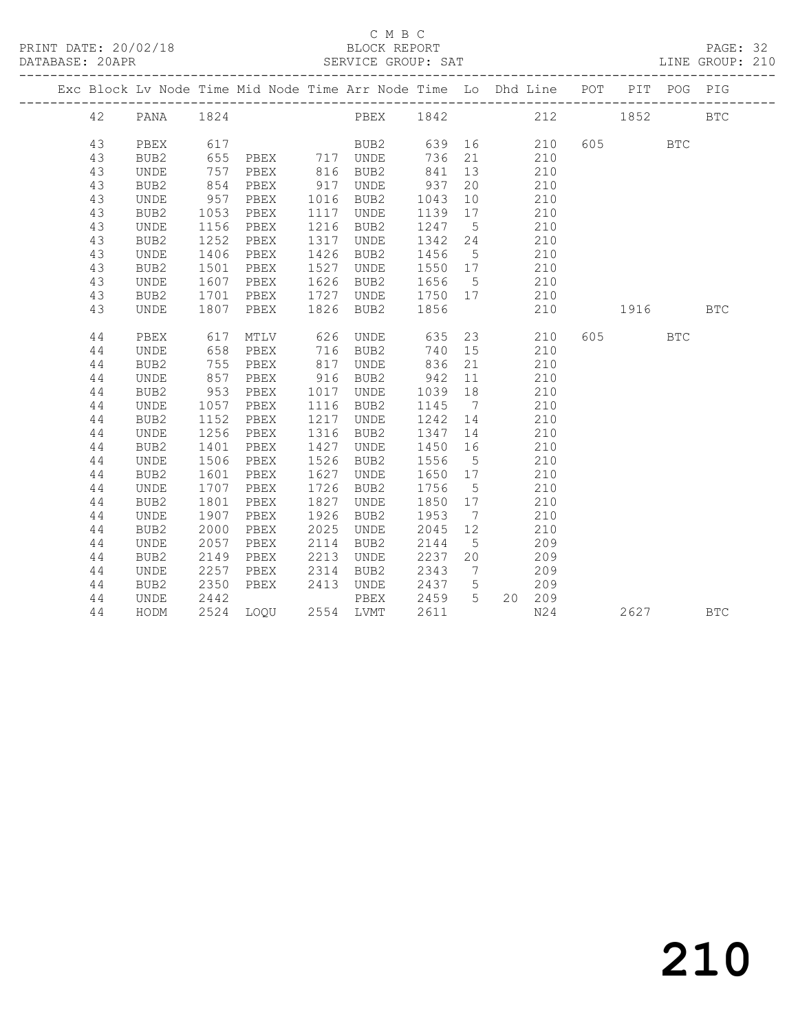PRINT DATE: 20/02/18 BLOCK REPORT PAGE: 32 DATABASE: 20APR SERVICE GROUP: SAT LINE GROUP: 210

### C M B C<br>
C M B C<br>
ELOCK REPORT

|          | Exc Block Lv Node Time Mid Node Time Arr Node Time Lo Dhd Line POT |              |                     |      |                      |                   |                 |     |                   | PIT     | POG        | PIG        |
|----------|--------------------------------------------------------------------|--------------|---------------------|------|----------------------|-------------------|-----------------|-----|-------------------|---------|------------|------------|
| 42       | PANA                                                               | 1824         |                     |      | PBEX 1842 212        |                   |                 |     |                   | 1852    |            | <b>BTC</b> |
|          |                                                                    |              |                     |      |                      |                   |                 |     |                   |         |            |            |
| 43       | PBEX                                                               | 617<br>655   |                     |      |                      |                   |                 |     | 210               | 605 000 | <b>BTC</b> |            |
| 43<br>43 | BUB <sub>2</sub>                                                   | 757          |                     |      |                      | 841               | 13              |     | 210<br>210        |         |            |            |
|          | UNDE                                                               | 854          |                     | 917  |                      | 937               |                 |     |                   |         |            |            |
| 43<br>43 | BUB2<br>UNDE                                                       | 957          | PBEX<br>PBEX        |      | UNDE<br>1016 BUB2    | 1043              | 20<br>10        |     | 210<br>210        |         |            |            |
| 43       |                                                                    | 1053         | PBEX                | 1117 |                      |                   |                 |     | 210               |         |            |            |
|          | BUB2                                                               | 1156         |                     |      | UNDE                 | 1139 17           |                 |     |                   |         |            |            |
| 43<br>43 | <b>UNDE</b>                                                        |              | PBEX<br>PBEX        | 1317 | 1216 BUB2            | 1247 5<br>1342 24 |                 |     | 210               |         |            |            |
| 43       | BUB2<br>UNDE                                                       | 1252<br>1406 | PBEX                | 1426 | UNDE<br>BUB2         | 1456 5            |                 | 210 | $\frac{110}{210}$ |         |            |            |
| 43       | BUB2                                                               | 1501         | PBEX                | 1527 |                      | 1550 17           |                 |     | 210               |         |            |            |
| 43       | UNDE                                                               | 1607         | PBEX                | 1626 | UNDE<br>BUB2         | 1656 5            |                 |     | 210               |         |            |            |
| 43       | BUB2                                                               | 1701         | PBEX                | 1727 | UNDE                 | 1750 17           |                 | 210 |                   |         |            |            |
| 43       | <b>UNDE</b>                                                        | 1807         | PBEX                |      | 1826 BUB2            | 1856              |                 |     | 210               | 1916    |            | <b>BTC</b> |
|          |                                                                    |              |                     |      |                      |                   |                 |     |                   |         |            |            |
| 44       | PBEX                                                               | 617          | MTLV                | 626  | UNDE                 | 635               |                 | 23  | 210               | 605 000 | <b>BTC</b> |            |
| 44       | UNDE                                                               | 658          | PBEX                |      | 716 BUB2<br>817 UNDE | 740 15            |                 |     | 210               |         |            |            |
| 44       | BUB2                                                               | 755          | PBEX                |      |                      | 836               | 21              |     | 210               |         |            |            |
| 44       | UNDE                                                               | 857          | PBEX                |      | 916 BUB2             | 942 11            |                 |     | 210               |         |            |            |
| 44       | BUB2                                                               | 953          | PBEX                | 1017 | UNDE                 | 1039 18           |                 |     | 210               |         |            |            |
| 44       | UNDE                                                               | 1057         | PBEX                | 1116 | BUB2                 | 1145 7            |                 | 210 |                   |         |            |            |
| 44       | BUB <sub>2</sub>                                                   | 1152         | PBEX                | 1217 | UNDE                 | 1242 14           |                 | 210 |                   |         |            |            |
| 44       | UNDE                                                               | 1256         | PBEX                | 1316 | BUB2                 | 1347              | 14              |     | 210               |         |            |            |
| 44       | BUB2                                                               | 1401         | PBEX                | 1427 | UNDE                 | 1450 16           |                 |     | 210               |         |            |            |
| 44       | <b>UNDE</b>                                                        | 1506         | PBEX                | 1526 | BUB2                 | 1556 5            |                 |     | 210               |         |            |            |
| 44       | BUB2                                                               | 1601         | PBEX                | 1627 | UNDE                 | 1650 17           |                 |     | 210               |         |            |            |
| 44       | UNDE                                                               | 1707         | PBEX                | 1726 | BUB2                 | 1756              | $5\overline{)}$ |     | 210               |         |            |            |
| 44       | BUB2                                                               | 1801         | PBEX                | 1827 | UNDE                 | 1850 17           |                 |     | 210               |         |            |            |
| 44       | <b>UNDE</b>                                                        | 1907         | PBEX                | 1926 | BUB2                 | 1953              | $\overline{7}$  |     | 210               |         |            |            |
| 44       | BUB2                                                               | 2000         | PBEX                | 2025 | UNDE                 | 2045              | 12              |     | 210               |         |            |            |
| 44       | UNDE                                                               | 2057         | PBEX                | 2114 | BUB2                 | 2144              | $5^{\circ}$     |     | 209               |         |            |            |
| 44       | BUB2                                                               | 2149         | PBEX                | 2213 | UNDE                 | 2237 20           |                 |     | 209               |         |            |            |
| 44       | UNDE                                                               | 2257         | PBEX                | 2314 | BUB2                 | 2343 7            |                 |     | 209               |         |            |            |
| 44       | BUB2                                                               | 2350         | PBEX                |      | 2413 UNDE            | 2437 5            |                 |     | 209               |         |            |            |
| 44       | UNDE                                                               | 2442         |                     |      |                      | PBEX 2459         | $5^{\circ}$     |     | 20 209            |         |            |            |
| 44       | HODM                                                               |              | 2524 LOQU 2554 LVMT |      |                      | 2611              |                 |     | N24               | 2627    |            | <b>BTC</b> |
|          |                                                                    |              |                     |      |                      |                   |                 |     |                   |         |            |            |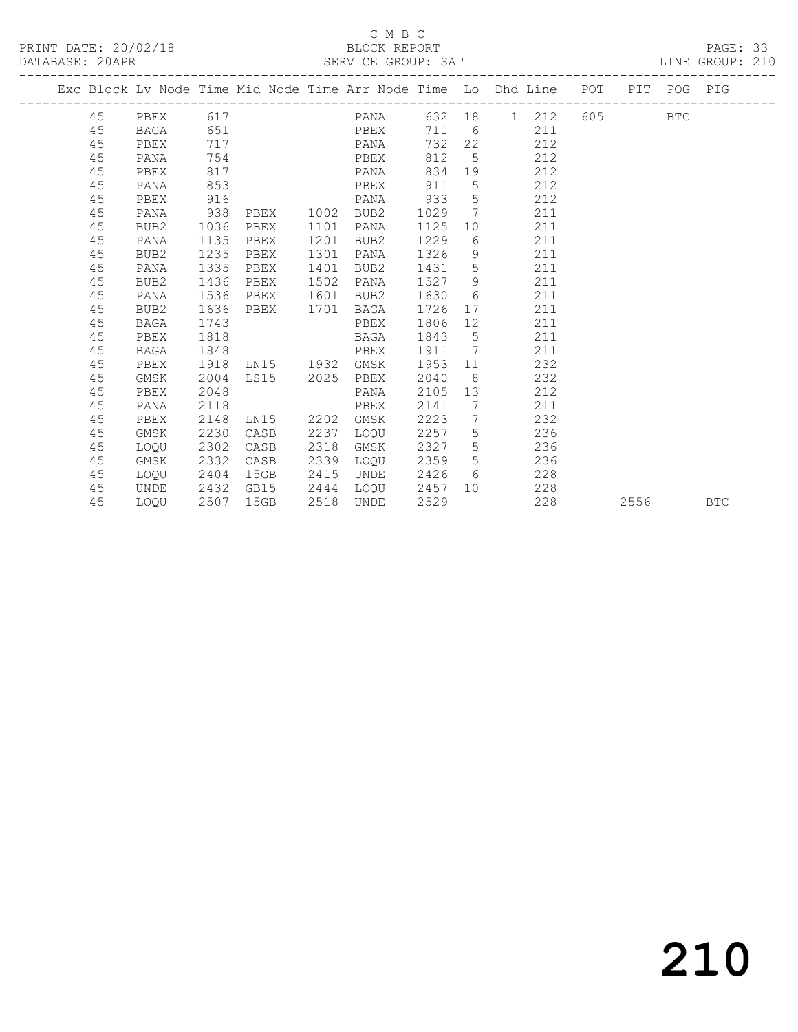### C M B C<br>BLOCK REPORT

### PAGE: 33<br>LINE GROUP: 210

|  |    |          |      |                |      | Exc Block Lv Node Time Mid Node Time Arr Node Time Lo Dhd Line POT |       |                 |     |     |         | PIT POG PIG |  |
|--|----|----------|------|----------------|------|--------------------------------------------------------------------|-------|-----------------|-----|-----|---------|-------------|--|
|  | 45 | PBEX 617 |      |                |      | PANA 632 18 1 212                                                  |       |                 |     |     | 605 BTC |             |  |
|  | 45 | BAGA     | 651  |                |      | PBEX                                                               | 711 6 |                 |     | 211 |         |             |  |
|  | 45 | PBEX     | 717  |                |      | PANA                                                               | 732   | 22              |     | 212 |         |             |  |
|  | 45 | PANA     | 754  |                |      | PBEX                                                               | 812   | $5^{\circ}$     |     | 212 |         |             |  |
|  | 45 | PBEX     | 817  |                |      | PANA                                                               | 834   | 19              |     | 212 |         |             |  |
|  | 45 | PANA     | 853  |                |      | PBEX                                                               | 911   | 5               |     | 212 |         |             |  |
|  | 45 | PBEX     | 916  |                |      | PANA                                                               | 933   | 5               |     | 212 |         |             |  |
|  | 45 | PANA     | 938  | PBEX           | 1002 | BUB2                                                               | 1029  | $\overline{7}$  | 211 |     |         |             |  |
|  | 45 | BUB2     | 1036 | PBEX           | 1101 | PANA                                                               | 1125  | 10              |     | 211 |         |             |  |
|  | 45 | PANA     | 1135 | PBEX           | 1201 | BUB2                                                               | 1229  | 6               | 211 |     |         |             |  |
|  | 45 | BUB2     | 1235 | PBEX           | 1301 | PANA                                                               | 1326  | 9               | 211 |     |         |             |  |
|  | 45 | PANA     | 1335 | PBEX           | 1401 | BUB2                                                               | 1431  | 5               |     | 211 |         |             |  |
|  | 45 | BUB2     | 1436 | PBEX           | 1502 | PANA                                                               | 1527  | - 9             |     | 211 |         |             |  |
|  | 45 | PANA     | 1536 | PBEX           | 1601 | BUB2                                                               | 1630  | 6               | 211 |     |         |             |  |
|  | 45 | BUB2     | 1636 | PBEX           |      | 1701 BAGA                                                          | 1726  | 17              |     | 211 |         |             |  |
|  | 45 | BAGA     | 1743 |                |      | PBEX                                                               | 1806  | 12 <sup>°</sup> | 211 |     |         |             |  |
|  | 45 | PBEX     | 1818 |                |      | BAGA                                                               | 1843  | $5^{\circ}$     |     | 211 |         |             |  |
|  | 45 | BAGA     | 1848 |                |      | PBEX                                                               | 1911  | $\overline{7}$  |     | 211 |         |             |  |
|  | 45 | PBEX     | 1918 | LN15 1932 GMSK |      |                                                                    | 1953  | 11              |     | 232 |         |             |  |
|  | 45 | GMSK     | 2004 | LS15 2025      |      | PBEX                                                               | 2040  | 8 <sup>8</sup>  |     | 232 |         |             |  |
|  | 45 | PBEX     | 2048 |                |      | PANA                                                               | 2105  | 13              |     | 212 |         |             |  |
|  | 45 | PANA     | 2118 |                |      | PBEX                                                               | 2141  | $\overline{7}$  |     | 211 |         |             |  |
|  | 45 | PBEX     | 2148 | LN15 2202 GMSK |      |                                                                    | 2223  | $\overline{7}$  |     | 232 |         |             |  |
|  | 45 | GMSK     | 2230 | CASB           | 2237 | LOOU                                                               | 2257  | 5               |     | 236 |         |             |  |
|  | 45 | LOQU     | 2302 | CASB           | 2318 | GMSK                                                               | 2327  | 5               |     | 236 |         |             |  |
|  | 45 | GMSK     | 2332 | CASB           | 2339 | LOQU                                                               | 2359  | 5 <sup>5</sup>  |     | 236 |         |             |  |
|  | 45 | LOOU     | 2404 | 15GB           | 2415 | UNDE                                                               | 2426  | 6               |     | 228 |         |             |  |

45 LOQU 2507 15GB 2518 UNDE 2529 228 2556 BTC

45 UNDE 2432 GB15 2444 LOQU 2457 10 228

# 210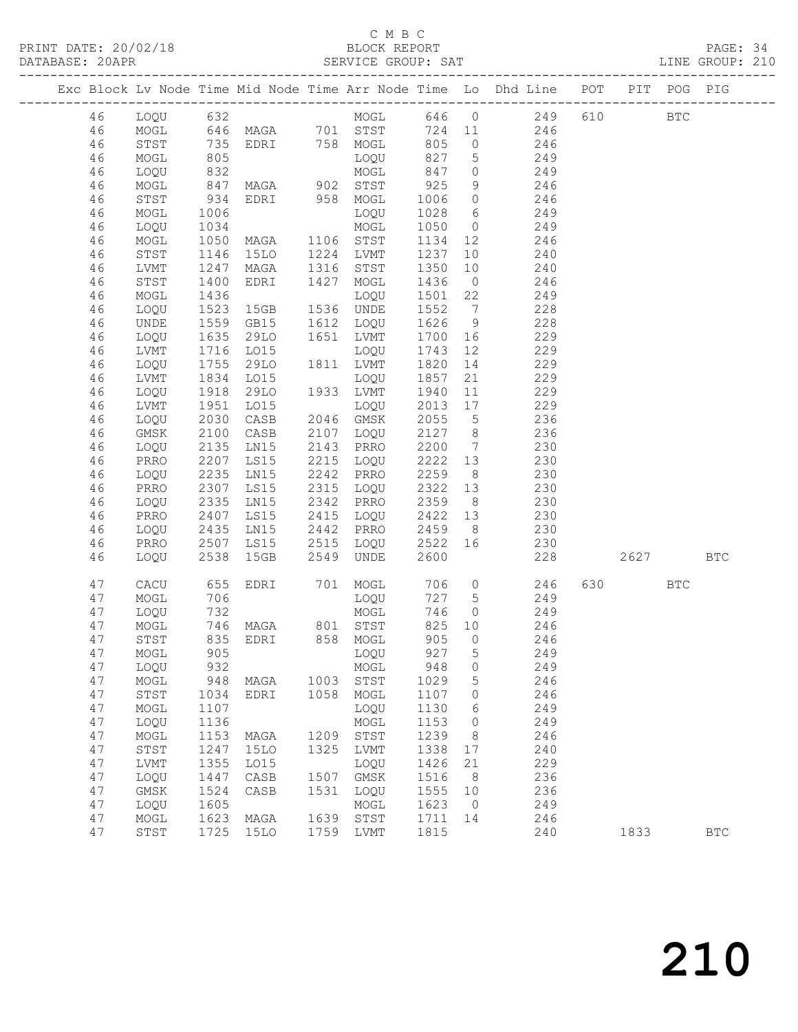# C M B C<br>BLOCK REPORT

|    |              |              |                                                       |      |                          |      |    | PRINT DATE: 20/02/18<br>BLOCK REPORT BLOCK PERT BLOCK PERRE DATABASE: 20APR DATABASE: 20APR SERVICE GROUP: SAT LINE GROUP: 210                                                                                                                                          |      |       |            |            |  |
|----|--------------|--------------|-------------------------------------------------------|------|--------------------------|------|----|-------------------------------------------------------------------------------------------------------------------------------------------------------------------------------------------------------------------------------------------------------------------------|------|-------|------------|------------|--|
|    |              |              |                                                       |      |                          |      |    | Exc Block Lv Node Time Mid Node Time Arr Node Time Lo Dhd Line POT PIT POG PIG                                                                                                                                                                                          |      |       |            |            |  |
| 46 |              |              |                                                       |      |                          |      |    | 1990 632<br>1990 632<br>1990 632<br>1990 632<br>1990 632<br>1990 632<br>1990 758<br>1990 832<br>1990 832<br>1990 832<br>1990 832<br>1990 832<br>1990 832<br>1990 832<br>1990 832<br>1990 832<br>1990 837<br>1990 847<br>1990 1994<br>1990 1998 6<br>1990 1998 6<br>1990 |      |       | <b>BTC</b> |            |  |
| 46 |              |              |                                                       |      |                          |      |    |                                                                                                                                                                                                                                                                         |      |       |            |            |  |
| 46 |              |              |                                                       |      |                          |      |    |                                                                                                                                                                                                                                                                         |      |       |            |            |  |
| 46 |              |              |                                                       |      |                          |      |    |                                                                                                                                                                                                                                                                         |      |       |            |            |  |
| 46 |              |              |                                                       |      |                          |      |    |                                                                                                                                                                                                                                                                         |      |       |            |            |  |
| 46 |              |              |                                                       |      |                          |      |    |                                                                                                                                                                                                                                                                         |      |       |            |            |  |
| 46 |              |              |                                                       |      |                          |      |    |                                                                                                                                                                                                                                                                         |      |       |            |            |  |
| 46 |              |              |                                                       |      |                          |      |    |                                                                                                                                                                                                                                                                         |      |       |            |            |  |
| 46 |              |              |                                                       |      |                          |      |    |                                                                                                                                                                                                                                                                         |      |       |            |            |  |
| 46 |              |              |                                                       |      |                          |      |    |                                                                                                                                                                                                                                                                         |      |       |            |            |  |
| 46 | STST         | 1146         | 15LO 1224 LVMT                                        |      |                          | 1237 |    |                                                                                                                                                                                                                                                                         |      |       |            |            |  |
| 46 | LVMT         | 1247         | MAGA 1316 STST                                        |      |                          | 1350 |    | $\begin{array}{cc} 10 & \qquad & 240 \\ 10 & \qquad & 240 \end{array}$                                                                                                                                                                                                  |      |       |            |            |  |
| 46 | STST         | 1400         | EDRI 1427 MOGL                                        |      |                          | 1436 |    | $0 \qquad \qquad 246$                                                                                                                                                                                                                                                   |      |       |            |            |  |
| 46 | MOGL         | 1436         |                                                       |      |                          |      |    |                                                                                                                                                                                                                                                                         |      |       |            |            |  |
| 46 | LOQU         |              | LOQU<br>15GB 1536 UNDE                                |      |                          | 1552 |    | 1501 22 249                                                                                                                                                                                                                                                             |      |       |            |            |  |
|    |              | 1523<br>1559 |                                                       |      | $1612$ $LOQU$ $1626$     |      |    | $\begin{array}{ccc} 7 & 228 \\ 9 & 228 \end{array}$                                                                                                                                                                                                                     |      |       |            |            |  |
| 46 | UNDE         | 1635         | GB15                                                  |      |                          |      |    | 1651 LVMT 1700 16 229                                                                                                                                                                                                                                                   |      |       |            |            |  |
| 46 | LOQU         |              | 29LO                                                  |      |                          |      |    |                                                                                                                                                                                                                                                                         |      |       |            |            |  |
| 46 | LVMT         | 1716         | LO15                                                  |      | LOQU                     | 1743 |    | 12 229                                                                                                                                                                                                                                                                  |      |       |            |            |  |
| 46 | LOQU         |              | 29LO 1811 LVMT<br>LO15 LOQU<br>1755 29LO<br>1834 LO15 |      |                          |      |    | 1820 14 229<br>1857 21 229                                                                                                                                                                                                                                              |      |       |            |            |  |
| 46 | LVMT         |              |                                                       |      | LOQU<br>                 |      |    |                                                                                                                                                                                                                                                                         |      |       |            |            |  |
| 46 | LOQU         | 1918         | 29LO 1933 LVMT                                        |      |                          | 1940 |    | 11 229                                                                                                                                                                                                                                                                  |      |       |            |            |  |
| 46 | LVMT         | 1951         | LO15                                                  |      |                          | 2013 |    | 17 229                                                                                                                                                                                                                                                                  |      |       |            |            |  |
| 46 | LOQU         | 2030         | CASB                                                  |      | LOQU<br>2046 GMSK        |      |    | 2046 GMSK 2055 5 236<br>2107 LOQU 2127 8 236                                                                                                                                                                                                                            |      |       |            |            |  |
| 46 | GMSK         | 2100         | CASB                                                  |      |                          |      |    |                                                                                                                                                                                                                                                                         |      |       |            |            |  |
| 46 | LOQU         | 2135         | LN15                                                  |      |                          |      |    | 2143 PRRO 2200 7 230                                                                                                                                                                                                                                                    |      |       |            |            |  |
| 46 | PRRO         | 2207         | LS15                                                  |      | 2215 LOQU                | 2222 |    | 13 230                                                                                                                                                                                                                                                                  |      |       |            |            |  |
| 46 | LOQU         | 2235         | 2235 LN15<br>2307 LS15<br>2335 LN15                   |      | 2242 PRRO                |      |    | 2259 8 230<br>2322 13 230                                                                                                                                                                                                                                               |      |       |            |            |  |
| 46 | PRRO         |              |                                                       |      | 2315 LOQU                |      |    |                                                                                                                                                                                                                                                                         |      |       |            |            |  |
| 46 | LOQU         |              |                                                       |      | 2342 PRRO                |      |    | $2359$ 8 230                                                                                                                                                                                                                                                            |      |       |            |            |  |
| 46 | PRRO         |              | 2407 LS15                                             |      | 2415 LOQU                |      |    | 2422 13 230                                                                                                                                                                                                                                                             |      |       |            |            |  |
| 46 | LOQU         |              |                                                       |      | 2442 PRRO                |      |    |                                                                                                                                                                                                                                                                         |      |       |            |            |  |
| 46 | PRRO         |              | 2435 LN15<br>2507 LS15                                |      | 2515 LOQU                |      |    |                                                                                                                                                                                                                                                                         |      |       |            |            |  |
| 46 | LOQU         |              | 2538 15GB                                             |      | 2549 UNDE                |      |    | $\begin{array}{cccc} 2459 & 8 & & 230 \\ 2522 & 16 & & 230 \\ 2600 & & & 228 \end{array}$                                                                                                                                                                               | 2627 |       |            | <b>BTC</b> |  |
| 47 | CACU         | 655          |                                                       |      |                          |      |    | EDRI 701 MOGL 706 0 246<br>LOQU 727 5 249<br>MOGL 746 0 249                                                                                                                                                                                                             |      | 630 8 | <b>BTC</b> |            |  |
| 47 | MOGL         | 706          |                                                       |      |                          |      |    |                                                                                                                                                                                                                                                                         |      |       |            |            |  |
| 47 | LOQU         | 732          |                                                       |      | LOQU 727 5<br>MOGL 746 0 |      |    | 249                                                                                                                                                                                                                                                                     |      |       |            |            |  |
| 47 | MOGL         | 746          | MAGA                                                  | 801  | STST                     | 825  | 10 | 246                                                                                                                                                                                                                                                                     |      |       |            |            |  |
| 47 | STST         | 835          | EDRI                                                  | 858  | MOGL                     | 905  | 0  | 246                                                                                                                                                                                                                                                                     |      |       |            |            |  |
| 47 | MOGL         | 905          |                                                       |      | LOQU                     | 927  | 5  | 249                                                                                                                                                                                                                                                                     |      |       |            |            |  |
| 47 | LOQU         | 932          |                                                       |      | MOGL                     | 948  | 0  | 249                                                                                                                                                                                                                                                                     |      |       |            |            |  |
| 47 | MOGL         | 948          | MAGA                                                  | 1003 | STST                     | 1029 | 5  | 246                                                                                                                                                                                                                                                                     |      |       |            |            |  |
| 47 | STST         | 1034         | EDRI                                                  | 1058 | MOGL                     | 1107 | 0  | 246                                                                                                                                                                                                                                                                     |      |       |            |            |  |
| 47 | $\sf{MOGL}$  | 1107         |                                                       |      | LOQU                     | 1130 | 6  | 249                                                                                                                                                                                                                                                                     |      |       |            |            |  |
| 47 | LOQU         | 1136         |                                                       |      | MOGL                     | 1153 | 0  | 249                                                                                                                                                                                                                                                                     |      |       |            |            |  |
| 47 | $\sf{MOGL}$  | 1153         | MAGA                                                  | 1209 | STST                     | 1239 | 8  | 246                                                                                                                                                                                                                                                                     |      |       |            |            |  |
| 47 | ${\tt STST}$ | 1247         | <b>15LO</b>                                           | 1325 | LVMT                     | 1338 | 17 | 240                                                                                                                                                                                                                                                                     |      |       |            |            |  |
| 47 | LVMT         | 1355         | L015                                                  |      | LOQU                     | 1426 | 21 | 229                                                                                                                                                                                                                                                                     |      |       |            |            |  |
| 47 |              |              |                                                       | 1507 |                          | 1516 |    | 236                                                                                                                                                                                                                                                                     |      |       |            |            |  |
|    | LOQU         | 1447         | CASB                                                  |      | GMSK                     |      | 8  |                                                                                                                                                                                                                                                                         |      |       |            |            |  |

 47 GMSK 1524 CASB 1531 LOQU 1555 10 236 47 LOQU 1605 MOGL 1623 0 249 47 MOGL 1623 MAGA 1639 STST 1711 14 246

47 STST 1725 15LO 1759 LVMT 1815 240 1833 BTC

# 210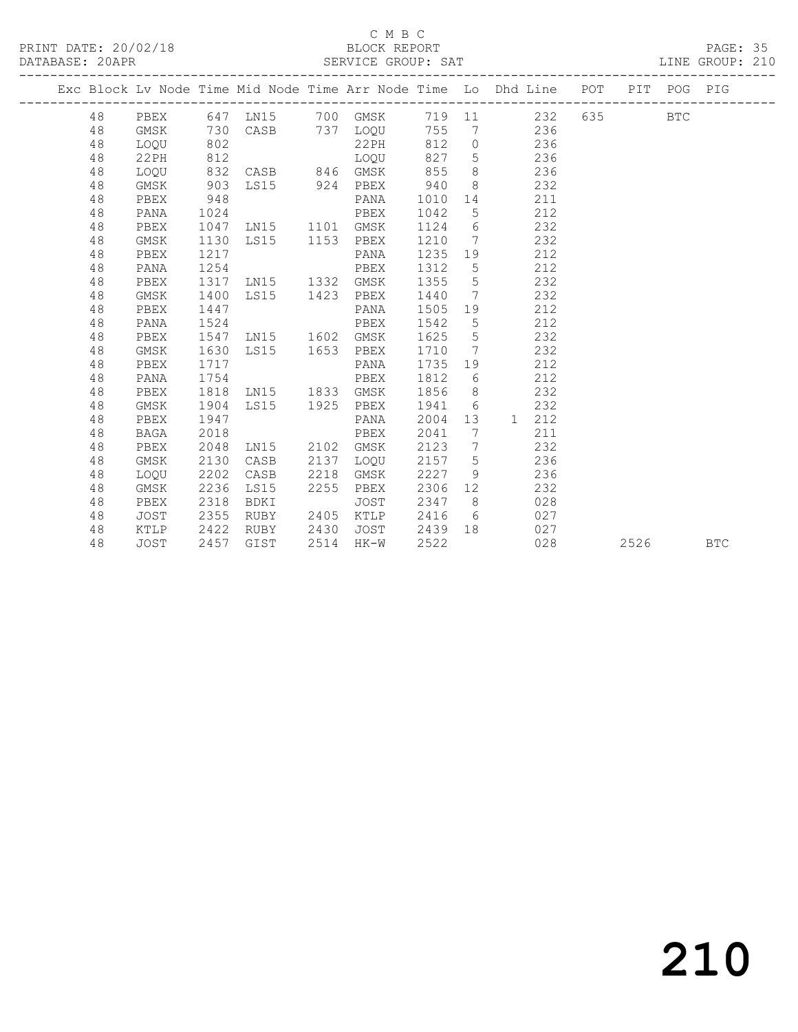### C M B C

DATABASE: 20APR SERVICE GROUP: SAT LINE GROUP: 210 ------------------------------------------------------------------------------------------------- Exc Block Lv Node Time Mid Node Time Arr Node Time Lo Dhd Line POT PIT POG PIG ------------------------------------------------------------------------------------------------- 48 PBEX 647 LN15 700 GMSK 719 11 232 635 BTC 48 GMSK 730 CASB 737 LOQU 755 7 236 48 LOQU 802 22PH 812 0 236 48 22PH 812 LOQU 827 5 236 48 LOQU 832 CASB 846 GMSK 855 8 236

| 48     | GMSK | 903  | LS15 | 924  | PBEX   | 940  | 8  |              | 232 |      |            |
|--------|------|------|------|------|--------|------|----|--------------|-----|------|------------|
| 48     | PBEX | 948  |      |      | PANA   | 1010 | 14 |              | 211 |      |            |
| 48     | PANA | 1024 |      |      | PBEX   | 1042 | 5  |              | 212 |      |            |
| 48     | PBEX | 1047 | LN15 | 1101 | GMSK   | 1124 | 6  |              | 232 |      |            |
| 48     | GMSK | 1130 | LS15 | 1153 | PBEX   | 1210 | 7  |              | 232 |      |            |
| 48     | PBEX | 1217 |      |      | PANA   | 1235 | 19 |              | 212 |      |            |
| 48     | PANA | 1254 |      |      | PBEX   | 1312 | 5  |              | 212 |      |            |
| $4\,8$ | PBEX | 1317 | LN15 | 1332 | GMSK   | 1355 | 5  |              | 232 |      |            |
| 48     | GMSK | 1400 | LS15 | 1423 | PBEX   | 1440 | 7  |              | 232 |      |            |
| 48     | PBEX | 1447 |      |      | PANA   | 1505 | 19 |              | 212 |      |            |
| 48     | PANA | 1524 |      |      | PBEX   | 1542 | 5  |              | 212 |      |            |
| 48     | PBEX | 1547 | LN15 | 1602 | GMSK   | 1625 | 5  |              | 232 |      |            |
| 48     | GMSK | 1630 | LS15 | 1653 | PBEX   | 1710 | 7  |              | 232 |      |            |
| 48     | PBEX | 1717 |      |      | PANA   | 1735 | 19 |              | 212 |      |            |
| 48     | PANA | 1754 |      |      | PBEX   | 1812 | 6  |              | 212 |      |            |
| 48     | PBEX | 1818 | LN15 | 1833 | GMSK   | 1856 | 8  |              | 232 |      |            |
| 48     | GMSK | 1904 | LS15 | 1925 | PBEX   | 1941 | 6  |              | 232 |      |            |
| 48     | PBEX | 1947 |      |      | PANA   | 2004 | 13 | $\mathbf{1}$ | 212 |      |            |
| 48     | BAGA | 2018 |      |      | PBEX   | 2041 | 7  |              | 211 |      |            |
| 48     | PBEX | 2048 | LN15 | 2102 | GMSK   | 2123 | 7  |              | 232 |      |            |
| 48     | GMSK | 2130 | CASB | 2137 | LOQU   | 2157 | 5  |              | 236 |      |            |
| 48     | LOQU | 2202 | CASB | 2218 | GMSK   | 2227 | 9  |              | 236 |      |            |
| 48     | GMSK | 2236 | LS15 | 2255 | PBEX   | 2306 | 12 |              | 232 |      |            |
| 48     | PBEX | 2318 | BDKI |      | JOST   | 2347 | 8  |              | 028 |      |            |
| 48     | JOST | 2355 | RUBY | 2405 | KTLP   | 2416 | 6  |              | 027 |      |            |
| 48     | KTLP | 2422 | RUBY | 2430 | JOST   | 2439 | 18 |              | 027 |      |            |
| 48     | JOST | 2457 | GIST | 2514 | $HK-W$ | 2522 |    |              | 028 | 2526 | <b>BTC</b> |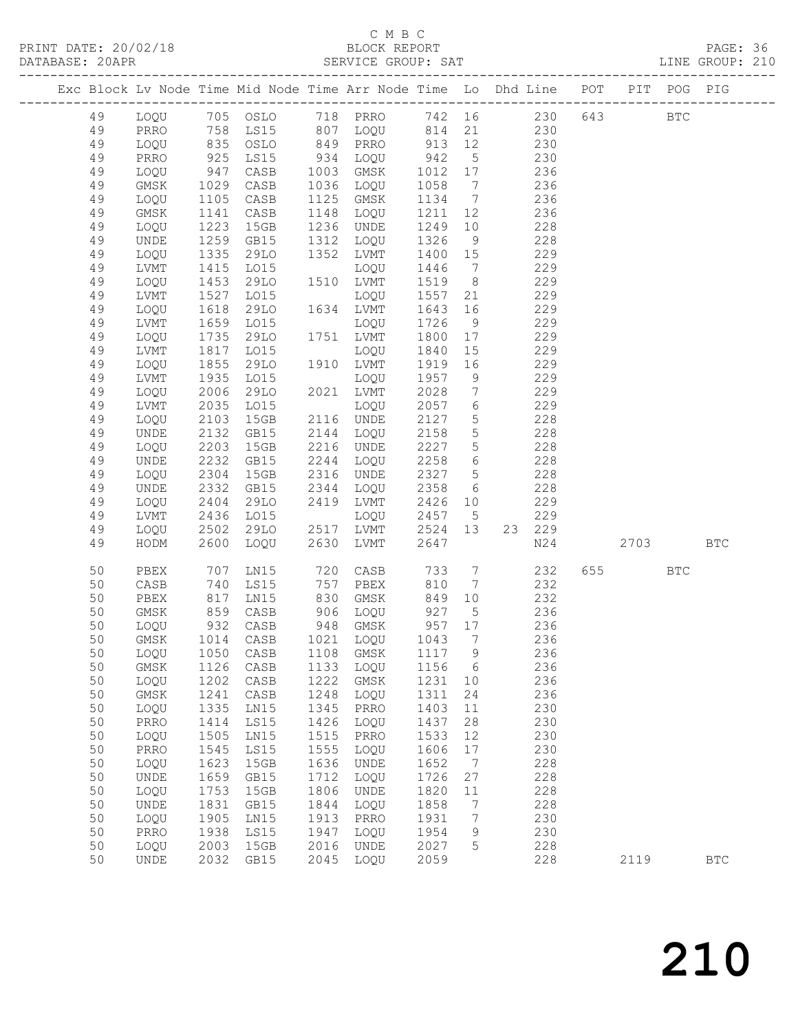| DATABASE: 20APR |          |                              |                           |                                  |      |                                  |                                                     |                 | SERVICE GROUP: SAT LINE GROUP: 210                                             |         |            |  |
|-----------------|----------|------------------------------|---------------------------|----------------------------------|------|----------------------------------|-----------------------------------------------------|-----------------|--------------------------------------------------------------------------------|---------|------------|--|
|                 |          |                              |                           |                                  |      |                                  |                                                     |                 | Exc Block Lv Node Time Mid Node Time Arr Node Time Lo Dhd Line POT PIT POG PIG |         |            |  |
|                 | 49       |                              |                           |                                  |      |                                  |                                                     |                 | LOQU 705 OSLO 718 PRRO 742 16 230 643 BTC                                      |         |            |  |
|                 | 49       | PRRO                         |                           |                                  |      |                                  |                                                     |                 | 758 LS15 807 LOQU 814 21 230                                                   |         |            |  |
|                 | 49       | LOQU                         |                           | 835 OSLO<br>925 LS15<br>947 CASB |      |                                  |                                                     |                 | 849 PRRO 913 12 230<br>934 LOQU 942 5 230<br>1003 CMSK 1012 17 236             |         |            |  |
|                 | 49       | PRRO                         |                           |                                  |      |                                  |                                                     |                 |                                                                                |         |            |  |
|                 | 49       | LOQU                         |                           |                                  |      | 1003 GMSK                        | 1012                                                | 17              | 236                                                                            |         |            |  |
|                 | 49       | GMSK                         | 1029                      | CASB                             |      | 1036 LOQU                        | 1058                                                | $\overline{7}$  | 236                                                                            |         |            |  |
|                 | 49       | LOQU                         | 1105                      | CASB                             |      | 1125 GMSK                        | 1134                                                | $7\overline{)}$ | 236                                                                            |         |            |  |
|                 | 49       | GMSK                         | 1141                      | CASB                             |      | 1148 LOQU                        | 1211                                                | 12              | 236                                                                            |         |            |  |
|                 | 49       | LOQU                         | 1223                      | 15GB                             |      | 1236 UNDE                        | 1249                                                | 10              | 228                                                                            |         |            |  |
|                 | 49       | UNDE                         | 1259                      | GB15                             | 1312 | LOQU                             | 1326                                                | 9               | 228                                                                            |         |            |  |
|                 | 49       | LOQU                         | 1335                      | 29LO                             | 1352 | LVMT                             | 1400 15                                             |                 | 229                                                                            |         |            |  |
|                 | 49       | LVMT                         | $1415$<br>$1453$          | L015                             |      | LOQU                             | 1446                                                | $\overline{7}$  | 229                                                                            |         |            |  |
|                 | 49       | LOQU                         |                           | 29LO                             |      | 1510 LVMT                        | 1519                                                | 8 <sup>8</sup>  | 229                                                                            |         |            |  |
|                 | 49       | LVMT                         | 1527                      | LO15                             |      | LOQU                             | 1557                                                | 21              | 229                                                                            |         |            |  |
|                 | 49       | LOQU                         | 1618                      | 29LO                             |      | 1634 LVMT                        | 1643                                                | 16              | 229                                                                            |         |            |  |
|                 | 49       | LVMT                         | 1659<br>$102\n1735\n1917$ | L015                             |      | LOQU                             | 1726                                                | 9               | 229                                                                            |         |            |  |
|                 | 49<br>49 | LOQU                         | 1817                      | 29LO                             |      | 1751 LVMT                        | 1800                                                | 17              | 229<br>229                                                                     |         |            |  |
|                 | 49       | LVMT<br>LOQU                 | 1855                      | LO15<br>29LO                     |      | LOQU<br>1910 LVMT                | 1840<br>1919                                        | 15<br>16        | 229                                                                            |         |            |  |
|                 | 49       | LVMT                         | 1935                      | L015                             |      | LOQU                             | 1957                                                | 9               | 229                                                                            |         |            |  |
|                 | 49       | LOQU                         | 2006                      | 29LO                             |      | 2021 LVMT                        | 2028                                                | $7\overline{ }$ | 229                                                                            |         |            |  |
|                 | 49       | LVMT                         | 2035                      | LO15                             |      | LOQU                             | 2057                                                | $6\overline{6}$ | 229                                                                            |         |            |  |
|                 | 49       | LOQU                         | 2103                      | 15GB                             |      | 2116 UNDE                        | 2127                                                | 5 <sup>5</sup>  | 228                                                                            |         |            |  |
|                 | 49       | UNDE                         | 2132                      | GB15                             |      | 2144 LOQU                        | 2158                                                | 5 <sup>5</sup>  | 228                                                                            |         |            |  |
|                 | 49       | LOQU                         | 2203                      | 15GB                             |      | 2216 UNDE                        | 2227                                                | 5 <sup>5</sup>  | 228                                                                            |         |            |  |
|                 | 49       | UNDE                         | 2232                      | GB15                             |      | 2244 LOQU                        | 2258                                                | $6\overline{6}$ | 228                                                                            |         |            |  |
|                 | 49       | LOQU                         | 2304                      | 15GB                             |      | 2316 UNDE                        | 2327                                                | $5\overline{)}$ | 228                                                                            |         |            |  |
|                 | 49       | UNDE                         | 2332                      | GB15                             | 2344 | LOQU                             | 2358                                                | 6               | 228                                                                            |         |            |  |
|                 | 49       | LOQU                         | $240$<br>2436<br>0502     | 29LO                             |      | 2419 LVMT                        | 2426 10                                             |                 | 229                                                                            |         |            |  |
|                 | 49       | LVMT                         |                           | LO15                             |      | LOQU                             | 2457                                                | $5\overline{)}$ | 229                                                                            |         |            |  |
|                 | 49       | LOQU                         | 2502                      | 29LO                             |      | 2517 LVMT                        | 2524 13                                             |                 | 23 229                                                                         |         |            |  |
|                 | 49       | HODM                         | 2600                      | LOQU                             | 2630 | LVMT                             | 2647                                                |                 | N24                                                                            | 2703    | <b>BTC</b> |  |
|                 | 50       | PBEX                         | 707                       | LN15                             |      | 720 CASB                         | 733                                                 | $7\overline{ }$ | 232                                                                            | 655 BTC |            |  |
|                 | 50       | CASB                         | 740                       | LS15                             |      | 757 PBEX                         | 810                                                 | $7\overline{ }$ | 232                                                                            |         |            |  |
|                 | 50       | PBEX                         |                           | 817 LN15<br>859 CASB<br>932 CASB |      | 830 GMSK                         | 849<br>927                                          | 10              | 232                                                                            |         |            |  |
|                 | 50<br>50 | GMSK<br>LOQU                 |                           |                                  |      | 906 LOQU<br>948 GMSK<br>948 GMSK | $\begin{array}{cc} 927 & 5 \\ 957 & 17 \end{array}$ |                 | 236<br>236                                                                     |         |            |  |
|                 | 50       |                              |                           |                                  |      |                                  |                                                     |                 | GMSK 1014 CASB 1021 LOQU 1043 7 236                                            |         |            |  |
|                 | 50       | LOQU                         | 1050                      | CASB                             | 1108 | GMSK                             | 1117                                                | $\overline{9}$  | 236                                                                            |         |            |  |
|                 | 50       | GMSK                         | 1126                      | CASB                             | 1133 | LOQU                             | 1156                                                | $6\overline{6}$ | 236                                                                            |         |            |  |
|                 | 50       | LOQU                         | 1202                      | CASB                             | 1222 | GMSK                             | 1231                                                | 10              | 236                                                                            |         |            |  |
|                 | 50       | GMSK                         | 1241                      | CASB                             | 1248 | LOQU                             | 1311                                                | 24              | 236                                                                            |         |            |  |
|                 | 50       | LOQU                         | 1335                      | LN15                             | 1345 | PRRO                             | 1403                                                | 11              | 230                                                                            |         |            |  |
|                 | 50       | PRRO                         | 1414                      | LS15                             | 1426 | LOQU                             | 1437                                                | 28              | 230                                                                            |         |            |  |
|                 | 50       | LOQU                         | 1505                      | LN15                             | 1515 | PRRO                             | 1533                                                | 12              | 230                                                                            |         |            |  |
|                 | 50       | PRRO                         | 1545                      | LS15                             | 1555 | LOQU                             | 1606                                                | 17              | 230                                                                            |         |            |  |
|                 | 50       | LOQU                         | 1623                      | 15GB                             | 1636 | UNDE                             | 1652                                                | $\overline{7}$  | 228                                                                            |         |            |  |
|                 | 50       | UNDE                         | 1659                      | GB15                             | 1712 | LOQU                             | 1726                                                | 27              | 228                                                                            |         |            |  |
|                 | 50       | LOQU                         | 1753                      | 15GB                             | 1806 | UNDE                             | 1820                                                | 11              | 228                                                                            |         |            |  |
|                 | 50       | $\ensuremath{\mathsf{UNDE}}$ | 1831                      | GB15                             | 1844 | LOQU                             | 1858                                                | $7\phantom{.0}$ | 228                                                                            |         |            |  |
|                 | 50       | LOQU                         | 1905                      | LN15                             | 1913 | PRRO                             | 1931                                                | 7               | 230                                                                            |         |            |  |
|                 | 50       | PRRO                         | 1938                      | LS15                             | 1947 | LOQU                             | 1954                                                | 9               | 230                                                                            |         |            |  |
|                 | 50       | LOQU                         | 2003                      | 15GB                             | 2016 | UNDE                             | 2027                                                | 5               | 228                                                                            |         |            |  |
|                 | 50       | UNDE                         | 2032                      | GB15                             | 2045 | LOQU                             | 2059                                                |                 | 228                                                                            | 2119    | <b>BTC</b> |  |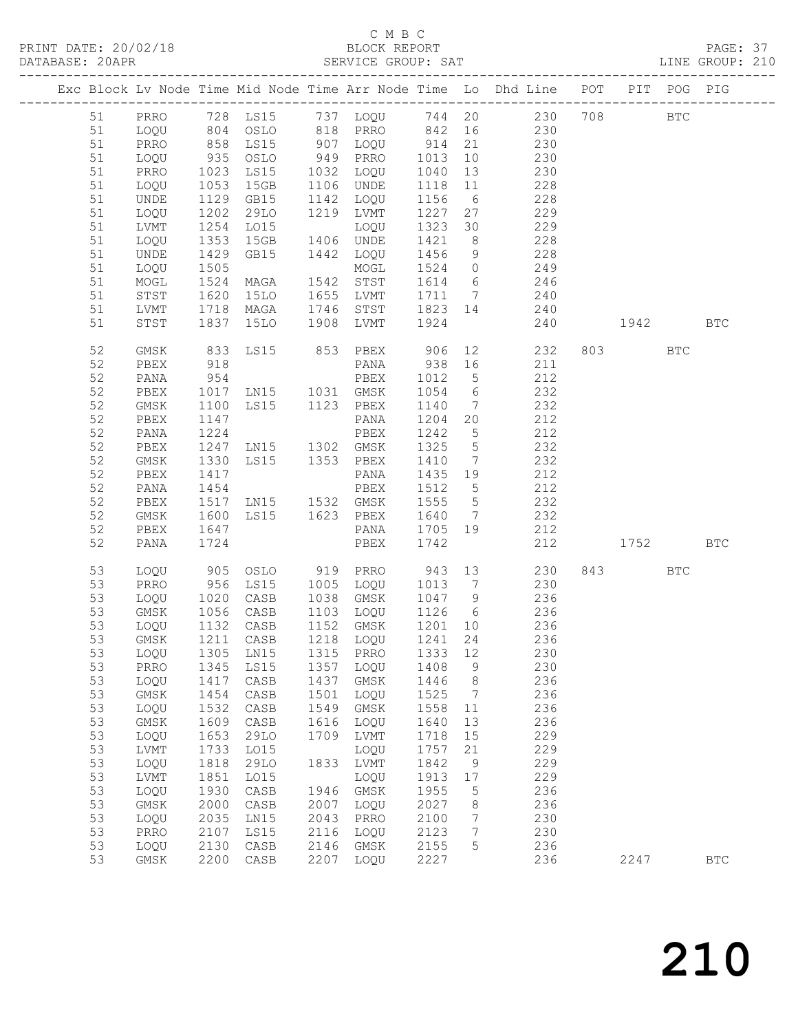| DATABASE: 20APR |    |             |              |                                                          |      |                                      |                 |                 | SERVICE GROUP: SAT LINE GROUP: 210                                                               |          |              |
|-----------------|----|-------------|--------------|----------------------------------------------------------|------|--------------------------------------|-----------------|-----------------|--------------------------------------------------------------------------------------------------|----------|--------------|
|                 |    |             |              |                                                          |      |                                      |                 |                 | Exc Block Lv Node Time Mid Node Time Arr Node Time Lo Dhd Line POT PIT POG PIG                   |          |              |
|                 |    |             |              |                                                          |      |                                      |                 |                 | 51 PRRO 728 LS15 737 LOQU 744 20 230 708 BTC                                                     |          |              |
|                 | 51 |             |              |                                                          |      |                                      |                 |                 | LOQU 804 OSLO 818 PRRO 842 16 230                                                                |          |              |
|                 | 51 | PRRO        |              |                                                          |      |                                      |                 |                 | 858 LS15 907 LOQU 914 21 230<br>935 OSLO 949 PRRO 1013 10 230<br>1023 LS15 1032 LOQU 1040 13 230 |          |              |
|                 | 51 | LOQU        |              |                                                          |      |                                      |                 |                 |                                                                                                  |          |              |
|                 | 51 | PRRO        |              |                                                          |      |                                      |                 |                 |                                                                                                  |          |              |
|                 | 51 | LOQU        | 1053         | 15GB                                                     |      | 1106 UNDE                            | 1118 11         |                 | 228                                                                                              |          |              |
|                 | 51 | UNDE        |              | 1129 GB15                                                |      | 1142 LOQU                            | 1156 6          |                 | 228                                                                                              |          |              |
|                 | 51 | LOQU        |              | 29LO                                                     |      | 1219 LVMT                            | 1227 27         |                 | 229                                                                                              |          |              |
|                 | 51 | LVMT        | 1202<br>1254 | LO15                                                     |      | LOQU                                 |                 |                 | $1323$ 30 229                                                                                    |          |              |
|                 | 51 | LOQU        | 1353         | 15GB  1406  UNDE                                         |      |                                      |                 |                 | 1421 8 228                                                                                       |          |              |
|                 | 51 | UNDE        | 1429         | GB15 1442 LOQU                                           |      |                                      | 1456            |                 | 9 228                                                                                            |          |              |
|                 | 51 | LOQU        | 1505<br>1524 |                                                          |      | MOGL                                 |                 |                 |                                                                                                  |          |              |
|                 | 51 | MOGL        |              | MAGA                                                     |      | 1542 STST                            |                 |                 | 1524 0 249<br>1614 6 246                                                                         |          |              |
|                 | 51 | STST        | 1620         |                                                          |      |                                      |                 |                 | 15LO 1655 LVMT 1711 7 240                                                                        |          |              |
|                 | 51 | LVMT        | 1718         |                                                          |      |                                      |                 |                 | MAGA 1746 STST 1823 14 240                                                                       |          |              |
|                 | 51 | STST        | 1837         | 15LO                                                     |      | 1908 LVMT                            | 1924            |                 | 240 1942                                                                                         |          | <b>BTC</b>   |
|                 |    |             |              |                                                          |      |                                      |                 |                 |                                                                                                  |          |              |
|                 | 52 | GMSK        | 833          |                                                          |      | LS15 853 PBEX 906 12                 |                 |                 | 232                                                                                              | 803 BTC  |              |
|                 | 52 | PBEX        | 918          |                                                          |      |                                      |                 |                 | PANA 938 16 211                                                                                  |          |              |
|                 | 52 | PANA        | 954<br>1017  |                                                          |      | PBEX 1012 5<br>LN15 1031 GMSK 1054 6 |                 |                 | 212                                                                                              |          |              |
|                 | 52 | PBEX        |              |                                                          |      |                                      |                 |                 | 232                                                                                              |          |              |
|                 | 52 | GMSK        | 1100         | LS15 1123 PBEX                                           |      |                                      |                 |                 | $1140$ 7 232                                                                                     |          |              |
|                 | 52 | PBEX        |              |                                                          |      | PANA                                 | 1204 20         |                 | 212                                                                                              |          |              |
|                 | 52 | PANA        |              | 1147 PANA<br>1224 PBEX<br>1247 LN15 1302 GMSK            |      |                                      | 1242 5          |                 | 212                                                                                              |          |              |
|                 | 52 | PBEX        |              |                                                          |      |                                      | 1325 5          |                 | 232                                                                                              |          |              |
|                 | 52 | GMSK        | 1330         | LS15 1353 PBEX                                           |      |                                      |                 |                 | 1410 7 232                                                                                       |          |              |
|                 | 52 | PBEX        | 1417         |                                                          |      | PANA 1435 19                         |                 |                 | 212                                                                                              |          |              |
|                 | 52 | PANA        | 1454         |                                                          |      | PBEX                                 | 1512 5          |                 | 212                                                                                              |          |              |
|                 | 52 | PBEX        |              | 1517 LN15 1532 GMSK 1555 5<br>1600 LS15 1623 PBEX 1640 7 |      |                                      |                 |                 | 232<br>232                                                                                       |          |              |
|                 | 52 | GMSK        |              |                                                          |      |                                      |                 |                 |                                                                                                  |          |              |
|                 | 52 | PBEX        | 1647         |                                                          |      |                                      |                 |                 | PANA 1705 19 212                                                                                 |          |              |
|                 | 52 | PANA        | 1724         |                                                          |      | PBEX                                 | 1742            |                 |                                                                                                  | 212 1752 | <b>BTC</b>   |
|                 | 53 | LOQU        |              | 905 OSLO 919 PRRO 943 13                                 |      |                                      |                 |                 | 230                                                                                              | 843 BTC  |              |
|                 | 53 | PRRO        |              |                                                          |      |                                      |                 |                 | 956 LS15 1005 LOQU 1013 7 230                                                                    |          |              |
|                 | 53 | LOQU        |              |                                                          |      | CASB 1038 GMSK 1047 9                |                 |                 | 236                                                                                              |          |              |
|                 | 53 | GMSK        |              | 1020 CASB<br>1056 CASB<br>1132 CASB<br>CASB              |      |                                      |                 |                 | 1103 LOQU 1126 6 236<br>1152 GMSK 1201 10 236                                                    |          |              |
|                 | 53 | LOQU        |              |                                                          |      | 1152 GMSK                            | $1201 \quad 10$ |                 | 236                                                                                              |          |              |
|                 |    |             |              |                                                          |      |                                      |                 |                 | 53 GMSK 1211 CASB 1218 LOQU 1241 24 236                                                          |          |              |
|                 | 53 | LOQU        | 1305         | LN15                                                     | 1315 | PRRO                                 | 1333            | 12              | 230                                                                                              |          |              |
|                 | 53 | PRRO        | 1345         | LS15                                                     | 1357 | LOQU                                 | 1408            | 9               | 230                                                                                              |          |              |
|                 | 53 | LOQU        | 1417         | CASB                                                     | 1437 | GMSK                                 | 1446            | 8               | 236                                                                                              |          |              |
|                 | 53 | GMSK        | 1454         | CASB                                                     | 1501 | LOQU                                 | 1525            | $\overline{7}$  | 236                                                                                              |          |              |
|                 | 53 | LOQU        | 1532         | CASB                                                     | 1549 | GMSK                                 | 1558            | 11              | 236                                                                                              |          |              |
|                 | 53 | $\rm{GMSK}$ | 1609         | CASB                                                     | 1616 | LOQU                                 | 1640            | 13              | 236                                                                                              |          |              |
|                 | 53 | LOQU        | 1653         | 29LO                                                     | 1709 | LVMT                                 | 1718            | 15              | 229                                                                                              |          |              |
|                 | 53 | LVMT        | 1733         | LO15                                                     |      | LOQU                                 | 1757            | 21              | 229                                                                                              |          |              |
|                 | 53 | LOQU        | 1818         | 29LO                                                     | 1833 | LVMT                                 | 1842            | $\overline{9}$  | 229                                                                                              |          |              |
|                 | 53 | LVMT        | 1851         | LO15                                                     |      | LOQU                                 | 1913            | 17              | 229                                                                                              |          |              |
|                 | 53 | LOQU        | 1930         | CASB                                                     | 1946 | GMSK                                 | 1955            | 5               | 236                                                                                              |          |              |
|                 | 53 | GMSK        | 2000         | CASB                                                     | 2007 | LOQU                                 | 2027            | 8               | 236                                                                                              |          |              |
|                 | 53 | LOQU        | 2035         | LN15                                                     | 2043 | PRRO                                 | 2100            | $7\phantom{.0}$ | 230                                                                                              |          |              |
|                 | 53 | PRRO        | 2107         | LS15                                                     | 2116 | LOQU                                 | 2123            | $7\phantom{.0}$ | 230                                                                                              |          |              |
|                 | 53 | LOQU        | 2130         | CASB                                                     | 2146 | GMSK                                 | 2155            | 5               | 236                                                                                              |          |              |
|                 | 53 | GMSK        | 2200         | CASB                                                     | 2207 | LOQU                                 | 2227            |                 | 236                                                                                              | 2247     | $_{\rm BTC}$ |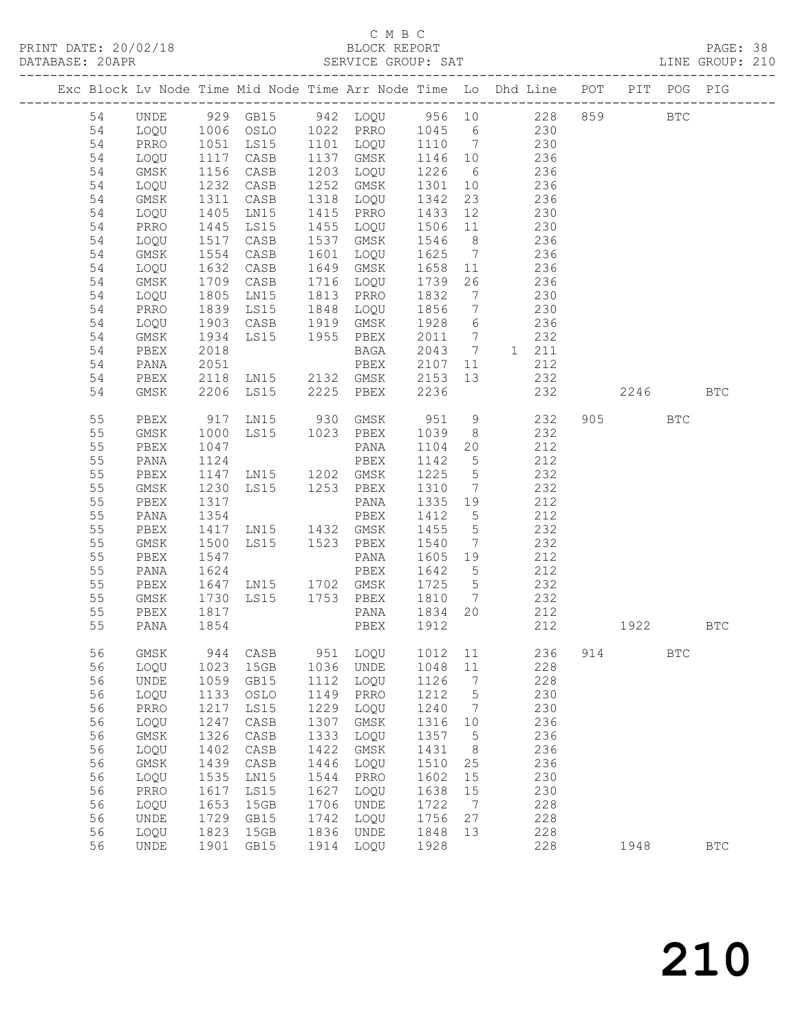| DATABASE: 20APR |          |                     |                   |                                          |      |                              |                |                 | SERVICE GROUP: SAT                                                                                  |     |         |            | LINE GROUP: 210 |  |
|-----------------|----------|---------------------|-------------------|------------------------------------------|------|------------------------------|----------------|-----------------|-----------------------------------------------------------------------------------------------------|-----|---------|------------|-----------------|--|
|                 |          | ------------------- |                   |                                          |      |                              |                |                 | Exc Block Lv Node Time Mid Node Time Arr Node Time Lo Dhd Line POT PIT POG PIG                      |     |         |            |                 |  |
|                 | 54       | UNDE                |                   |                                          |      |                              |                |                 | 929 GB15 942 LOQU 956 10 228 859 BTC                                                                |     |         |            |                 |  |
|                 | 54       | LOQU                |                   |                                          |      |                              |                |                 | 1006 OSLO 1022 PRRO 1045 6 230                                                                      |     |         |            |                 |  |
|                 | 54       | PRRO                |                   |                                          |      |                              |                |                 | 1051 LS15 1101 LOQU 1110 7 230<br>1117 CASB 1137 GMSK 1146 10 236<br>1156 CASB 1203 LOQU 1226 6 236 |     |         |            |                 |  |
|                 | 54       | LOQU                |                   |                                          |      |                              |                |                 |                                                                                                     |     |         |            |                 |  |
|                 | 54       | GMSK                |                   |                                          |      |                              |                |                 |                                                                                                     |     |         |            |                 |  |
|                 | 54       | LOQU                | 1232              | CASB                                     |      | 1252 GMSK                    |                |                 | 1301 10 236                                                                                         |     |         |            |                 |  |
|                 | 54       | GMSK                | 1311              | CASB                                     |      | 1318 LOQU                    | 1342           | 23              | 236                                                                                                 |     |         |            |                 |  |
|                 | 54       | LOQU                |                   | LN15                                     |      |                              |                |                 |                                                                                                     |     |         |            |                 |  |
|                 | 54       | PRRO                | 1405<br>1445      | <b>LS15</b>                              |      |                              |                |                 | 1415 PRRO 1433 12 230<br>1455 LOQU 1506 11 230                                                      |     |         |            |                 |  |
|                 | 54       | LOQU                | 1517              | CASB                                     |      | 1537 GMSK                    |                |                 | 1546 8 236                                                                                          |     |         |            |                 |  |
|                 | 54       | GMSK                | 1554              | CASB                                     |      | 1601 LOQU                    |                |                 | 1625 7 236                                                                                          |     |         |            |                 |  |
|                 | 54       | LOQU                | 1632<br>1709      | CASB                                     |      | 1649 GMSK                    |                |                 | 1658 11 236<br>1739 26 236                                                                          |     |         |            |                 |  |
|                 | 54       | GMSK                |                   | CASB                                     |      | 1716 LOQU 1739               |                |                 |                                                                                                     |     |         |            |                 |  |
|                 | 54       | LOQU                | 1805              | LNI5                                     |      | 1813 PRRO 1832               |                | $7\overline{ }$ | 230                                                                                                 |     |         |            |                 |  |
|                 | 54       | PRRO                | 1839              | LS15                                     |      | 1848 LOQU 1856               |                | $7\overline{)}$ | 230                                                                                                 |     |         |            |                 |  |
|                 | 54       | LOQU                | 1903<br>1934      |                                          |      |                              |                |                 |                                                                                                     |     |         |            |                 |  |
|                 | 54       | GMSK                |                   | CASB 1919 GMSK<br>LS15 1955 PBEX<br>BAGA |      |                              |                |                 | 1928 6 236<br>2011 7 232                                                                            |     |         |            |                 |  |
|                 | 54       | PBEX                | 2018              |                                          |      |                              |                |                 | BAGA 2043 7 1 211                                                                                   |     |         |            |                 |  |
|                 | 54       | PANA                | 2051              |                                          |      | PBEX                         | 2107           |                 | 11<br>212                                                                                           |     |         |            |                 |  |
|                 | 54       | PBEX                |                   |                                          |      |                              |                |                 | 2118 LN15 2132 GMSK 2153 13 232<br>2206 LS15 2225 PBEX 2236 232                                     |     |         |            |                 |  |
|                 | 54       | GMSK                |                   |                                          |      |                              |                |                 | 232                                                                                                 |     | 2246    |            | <b>BTC</b>      |  |
|                 | 55       | PBEX                |                   |                                          |      |                              |                |                 | 917 LN15 930 GMSK 951 9 232                                                                         |     | 905 700 | <b>BTC</b> |                 |  |
|                 | 55       | GMSK                | 1000              | LS15 1023 PBEX                           |      |                              | 1039           | 8 <sup>8</sup>  | 232                                                                                                 |     |         |            |                 |  |
|                 | 55       | PBEX                | 1047              |                                          |      | PANA                         | 1104           | 20              | 212                                                                                                 |     |         |            |                 |  |
|                 | 55       | PANA                | 1124              |                                          |      | PBEX                         | 1142 5         |                 | 212                                                                                                 |     |         |            |                 |  |
|                 | 55       | PBEX                |                   | 1147 LN15 1202 GMSK                      |      |                              | 1225           | $5\overline{)}$ | 232                                                                                                 |     |         |            |                 |  |
|                 | 55       | GMSK                | 1230              | LS15 1253 PBEX                           |      |                              | 1310           | $7\overline{ }$ | 232                                                                                                 |     |         |            |                 |  |
|                 | 55       | PBEX                | 1317<br>-<br>1354 |                                          |      | PANA                         | 1335 19        |                 | 212<br>212                                                                                          |     |         |            |                 |  |
|                 | 55<br>55 | PANA                | 1417              | LN15 1432 GMSK                           |      | PBEX                         | 1412 5<br>1455 | 5 <sup>5</sup>  | 232                                                                                                 |     |         |            |                 |  |
|                 | 55       | PBEX                | 1500              |                                          |      |                              | 1540           |                 |                                                                                                     |     |         |            |                 |  |
|                 | 55       | GMSK<br>PBEX        | 1547              | LS15 1523 PBEX                           |      | PANA                         | 1605 19        |                 | 7 232<br>212                                                                                        |     |         |            |                 |  |
|                 | 55       | PANA                | 1624              |                                          |      | PBEX                         | 1642 5         |                 | 212                                                                                                 |     |         |            |                 |  |
|                 | 55       | PBEX                |                   | 1647 LN15 1702 GMSK 1725 5               |      |                              |                |                 | 232                                                                                                 |     |         |            |                 |  |
|                 | 55       | GMSK                | 1730              |                                          |      | LS15 1753 PBEX 1810          |                | $\overline{7}$  | 232                                                                                                 |     |         |            |                 |  |
|                 | 55       | PBEX                |                   |                                          |      | PANA                         | 1834 20        |                 | 212                                                                                                 |     |         |            |                 |  |
|                 | 55       | PANA                | 1817<br>1854      |                                          |      | PBEX 1912                    |                |                 | 212                                                                                                 |     | 1922    |            | BTC             |  |
|                 | 56       | GMSK                | 944               | CASB                                     | 951  | LOQU                         | 1012           | 11              | 236                                                                                                 | 914 |         | BTC        |                 |  |
|                 | 56       | LOQU                | 1023              | 15GB                                     | 1036 | UNDE                         | 1048           | $11\,$          | 228                                                                                                 |     |         |            |                 |  |
|                 | 56       | UNDE                | 1059              | GB15                                     | 1112 | LOQU                         | 1126           | 7               | 228                                                                                                 |     |         |            |                 |  |
|                 | 56       | LOQU                | 1133              | OSLO                                     | 1149 | PRRO                         | 1212           | 5               | 230                                                                                                 |     |         |            |                 |  |
|                 | 56       | PRRO                | 1217              | LS15                                     | 1229 | LOQU                         | 1240           | 7               | 230                                                                                                 |     |         |            |                 |  |
|                 | 56       | LOQU                | 1247              | CASB                                     | 1307 | $\rm{GMSK}$                  | 1316           | 10              | 236                                                                                                 |     |         |            |                 |  |
|                 | 56       | GMSK                | 1326              | $\mathtt{CASE}$                          | 1333 | LOQU                         | 1357           | 5               | 236                                                                                                 |     |         |            |                 |  |
|                 | 56       | LOQU                | 1402              | $\mathtt{CASE}$                          | 1422 | GMSK                         | 1431           | 8               | 236                                                                                                 |     |         |            |                 |  |
|                 | 56       | GMSK                | 1439              | CASB                                     | 1446 | LOQU                         | 1510           | 25              | 236                                                                                                 |     |         |            |                 |  |
|                 | 56       | LOQU                | 1535              | LN15                                     | 1544 | PRRO                         | 1602           | 15              | 230                                                                                                 |     |         |            |                 |  |
|                 | 56       | PRRO                | 1617              | LS15                                     | 1627 | LOQU                         | 1638           | 15              | 230                                                                                                 |     |         |            |                 |  |
|                 | 56       | LOQU                | 1653              | 15GB                                     | 1706 | <b>UNDE</b>                  | 1722           | 7               | 228                                                                                                 |     |         |            |                 |  |
|                 | 56       | UNDE                | 1729              | GB15                                     | 1742 | LOQU                         | 1756           | 27              | 228                                                                                                 |     |         |            |                 |  |
|                 | 56       | LOQU                | 1823              | 15GB                                     | 1836 | $\ensuremath{\mathsf{UNDE}}$ | 1848           | 13              | 228                                                                                                 |     |         |            |                 |  |
|                 | 56       | UNDE                | 1901              | GB15                                     | 1914 | LOQU                         | 1928           |                 | 228                                                                                                 |     | 1948    |            | $_{\rm BTC}$    |  |
|                 |          |                     |                   |                                          |      |                              |                |                 |                                                                                                     |     |         |            |                 |  |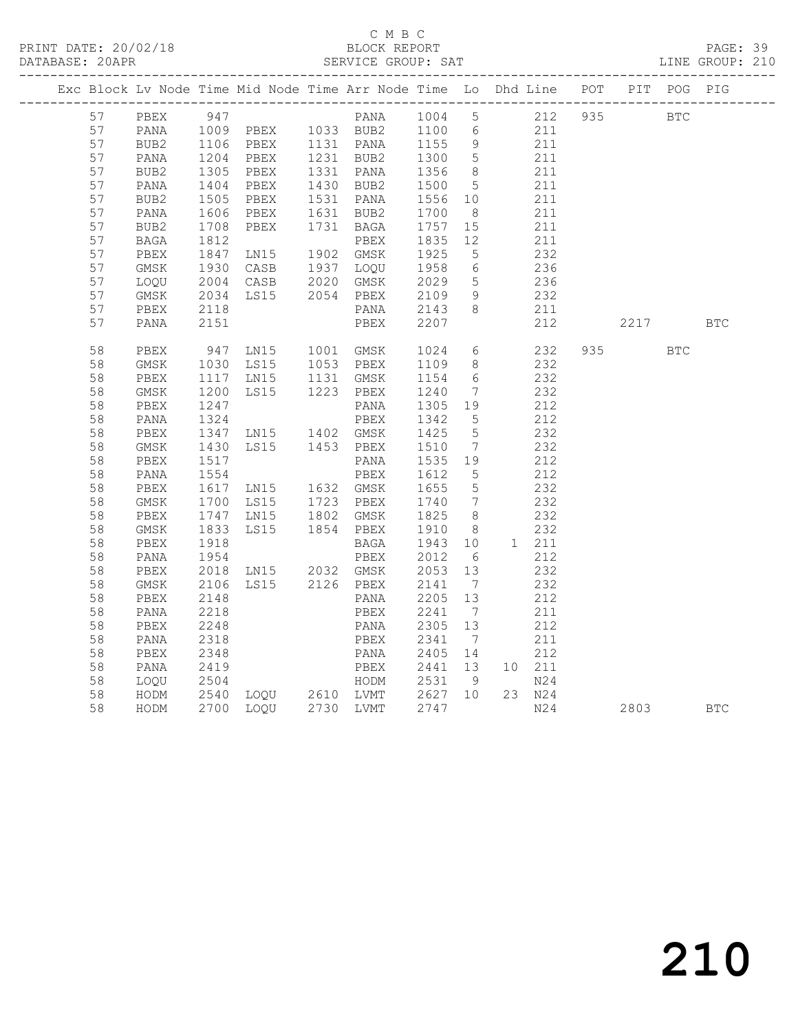# C M B C<br>BLOCK REPORT

PAGE: 39<br>LINE GROUP: 210

|  |          |              |              | Exc Block Lv Node Time Mid Node Time Arr Node Time Lo Dhd Line POT                                    |                        |                              |                              |                                           |         |            |            | PIT POG PIG |
|--|----------|--------------|--------------|-------------------------------------------------------------------------------------------------------|------------------------|------------------------------|------------------------------|-------------------------------------------|---------|------------|------------|-------------|
|  | 57       | PBEX         | 947          |                                                                                                       | PANA 1004 5            |                              |                              |                                           | 212 935 | <b>BTC</b> |            |             |
|  | 57       | PANA         |              | PANA 1004 5<br>1009 PBEX 1033 BUB2 1100 6<br>1106 PBEX 1131 PANA 1155 9<br>1204 PBEX 1231 BUB2 1300 5 |                        |                              |                              | $\begin{array}{c} 211 \\ 211 \end{array}$ |         |            |            |             |
|  | 57       | BUB2         |              |                                                                                                       |                        |                              |                              |                                           |         |            |            |             |
|  | 57       | PANA         |              |                                                                                                       | 1231 BUB2<br>1331 PANA | 1300<br>1356                 |                              | 211                                       |         |            |            |             |
|  | 57       | BUB2         | 1305<br>1404 | PBEX                                                                                                  |                        |                              | 8 <sup>8</sup>               |                                           | 211     |            |            |             |
|  | 57       | PANA         |              | PBEX                                                                                                  | 1430 BUB2              | 1500                         | $5\overline{)}$              | 211                                       |         |            |            |             |
|  | 57       | BUB2         | 1505<br>1606 | PBEX                                                                                                  | 1531 PANA              | 1556 10<br>1700 8            |                              |                                           | 211     |            |            |             |
|  | 57       | PANA         |              | PBEX                                                                                                  | 1631 BUB2              |                              |                              |                                           | 211     |            |            |             |
|  | 57       | BUB2         | 1708<br>1812 | PBEX                                                                                                  | 1731 BAGA              | 1757                         | 15                           | 211                                       |         |            |            |             |
|  | 57       | BAGA         |              |                                                                                                       | PBEX                   | 1835 12                      |                              |                                           | 211     |            |            |             |
|  | 57       | PBEX         | 1847         | LN15 1902 GMSK                                                                                        |                        | 1925                         | $5^{\circ}$                  | 232                                       |         |            |            |             |
|  | 57       | GMSK         | 1930         | CASB                                                                                                  | 1937 LOQU              |                              | $6\overline{6}$              |                                           | 236     |            |            |             |
|  | 57       | LOQU         |              | CASB 2020 GMSK<br>LS15 2054 PBEX<br>2004 CASB                                                         |                        | 1958<br>2029<br>2109<br>2143 | $5^{\circ}$                  | 236                                       |         |            |            |             |
|  | 57       | $\rm{GMSK}$  | 2034         |                                                                                                       |                        |                              | 9                            |                                           | 232     |            |            |             |
|  | 57       | PBEX         | 2118         |                                                                                                       | PANA                   |                              | 8 <sup>8</sup>               |                                           | 211     |            |            |             |
|  | 57       | PANA         | 2151         |                                                                                                       | PBEX                   | 2207                         |                              |                                           | 212     | 2217       |            | <b>BTC</b>  |
|  | 58       | PBEX         |              |                                                                                                       |                        |                              |                              |                                           | 232     | 935        | <b>BTC</b> |             |
|  | 58       | GMSK         |              | 947 LN15 1001 GMSK<br>1030 LS15 1053 PBEX                                                             |                        | 1024 6<br>1109 8             |                              |                                           | 232     |            |            |             |
|  | 58       | PBEX         |              | 1117 LN15 1131 GMSK                                                                                   |                        | 1154                         | 6                            | 232                                       |         |            |            |             |
|  | 58       | GMSK         | 1200         | LS15                                                                                                  | 1223 PBEX              | 1240                         | $\overline{7}$               |                                           | 232     |            |            |             |
|  | 58       | PBEX         | 1247         |                                                                                                       | PANA                   | 1305 19                      |                              |                                           | 212     |            |            |             |
|  | 58       | PANA         | 1324         |                                                                                                       | PBEX                   | 1342<br>1425                 | $5\overline{)}$              |                                           | 212     |            |            |             |
|  | 58       | ${\tt PBEX}$ |              |                                                                                                       |                        |                              | $5\overline{)}$              |                                           | 232     |            |            |             |
|  | 58       | GMSK         | 1430         | LS15 1453 PBEX                                                                                        |                        | 1510                         | $\overline{7}$               |                                           | 232     |            |            |             |
|  | 58       | ${\tt PBEX}$ | 1517         |                                                                                                       | PANA                   | 1535 19                      |                              |                                           | 212     |            |            |             |
|  | 58       | PANA         | 1554         |                                                                                                       | PBEX                   | 1612                         | $5^{\circ}$                  | 212                                       |         |            |            |             |
|  | 58       | PBEX         |              | 1617 LN15 1632 GMSK<br>1700 LS15 1723 PBEX                                                            |                        | 1655<br>1740                 | $5\overline{)}$              |                                           | 232     |            |            |             |
|  | 58       | GMSK         |              |                                                                                                       |                        |                              | $7\phantom{.0}\phantom{.0}7$ |                                           | 232     |            |            |             |
|  | 58       | PBEX         | 1747<br>1833 | LN15                                                                                                  | 1802 GMSK<br>1854 PBEX | 1825<br>1910                 | 8 <sup>8</sup>               |                                           | 232     |            |            |             |
|  | 58       | GMSK         |              | LS15                                                                                                  |                        |                              | 8 <sup>8</sup>               |                                           | 232     |            |            |             |
|  | 58       | PBEX         | 1918         |                                                                                                       | BAGA                   | 1943 10<br>2012 6            |                              | 1 211                                     |         |            |            |             |
|  | 58       | PANA         | 1954         |                                                                                                       | PBEX                   |                              |                              |                                           | 212     |            |            |             |
|  | 58       | PBEX         |              | 2018 LN15 2032 GMSK                                                                                   |                        | 2053 13                      |                              |                                           | 232     |            |            |             |
|  | 58       | $\rm{GMSK}$  | 2106         | LS15 2126 PBEX                                                                                        |                        | 2141 7<br>2205 13            | $\overline{7}$               |                                           | 232     |            |            |             |
|  | 58       | PBEX         | 2148         |                                                                                                       | PANA                   |                              |                              |                                           | 212     |            |            |             |
|  | 58       | PANA         | 2218         |                                                                                                       | PBEX                   | 2241 7<br>2305 13            |                              |                                           | 211     |            |            |             |
|  | 58       | PBEX         | 2248         |                                                                                                       | PANA                   |                              |                              |                                           | 212     |            |            |             |
|  | 58       | PANA         | 2318         |                                                                                                       | PBEX                   | 2341                         | $\overline{7}$               |                                           | 211     |            |            |             |
|  | 58       | PBEX         | 2348         |                                                                                                       | PANA                   | 2405 14                      |                              |                                           | 212     |            |            |             |
|  | 58       | PANA         |              |                                                                                                       |                        |                              |                              | 10 211                                    | N24     |            |            |             |
|  | 58<br>58 | LOQU<br>HODM |              | 2419   PBEX   2441   13<br>2504   HODM   2531   9<br>2540   LOQU   2610   LVMT   2627   10            |                        |                              |                              | 23 N24                                    |         |            |            |             |
|  | 58       | HODM         |              | 2700 LOQU 2730 LVMT                                                                                   |                        | 2747                         |                              |                                           | N24     | 2803       |            | <b>BTC</b>  |
|  |          |              |              |                                                                                                       |                        |                              |                              |                                           |         |            |            |             |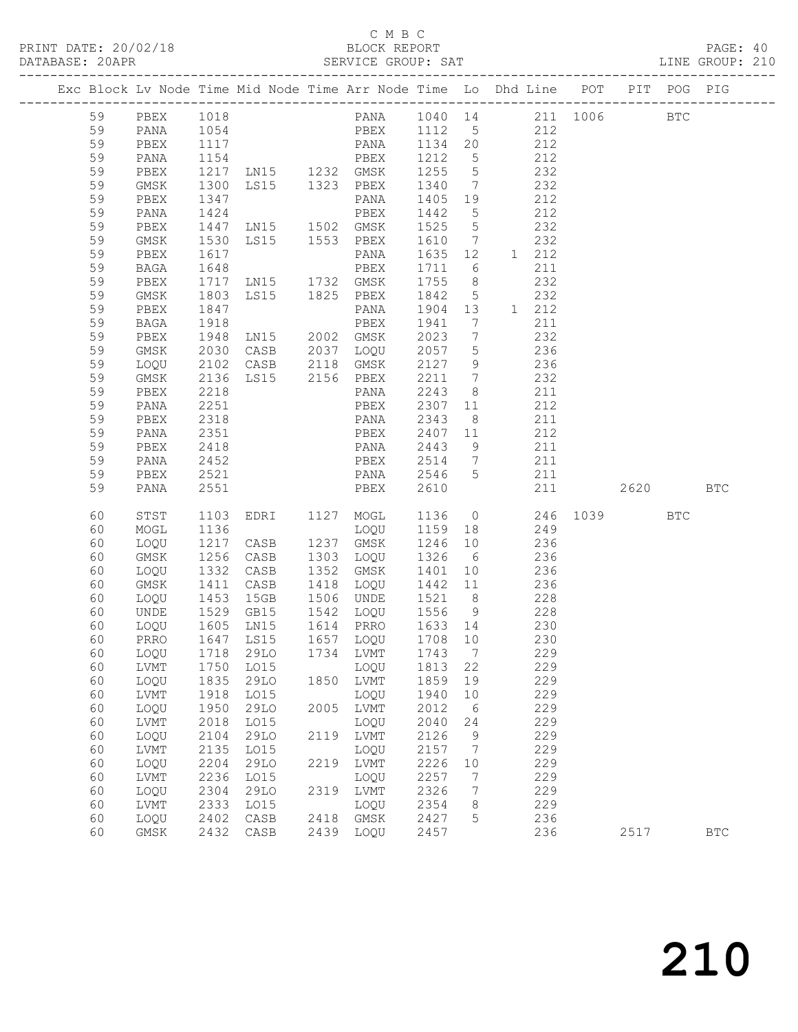### C M B C<br>BLOCK REPORT

LINE GROUP: 210

|  |          |              |              | Exc Block Lv Node Time Mid Node Time Arr Node Time Lo Dhd Line POT PIT POG PIG |      |                                     |              |                                     |       |                          |                     |            |                      |
|--|----------|--------------|--------------|--------------------------------------------------------------------------------|------|-------------------------------------|--------------|-------------------------------------|-------|--------------------------|---------------------|------------|----------------------|
|  | 59       |              | 1018         |                                                                                |      | PANA 1040 14 211 1006               |              |                                     |       |                          |                     | <b>BTC</b> |                      |
|  |          | PBEX         |              |                                                                                |      |                                     |              |                                     |       |                          |                     |            |                      |
|  | 59       | PANA         |              |                                                                                |      | PBEX 1112 5 212<br>PANA 1134 20 212 |              |                                     |       |                          |                     |            |                      |
|  | 59       | PBEX         |              |                                                                                |      |                                     |              |                                     |       | $\frac{1}{212}$          |                     |            |                      |
|  | 59       | PANA         |              |                                                                                |      |                                     |              |                                     |       |                          |                     |            |                      |
|  | 59       | PBEX         |              |                                                                                |      |                                     |              |                                     | 232   |                          |                     |            |                      |
|  | 59       | GMSK         | 1300         | LS15 1323 PBEX                                                                 |      |                                     | 1340         | $7\phantom{0}$                      |       | 232                      |                     |            |                      |
|  | 59       | PBEX         | 1347         |                                                                                |      | PANA                                | 1405 19      |                                     |       | 212                      |                     |            |                      |
|  | 59       | PANA         | 1424         |                                                                                |      | PBEX                                | 1442         | $5\overline{)}$                     |       | 212                      |                     |            |                      |
|  | 59       | PBEX         | 1447         | LN15 1502 GMSK                                                                 |      |                                     | 1525         | $5\overline{)}$                     |       | 232                      |                     |            |                      |
|  | 59       | GMSK         | 1530         | LS15 1553 PBEX                                                                 |      |                                     | 1610 7       |                                     |       | 232                      |                     |            |                      |
|  | 59       | PBEX         | 1617<br>1648 |                                                                                |      | PANA                                | 1635 12      |                                     | 1 212 |                          |                     |            |                      |
|  | 59       | BAGA         |              | 1717 LN15 1732 GMSK                                                            |      | PBEX                                | 1711 6       |                                     |       | 211                      |                     |            |                      |
|  | 59       | PBEX         |              |                                                                                |      |                                     | 1755 8       |                                     |       | 232                      |                     |            |                      |
|  | 59       | GMSK         | 1803         | LS15 1825 PBEX                                                                 |      |                                     | 1842         | $5\overline{)}$                     |       | 232                      |                     |            |                      |
|  | 59<br>59 | PBEX         | 1847<br>1918 |                                                                                |      | PANA                                | 1904 13      |                                     | 1 212 |                          |                     |            |                      |
|  | 59       | BAGA<br>PBEX | 1948         | LN15 2002 GMSK                                                                 |      | PBEX                                | 1941<br>2023 | $7\phantom{.0}\,$<br>$\overline{7}$ |       | 211<br>232               |                     |            |                      |
|  | 59       |              | 2030         |                                                                                |      |                                     | 2057         |                                     |       |                          |                     |            |                      |
|  | 59       | GMSK<br>LOQU |              | CASB 2037 LOQU                                                                 |      |                                     | 2127         | $5\overline{)}$<br>9                |       | 236                      |                     |            |                      |
|  | 59       | GMSK         | 2102<br>2136 | CASB 2118 GMSK<br>LS15 2156 PBEX                                               |      |                                     | 2211 7       |                                     |       | $\frac{158}{236}$<br>232 |                     |            |                      |
|  | 59       | PBEX         | 2218         |                                                                                |      | PANA                                | 2243         | 8 <sup>8</sup>                      |       | 211                      |                     |            |                      |
|  | 59       | PANA         | 2251         |                                                                                |      | PBEX                                | 2307         | 11                                  |       | 212                      |                     |            |                      |
|  | 59       | PBEX         | 2318         |                                                                                |      | PANA                                | 2343         | 8 <sup>8</sup>                      |       | 211                      |                     |            |                      |
|  | 59       | PANA         | 2351         |                                                                                |      | PBEX                                | 2407 11      |                                     |       | 212                      |                     |            |                      |
|  | 59       | PBEX         | 2418         |                                                                                |      | PANA                                | 2443         | 9                                   | 211   |                          |                     |            |                      |
|  | 59       | PANA         | 2452         | <b>PBEX</b>                                                                    |      |                                     | 2514 7 211   |                                     |       |                          |                     |            |                      |
|  | 59       | PBEX         | 2521         |                                                                                |      | PANA 2546 5                         |              |                                     |       | 211                      |                     |            |                      |
|  | 59       | PANA         | 2551         |                                                                                |      | PBEX                                | 2610         |                                     |       | 211                      | 2620 BTC            |            |                      |
|  |          |              |              |                                                                                |      |                                     |              |                                     |       |                          |                     |            |                      |
|  | 60       | STST         | 1103         | EDRI 1127 MOGL                                                                 |      |                                     |              |                                     |       |                          | 1136 0 246 1039 BTC |            |                      |
|  | 60       | MOGL         | 1136         |                                                                                |      | LOQU                                | 1159 18      |                                     |       | 249                      |                     |            |                      |
|  | 60       | LOQU         | 1217         | CASB                                                                           |      | 1237 GMSK                           | 1246 10      |                                     |       | 236                      |                     |            |                      |
|  | 60       | GMSK         | 1256         | CASB                                                                           |      | 1303 LOQU                           | 1326 6 236   |                                     |       |                          |                     |            |                      |
|  | 60       | LOQU         | 1332         | CASB                                                                           |      | 1352 GMSK                           | 1401 10      |                                     | 236   |                          |                     |            |                      |
|  | 60       | GMSK         | 1411         | CASB                                                                           |      | 1418 LOQU                           | 1442 11      |                                     | 236   |                          |                     |            |                      |
|  | 60       | LOQU         |              | 1453 15GB<br>1529 GB15                                                         |      | 1506 UNDE                           | 1521 8       |                                     |       | 228                      |                     |            |                      |
|  | 60       | UNDE         |              |                                                                                |      | $1542$ LOQU $1556$ 9 228            |              |                                     |       |                          |                     |            |                      |
|  | 60       | LOQU         |              | 1605 LN15 1614 PRRO 1633 14                                                    |      |                                     |              |                                     | 230   |                          |                     |            |                      |
|  | 60       | PRRO         |              | 1647 LS15                                                                      |      | 1657 LOQU                           | 1708 10      |                                     |       | 230                      |                     |            |                      |
|  |          |              |              | 60 LOQU 1718 29LO 1734 LVMT 1743 7                                             |      |                                     |              |                                     |       | 229                      |                     |            |                      |
|  | 60       | LVMT         | 1750         | L015                                                                           |      | LOQU                                | 1813         | 22                                  |       | 229                      |                     |            |                      |
|  | 60       | LOQU         | 1835         | 29LO                                                                           | 1850 | <b>LVMT</b>                         | 1859         | 19                                  |       | 229                      |                     |            |                      |
|  | 60       | LVMT         | 1918         | L015                                                                           |      | LOQU                                | 1940         | 10                                  |       | 229                      |                     |            |                      |
|  | 60       | LOQU         | 1950         | 29LO                                                                           | 2005 | LVMT                                | 2012         | 6                                   |       | 229                      |                     |            |                      |
|  | 60       | LVMT         | 2018         | L015                                                                           |      | LOQU                                | 2040         | 24                                  |       | 229                      |                     |            |                      |
|  | 60       | LOQU         | 2104         | 29LO                                                                           | 2119 | LVMT                                | 2126         | 9                                   |       | 229                      |                     |            |                      |
|  | 60       | LVMT         | 2135         | L015                                                                           |      | LOQU                                | 2157         | 7                                   |       | 229                      |                     |            |                      |
|  | 60       | LOQU         | 2204         | 29LO                                                                           | 2219 | LVMT                                | 2226<br>2257 | 10                                  |       | 229                      |                     |            |                      |
|  | 60       | LVMT         | 2236<br>2304 | L015<br>29LO                                                                   |      | LOQU                                |              | 7                                   |       | 229<br>229               |                     |            |                      |
|  | 60<br>60 | LOQU<br>LVMT | 2333         | L015                                                                           | 2319 | LVMT<br>LOQU                        | 2326<br>2354 | 7<br>8                              |       | 229                      |                     |            |                      |
|  | 60       | LOQU         | 2402         | $\mathtt{CASE}$                                                                | 2418 | GMSK                                | 2427         | 5                                   |       | 236                      |                     |            |                      |
|  | 60       | $\rm{GMSK}$  | 2432         | CASB                                                                           | 2439 | LOQU                                | 2457         |                                     |       | 236                      | 2517                |            | $\operatorname{BTC}$ |
|  |          |              |              |                                                                                |      |                                     |              |                                     |       |                          |                     |            |                      |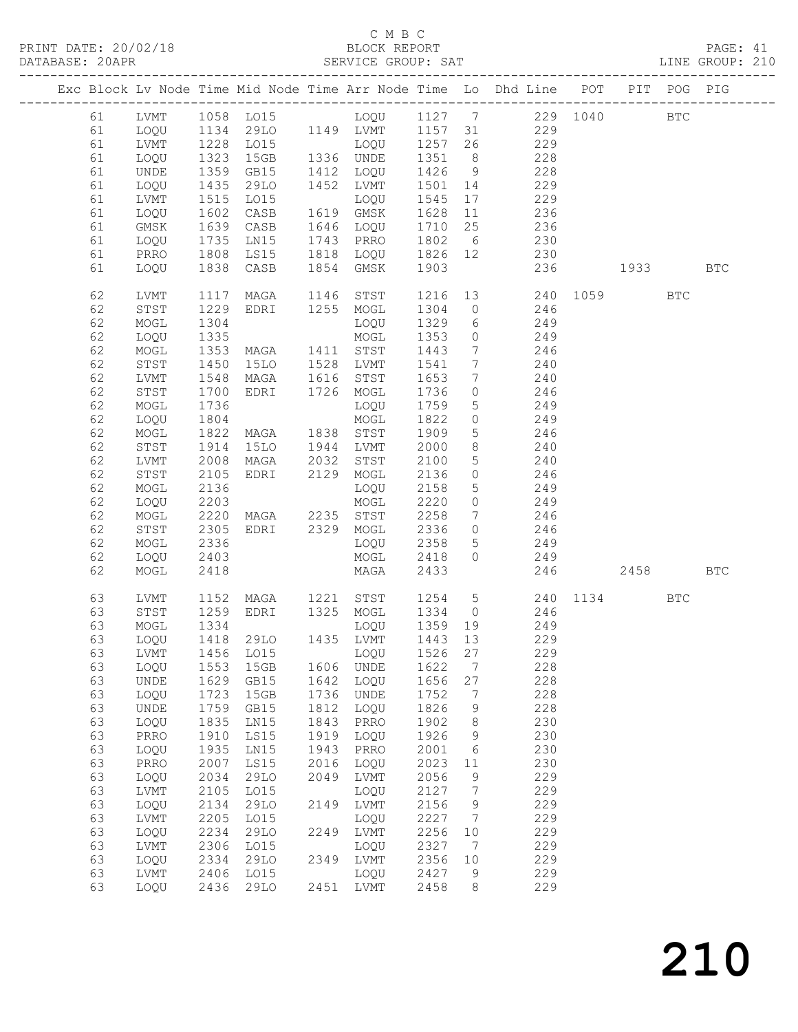### C M B C<br>BLOCK REPORT

PAGE: 41<br>LINE GROUP: 210

|  |    |             |                  |                                  |      |                       |         |                 | Exc Block Lv Node Time Mid Node Time Arr Node Time Lo Dhd Line POT PIT POG PIG |          |              |            |
|--|----|-------------|------------------|----------------------------------|------|-----------------------|---------|-----------------|--------------------------------------------------------------------------------|----------|--------------|------------|
|  | 61 | LVMT        |                  |                                  |      |                       |         |                 | 1058 LO15 LOQU 1127 7 229 1040                                                 |          | $_{\rm BTC}$ |            |
|  | 61 | LOQU        |                  |                                  |      |                       |         |                 |                                                                                |          |              |            |
|  | 61 | LVMT        |                  |                                  |      |                       |         |                 |                                                                                |          |              |            |
|  | 61 | LOQU        | 1323             | 15GB                             |      | 1336 UNDE             |         |                 | $1351$ 8 228                                                                   |          |              |            |
|  | 61 | UNDE        | 1359             | GB15                             |      | 1412 LOQU             | 1426    | 9               | 228                                                                            |          |              |            |
|  | 61 | LOQU        |                  | 29LO                             |      | 1452 LVMT             | 1501    | 14              |                                                                                |          |              |            |
|  | 61 | LVMT        | 1435<br>1515     | LO15                             |      |                       | 1545    | 17              | 229<br>229                                                                     |          |              |            |
|  |    |             | 1602             | CASB                             |      | LOQU<br>1619 GMSK     | 1628    |                 | 236                                                                            |          |              |            |
|  | 61 | LOQU        |                  |                                  |      |                       |         | 11              |                                                                                |          |              |            |
|  | 61 | GMSK        | 1639             | CASB                             |      | 1646 LOQU             | 1710    | 25              | 236                                                                            |          |              |            |
|  | 61 | LOQU        | 1735             | LN15                             |      | 1743 PRRO             | 1802 6  |                 | 230                                                                            |          |              |            |
|  | 61 | PRRO        | 1808<br>1838     | LS15                             |      | 1818 LOQU             | 1826 12 |                 | 230                                                                            |          |              |            |
|  | 61 | LOQU        |                  | CASB                             |      | 1854 GMSK             | 1903    |                 | 236                                                                            | 1933 BTC |              |            |
|  | 62 | LVMT        | 1117             | MAGA                             |      | 1146 STST             |         |                 | 1216 13 240 1059                                                               |          | <b>BTC</b>   |            |
|  | 62 | STST        | 1229             | EDRI 1255 MOGL                   |      |                       | 1304    | $\overline{0}$  | 246                                                                            |          |              |            |
|  | 62 | MOGL        | 1304             |                                  |      | LOQU                  | 1329    | 6               | 249                                                                            |          |              |            |
|  | 62 | LOQU        | 1335             |                                  |      | MOGL                  | 1353    | $\overline{0}$  | 249                                                                            |          |              |            |
|  | 62 | MOGL        | 1353             | MAGA                             |      | 1411 STST             | 1443    | $7\overline{ }$ | 246                                                                            |          |              |            |
|  | 62 | STST        | 1450             | 15LO                             |      | 1528 LVMT             | 1541    | $7\overline{ }$ | 240                                                                            |          |              |            |
|  | 62 | LVMT        | $\frac{1}{1548}$ | MAGA                             |      | 1616 STST             | 1653    | 7               | 240                                                                            |          |              |            |
|  | 62 | STST        | 1700             | EDRI                             |      | 1726 MOGL             | 1736    | $\circ$         | 246                                                                            |          |              |            |
|  | 62 | MOGL        | 1736             |                                  |      | LOQU                  | 1759    | 5 <sup>5</sup>  | 249                                                                            |          |              |            |
|  | 62 | LOQU        | 1804             |                                  |      | MOGL                  | 1822    | $\circ$         | $\frac{13}{249}$                                                               |          |              |            |
|  | 62 | MOGL        | 1822             | MAGA                             |      | 1838 STST             | 1909    | 5 <sup>5</sup>  | 246                                                                            |          |              |            |
|  | 62 | STST        | 1914             | 15LO                             |      | 1944 LVMT             | 2000    | 8               | 240                                                                            |          |              |            |
|  | 62 | LVMT        | 2008             | MAGA                             | 2032 | STST                  | 2100    | 5 <sup>5</sup>  | 240                                                                            |          |              |            |
|  | 62 | STST        | 2105             | EDRI 2129 MOGL                   |      |                       | 2136    | $\circ$         | 246                                                                            |          |              |            |
|  | 62 | MOGL        | 2136             |                                  |      | LOQU                  | 2158    | 5 <sup>5</sup>  | 249                                                                            |          |              |            |
|  | 62 | LOQU        | 2203             |                                  |      | MOGL                  | 2220    | $\circ$         | 249                                                                            |          |              |            |
|  | 62 | MOGL        | 2220             | MAGA 2235 STST                   |      |                       | 2258    | $7\overline{ }$ | 246                                                                            |          |              |            |
|  | 62 | STST        | 2305             | EDRI 2329 MOGL                   |      |                       | 2336    | $\circ$         | 246                                                                            |          |              |            |
|  | 62 | MOGL        | 2336             |                                  |      | LOQU                  | 2358    | 5 <sup>5</sup>  | 249                                                                            |          |              |            |
|  | 62 | LOQU        | 2403             |                                  |      | MOGL                  | 2418    | $\circ$         | 249                                                                            |          |              |            |
|  | 62 | MOGL        | 2418             |                                  |      | MAGA                  | 2433    |                 |                                                                                | 246 2458 |              | <b>BTC</b> |
|  | 63 | LVMT        | 1152             | MAGA 1221 STST                   |      |                       |         |                 | 1254 5                                                                         | 240 1134 | <b>BTC</b>   |            |
|  | 63 | STST        | -<br>1259        |                                  |      | EDRI 1325 MOGL 1334 0 |         |                 | 246                                                                            |          |              |            |
|  | 63 | MOGL        | 1334             | 1334 LOQU<br>1418 29LO 1435 LVMT |      | LOQU 1359 19          |         |                 | 249                                                                            |          |              |            |
|  | 63 | LOQU        |                  |                                  |      |                       | 1443 13 |                 | 229                                                                            |          |              |            |
|  |    |             |                  | 63 LVMT 1456 LO15                |      | LOQU 1526 27          |         |                 | 229                                                                            |          |              |            |
|  | 63 | LOQU        | 1553             | 15GB                             | 1606 | UNDE                  | 1622    | 7               | 228                                                                            |          |              |            |
|  | 63 | <b>UNDE</b> | 1629             | GB15                             | 1642 | LOQU                  | 1656    | 27              | 228                                                                            |          |              |            |
|  | 63 | LOQU        | 1723             | 15GB                             | 1736 | UNDE                  | 1752    | 7               | 228                                                                            |          |              |            |
|  | 63 | UNDE        | 1759             | GB15                             | 1812 | LOQU                  | 1826    | 9               | 228                                                                            |          |              |            |
|  | 63 | LOQU        | 1835             | LN15                             | 1843 | PRRO                  | 1902    | 8               | 230                                                                            |          |              |            |
|  | 63 | PRRO        | 1910             | LS15                             | 1919 | LOQU                  | 1926    | 9               | 230                                                                            |          |              |            |
|  | 63 | LOQU        | 1935             | LN15                             | 1943 | PRRO                  | 2001    | 6               | 230                                                                            |          |              |            |
|  | 63 | PRRO        | 2007             | LS15                             | 2016 | LOQU                  | 2023    | 11              | 230                                                                            |          |              |            |
|  | 63 | LOQU        | 2034             | 29LO                             | 2049 | LVMT                  | 2056    | 9               | 229                                                                            |          |              |            |
|  | 63 | LVMT        | 2105             | LO15                             |      | LOQU                  | 2127    | 7               | 229                                                                            |          |              |            |
|  | 63 | LOQU        | 2134             | <b>29LO</b>                      | 2149 | LVMT                  | 2156    | 9               | 229                                                                            |          |              |            |
|  | 63 | LVMT        | 2205             | L015                             |      | LOQU                  | 2227    | 7               | 229                                                                            |          |              |            |
|  | 63 | LOQU        | 2234             | 29LO                             | 2249 | LVMT                  | 2256    | 10              | 229                                                                            |          |              |            |
|  | 63 | LVMT        | 2306             | LO15                             |      | LOQU                  | 2327    | 7               | 229                                                                            |          |              |            |
|  | 63 | LOQU        | 2334             | 29LO                             | 2349 | LVMT                  | 2356    | 10              | 229                                                                            |          |              |            |
|  | 63 | LVMT        | 2406             | LO15                             |      | LOQU                  | 2427    | 9               | 229                                                                            |          |              |            |
|  | 63 | LOQU        | 2436             | 29LO                             | 2451 | LVMT                  | 2458    | 8               | 229                                                                            |          |              |            |
|  |    |             |                  |                                  |      |                       |         |                 |                                                                                |          |              |            |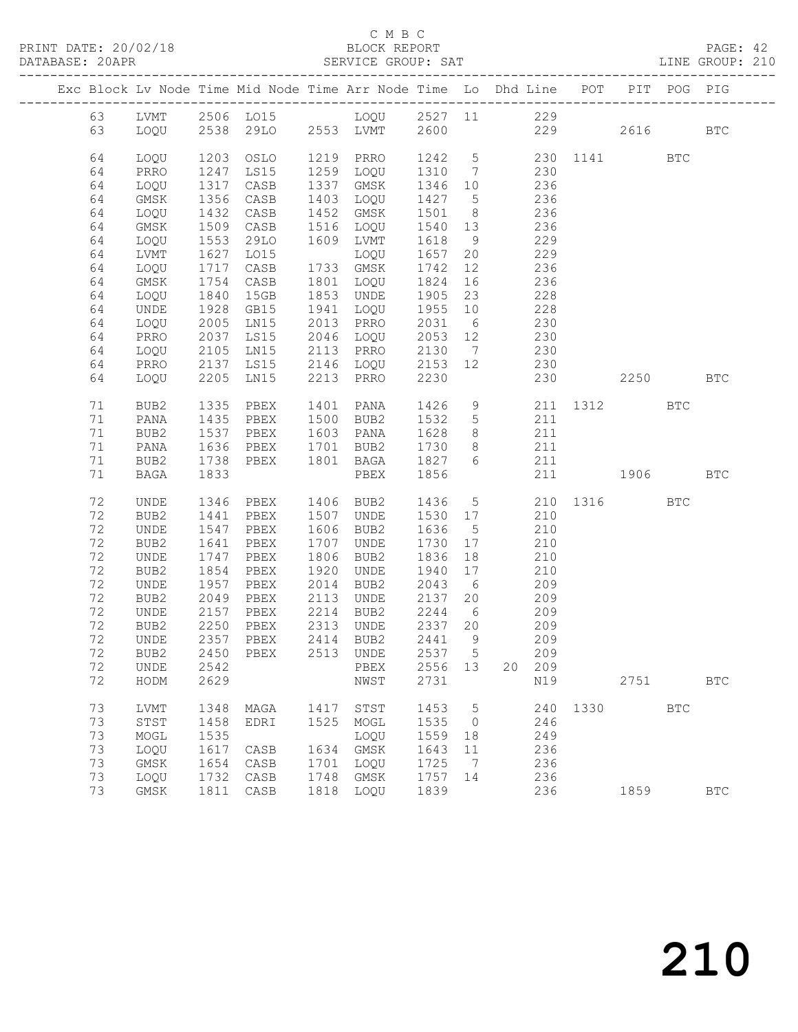### C M B C<br>BLOCK REPORT

| DATABASE: 20APR |          |              |              |                                                                                |      | SERVICE GROUP: SAT                                |                |                               |                           | LINE GROUP: 210     |      |            |            |  |
|-----------------|----------|--------------|--------------|--------------------------------------------------------------------------------|------|---------------------------------------------------|----------------|-------------------------------|---------------------------|---------------------|------|------------|------------|--|
|                 |          |              |              | Exc Block Lv Node Time Mid Node Time Arr Node Time Lo Dhd Line POT PIT POG PIG |      |                                                   |                |                               |                           |                     |      |            |            |  |
|                 |          |              |              | 63 LVMT 2506 LO15 LOQU 2527 11 229                                             |      |                                                   |                |                               |                           |                     |      |            |            |  |
|                 | 63       |              |              | LOQU 2538 29LO 2553 LVMT 2600                                                  |      |                                                   |                |                               |                           | 229 2616 BTC        |      |            |            |  |
|                 | 64       | LOQU         | 1203         | OSLO                                                                           |      | 1219 PRRO 1242 5 230 1141<br>1259 LOQU 1310 7 230 |                |                               |                           |                     |      | BTC        |            |  |
|                 | 64       | PRRO         | 1247         | LS15                                                                           |      |                                                   |                |                               |                           |                     |      |            |            |  |
|                 | 64       | LOQU         | 1317         | CASB                                                                           |      | 1337 GMSK                                         |                |                               | 1346 10 236               |                     |      |            |            |  |
|                 | 64       | GMSK         | 1356         | CASB                                                                           |      | 1403 LOQU                                         | 1427 5         |                               | 236                       |                     |      |            |            |  |
|                 | 64       | LOQU         | 1432         | CASB                                                                           |      | 1452 GMSK                                         |                |                               | 1501 8 236<br>1540 13 236 |                     |      |            |            |  |
|                 | 64       | GMSK         | 1509         | CASB                                                                           |      | 1516 LOQU                                         |                |                               |                           |                     |      |            |            |  |
|                 | 64       | LOQU         | 1553         | 29LO                                                                           |      | 1609 LVMT                                         | 1618           |                               | 9 229                     |                     |      |            |            |  |
|                 | 64       | LVMT         | 1627         | LO15                                                                           |      | LOQU                                              |                |                               | 1657 20 229               |                     |      |            |            |  |
|                 | 64       | LOQU         | 1717<br>1754 | CASB                                                                           |      | 1733 GMSK                                         | 1742           | 12                            | 236<br>236                |                     |      |            |            |  |
|                 | 64       | GMSK         |              | CASB                                                                           |      | 1801 LOQU                                         | 1824           | 16                            |                           |                     |      |            |            |  |
|                 | 64       | LOQU         | 1840         | 15GB                                                                           |      | 1853 UNDE                                         | 1905           | 23                            | 228                       |                     |      |            |            |  |
|                 | 64       | UNDE         | 1928         | GB15                                                                           |      | 1941 LOQU                                         | 1955 10        |                               | 228                       |                     |      |            |            |  |
|                 | 64<br>64 | LOQU<br>PRRO | 2005<br>2037 | LN15<br>LS15                                                                   |      | 2013 PRRO<br>$2046$ LOQU                          |                |                               | 2031 6 230<br>2053 12 230 |                     |      |            |            |  |
|                 | 64       | LOQU         | 2105         |                                                                                |      | LN15 2113 PRRO 2130 7 230                         |                |                               |                           |                     |      |            |            |  |
|                 | 64       | PRRO         | 2137         |                                                                                |      | LS15 2146 LOQU 2153 12 230                        |                |                               |                           |                     |      |            |            |  |
|                 | 64       | LOQU         | 2205         | LN15                                                                           |      | 2213 PRRO                                         | 2230           |                               |                           | 230 2250            |      |            | <b>BTC</b> |  |
|                 |          |              |              |                                                                                |      |                                                   |                |                               |                           |                     |      |            |            |  |
|                 | 71       | BUB2         | 1335         | PBEX                                                                           |      | 1401 PANA                                         | 1426           |                               |                           | 9 211 1312          |      | <b>BTC</b> |            |  |
|                 | 71       | PANA         | 1435         | PBEX                                                                           |      | 1500 BUB2                                         | 1532           | $5\overline{)}$               | 211                       |                     |      |            |            |  |
|                 | 71       | BUB2         | 1537         | PBEX                                                                           |      | 1603 PANA                                         | 1628           |                               | 8 211                     |                     |      |            |            |  |
|                 | 71       | PANA         | 1636<br>1738 | PBEX 1701 BUB2                                                                 |      | PBEX 1801 BAGA 1827 6                             | 1730           | 8 <sup>1</sup>                | 211<br>211                |                     |      |            |            |  |
|                 | 71<br>71 | BUB2<br>BAGA | 1833         |                                                                                |      | PBEX 1856                                         |                |                               |                           | 211 1906 BTC        |      |            |            |  |
|                 |          |              |              |                                                                                |      |                                                   |                |                               |                           |                     |      |            |            |  |
|                 | 72       | UNDE         | 1346         | PBEX                                                                           |      | 1406 BUB2                                         |                |                               |                           | 1436 5 210 1316 BTC |      |            |            |  |
|                 | 72       | BUB2         | 1441         | PBEX                                                                           |      | 1507 UNDE                                         | 1530 17        |                               | 210                       |                     |      |            |            |  |
|                 | 72       | UNDE         | 1547         | PBEX                                                                           |      | 1606 BUB2                                         | 1636           | $5^{\circ}$                   | 210                       |                     |      |            |            |  |
|                 | 72       | BUB2         | 1641         | PBEX                                                                           |      | 1707 UNDE                                         | 1730           | 17                            | 210                       |                     |      |            |            |  |
|                 | 72       | UNDE         | 1747         | PBEX                                                                           |      | 1806 BUB2                                         | 1836           | 18                            | 210                       |                     |      |            |            |  |
|                 | 72<br>72 | BUB2         | 1854<br>1957 | PBEX                                                                           | 1920 | UNDE                                              | 1940<br>2043 6 | 17                            | 210<br>209                |                     |      |            |            |  |
|                 | 72       | UNDE<br>BUB2 |              | PBEX<br>PBEX                                                                   |      | 2014 BUB2<br>2113 UNDE                            | 2137 20        |                               | 209                       |                     |      |            |            |  |
|                 | 72       | UNDE         | 2049         |                                                                                |      | 2214 BUB2                                         | 2244           | $6\overline{6}$               |                           |                     |      |            |            |  |
|                 | 72       | BUB2         |              | 2157 PBEX<br>2250 PBEX                                                         |      | 2313 UNDE                                         | 2337 20        |                               | 209<br>209                |                     |      |            |            |  |
|                 |          |              |              | 72 UNDE 2357 PBEX 2414 BUB2 2441 9 209                                         |      |                                                   |                |                               |                           |                     |      |            |            |  |
|                 | 72       | BUB2         | 2450         | PBEX                                                                           |      | 2513 UNDE                                         | 2537 5         |                               | 209                       |                     |      |            |            |  |
|                 | 72       | UNDE         | 2542         |                                                                                |      | PBEX                                              | 2556 13        |                               | 20 209                    |                     |      |            |            |  |
|                 | 72       | HODM         | 2629         |                                                                                |      | NWST                                              | 2731           |                               | N19                       |                     |      | 2751       | <b>BTC</b> |  |
|                 | 73       | <b>LVMT</b>  |              |                                                                                |      |                                                   |                |                               |                           | 240 1330            |      | <b>BTC</b> |            |  |
|                 | 73       | STST         | 1348<br>1458 | MAGA<br>EDRI                                                                   | 1417 | STST<br>1525 MOGL                                 | 1453<br>1535   | $5^{\circ}$<br>$\overline{0}$ | 246                       |                     |      |            |            |  |
|                 | 73       | MOGL         | 1535         |                                                                                |      | LOQU                                              | 1559           | 18                            | 249                       |                     |      |            |            |  |
|                 | 73       | LOQU         | 1617         | CASB                                                                           |      | 1634 GMSK                                         | 1643           | 11                            | 236                       |                     |      |            |            |  |
|                 | 73       | GMSK         | 1654         | CASB                                                                           | 1701 | LOQU                                              | 1725           | $\overline{7}$                | 236                       |                     |      |            |            |  |
|                 | 73       | LOQU         | 1732         | CASB                                                                           | 1748 | GMSK                                              | 1757 14        |                               | 236                       |                     |      |            |            |  |
|                 | 73       | GMSK         |              | 1811 CASB                                                                      |      | 1818 LOQU                                         | 1839           |                               | 236                       |                     | 1859 |            | <b>BTC</b> |  |
|                 |          |              |              |                                                                                |      |                                                   |                |                               |                           |                     |      |            |            |  |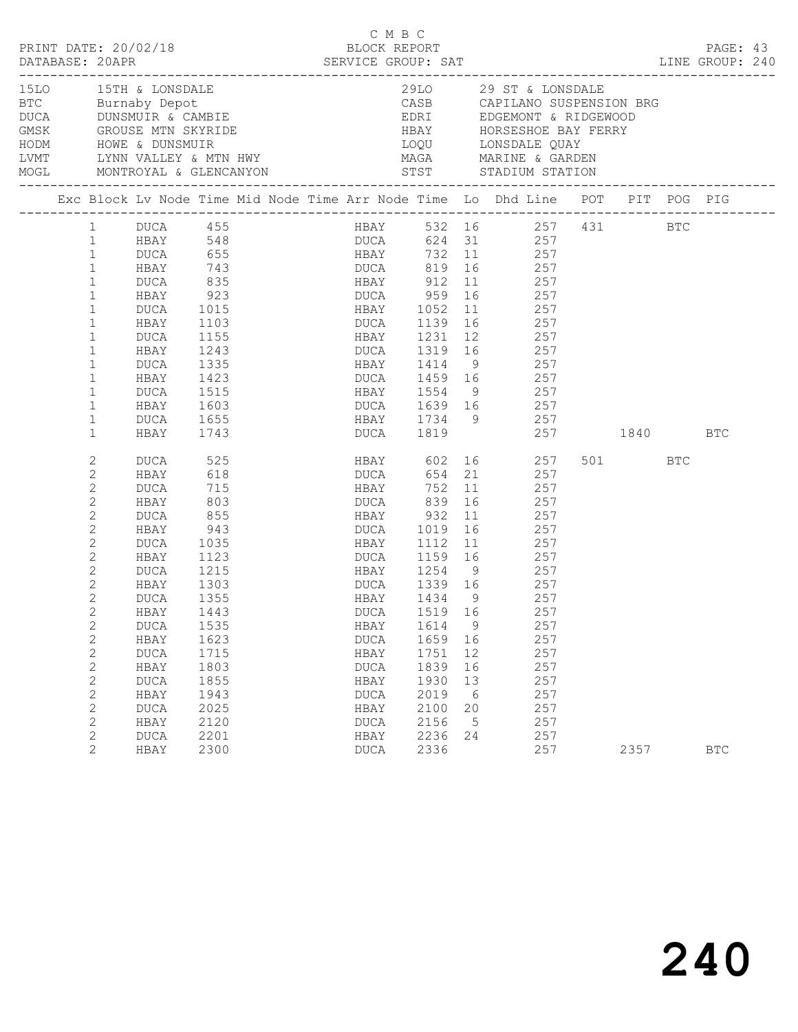|                                                                                                                                                                                     |                                                                                                                                                                                                                                                                                 |                                                                                                                                                                                         |                                                                                                                                                   |  | C M B C                                                                                                                                                                                              |                                                                                         |                                                       | LINE GROUP: 240                                                                                                                                                                                                                                                                                                                                                                          |         | PAGE: 43   |  |
|-------------------------------------------------------------------------------------------------------------------------------------------------------------------------------------|---------------------------------------------------------------------------------------------------------------------------------------------------------------------------------------------------------------------------------------------------------------------------------|-----------------------------------------------------------------------------------------------------------------------------------------------------------------------------------------|---------------------------------------------------------------------------------------------------------------------------------------------------|--|------------------------------------------------------------------------------------------------------------------------------------------------------------------------------------------------------|-----------------------------------------------------------------------------------------|-------------------------------------------------------|------------------------------------------------------------------------------------------------------------------------------------------------------------------------------------------------------------------------------------------------------------------------------------------------------------------------------------------------------------------------------------------|---------|------------|--|
| 15LO 15TH & LONSDALE<br>BTC Burnaby Depot<br>DUCA DUNSMUIR & CAMBIE<br>GMSK GROUSE MTN SKYRIDE<br>HODM HOWE & DUNSMUIR<br>LVMT LYNN VALLEY & MTN HWY<br>MOGL MONTROYAL & GLENCANYON |                                                                                                                                                                                                                                                                                 |                                                                                                                                                                                         |                                                                                                                                                   |  |                                                                                                                                                                                                      |                                                                                         |                                                       | 29LO 29 ST & LONSDALE<br>CASB     CAPILANO SUSPENSION BRG<br>EDRI      EDGEMONT & RIDGEWOOD<br>HBAY      HORSESHOE BAY FERRY<br>LOQU LONSDALE QUAY                                                                                                                                                                                                                                       |         |            |  |
|                                                                                                                                                                                     |                                                                                                                                                                                                                                                                                 |                                                                                                                                                                                         |                                                                                                                                                   |  |                                                                                                                                                                                                      |                                                                                         |                                                       | Exc Block Lv Node Time Mid Node Time Arr Node Time Lo Dhd Line POT PIT POG PIG                                                                                                                                                                                                                                                                                                           |         |            |  |
|                                                                                                                                                                                     | $\mathbf{1}$<br>$\mathbf{1}$<br>$\mathbf{1}$<br>$\mathbf{1}$<br>$\mathbf{1}$<br>$\mathbf{1}$<br>$\mathbf{1}$<br>$\mathbf{1}$<br>$\mathbf{1}$<br>$\mathbf{1}$<br>$\mathbf{1}$<br>$\mathbf{1}$<br>$\mathbf{1}$<br>$\mathbf{1}$<br>$\mathbf{2}$<br>$\mathbf{2}$<br>$\overline{2}$  | 1 DUCA 455<br>1 HBAY 548<br>HBAY<br>DUCA<br>HBAY<br>DUCA<br>HBAY<br>DUCA<br>HBAY<br>DUCA<br>HBAY<br>DUCA<br>HBAY<br>DUCA<br>HBAY<br>DUCA<br>HBAY<br>DUCA                                | 743<br>835<br>923<br>1015<br>1103<br>1155<br>1155<br>1243<br>1335<br>1423<br>1515<br>1603<br>1655<br>1743<br>525<br>618<br>715                    |  | HBAY 912 11<br>DUCA 959 16<br>HBAY 1052<br>HBAY 1414<br><b>HBAY</b>                                                                                                                                  | 752                                                                                     |                                                       | HBAY 532 16 257 431 BTC<br>DUCA 624 31 257<br>DUCA 655 HBAY 732 11 257<br>DUCA 819 16 257<br>$\begin{array}{cc} 11 & 257 \\ 16 & 257 \end{array}$<br>11 257<br>DUCA 1139 16 257<br>HBAY 1231 12 257<br>DUCA 1319 16 257<br>9 257<br>DUCA 1459 16 257<br>HBAY 1554 9 257<br>DUCA 1639 16 257<br>HBAY 1734 9 257<br>DUCA 1819 257 1840 BTC<br>HBAY 602 16 257<br>DUCA 654 21 257<br>11 257 | 501 BTC |            |  |
|                                                                                                                                                                                     | $\mathbf{2}$<br>$\mathbf{2}$<br>$\mathbf{2}$<br>$\mathbf{2}$<br>2<br>$\overline{2}$<br>$\mathbf{2}$<br>2<br>2<br>$\mathbf{2}$<br>$\mathbf{2}$<br>$\mathbf{2}$<br>$\mathbf{2}$<br>$\mathbf{2}$<br>$\mathbf{2}$<br>$\mathbf{2}$<br>$\mathbf{2}$<br>$\mathbf{2}$<br>$\overline{2}$ | HBAY<br>DUCA<br>HBAY<br>DUCA<br>HBAY<br>DUCA<br>HBAY<br>DUCA<br>HBAY<br><b>DUCA</b><br>HBAY<br><b>DUCA</b><br>HBAY<br><b>DUCA</b><br>HBAY<br><b>DUCA</b><br>HBAY<br><b>DUCA</b><br>HBAY | 803<br>855<br>943<br>1035<br>1123<br>1215<br>1303<br>1355<br>1443<br>1535<br>1623<br>1715<br>1803<br>1855<br>1943<br>2025<br>2120<br>2201<br>2300 |  | DUCA 839<br>HBAY 932<br>ndni 932<br>DUCA 1019<br>HBAY 1112<br>DUCA<br>HBAY<br>$\mathop{\text{\rm DUCA}}$<br>HBAY<br><b>DUCA</b><br>HBAY<br><b>DUCA</b><br>HBAY<br><b>DUCA</b><br>HBAY<br><b>DUCA</b> | 1519 16<br>1614<br>1659<br>1751<br>1839<br>1930<br>2019<br>2100<br>2156<br>2236<br>2336 | 11<br>9<br>16<br>12<br>16<br>13<br>6<br>20<br>5<br>24 | 16 257<br>257<br>$\frac{1}{16}$ 257<br>11 257<br>DUCA 1159 16 257<br>HBAY 1254 9 257<br>DUCA 1339 16 257<br>HBAY 1434 9 257<br>257<br>257<br>257<br>257<br>257<br>257<br>257<br>257<br>257<br>257<br>257                                                                                                                                                                                 | 2357    | <b>BTC</b> |  |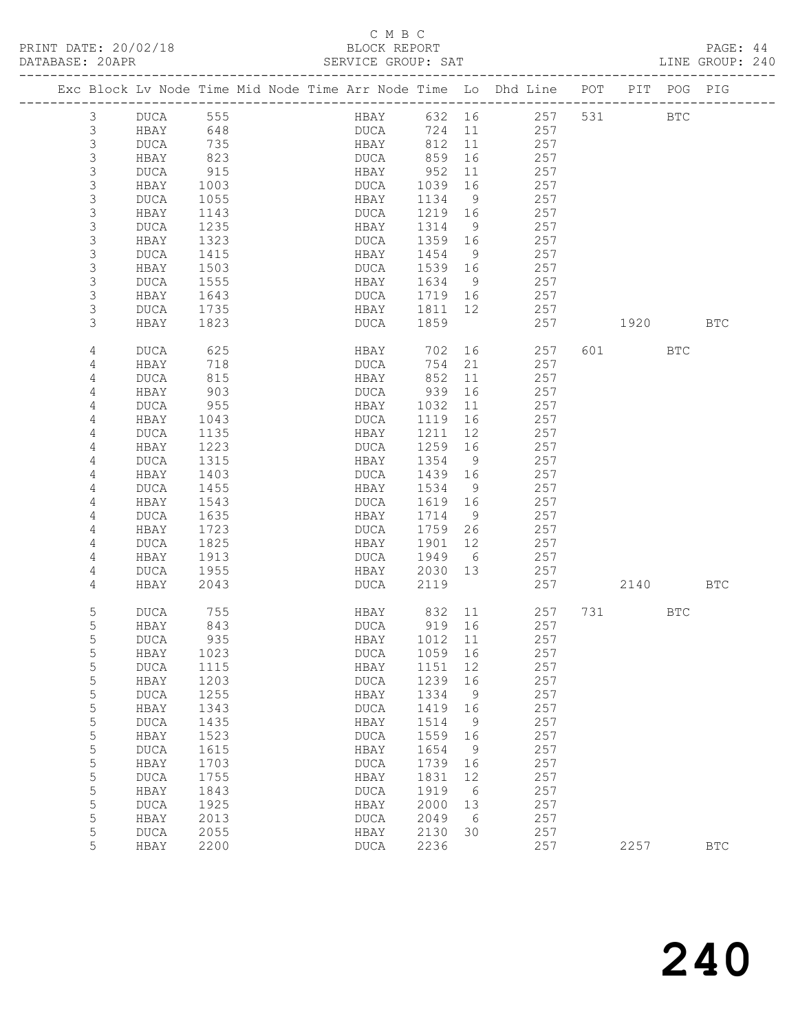# C M B C<br>BLOCK REPORT<br>SERVICE GROUP: SAT

| DATABASE: 20APR |                           |              |              | --------------------------                                                     | SERVICE GROUP: SAT         |                 |                |                         |     |          |     | LINE GROUP: 240 |  |
|-----------------|---------------------------|--------------|--------------|--------------------------------------------------------------------------------|----------------------------|-----------------|----------------|-------------------------|-----|----------|-----|-----------------|--|
|                 |                           |              |              | Exc Block Lv Node Time Mid Node Time Arr Node Time Lo Dhd Line POT PIT POG PIG |                            |                 |                |                         |     |          |     |                 |  |
|                 | 3                         | DUCA 555     |              |                                                                                |                            |                 |                | HBAY 632 16 257 531 BTC |     |          |     |                 |  |
|                 | 3                         | HBAY         | 648          |                                                                                | DUCA                       |                 |                | 724 11 257              |     |          |     |                 |  |
|                 | 3                         | <b>DUCA</b>  | 735          |                                                                                | HBAY 812 11                |                 |                | 257                     |     |          |     |                 |  |
|                 | $\mathsf 3$               | HBAY         | 823          |                                                                                | DUCA                       | 859 16          |                | 257                     |     |          |     |                 |  |
|                 | 3                         | DUCA         | 915          |                                                                                | HBAY                       | 952             | 11             | 257                     |     |          |     |                 |  |
|                 | 3                         | HBAY         | 1003         |                                                                                | DUCA                       | 1039            | 16             | 257                     |     |          |     |                 |  |
|                 | $\mathsf 3$               | DUCA         | 1055         |                                                                                | HBAY                       | 1134            | - 9            | 257                     |     |          |     |                 |  |
|                 | 3                         | HBAY         | 1143         |                                                                                | DUCA                       | 1219 16         |                | 257                     |     |          |     |                 |  |
|                 | 3                         | DUCA         | 1235         |                                                                                | HBAY                       | 1314            | $\overline{9}$ | 257                     |     |          |     |                 |  |
|                 | 3                         | HBAY         | 1323         |                                                                                | DUCA                       | 1359 16         |                | 257                     |     |          |     |                 |  |
|                 | 3                         | DUCA         | 1415         |                                                                                | HBAY                       | 1454            | 9              | 257                     |     |          |     |                 |  |
|                 | 3                         | HBAY         | 1503         |                                                                                | DUCA                       | 1539 16         |                | 257                     |     |          |     |                 |  |
|                 | $\ensuremath{\mathsf{3}}$ | DUCA         | 1555         |                                                                                | HBAY                       | 1634            | 9              | 257                     |     |          |     |                 |  |
|                 | 3                         | HBAY         | 1643         |                                                                                | DUCA 1719 16               |                 |                | 257                     |     |          |     |                 |  |
|                 | 3                         | DUCA         | 1735         |                                                                                | HBAY 1811 12               |                 |                | 257                     |     |          |     |                 |  |
|                 | 3                         | HBAY         | 1823         |                                                                                | DUCA                       | 1859            |                | 257                     |     | 1920     |     | BTC             |  |
|                 | 4                         | DUCA         | 625          |                                                                                | HBAY                       |                 |                | 702 16<br>257           |     | 601 7    | BTC |                 |  |
|                 | 4                         | HBAY         | 718          |                                                                                | DUCA                       | 754             | 21             | 257                     |     |          |     |                 |  |
|                 | 4                         | <b>DUCA</b>  | 815          |                                                                                | HBAY                       | 852             | 11             | 257                     |     |          |     |                 |  |
|                 | 4                         | HBAY         | 903          |                                                                                | DUCA                       | 939             | 16             | 257                     |     |          |     |                 |  |
|                 | 4                         | DUCA         | 955          |                                                                                | HBAY                       | 1032            | 11             | 257                     |     |          |     |                 |  |
|                 | 4                         | HBAY         | 1043         |                                                                                | DUCA                       | 1119            | 16             | 257                     |     |          |     |                 |  |
|                 | 4                         | DUCA         | 1135         |                                                                                | HBAY                       | 1211            | 12             | 257                     |     |          |     |                 |  |
|                 | 4                         | HBAY         | 1223         |                                                                                | DUCA                       | 1259 16         |                | 257                     |     |          |     |                 |  |
|                 | 4                         | DUCA         | 1315         |                                                                                | HBAY                       | 1354            | 9              | 257                     |     |          |     |                 |  |
|                 | 4                         | HBAY         | 1403         |                                                                                | DUCA                       | 1439 16         | 9              | 257<br>257              |     |          |     |                 |  |
|                 | 4<br>4                    | DUCA<br>HBAY | 1455<br>1543 |                                                                                | HBAY<br>DUCA               | 1534<br>1619 16 |                | 257                     |     |          |     |                 |  |
|                 | 4                         | DUCA         | 1635         |                                                                                | HBAY                       | 1714            | 9              | 257                     |     |          |     |                 |  |
|                 | 4                         | HBAY         | 1723         |                                                                                | DUCA                       | 1759 26         |                | 257                     |     |          |     |                 |  |
|                 | 4                         | DUCA         | 1825         |                                                                                | HBAY                       | 1901            | 12             | 257                     |     |          |     |                 |  |
|                 | 4                         | HBAY         | 1913         |                                                                                | DUCA                       | 1949 6          |                | 257                     |     |          |     |                 |  |
|                 | 4                         | DUCA         | 1955         |                                                                                | HBAY                       | 2030 13         |                | 257                     |     |          |     |                 |  |
|                 | 4                         | HBAY         | 2043         |                                                                                | DUCA                       | 2119            |                |                         | 257 | 2140 BTC |     |                 |  |
|                 |                           |              |              |                                                                                |                            |                 |                |                         |     |          |     |                 |  |
|                 | 5                         | DUCA         | 755          |                                                                                | HBAY 832 11<br>DUCA 919 16 |                 |                | 257                     |     | 731 — 17 | BTC |                 |  |
|                 | $\mathsf S$               | HBAY         | 843          |                                                                                |                            |                 |                | 257                     |     |          |     |                 |  |
|                 | 5                         | DUCA         | 935          |                                                                                | HBAY 1012 11               |                 |                | 257                     |     |          |     |                 |  |
|                 | 5                         | HBAY         | 1023         |                                                                                | DUCA                       | 1059 16         |                | 257                     |     |          |     |                 |  |
|                 | $\mathsf S$               | <b>DUCA</b>  | 1115         |                                                                                | HBAY                       | 1151            | 12             | 257                     |     |          |     |                 |  |
|                 | $\mathsf S$               | HBAY         | 1203         |                                                                                | DUCA                       | 1239            | 16             | 257                     |     |          |     |                 |  |
|                 | $\mathsf S$               | <b>DUCA</b>  | 1255         |                                                                                | HBAY                       | 1334            | $\overline{9}$ | 257                     |     |          |     |                 |  |
|                 | 5                         | HBAY         | 1343         |                                                                                | DUCA                       | 1419            | 16             | 257                     |     |          |     |                 |  |
|                 | 5                         | <b>DUCA</b>  | 1435         |                                                                                | HBAY                       | 1514            | 9              | 257                     |     |          |     |                 |  |
|                 | $\mathsf S$               | HBAY         | 1523         |                                                                                | DUCA                       | 1559            | 16             | 257                     |     |          |     |                 |  |
|                 | $\mathsf S$               | <b>DUCA</b>  | 1615         |                                                                                | HBAY                       | 1654            | 9              | 257                     |     |          |     |                 |  |
|                 | $\mathsf S$<br>5          | HBAY         | 1703         |                                                                                | DUCA                       | 1739            | 16             | 257                     |     |          |     |                 |  |
|                 | 5                         | <b>DUCA</b>  | 1755<br>1843 |                                                                                | HBAY                       | 1831<br>1919    | 12<br>6        | 257<br>257              |     |          |     |                 |  |
|                 | $\mathsf S$               | HBAY         | 1925         |                                                                                | <b>DUCA</b>                | 2000            |                | 257                     |     |          |     |                 |  |
|                 | $\mathsf S$               | <b>DUCA</b>  | 2013         |                                                                                | HBAY                       |                 | 13<br>6        | 257                     |     |          |     |                 |  |
|                 | $\mathsf S$               | HBAY         | 2055         |                                                                                | DUCA                       | 2049            | 30             | 257                     |     |          |     |                 |  |
|                 | 5                         | DUCA<br>HBAY | 2200         |                                                                                | HBAY<br>DUCA               | 2130<br>2236    |                | 257                     |     | 2257     |     | <b>BTC</b>      |  |
|                 |                           |              |              |                                                                                |                            |                 |                |                         |     |          |     |                 |  |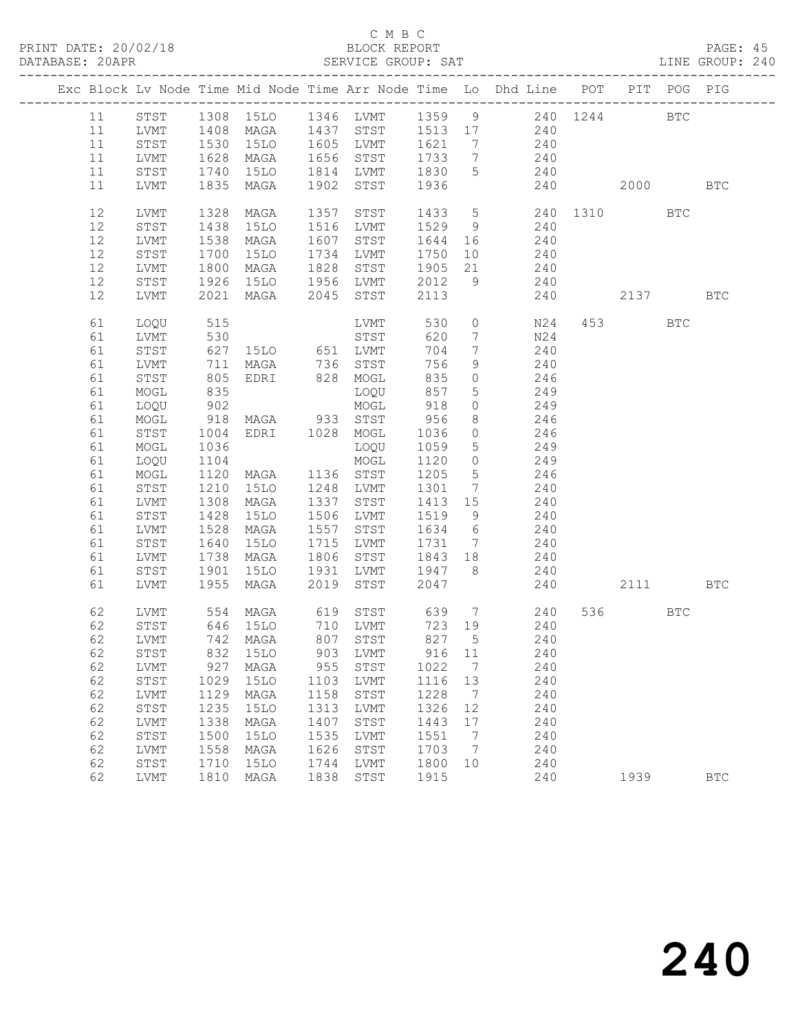### C M B C<br>BLOCK REPORT

### PAGE: 45<br>LINE GROUP: 240

|    |      |              |                                            |      |                       |         |                              | Exc Block Lv Node Time Mid Node Time Arr Node Time Lo Dhd Line POT |                        | PIT POG PIG |            |
|----|------|--------------|--------------------------------------------|------|-----------------------|---------|------------------------------|--------------------------------------------------------------------|------------------------|-------------|------------|
| 11 |      |              |                                            |      |                       |         |                              | STST 1308 15LO 1346 LVMT 1359 9 240 1244 BTC                       |                        |             |            |
| 11 | LVMT | 1408         |                                            |      |                       |         |                              | MAGA 1437 STST 1513 17 240                                         |                        |             |            |
| 11 | STST | 1530         |                                            |      | 15LO 1605 LVMT 1621 7 |         |                              | 240                                                                |                        |             |            |
| 11 | LVMT |              | MAGA                                       |      | 1656 STST             | 1733 7  |                              | 240                                                                |                        |             |            |
| 11 | STST | 1628<br>1740 | 15LO                                       |      | 1814 LVMT             | 1830 5  |                              | $240$                                                              |                        |             |            |
| 11 | LVMT | 1835         | MAGA                                       | 1902 | STST                  | 1936    |                              | 240                                                                | 2000 00                |             | <b>BTC</b> |
|    |      |              |                                            |      |                       |         |                              |                                                                    |                        |             |            |
| 12 | LVMT | 1328         | MAGA                                       | 1357 | STST                  | 1433 5  |                              | 240 1310 BTC                                                       |                        |             |            |
| 12 | STST | 1438         | 15LO                                       |      | 1516 LVMT             | 1529 9  |                              | 240                                                                |                        |             |            |
| 12 | LVMT | 1538         | MAGA                                       |      | 1607 STST             | 1644 16 |                              | 240                                                                |                        |             |            |
| 12 | STST | 1700         | 15LO                                       |      | 1734 LVMT             | 1750    |                              | 10 240                                                             |                        |             |            |
| 12 | LVMT | 1800         | MAGA                                       | 1828 | STST                  | 1905    | 21                           | 240                                                                |                        |             |            |
| 12 | STST | 1926         |                                            |      |                       | 2012    | 9                            | 240                                                                |                        |             |            |
| 12 | LVMT |              | 1926 1510 1956 LVMT<br>2021 MAGA 2045 STST |      |                       | 2113    |                              | 240                                                                | 2137                   |             | <b>BTC</b> |
|    |      |              |                                            |      |                       |         |                              |                                                                    |                        |             |            |
| 61 | LOQU | 515          |                                            |      | LVMT                  | 530     | $\circ$                      | N24                                                                | 453 and $\overline{a}$ | <b>BTC</b>  |            |
| 61 | LVMT |              |                                            |      |                       | 620     | 7                            | N24                                                                |                        |             |            |
| 61 | STST |              |                                            |      |                       | 704     | $7\overline{ }$              | 240                                                                |                        |             |            |
| 61 | LVMT | 711          | MAGA 736 STST                              |      |                       | 756     | 9                            | 240                                                                |                        |             |            |
| 61 | STST | 805          | EDRI 828 MOGL                              |      |                       | 835     | $\circ$                      | 246                                                                |                        |             |            |
| 61 | MOGL | 835<br>902   |                                            |      | LOQU                  | 857     | 5 <sup>5</sup>               | 249                                                                |                        |             |            |
| 61 | LOQU |              |                                            |      | MOGL                  | 918     | $\circ$                      | 249                                                                |                        |             |            |
| 61 | MOGL | 918          | MAGA 933 STST                              |      |                       | 956     | 8 <sup>8</sup>               | 246                                                                |                        |             |            |
| 61 | STST | 1004         | EDRI 1028 MOGL                             |      |                       | 1036    | $\overline{0}$               | 246                                                                |                        |             |            |
| 61 | MOGL | 1036         |                                            |      | LOQU                  | 1059    | $5\overline{)}$              | 249                                                                |                        |             |            |
| 61 | LOQU | 1104         |                                            |      | MOGL                  | 1120    | $\overline{0}$               | 249                                                                |                        |             |            |
| 61 | MOGL | 1120         | MAGA 1136 STST                             |      |                       | 1205    | $5\overline{)}$              | 246                                                                |                        |             |            |
| 61 | STST | 1210         | 15LO                                       |      | 1248 LVMT             | 1301    | $7\overline{ }$              | 240                                                                |                        |             |            |
| 61 | LVMT | 1308         | MAGA                                       |      | 1337 STST             | 1413 15 |                              | 240                                                                |                        |             |            |
| 61 | STST | 1428         | 15LO                                       |      | 1506 LVMT             | 1519    | 9                            | 240                                                                |                        |             |            |
| 61 | LVMT | 1528         | MAGA                                       |      | 1557 STST             | 1634 6  |                              | $240$                                                              |                        |             |            |
| 61 | STST | 1640         | 15LO                                       |      | 1715 LVMT             | 1731 7  |                              | 240                                                                |                        |             |            |
| 61 | LVMT | 1738         | MAGA                                       |      | 1806 STST             | 1843 18 |                              | 240                                                                |                        |             |            |
| 61 | STST | 1901         | 15LO                                       |      | 1931 LVMT             | 1947 8  |                              | 240                                                                |                        |             |            |
| 61 | LVMT | 1955         | MAGA                                       | 2019 | STST                  | 2047    |                              | 240                                                                | 2111 BTC               |             |            |
| 62 | LVMT | 554          | MAGA                                       | 619  |                       |         |                              | STST 639 7 240                                                     | 536 7                  | <b>BTC</b>  |            |
| 62 | STST |              |                                            |      |                       | 723 19  |                              |                                                                    |                        |             |            |
| 62 | LVMT |              | 646 15LO<br>742 MAGA                       |      | 710 LVMT<br>807 STST  | 827 5   |                              | $\begin{array}{c} 240 \\ 242 \end{array}$<br>240                   |                        |             |            |
| 62 | STST |              | 832 15LO                                   |      | 903 LVMT              | 916 11  |                              | 240                                                                |                        |             |            |
| 62 | LVMT | 927          | MAGA                                       | 955  | STST                  | 1022    | $\overline{7}$               | 240                                                                |                        |             |            |
| 62 | STST | 1029         | 15LO                                       | 1103 | LVMT                  | 1116 13 |                              | 240                                                                |                        |             |            |
| 62 |      | 1129         |                                            | 1158 | STST                  | 1228    | $7\phantom{.0}\phantom{.0}7$ | 240                                                                |                        |             |            |
| 62 | LVMT | 1235         | MAGA                                       | 1313 |                       | 1326    |                              | 240                                                                |                        |             |            |
|    | STST |              | 15LO                                       |      | LVMT                  |         | 12                           |                                                                    |                        |             |            |
| 62 | LVMT | 1338         | MAGA                                       | 1407 | STST                  | 1443    | 17                           | 240                                                                |                        |             |            |
| 62 | STST | 1500         | 15LO                                       | 1535 | LVMT                  | 1551    | $7\phantom{.0}\phantom{.0}7$ | 240                                                                |                        |             |            |
| 62 | LVMT | 1558         | MAGA                                       | 1626 | STST                  | 1703    | $\overline{7}$               | 240                                                                |                        |             |            |
| 62 | STST | 1710         | <b>15LO</b>                                | 1744 | LVMT                  | 1800    | 10                           | 240                                                                |                        |             |            |
| 62 | LVMT |              | 1810 MAGA                                  | 1838 | STST                  | 1915    |                              | 240                                                                | 1939                   |             | <b>BTC</b> |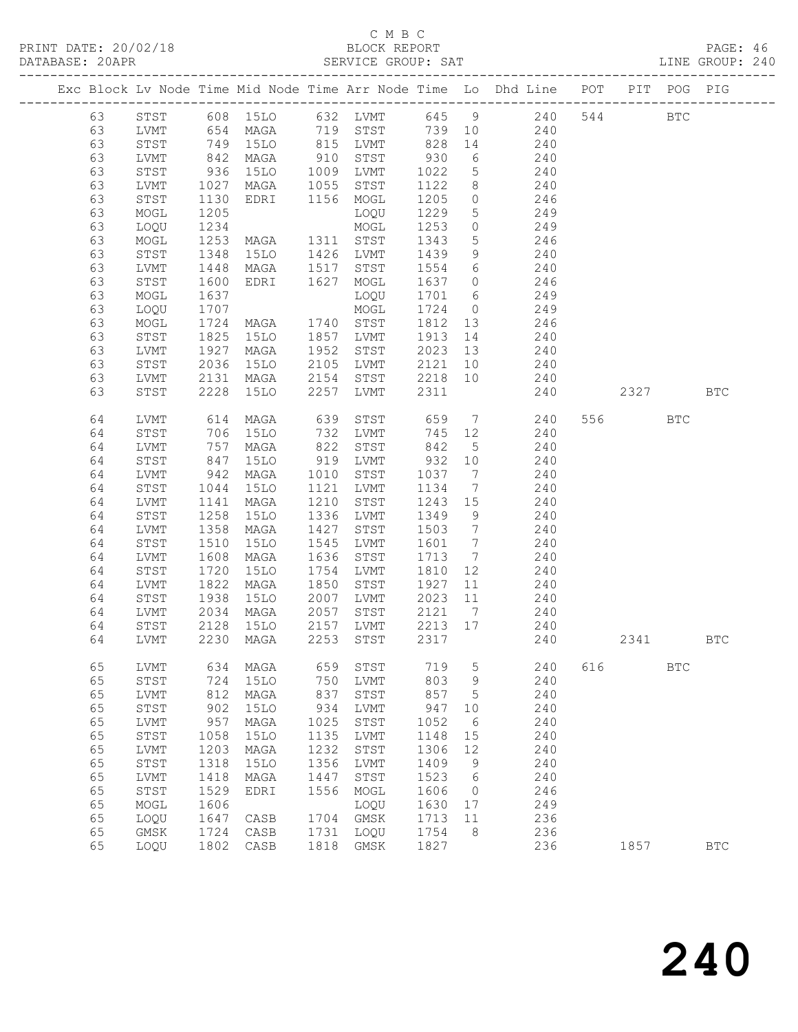## C M B C<br>
C M B C<br>
ELOCK REPORT

| DATABASE: 20APR |    |              |                       |                                          |      | SERVICE GROUP: SAT                                            |         |                 |                                                                                |     |         |            | LINE GROUP: 240 |  |
|-----------------|----|--------------|-----------------------|------------------------------------------|------|---------------------------------------------------------------|---------|-----------------|--------------------------------------------------------------------------------|-----|---------|------------|-----------------|--|
|                 |    |              |                       |                                          |      |                                                               |         |                 | Exc Block Lv Node Time Mid Node Time Arr Node Time Lo Dhd Line POT PIT POG PIG |     |         |            |                 |  |
|                 | 63 |              |                       |                                          |      |                                                               |         |                 | STST 608 15LO 632 LVMT 645 9 240 544 BTC                                       |     |         |            |                 |  |
|                 | 63 | LVMT         |                       |                                          |      |                                                               |         |                 | 654 MAGA 719 STST 739 10 240                                                   |     |         |            |                 |  |
|                 | 63 | STST         |                       | 749 15LO<br>842 MAGA<br>936 15LO         |      | 15LO 815 LVMT 828<br>MAGA 910 STST 930<br>15LO 1009 LVMT 1022 |         |                 | 14 240                                                                         |     |         |            |                 |  |
|                 | 63 | LVMT         |                       |                                          |      |                                                               |         | $6\overline{6}$ | 240                                                                            |     |         |            |                 |  |
|                 | 63 | STST         |                       |                                          |      |                                                               |         |                 | $\begin{array}{ccc}\n 0 & 240 \\  5 & 240\n\end{array}$                        |     |         |            |                 |  |
|                 | 63 | LVMT         | 1027                  | MAGA 1055 STST                           |      |                                                               | 1122    |                 | 8 240                                                                          |     |         |            |                 |  |
|                 | 63 | STST         | 1130                  | EDRI 1156 MOGL                           |      |                                                               | 1205    | $\overline{0}$  | 246                                                                            |     |         |            |                 |  |
|                 | 63 | MOGL         | 1205                  |                                          |      | LOQU                                                          | 1229    | 5 <sup>5</sup>  | 249                                                                            |     |         |            |                 |  |
|                 | 63 | LOQU         | 1234                  | LOQU<br>MOGL<br>MAGA 1311 STST           |      |                                                               | 1253    |                 | $\overline{0}$<br>249                                                          |     |         |            |                 |  |
|                 | 63 | MOGL         | 1253                  |                                          |      |                                                               | 1343    | 5 <sup>5</sup>  | 246                                                                            |     |         |            |                 |  |
|                 | 63 | STST         | 1348                  | 15LO 1426 LVMT                           |      |                                                               | 1439    | 9               | 240                                                                            |     |         |            |                 |  |
|                 | 63 | LVMT         | $14 - 1600$<br>$-637$ | MAGA 1517 STST                           |      |                                                               |         |                 |                                                                                |     |         |            |                 |  |
|                 | 63 | STST         |                       | EDRI 1627 MOGL                           |      |                                                               |         |                 | 1554 6 240<br>1637 0 246                                                       |     |         |            |                 |  |
|                 | 63 | MOGL         | 1637                  |                                          |      | LOQU                                                          |         |                 | 1701 6 249                                                                     |     |         |            |                 |  |
|                 | 63 | LOQU         | 1707                  |                                          |      |                                                               | 1724    |                 | $0$ 249                                                                        |     |         |            |                 |  |
|                 | 63 | MOGL         |                       | MOGL<br>MAGA 1740 STST<br>15LO 1857 LVMT |      |                                                               | 1812 13 |                 | 246                                                                            |     |         |            |                 |  |
|                 | 63 | STST         | 1724<br>1825          |                                          |      |                                                               | 1913 14 |                 | 240                                                                            |     |         |            |                 |  |
|                 | 63 | LVMT         | 1927                  | MAGA                                     | 1952 | STST                                                          | 2023 13 |                 | 240                                                                            |     |         |            |                 |  |
|                 | 63 | STST         | 2036                  | 15LO                                     |      | 2105 LVMT                                                     | 2121    | 10              | 240                                                                            |     |         |            |                 |  |
|                 | 63 | LVMT         | 2131                  | MAGA                                     |      | 2154 STST                                                     | 2218 10 |                 | 240                                                                            |     |         |            |                 |  |
|                 | 63 | STST         | 2228                  | 15LO                                     |      | 2257 LVMT                                                     | 2311    |                 | 240                                                                            |     | 2327    |            | <b>BTC</b>      |  |
|                 | 64 | LVMT         | 614                   | MAGA                                     | 639  | STST                                                          | 659     |                 | 7 240                                                                          |     | 556 700 | <b>BTC</b> |                 |  |
|                 | 64 | STST         |                       | 15LO                                     | 732  | LVMT                                                          | 745     | 12              | 240                                                                            |     |         |            |                 |  |
|                 | 64 | LVMT         | 706<br>757<br>847     | MAGA                                     | 822  | STST                                                          | 842     | $5\overline{)}$ | 240                                                                            |     |         |            |                 |  |
|                 | 64 | STST         |                       | 15LO                                     |      | 919 LVMT                                                      | 932 10  |                 | 240                                                                            |     |         |            |                 |  |
|                 | 64 | LVMT         | 942                   | MAGA                                     | 1010 | STST                                                          | 1037    | $7\overline{ }$ | 240                                                                            |     |         |            |                 |  |
|                 | 64 | STST         | 1044                  | 15LO                                     | 1121 | LVMT                                                          | 1134    | $7\overline{ }$ | 240                                                                            |     |         |            |                 |  |
|                 | 64 | LVMT         | 1141                  | MAGA                                     |      | 1210 STST                                                     | 1243 15 |                 |                                                                                |     |         |            |                 |  |
|                 | 64 | STST         | 1258                  | 15LO                                     |      | 1336 LVMT                                                     | 1349    | 9               | $240$<br>$240$                                                                 |     |         |            |                 |  |
|                 | 64 | LVMT         | 1358                  | MAGA                                     | 1427 | STST                                                          | 1503    | $7\overline{ }$ | 240                                                                            |     |         |            |                 |  |
|                 | 64 | STST         | 1510                  | 15LO                                     | 1545 | LVMT                                                          | 1601 7  |                 | 240                                                                            |     |         |            |                 |  |
|                 | 64 | LVMT         | 1608                  | MAGA                                     | 1636 | STST                                                          | 1713 7  |                 | 240                                                                            |     |         |            |                 |  |
|                 | 64 | STST         | 1720                  | 15LO                                     | 1754 | LVMT                                                          | 1810    | 12              | 240                                                                            |     |         |            |                 |  |
|                 | 64 | LVMT         | 1822                  | MAGA                                     | 1850 | STST                                                          | 1927    | 11              | 240                                                                            |     |         |            |                 |  |
|                 | 64 | STST         | 1938                  | 15LO                                     |      | 2007 LVMT                                                     | 2023    | 11              | 240                                                                            |     |         |            |                 |  |
|                 | 64 | LVMT         |                       | MAGA                                     |      | 2057 STST                                                     | 2121 7  |                 |                                                                                |     |         |            |                 |  |
|                 | 64 | STST         | 2034<br>2128          | 15LO                                     |      | $2157$ LVMT                                                   | 2213 17 |                 | $240$<br>$240$                                                                 |     |         |            |                 |  |
|                 |    |              |                       |                                          |      |                                                               |         |                 | 64 LVMT 2230 MAGA 2253 STST 2317 240                                           |     | 2341    |            | BTC             |  |
|                 |    |              |                       |                                          |      |                                                               |         |                 |                                                                                |     |         |            |                 |  |
|                 | 65 | LVMT         | 634                   | MAGA                                     | 659  | STST                                                          | 719     | 5               | 240                                                                            | 616 |         | <b>BTC</b> |                 |  |
|                 | 65 | ${\tt STST}$ | 724                   | <b>15LO</b>                              | 750  | LVMT                                                          | 803     | 9               | 240                                                                            |     |         |            |                 |  |
|                 | 65 | LVMT         | 812                   | MAGA                                     | 837  | STST                                                          | 857     | 5               | 240                                                                            |     |         |            |                 |  |
|                 | 65 | ${\tt STST}$ | 902                   | 15LO                                     | 934  | LVMT                                                          | 947     | 10              | 240                                                                            |     |         |            |                 |  |
|                 | 65 | ${\rm LVMT}$ | 957                   | MAGA                                     | 1025 | STST                                                          | 1052    | 6               | 240                                                                            |     |         |            |                 |  |
|                 | 65 | STST         | 1058                  | 15LO                                     | 1135 | LVMT                                                          | 1148    | 15              | 240                                                                            |     |         |            |                 |  |
|                 | 65 | ${\rm LVMT}$ | 1203                  | MAGA                                     | 1232 | STST                                                          | 1306    | 12              | 240                                                                            |     |         |            |                 |  |
|                 | 65 | STST         | 1318                  | 15LO                                     | 1356 | LVMT                                                          | 1409    | 9               | 240                                                                            |     |         |            |                 |  |
|                 | 65 | ${\rm LVMT}$ | 1418                  | MAGA                                     | 1447 | STST                                                          | 1523    | 6               | 240                                                                            |     |         |            |                 |  |
|                 | 65 | STST         | 1529                  | EDRI                                     | 1556 | MOGL                                                          | 1606    | $\overline{0}$  | 246                                                                            |     |         |            |                 |  |
|                 | 65 | $\sf{MOGL}$  | 1606                  |                                          |      | LOQU                                                          | 1630    | 17              | 249                                                                            |     |         |            |                 |  |
|                 | 65 | LOQU         | 1647                  | CASB                                     | 1704 | GMSK                                                          | 1713    | 11              | 236                                                                            |     |         |            |                 |  |
|                 | 65 | GMSK         | 1724                  | CASB                                     | 1731 | LOQU                                                          | 1754    | 8               | 236                                                                            |     |         |            |                 |  |
|                 | 65 | LOQU         | 1802                  | CASB                                     | 1818 | GMSK                                                          | 1827    |                 | 236                                                                            |     | 1857    |            | <b>BTC</b>      |  |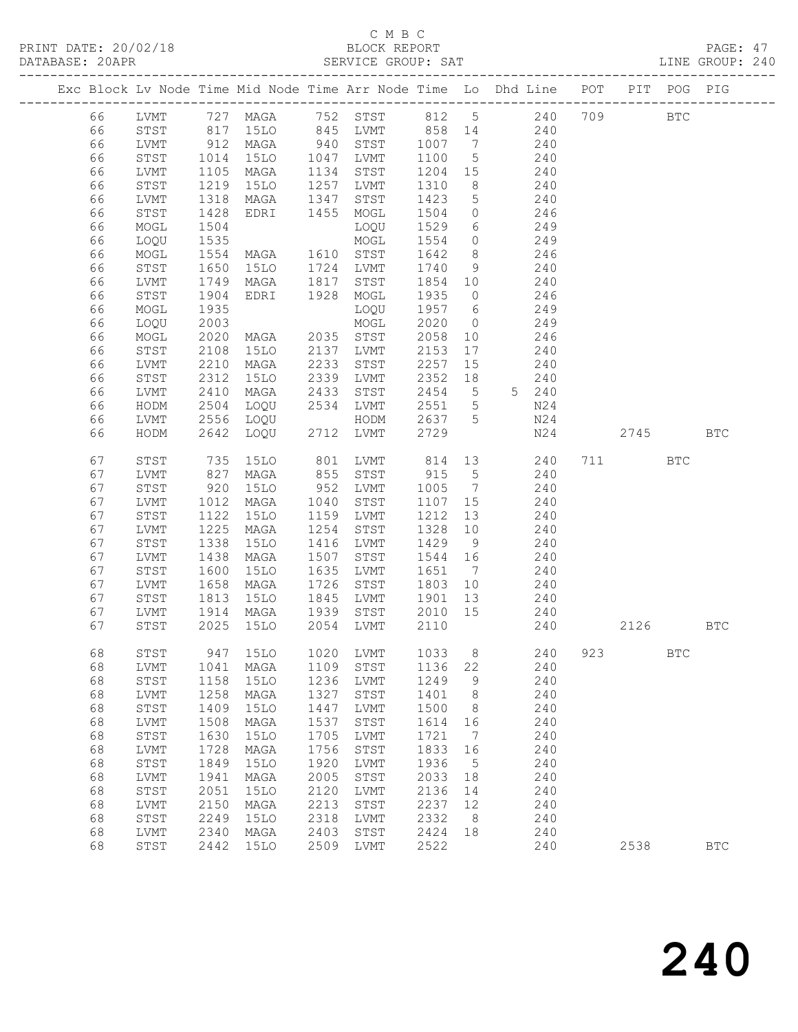### C M B C<br>BLOCK REPORT

| DATABASE: 20APR |          | ------------------ |                                            |                                                |      | SERVICE GROUP: SAT |                  |                 |                                                                                |     |         |            | LINE GROUP: 240 |  |
|-----------------|----------|--------------------|--------------------------------------------|------------------------------------------------|------|--------------------|------------------|-----------------|--------------------------------------------------------------------------------|-----|---------|------------|-----------------|--|
|                 |          |                    |                                            |                                                |      |                    |                  |                 | Exc Block Lv Node Time Mid Node Time Arr Node Time Lo Dhd Line POT PIT POG PIG |     |         |            |                 |  |
|                 | 66       |                    |                                            |                                                |      |                    |                  |                 | LVMT 727 MAGA 752 STST 812 5 240 709 BTC                                       |     |         |            |                 |  |
|                 | 66       | STST               |                                            |                                                |      |                    |                  |                 | 817 15LO 845 LVMT 858 14 240                                                   |     |         |            |                 |  |
|                 | 66       | LVMT               | $912$<br>$1014$<br>$1105$                  |                                                |      |                    |                  |                 | MAGA 940 STST 1007 7 240<br>15LO 1047 LVMT 1100 5 240                          |     |         |            |                 |  |
|                 | 66       | STST               |                                            |                                                |      |                    |                  |                 |                                                                                |     |         |            |                 |  |
|                 | 66       | LVMT               |                                            | MAGA 1134 STST                                 |      |                    | 1204 15          |                 | 240                                                                            |     |         |            |                 |  |
|                 | 66       | STST               | 1219                                       | 15LO                                           |      | 1257 LVMT          | 1310             | 8 <sup>8</sup>  | 240                                                                            |     |         |            |                 |  |
|                 | 66       | LVMT               | 1318                                       | MAGA                                           |      | 1347 STST          | 1423             | $5\overline{)}$ | 240                                                                            |     |         |            |                 |  |
|                 | 66       | STST               | 1428                                       | EDRI 1455 MOGL                                 |      |                    | 1504             | $\overline{0}$  | 246                                                                            |     |         |            |                 |  |
|                 | 66       | MOGL               | 1504                                       |                                                |      | LOQU               | 1529             |                 | $6\overline{6}$<br>249                                                         |     |         |            |                 |  |
|                 | 66       | LOQU               | 1535                                       |                                                |      | MOGL               | 1554             |                 | $0 \qquad \qquad 249$                                                          |     |         |            |                 |  |
|                 | 66       | MOGL               | 1554                                       | MAGA 1610 STST                                 |      |                    | 1642             | 8 <sup>8</sup>  | 246                                                                            |     |         |            |                 |  |
|                 | 66       | STST               | 1650<br>1749                               | 15LO 1724 LVMT                                 |      |                    | 1740             | 9               | 240                                                                            |     |         |            |                 |  |
|                 | 66       | LVMT               |                                            | MAGA                                           |      | 1817 STST          | 1854 10          |                 | 240                                                                            |     |         |            |                 |  |
|                 | 66       | STST               | 1904                                       | EDRI 1928                                      |      | MOGL               | 1935             | $\overline{0}$  | 246                                                                            |     |         |            |                 |  |
|                 | 66       | MOGL               | 1935                                       | LOQU<br>MOGL<br>MAGA 2035 STST                 |      | LOQU               | 1957 6           |                 | 249                                                                            |     |         |            |                 |  |
|                 | 66       | LOQU               | 2003                                       |                                                |      |                    | 2020             | $\overline{0}$  | 249                                                                            |     |         |            |                 |  |
|                 | 66       | MOGL               | 2020                                       | 15LO 2137 LVMT                                 |      |                    | 2058             | 10              | 246<br>240                                                                     |     |         |            |                 |  |
|                 | 66       | STST               | 2108                                       |                                                |      |                    | 2153             | 17              |                                                                                |     |         |            |                 |  |
|                 | 66       | LVMT               | 2210                                       | MAGA                                           | 2233 | STST               | 2257             | 15              | 240                                                                            |     |         |            |                 |  |
|                 | 66       | STST               | 2312                                       | 15LO                                           |      | 2339 LVMT          | 2352 18          |                 | 240                                                                            |     |         |            |                 |  |
|                 | 66       | LVMT               | 2410<br>2504                               | MAGA<br>LOQU 2534 LVMT                         | 2433 | STST               | 2454 5<br>2551 5 |                 | 5 240<br>N24                                                                   |     |         |            |                 |  |
|                 | 66       | HODM               | 2556                                       |                                                |      |                    | 2637 5           |                 | N24                                                                            |     |         |            |                 |  |
|                 | 66<br>66 | LVMT<br>HODM       | 2642                                       | LOQU<br>LOQU                                   |      | HODM<br>2712 LVMT  | 2729             |                 | N24                                                                            |     | 2745    |            | <b>BTC</b>      |  |
|                 |          |                    |                                            |                                                |      |                    |                  |                 |                                                                                |     |         |            |                 |  |
|                 | 67       | STST               | 735                                        | 15LO                                           |      | 801 LVMT           |                  |                 | 814 13<br>240                                                                  |     | 711 711 | BTC        |                 |  |
|                 | 67       | LVMT               | 827                                        | MAGA                                           |      | 855 STST           | 915 5            |                 | 240                                                                            |     |         |            |                 |  |
|                 | 67       | STST               | $\begin{array}{c} 920 \\ 1012 \end{array}$ | 15LO                                           |      | 952 LVMT           | 1005             | $7\overline{ }$ | 240                                                                            |     |         |            |                 |  |
|                 | 67       | LVMT               |                                            | MAGA                                           |      | 1040 STST          | 1107 15          |                 | 240                                                                            |     |         |            |                 |  |
|                 | 67       | STST               | $\frac{1}{1}$ 122                          | 15LO                                           |      | 1159 LVMT          | 1212             | 13              | 240                                                                            |     |         |            |                 |  |
|                 | 67       | LVMT               | 1225                                       | MAGA                                           | 1254 | STST               | 1328 10          |                 | 240                                                                            |     |         |            |                 |  |
|                 | 67       | STST               | 1338                                       | 15LO                                           |      | 1416 LVMT          | 1429             | 9               | 240                                                                            |     |         |            |                 |  |
|                 | 67       | LVMT               | 1438                                       | MAGA                                           |      | 1507 STST          | 1544 16          |                 | 240                                                                            |     |         |            |                 |  |
|                 | 67       | STST               | 1600                                       | 15LO                                           | 1635 | LVMT               | 1651 7           |                 | 240                                                                            |     |         |            |                 |  |
|                 | 67       | LVMT               | 1658                                       | MAGA                                           | 1726 | STST               | 1803 10          |                 | 240                                                                            |     |         |            |                 |  |
|                 | 67       | STST               | 1813                                       | 15LO                                           | 1845 | LVMT               | 1901             | 13              | 240                                                                            |     |         |            |                 |  |
|                 | 67       | LVMT               |                                            | 1914 MAGA   1939 STST<br>2025 15LO   2054 LVMT |      |                    | 2010 15          |                 | 240                                                                            |     |         |            |                 |  |
|                 | 67       | STST               |                                            |                                                |      |                    | 2110             |                 | 240                                                                            |     | 2126    |            | BTC             |  |
|                 | 68       | STST               | 947                                        | 15LO                                           | 1020 | LVMT               | 1033             | 8               | 240                                                                            | 923 |         | <b>BTC</b> |                 |  |
|                 | 68       | ${\rm LVMT}$       | 1041                                       | MAGA                                           | 1109 | STST               | 1136             | 22              | 240                                                                            |     |         |            |                 |  |
|                 | 68       | ${\tt STST}$       | 1158                                       | <b>15LO</b>                                    | 1236 | LVMT               | 1249             | 9               | 240                                                                            |     |         |            |                 |  |
|                 | 68       | LVMT               | 1258                                       | MAGA                                           | 1327 | STST               | 1401             | 8               | 240                                                                            |     |         |            |                 |  |
|                 | 68       | ${\tt STST}$       | 1409                                       | 15LO                                           | 1447 | LVMT               | 1500             | 8               | 240                                                                            |     |         |            |                 |  |
|                 | 68       | ${\rm LVMT}$       | 1508                                       | MAGA                                           | 1537 | STST               | 1614             | 16              | $240$                                                                          |     |         |            |                 |  |
|                 | 68       | STST               | 1630                                       | 15LO                                           | 1705 | LVMT               | 1721             | 7               | 240                                                                            |     |         |            |                 |  |
|                 | 68       | ${\rm LVMT}$       | 1728                                       | MAGA                                           | 1756 | STST               | 1833             | 16              | 240                                                                            |     |         |            |                 |  |
|                 | 68       | STST               | 1849                                       | 15LO                                           | 1920 | LVMT               | 1936             | 5               | 240                                                                            |     |         |            |                 |  |
|                 | 68       | ${\rm LVMT}$       | 1941                                       | MAGA                                           | 2005 | STST               | 2033             | 18              | 240                                                                            |     |         |            |                 |  |
|                 | 68       | ${\tt STST}$       | 2051                                       | <b>15LO</b>                                    | 2120 | LVMT               | 2136             | 14              | 240                                                                            |     |         |            |                 |  |
|                 | 68       | ${\rm LVMT}$       | 2150                                       | MAGA                                           | 2213 | STST               | 2237             | 12              | 240                                                                            |     |         |            |                 |  |
|                 | 68       | STST               | 2249                                       | <b>15LO</b>                                    | 2318 | LVMT               | 2332             | 8               | 240                                                                            |     |         |            |                 |  |
|                 | 68       | LVMT               | 2340                                       | MAGA                                           | 2403 | STST               | 2424             | 18              | 240                                                                            |     |         |            |                 |  |
|                 | 68       | ${\tt STST}$       | 2442                                       | <b>15LO</b>                                    | 2509 | LVMT               | 2522             |                 | 240                                                                            |     | 2538    |            | $_{\rm BTC}$    |  |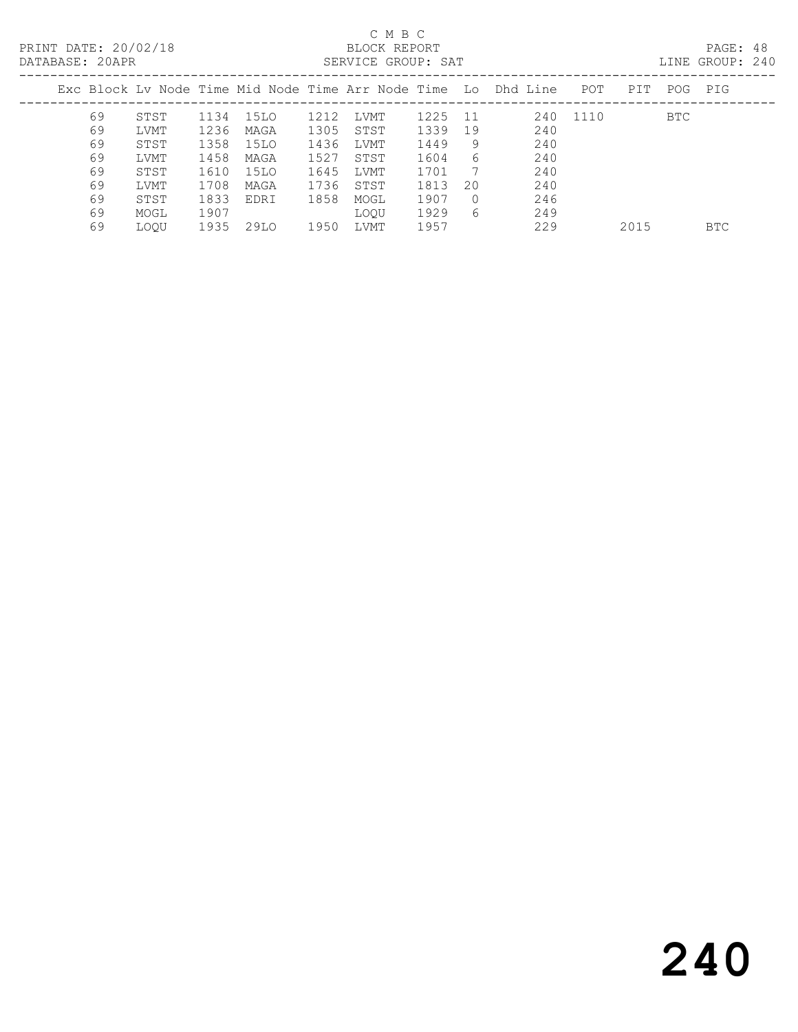| DATABASE: 20APR |    |             |      |      |      | SERVICE GROUP: SAT |      |          |                                                                |          |      |     | LINE GROUP: 240 |  |
|-----------------|----|-------------|------|------|------|--------------------|------|----------|----------------------------------------------------------------|----------|------|-----|-----------------|--|
|                 |    |             |      |      |      |                    |      |          | Exc Block Ly Node Time Mid Node Time Arr Node Time Lo Dhd Line | POT      | PIT  | POG | PIG             |  |
|                 | 69 | STST        | 1134 | 15LO | 1212 | LVMT               | 1225 | -11      |                                                                | 240 1110 |      | BTC |                 |  |
|                 | 69 | LVMT        | 1236 | MAGA | 1305 | STST               | 1339 | 19       | 240                                                            |          |      |     |                 |  |
|                 | 69 | STST        | 1358 | 15LO | 1436 | LVMT               | 1449 | 9        | 240                                                            |          |      |     |                 |  |
|                 | 69 | LVMT        | 1458 | MAGA | 1527 | STST               | 1604 | 6        | 240                                                            |          |      |     |                 |  |
|                 | 69 | STST        | 1610 | 15LO | 1645 | LVMT               | 1701 | -7       | 240                                                            |          |      |     |                 |  |
|                 | 69 | LVMT        | 1708 | MAGA | 1736 | STST               | 1813 | 20       | 240                                                            |          |      |     |                 |  |
|                 | 69 | STST        | 1833 | EDRI | 1858 | MOGL               | 1907 | $\Omega$ | 246                                                            |          |      |     |                 |  |
|                 | 69 | MOGL        | 1907 |      |      | <b>LOOU</b>        | 1929 | 6        | 249                                                            |          |      |     |                 |  |
|                 | 69 | <b>LOOU</b> | 1935 | 29LO | 1950 | LVMT               | 1957 |          | 229                                                            |          | 2015 |     | <b>BTC</b>      |  |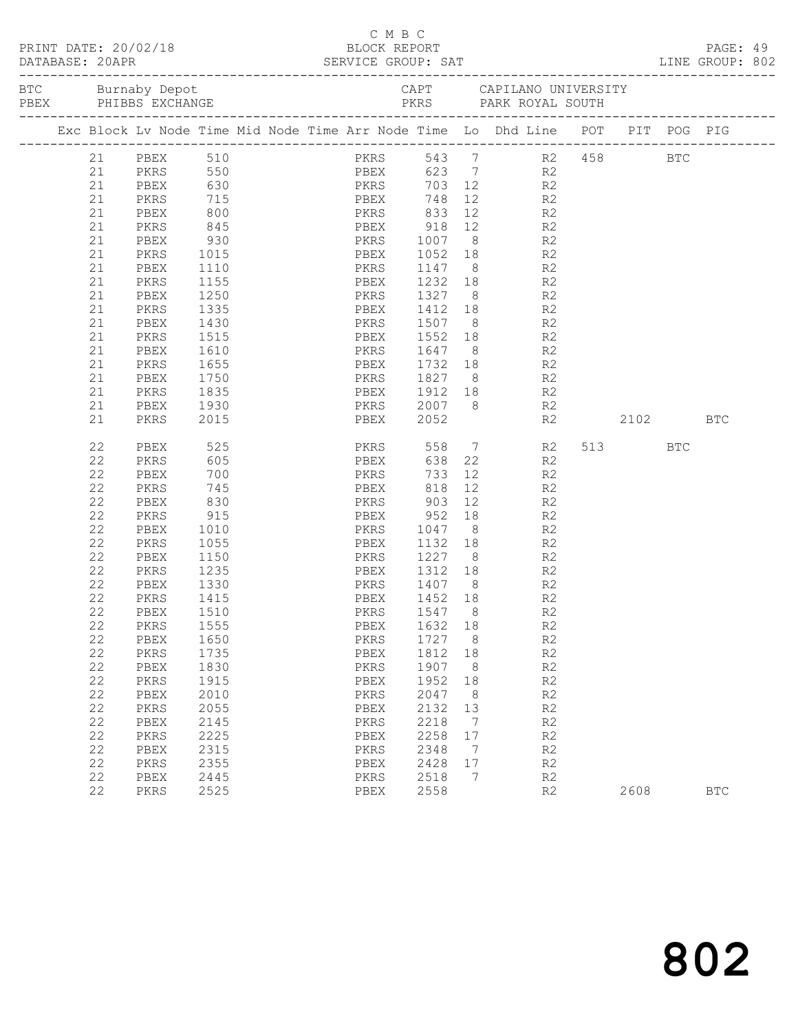| PRINT DATE: 20/02/18<br>DATABASE: 20APR | 0APR<br>--------------------                                                                                                                             | BLOCK REPORT                                                                                                                                                                                                 |                                                                                                                                                                                                        | C M B C  |              |                                                                                                                                  | SERVICE GROUP: SAT<br>--------------------------------- |                                                                                                                     |                                                                           |                                                                                                                                                                                                                                                                                                                                                                    | PAGE: 49<br>LINE GROUP: 802 |             |     |            |  |
|-----------------------------------------|----------------------------------------------------------------------------------------------------------------------------------------------------------|--------------------------------------------------------------------------------------------------------------------------------------------------------------------------------------------------------------|--------------------------------------------------------------------------------------------------------------------------------------------------------------------------------------------------------|----------|--------------|----------------------------------------------------------------------------------------------------------------------------------|---------------------------------------------------------|---------------------------------------------------------------------------------------------------------------------|---------------------------------------------------------------------------|--------------------------------------------------------------------------------------------------------------------------------------------------------------------------------------------------------------------------------------------------------------------------------------------------------------------------------------------------------------------|-----------------------------|-------------|-----|------------|--|
|                                         |                                                                                                                                                          |                                                                                                                                                                                                              |                                                                                                                                                                                                        |          |              |                                                                                                                                  |                                                         |                                                                                                                     |                                                                           |                                                                                                                                                                                                                                                                                                                                                                    |                             |             |     |            |  |
|                                         |                                                                                                                                                          |                                                                                                                                                                                                              |                                                                                                                                                                                                        |          |              |                                                                                                                                  |                                                         |                                                                                                                     |                                                                           | Exc Block Lv Node Time Mid Node Time Arr Node Time Lo Dhd Line POT PIT POG PIG                                                                                                                                                                                                                                                                                     |                             |             |     |            |  |
|                                         | 21<br>21<br>21<br>21<br>21<br>21<br>21<br>21<br>21<br>21<br>21<br>21<br>21<br>21<br>21<br>21<br>21<br>21<br>21                                           | 21 PBEX 510<br>PKRS<br>PBEX<br>PKRS<br>PBEX<br>PKRS<br>PBEX<br>PKRS<br>PBEX<br>PKRS<br>PBEX<br>PKRS<br>PBEX<br>PKRS<br>PBEX<br>PKRS<br>PBEX<br>PKRS                                                          | 715<br>800<br>845<br>930<br>1015<br>1110<br>1155<br>1250<br>1335<br>1430<br>1515<br>1610<br>1655<br>1750<br>1835<br>1930<br>2015                                                                       | PKRS 833 |              | PBEX 748<br>PBEX 2052                                                                                                            |                                                         |                                                                                                                     |                                                                           | PKRS 543 7 R2 458 BTC<br>PBEX 623 7 R2<br>PKRS 703 12 R2<br>12 R2<br>12 R2<br>PBEX 918 12 R2<br>PKRS 1007 8 R2<br>PBEX 1052 18 R2<br>PKRS 1147 8 R2<br>PBEX 1232 18 R2<br>PKRS 1327 8 R2<br>PBEX 1412 18 R2<br>PKRS 1507 8 R2<br>PBEX 1552 18 R2<br>PKRS 1647 8 R2<br>PBEX 1732 18 R2<br>PKRS 1827 8 R2<br>PBEX 1912 18 R2<br>PKRS 2007 8 R2<br>PBEX 2052 R2<br>R2 | 2102 BTC                    |             |     |            |  |
|                                         | 22<br>22<br>22<br>22<br>22<br>22<br>22<br>22<br>22<br>22<br>22<br>22<br>22<br>22<br>22<br>22<br>22<br>22<br>22<br>22<br>22<br>22<br>22<br>22<br>22<br>22 | PBEX<br>PKRS<br>PBEX<br>PKRS<br>PBEX<br>PKRS<br>PBEX<br>PKRS<br>PBEX<br>PKRS<br>PBEX<br>PKRS<br>PBEX<br>PKRS<br>PBEX<br>PKRS<br>PBEX<br>PKRS<br>PBEX<br>PKRS<br>PBEX<br>PKRS<br>PBEX<br>PKRS<br>PBEX<br>PKRS | 525<br>605<br>700<br>745<br>830<br>915<br>1010<br>1055<br>1150<br>1235<br>1330<br>1415<br>1510<br>1555<br>1650<br>1735<br>1830<br>1915<br>2010<br>2055<br>2145<br>2225<br>2315<br>2355<br>2445<br>2525 |          | PBEX 1452 18 | PBEX<br>PKRS 903<br>PKRS<br>PBEX<br>PKRS<br>PBEX<br>PKRS<br>PBEX<br>PKRS<br>PBEX<br>PKRS<br>PBEX<br>PKRS<br>PBEX<br>PKRS<br>PBEX |                                                         | 818<br>1547<br>1632<br>1727<br>1812<br>1907<br>1952<br>2047<br>2132<br>2218<br>2258<br>2348<br>2428<br>2518<br>2558 | 22<br>8<br>18<br>8<br>18<br>8<br>18<br>8<br>13<br>7<br>17<br>7<br>17<br>7 | PKRS 558 7 R2<br>R2<br>$\frac{12}{12}$<br>R <sub>2</sub><br>12 R2<br>12 and $\overline{a}$<br>R2<br>PBEX 952 18 R2<br>PKRS 1047 8 R2<br>PBEX 1132 18 R2<br>PKRS 1227 8 R2<br>PBEX 1312 18 R2<br>PKRS 1407 8 R2<br>R2<br>R <sub>2</sub><br>R2<br>$\mathbb{R}2$<br>R2<br>R2<br>R2<br>R2<br>R2<br>R2<br>R2<br>R2<br>R2<br>R2<br>R2                                    |                             | 513<br>2608 | BTC | <b>BTC</b> |  |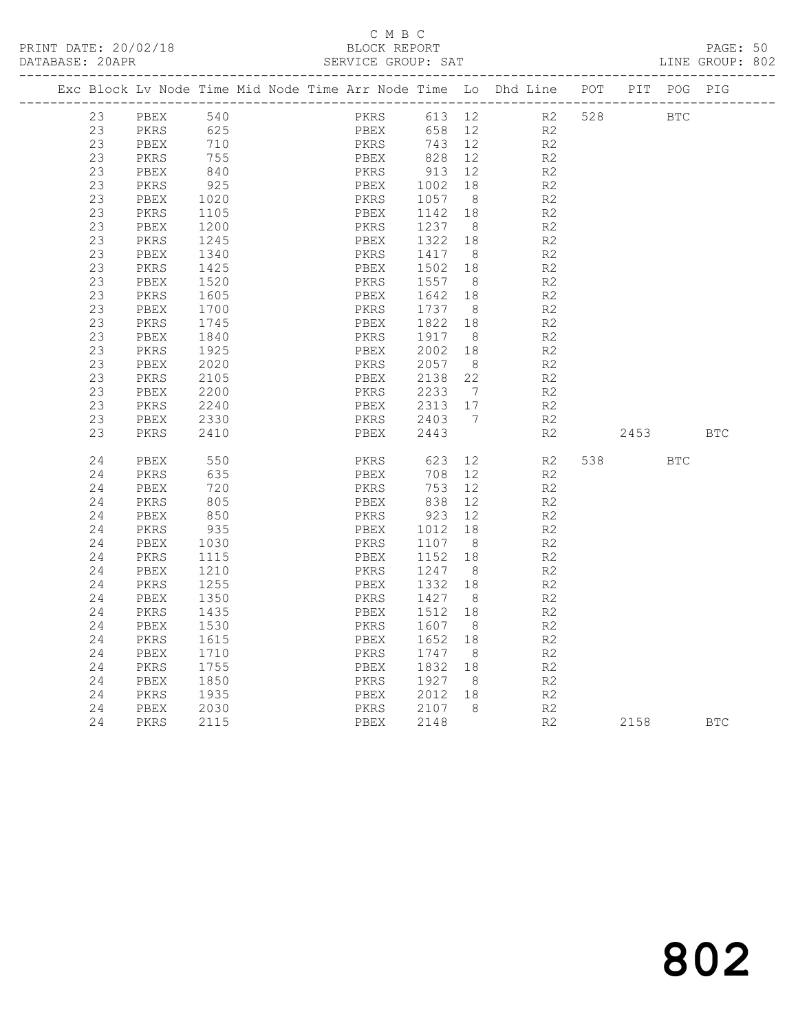## C M B C<br>BLOCK REPORT

|  | DATABASE: 20APR |              |              |  | SERVICE GROUP: SAT                                                 |              |                 |                                  |     |      |            | LINE GROUP: 802 |  |
|--|-----------------|--------------|--------------|--|--------------------------------------------------------------------|--------------|-----------------|----------------------------------|-----|------|------------|-----------------|--|
|  |                 |              |              |  | Exc Block Lv Node Time Mid Node Time Arr Node Time Lo Dhd Line POT |              |                 |                                  |     | PIT  | POG        | PIG             |  |
|  | 23              | ${\tt PBEX}$ | 540          |  | PKRS                                                               | 613 12       |                 | R2                               | 528 |      | <b>BTC</b> |                 |  |
|  | 23              | PKRS         | 625          |  | PBEX                                                               | 658          | 12              | R2                               |     |      |            |                 |  |
|  | 23              | PBEX         | 710          |  | PKRS                                                               | 743          | 12              | R <sub>2</sub>                   |     |      |            |                 |  |
|  | 23              | PKRS         | 755          |  | PBEX                                                               | 828          | 12 <sup>°</sup> | R2                               |     |      |            |                 |  |
|  | 23              | PBEX         | 840          |  | PKRS                                                               | 913          | 12              | R2                               |     |      |            |                 |  |
|  | 23              | PKRS         | 925          |  | PBEX                                                               | 1002         | 18              | R2                               |     |      |            |                 |  |
|  | 23              | PBEX         | 1020         |  | PKRS                                                               | 1057         | 8 <sup>8</sup>  | R2                               |     |      |            |                 |  |
|  | 23              | PKRS         | 1105         |  | PBEX                                                               | 1142         | 18              | R2                               |     |      |            |                 |  |
|  | 23              | PBEX         | 1200         |  | PKRS                                                               | 1237         | 8 <sup>8</sup>  | R <sub>2</sub>                   |     |      |            |                 |  |
|  | 23              | PKRS         | 1245         |  | PBEX                                                               | 1322         | 18              | R <sub>2</sub>                   |     |      |            |                 |  |
|  | 23              | PBEX         | 1340         |  | PKRS                                                               | 1417         | 8               | R2                               |     |      |            |                 |  |
|  | 23              | PKRS         | 1425         |  | PBEX                                                               | 1502         | 18              | R <sub>2</sub>                   |     |      |            |                 |  |
|  | 23              | PBEX         | 1520         |  | PKRS                                                               | 1557         | 8 <sup>8</sup>  | R2                               |     |      |            |                 |  |
|  | 23              | PKRS         | 1605         |  | PBEX                                                               | 1642         | 18              | R2                               |     |      |            |                 |  |
|  | 23              | PBEX         | 1700         |  | PKRS                                                               | 1737         | - 8             | R <sub>2</sub>                   |     |      |            |                 |  |
|  | 23              | PKRS         | 1745         |  | PBEX                                                               | 1822         | 18              | R <sub>2</sub>                   |     |      |            |                 |  |
|  | 23              | PBEX         | 1840         |  | PKRS                                                               | 1917         | 8               | R <sub>2</sub>                   |     |      |            |                 |  |
|  | 23<br>23        | PKRS         | 1925         |  | PBEX                                                               | 2002         | 18              | R2                               |     |      |            |                 |  |
|  |                 | PBEX         | 2020         |  | PKRS                                                               | 2057         | 8 <sup>8</sup>  | R2                               |     |      |            |                 |  |
|  | 23              | PKRS         | 2105         |  | PBEX                                                               | 2138         | 22              | R2                               |     |      |            |                 |  |
|  | 23<br>23        | PBEX         | 2200         |  | PKRS                                                               | 2233         | 7<br>17         | R <sub>2</sub><br>R <sub>2</sub> |     |      |            |                 |  |
|  | 23              | PKRS<br>PBEX | 2240<br>2330 |  | PBEX<br>PKRS                                                       | 2313<br>2403 | 7               | R2                               |     |      |            |                 |  |
|  | 23              | PKRS         | 2410         |  | PBEX                                                               | 2443         |                 | R <sub>2</sub>                   |     | 2453 |            | <b>BTC</b>      |  |
|  |                 |              |              |  |                                                                    |              |                 |                                  |     |      |            |                 |  |
|  | 24              | PBEX         | 550          |  | PKRS                                                               | 623          | 12 <sup>°</sup> | R2                               | 538 |      | <b>BTC</b> |                 |  |
|  | 24              | PKRS         | 635          |  | PBEX                                                               | 708          | 12 <sup>°</sup> | R <sub>2</sub>                   |     |      |            |                 |  |
|  | 24              | PBEX         | 720          |  | PKRS                                                               | 753          | 12              | R2                               |     |      |            |                 |  |
|  | 24              | PKRS         | 805          |  | PBEX                                                               | 838          | 12              | R2                               |     |      |            |                 |  |
|  | 24              | PBEX         | 850          |  | PKRS                                                               | 923          | 12 <sup>°</sup> | R2                               |     |      |            |                 |  |
|  | 24              | PKRS         | 935          |  | PBEX                                                               | 1012         | 18              | R2                               |     |      |            |                 |  |
|  | 24              | PBEX         | 1030         |  | PKRS                                                               | 1107         | 8               | R2                               |     |      |            |                 |  |
|  | 24              | PKRS         | 1115         |  | PBEX                                                               | 1152         | 18              | R <sub>2</sub>                   |     |      |            |                 |  |
|  | 24              | PBEX         | 1210         |  | PKRS                                                               | 1247         | 8 <sup>8</sup>  | R <sub>2</sub>                   |     |      |            |                 |  |
|  | 24              | PKRS         | 1255         |  | PBEX                                                               | 1332         | 18              | R2                               |     |      |            |                 |  |
|  | 24              | PBEX         | 1350         |  | PKRS                                                               | 1427         | 8 <sup>8</sup>  | R2                               |     |      |            |                 |  |
|  | 24              | PKRS         | 1435         |  | PBEX                                                               | 1512         | 18              | R2                               |     |      |            |                 |  |
|  | 24              | PBEX         | 1530         |  | PKRS                                                               | 1607         | 8               | R2                               |     |      |            |                 |  |
|  | 24              | PKRS         | 1615         |  | PBEX                                                               | 1652         | 18              | R <sub>2</sub>                   |     |      |            |                 |  |
|  | 24              | PBEX         | 1710         |  | PKRS                                                               | 1747         | 8 <sup>8</sup>  | R <sub>2</sub>                   |     |      |            |                 |  |
|  | 24              | PKRS         | 1755         |  | PBEX                                                               | 1832         | 18              | R <sub>2</sub>                   |     |      |            |                 |  |
|  | 24              | PBEX         | 1850         |  | PKRS                                                               | 1927         | 8               | R2                               |     |      |            |                 |  |
|  | 24              | PKRS         | 1935         |  | PBEX                                                               | 2012         | 18              | R2                               |     |      |            |                 |  |
|  | 24              | PBEX         | 2030         |  | PKRS                                                               | 2107         | 8               | R2                               |     |      |            |                 |  |
|  | 24              | PKRS         | 2115         |  | PBEX                                                               | 2148         |                 | R2                               |     | 2158 |            | <b>BTC</b>      |  |
|  |                 |              |              |  |                                                                    |              |                 |                                  |     |      |            |                 |  |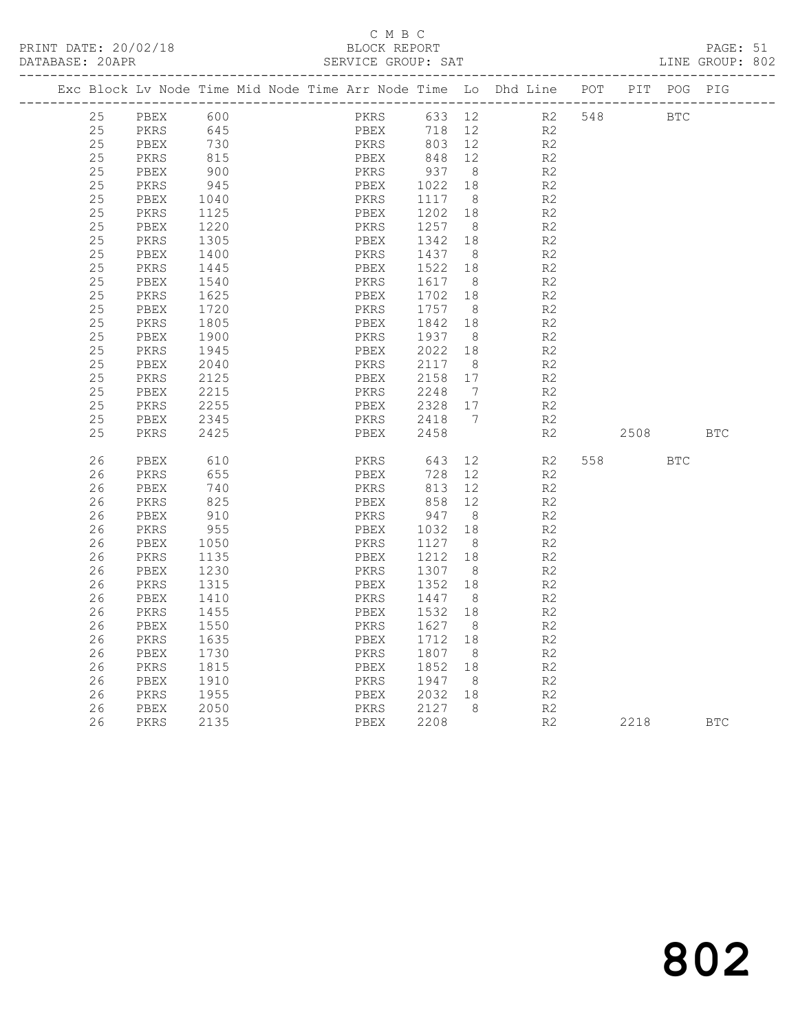## C M B C<br>BLOCK REPORT

PAGE: 51<br>LINE GROUP: 802

|          |              | Exc Block Lv Node Time Mid Node Time Arr Node Time Lo Dhd Line POT |              |                 |                      |                      |            | PIT POG PIG |            |
|----------|--------------|--------------------------------------------------------------------|--------------|-----------------|----------------------|----------------------|------------|-------------|------------|
| 25       | PBEX         | 600                                                                | PKRS         |                 |                      | 633 12 R2 548        | <b>BTC</b> |             |            |
| 25       | PKRS         | 645                                                                | PBEX<br>PKRS | 718             | 12                   | R2                   |            |             |            |
| 25       | PBEX         | 730                                                                |              | 803 12          |                      | R2                   |            |             |            |
| 25       | PKRS         | 815                                                                | PBEX         | 848             | 12                   | R2                   |            |             |            |
| 25       | PBEX         | 900                                                                | PKRS         | 937             | 8 <sup>8</sup>       | R2                   |            |             |            |
| 25       | PKRS         | 945                                                                | PBEX         | 1022            | 18                   | R2                   |            |             |            |
| 25       | PBEX         | 1040                                                               | PKRS         | 1117 8          |                      | R <sub>2</sub>       |            |             |            |
| 25       | PKRS         | 1125                                                               | PBEX         | 1202            | 18                   | R2                   |            |             |            |
| 25       | PBEX         | 1220                                                               | PKRS         | 1257 8          |                      | R2                   |            |             |            |
| 25       | PKRS         | 1305                                                               | PBEX         | 1342 18         |                      | R2                   |            |             |            |
| 25       | PBEX         | 1400                                                               | PKRS         | 1437            | 8 <sup>8</sup>       | R2                   |            |             |            |
| 25       | PKRS         | 1445                                                               | PBEX         | 1522 18         |                      | R <sub>2</sub>       |            |             |            |
| 25       | PBEX         | 1540                                                               | PKRS         | 1617            | 8                    | R <sub>2</sub>       |            |             |            |
| 25       | PKRS         | 1625                                                               | PBEX         | 1702            | 18                   | R2                   |            |             |            |
| 25       | PBEX         | 1720                                                               | PKRS         | 1757            | 8 <sup>8</sup>       | R <sub>2</sub>       |            |             |            |
| 25<br>25 | PKRS         | 1805<br>1900                                                       | PBEX         | 1842 18<br>1937 |                      | R2<br>R2             |            |             |            |
| 25       | PBEX         | 1945                                                               | PKRS<br>PBEX | 2022 18         | 8 <sup>8</sup>       | R <sub>2</sub>       |            |             |            |
| 25       | PKRS<br>PBEX | 2040                                                               | PKRS         | 2117 8          |                      | R2                   |            |             |            |
| 25       | PKRS         | 2125                                                               | PBEX         | 2158 17         |                      | R2                   |            |             |            |
| 25       | PBEX         | 2215                                                               | PKRS         | 2248            | $\overline{7}$       | R <sub>2</sub>       |            |             |            |
| 25       | PKRS         | 2255                                                               | PBEX         | 2328 17         |                      | R2                   |            |             |            |
| 25       | PBEX         | 2345                                                               | PKRS         | 2418 7          |                      | R <sub>2</sub>       |            |             |            |
| 25       | PKRS         | 2425                                                               | PBEX         | 2458            |                      | R2                   | 2508       |             | <b>BTC</b> |
|          |              |                                                                    |              |                 |                      |                      |            |             |            |
| 26       | PBEX         | 610                                                                | PKRS 643     |                 | 12                   | R2                   | 558 35     | <b>BTC</b>  |            |
| 26       | PKRS         | 655                                                                | PBEX         | 728             | 12                   | R2                   |            |             |            |
| 26       | PBEX         | 740                                                                | PKRS         | 813             | 12                   | R2                   |            |             |            |
| 26       | PKRS         | 825                                                                | PBEX         | 858             | 12                   | R2                   |            |             |            |
| 26       | PBEX         | 910                                                                | PKRS         | 947             | 8 <sup>8</sup>       | R2                   |            |             |            |
| 26       | PKRS         | 955                                                                | PBEX         | 1032 18         |                      | R2                   |            |             |            |
| 26       | PBEX         | 1050                                                               | PKRS         | 1127            | 8 <sup>8</sup>       | R <sub>2</sub>       |            |             |            |
| 26       | PKRS         | 1135                                                               | PBEX         | 1212 18         |                      | R2                   |            |             |            |
| 26       | PBEX         | 1230                                                               | PKRS         | 1307            | 8 <sup>8</sup>       | R <sub>2</sub>       |            |             |            |
| 26       | PKRS         | 1315                                                               | PBEX         | 1352            | 18                   | R2                   |            |             |            |
| 26       | PBEX         | 1410                                                               | PKRS         | 1447 8          |                      | R2                   |            |             |            |
| 26<br>26 | PKRS         | 1455                                                               | PBEX         | 1532<br>1627    | 18                   | R <sub>2</sub><br>R2 |            |             |            |
| 26       | PBEX         | 1550                                                               | PKRS         | 1712            | 8                    |                      |            |             |            |
| 26       | PKRS<br>PBEX | 1635<br>1730                                                       | PBEX<br>PKRS | 1807            | 18<br>8 <sup>8</sup> | R2<br>R2             |            |             |            |
| 26       | PKRS         | 1815                                                               | PBEX         | 1852            | 18                   | R2                   |            |             |            |
| 26       | PBEX         | 1910                                                               | PKRS         | 1947            | 8 <sup>8</sup>       | R2                   |            |             |            |
| 26       | PKRS         | 1955                                                               | PBEX         | 2032 18         |                      | R2                   |            |             |            |
| 26       | PBEX         | 2050                                                               | PKRS         | 2127 8          |                      | R2                   |            |             |            |
| 26       | PKRS         | 2135                                                               | PBEX         | 2208            |                      | R2                   | 2218       |             | <b>BTC</b> |
|          |              |                                                                    |              |                 |                      |                      |            |             |            |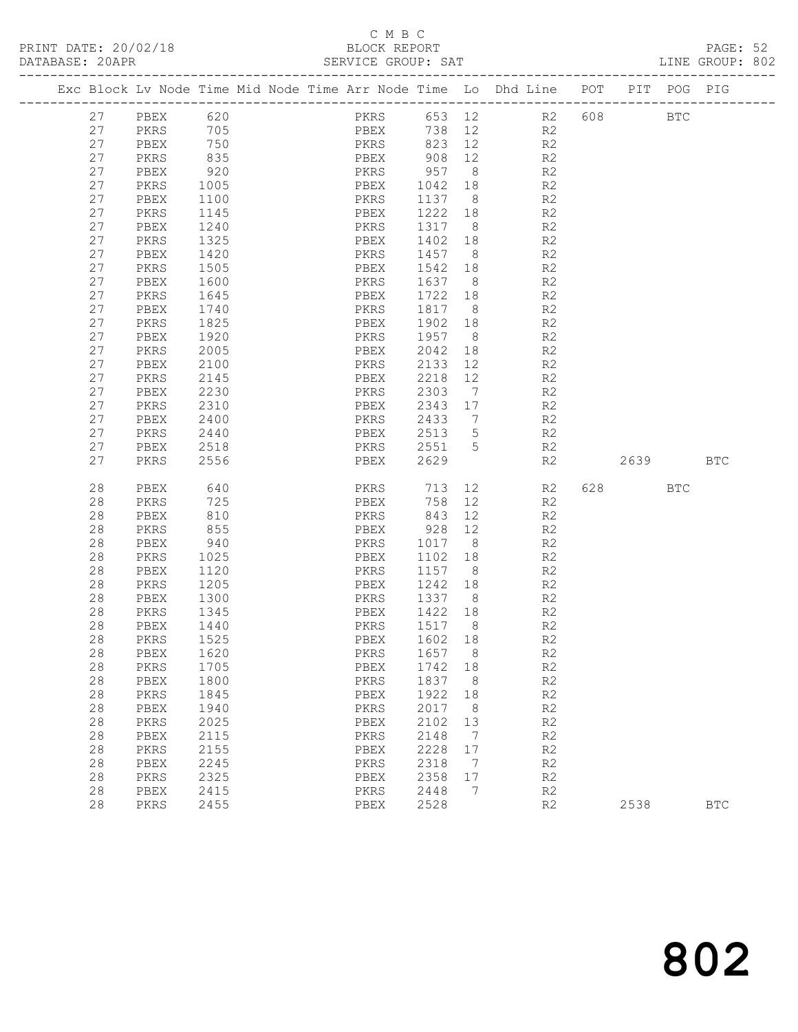### C M B C<br>BLOCK REPORT

| PRINT DATE: 20/02/18<br>DATABASE: 20APR |          |              |                      | SERVICE GROUP: SAT | C M B C<br>BLOCK REPORT |         |    |                                                                                |      | PAGE: 52<br>LINE GROUP: 802 |  |
|-----------------------------------------|----------|--------------|----------------------|--------------------|-------------------------|---------|----|--------------------------------------------------------------------------------|------|-----------------------------|--|
|                                         |          |              |                      |                    |                         |         |    | Exc Block Lv Node Time Mid Node Time Arr Node Time Lo Dhd Line POT PIT POG PIG |      |                             |  |
|                                         |          |              |                      |                    |                         |         |    |                                                                                |      |                             |  |
|                                         |          | 27 PBEX 620  |                      |                    |                         |         |    | PKRS 653 12 R2 608 BTC                                                         |      |                             |  |
|                                         |          |              | 27 PKRS 705          |                    |                         |         |    | PBEX 738 12 R2                                                                 |      |                             |  |
|                                         | 27       | PBEX         | 750                  |                    |                         |         |    | PKRS 823 12 R2                                                                 |      |                             |  |
|                                         | 27       | PKRS         | 835                  |                    |                         |         |    | PBEX 908 12 R2<br>PKRS 957 8 R2                                                |      |                             |  |
|                                         | 27       | PBEX         | 920                  |                    |                         |         |    | PBEX 1042 18 R2                                                                |      |                             |  |
|                                         | 27       | PKRS         | 1005                 |                    |                         |         |    |                                                                                |      |                             |  |
|                                         | 27       | PBEX         | 1100                 |                    |                         |         |    | PKRS 1137 8 R2                                                                 |      |                             |  |
|                                         | 27       | PKRS         | 1145                 |                    |                         |         |    | PBEX 1222 18 R2                                                                |      |                             |  |
|                                         | 27<br>27 | PBEX<br>PKRS | 1240<br>1325         |                    |                         |         |    | PKRS 1317 8 R2<br>PBEX 1402 18 R2                                              |      |                             |  |
|                                         | 27       | PBEX         | 1420                 |                    |                         |         |    | PKRS 1457 8 R2                                                                 |      |                             |  |
|                                         | 27       | PKRS         | 1505                 |                    |                         |         |    |                                                                                |      |                             |  |
|                                         | 27       | PBEX         | 1600                 |                    |                         |         |    | PBEX 1542 18 R2                                                                |      |                             |  |
|                                         | 27       | PKRS         | 1645                 |                    |                         |         |    | PKRS 1637 8 R2<br>PBEX 1722 18 R2                                              |      |                             |  |
|                                         | 27       | PBEX         | 1740                 |                    |                         |         |    | PKRS 1817 8 R2                                                                 |      |                             |  |
|                                         | 27       | PKRS         | 1825                 |                    |                         |         |    | PBEX 1902 18 R2                                                                |      |                             |  |
|                                         | 27       | PBEX         |                      |                    |                         |         |    |                                                                                |      |                             |  |
|                                         | 27       | PKRS         | 1920<br>2005<br>2005 |                    |                         |         |    | PKRS 1957 8 R2<br>PBEX 2042 18 R2                                              |      |                             |  |
|                                         | 27       | PBEX         | 2100                 |                    |                         |         |    | PKRS 2133 12 R2                                                                |      |                             |  |
|                                         | 27       | PKRS         | 2145                 |                    | PBEX                    |         |    | 2218 12 R2                                                                     |      |                             |  |
|                                         | 27       | PBEX         | 2230                 |                    |                         |         |    | R2                                                                             |      |                             |  |
|                                         | 27       | PKRS         | 2310                 |                    |                         |         |    | R2                                                                             |      |                             |  |
|                                         | 27       | PBEX         | 2400                 |                    |                         |         |    | PKRS 2433 7 R2                                                                 |      |                             |  |
|                                         | 27       | PKRS         | 2440                 |                    | PBEX                    |         |    | 2513 5 R2                                                                      |      |                             |  |
|                                         | 27       | PBEX         | 2518                 |                    |                         |         |    |                                                                                |      |                             |  |
|                                         | 27       | PKRS         | 2556                 |                    |                         |         |    | PKRS 2551 5 R2<br>PBEX 2629 R2 2639 BTC                                        |      |                             |  |
|                                         | 28       | PBEX         | 640                  |                    |                         |         |    | PKRS 713 12 R2 628 BTC                                                         |      |                             |  |
|                                         | 28       | PKRS         |                      |                    |                         |         |    | PBEX 758 12 R2                                                                 |      |                             |  |
|                                         | 28       | PBEX         | 725<br>810           |                    | PKRS                    | 843 12  |    | R2                                                                             |      |                             |  |
|                                         | 28       | PKRS         | 855                  |                    |                         |         |    | PBEX 928 12 R2                                                                 |      |                             |  |
|                                         | 28       | PBEX         | 940                  |                    |                         |         |    | PKRS 1017 8 R2                                                                 |      |                             |  |
|                                         | 28       | PKRS         | 1025                 |                    |                         |         |    | PBEX 1102 18 R2                                                                |      |                             |  |
|                                         | 28       | PBEX         | 1120<br>1205         |                    | PKRS 1157 8             |         |    | R2<br>R2                                                                       |      |                             |  |
|                                         | 28       | PKRS         |                      |                    | PBEX 1242 18            |         |    |                                                                                |      |                             |  |
|                                         | 28       | PBEX         | 1300                 |                    |                         |         |    | PKRS 1337 8 R2                                                                 |      |                             |  |
|                                         | 28       | PKRS         | 1345                 |                    | PBEX                    | 1422 18 |    | R2                                                                             |      |                             |  |
|                                         | 28       | PBEX         | 1440                 |                    | PKRS                    | 1517    | 8  | R2                                                                             |      |                             |  |
|                                         | 28       | PKRS         | 1525                 |                    | PBEX                    | 1602    | 18 | $\mathbb{R}2$                                                                  |      |                             |  |
|                                         | 28       | PBEX         | 1620                 |                    | PKRS                    | 1657    | 8  | R2                                                                             |      |                             |  |
|                                         | 28       | PKRS         | 1705                 |                    | PBEX                    | 1742    | 18 | R2                                                                             |      |                             |  |
|                                         | 28       | PBEX         | 1800                 |                    | PKRS                    | 1837    | 8  | $\mathbb{R}2$                                                                  |      |                             |  |
|                                         | 28       | PKRS         | 1845                 |                    | PBEX                    | 1922    | 18 | $\mathbb{R}2$                                                                  |      |                             |  |
|                                         | 28       | PBEX         | 1940                 |                    | PKRS                    | 2017    | 8  | R2                                                                             |      |                             |  |
|                                         | 28       | PKRS         | 2025                 |                    | PBEX                    | 2102    | 13 | R2                                                                             |      |                             |  |
|                                         | 28       | PBEX         | 2115                 |                    | PKRS                    | 2148    | 7  | $\mathbb{R}2$                                                                  |      |                             |  |
|                                         | 28       | PKRS         | 2155                 |                    | PBEX                    | 2228    | 17 | $\mathbb{R}2$                                                                  |      |                             |  |
|                                         | 28       | PBEX         | 2245                 |                    | PKRS                    | 2318    | 7  | R2                                                                             |      |                             |  |
|                                         | 28       | PKRS         | 2325                 |                    | PBEX                    | 2358    | 17 | R2                                                                             |      |                             |  |
|                                         | 28       | PBEX         | 2415                 |                    | PKRS                    | 2448    | 7  | R2                                                                             |      |                             |  |
|                                         | 28       | PKRS         | 2455                 |                    | PBEX                    | 2528    |    | R2                                                                             | 2538 | <b>BTC</b>                  |  |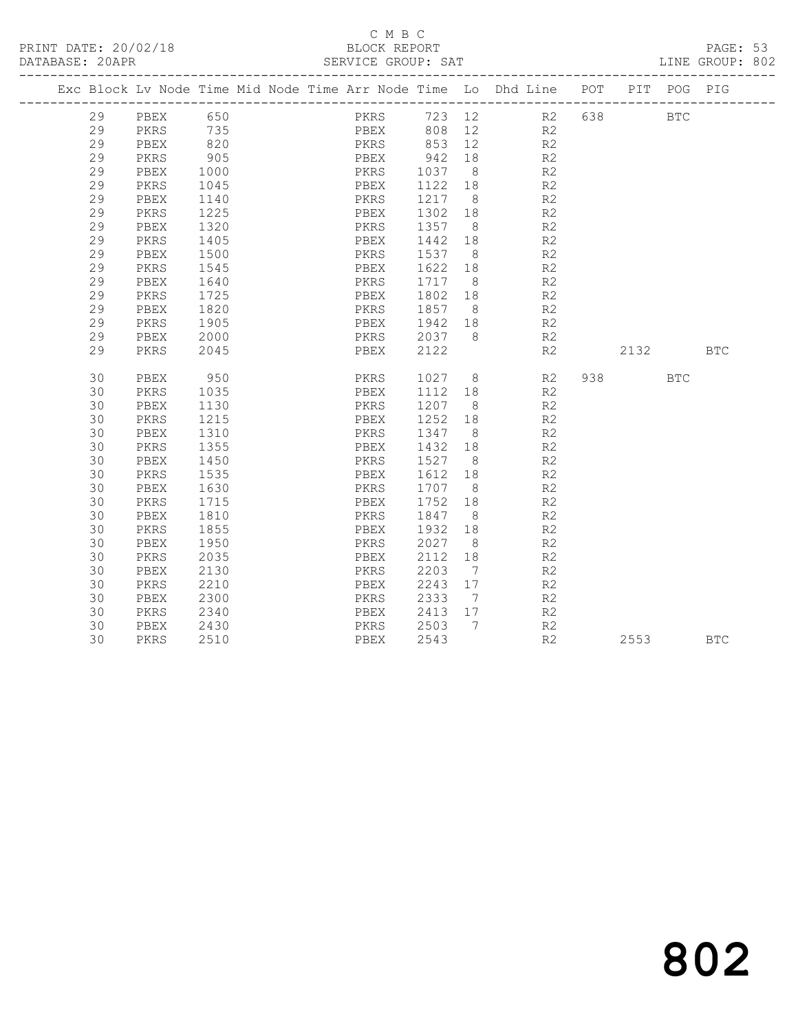### C M B C<br>BLOCK REPORT

PAGE: 53<br>LINE GROUP: 802

|  |    |      |      |  |      |      |                | Exc Block Lv Node Time Mid Node Time Arr Node Time Lo Dhd Line POT |     |      | PIT POG PIG  |            |
|--|----|------|------|--|------|------|----------------|--------------------------------------------------------------------|-----|------|--------------|------------|
|  | 29 | PBEX | 650  |  | PKRS |      |                | 723 12 R2 638                                                      |     |      | $_{\rm BTC}$ |            |
|  | 29 | PKRS | 735  |  | PBEX | 808  | 12             | R2                                                                 |     |      |              |            |
|  | 29 | PBEX | 820  |  | PKRS | 853  | 12             | R2                                                                 |     |      |              |            |
|  | 29 | PKRS | 905  |  | PBEX | 942  | 18             | R2                                                                 |     |      |              |            |
|  | 29 | PBEX | 1000 |  | PKRS | 1037 | 8 <sup>8</sup> | R2                                                                 |     |      |              |            |
|  | 29 | PKRS | 1045 |  | PBEX | 1122 | 18             | R <sub>2</sub>                                                     |     |      |              |            |
|  | 29 | PBEX | 1140 |  | PKRS | 1217 | 8 <sup>8</sup> | R2                                                                 |     |      |              |            |
|  | 29 | PKRS | 1225 |  | PBEX | 1302 | 18             | R <sub>2</sub>                                                     |     |      |              |            |
|  | 29 | PBEX | 1320 |  | PKRS | 1357 | 8 <sup>8</sup> | R <sub>2</sub>                                                     |     |      |              |            |
|  | 29 | PKRS | 1405 |  | PBEX | 1442 | 18             | R <sub>2</sub>                                                     |     |      |              |            |
|  | 29 | PBEX | 1500 |  | PKRS | 1537 | 8 <sup>8</sup> | R2                                                                 |     |      |              |            |
|  | 29 | PKRS | 1545 |  | PBEX | 1622 | 18             | R2                                                                 |     |      |              |            |
|  | 29 | PBEX | 1640 |  | PKRS | 1717 | 8 <sup>8</sup> | R <sub>2</sub>                                                     |     |      |              |            |
|  | 29 | PKRS | 1725 |  | PBEX | 1802 | 18             | R2                                                                 |     |      |              |            |
|  | 29 | PBEX | 1820 |  | PKRS | 1857 | 8 <sup>8</sup> | R <sub>2</sub>                                                     |     |      |              |            |
|  | 29 | PKRS | 1905 |  | PBEX | 1942 | 18             | R2                                                                 |     |      |              |            |
|  | 29 | PBEX | 2000 |  | PKRS | 2037 | 8 <sup>8</sup> | R2                                                                 |     |      |              |            |
|  | 29 | PKRS | 2045 |  | PBEX | 2122 |                | R2                                                                 |     | 2132 |              | <b>BTC</b> |
|  |    |      |      |  |      |      |                |                                                                    |     |      |              |            |
|  | 30 | PBEX | 950  |  | PKRS | 1027 | 8 <sup>8</sup> | R2                                                                 | 938 |      | <b>BTC</b>   |            |
|  | 30 | PKRS | 1035 |  | PBEX | 1112 | 18             | R2                                                                 |     |      |              |            |
|  | 30 | PBEX | 1130 |  | PKRS | 1207 | 8 <sup>8</sup> | R2                                                                 |     |      |              |            |
|  | 30 | PKRS | 1215 |  | PBEX | 1252 | 18             | R2                                                                 |     |      |              |            |
|  | 30 | PBEX | 1310 |  | PKRS | 1347 | 8 <sup>8</sup> | R <sub>2</sub>                                                     |     |      |              |            |
|  | 30 | PKRS | 1355 |  | PBEX | 1432 | 18             | R2                                                                 |     |      |              |            |
|  | 30 | PBEX | 1450 |  | PKRS | 1527 | 8 <sup>8</sup> | R <sub>2</sub>                                                     |     |      |              |            |
|  | 30 | PKRS | 1535 |  | PBEX | 1612 | 18             | R2                                                                 |     |      |              |            |
|  | 30 | PBEX | 1630 |  | PKRS | 1707 | 8 <sup>8</sup> | R2                                                                 |     |      |              |            |
|  | 30 | PKRS | 1715 |  | PBEX | 1752 | 18             | R <sub>2</sub>                                                     |     |      |              |            |
|  | 30 | PBEX | 1810 |  | PKRS | 1847 | 8 <sup>8</sup> | R <sub>2</sub>                                                     |     |      |              |            |
|  | 30 | PKRS | 1855 |  | PBEX | 1932 | 18             | R <sub>2</sub>                                                     |     |      |              |            |
|  | 30 | PBEX | 1950 |  | PKRS | 2027 | 8 <sup>8</sup> | R <sub>2</sub>                                                     |     |      |              |            |
|  | 30 | PKRS | 2035 |  | PBEX | 2112 | 18             | R2                                                                 |     |      |              |            |
|  | 30 | PBEX | 2130 |  | PKRS | 2203 | $\overline{7}$ | R2                                                                 |     |      |              |            |
|  | 30 | PKRS | 2210 |  | PBEX | 2243 | 17             | R <sub>2</sub>                                                     |     |      |              |            |
|  | 30 | PBEX | 2300 |  | PKRS | 2333 | 7              | R <sub>2</sub>                                                     |     |      |              |            |
|  | 30 | PKRS | 2340 |  | PBEX | 2413 | 17             | R <sub>2</sub>                                                     |     |      |              |            |
|  | 30 | PBEX | 2430 |  | PKRS | 2503 | $\overline{7}$ | R2                                                                 |     |      |              |            |
|  | 30 | PKRS | 2510 |  | PBEX | 2543 |                | R2                                                                 |     | 2553 |              | <b>BTC</b> |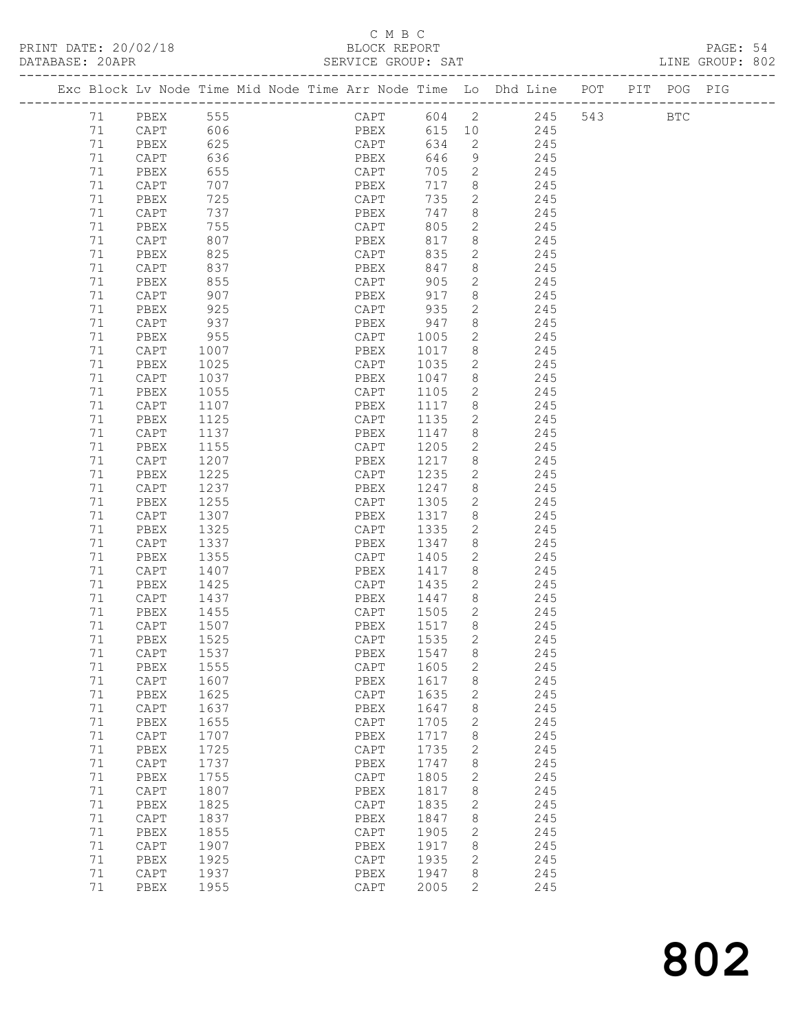### C M B C

### PRINT DATE: 20/02/18 BLOCK REPORT PAGE: 54 DATABASE: 20APR SERVICE GROUP: SAT SAT LINE GROUP: 802 ------------------------------------------------------------------------------------------------- Exc Block Lv Node Time Mid Node Time Arr Node Time Lo Dhd Line POT PIT POG PIG ------------------------------------------------------------------------------------------------- 71 PBEX 555 CAPT 604 2 245 543 BTC 71 CAPT 606 PBEX 615 10 245 71 PBEX 625 CAPT 634 2 245

| 71 | $\texttt{CAPT}$          | 636  | PBEX            | 646  | 9            | 245 |
|----|--------------------------|------|-----------------|------|--------------|-----|
| 71 | PBEX                     | 655  | $\texttt{CAPT}$ | 705  | $\mathbf{2}$ | 245 |
| 71 | $\texttt{CAPT}$          | 707  | PBEX            | 717  | 8            | 245 |
| 71 | ${\tt PBEX}$             | 725  | $\texttt{CAPT}$ | 735  | $\mathbf{2}$ | 245 |
| 71 | $\texttt{CAPT}$          | 737  | PBEX            | 747  | 8            | 245 |
| 71 | PBEX                     | 755  | CAPT            | 805  |              | 245 |
|    |                          |      |                 |      | 2            |     |
| 71 | $\texttt{CAPT}$          | 807  | PBEX            | 817  | 8            | 245 |
| 71 | ${\tt PBEX}$             | 825  | $\texttt{CAPT}$ | 835  | $\mathbf{2}$ | 245 |
| 71 | $\texttt{CAPT}$          | 837  | PBEX            | 847  | 8            | 245 |
| 71 | PBEX                     | 855  | CAPT            | 905  | $\mathbf{2}$ | 245 |
| 71 | CAPT                     | 907  | PBEX            | 917  | 8            | 245 |
| 71 | ${\tt PBEX}$             | 925  | $\texttt{CAPT}$ | 935  | $\mathbf{2}$ | 245 |
| 71 | $\texttt{CAPT}$          | 937  | PBEX            | 947  | 8            | 245 |
| 71 | PBEX                     | 955  | CAPT            | 1005 | $\mathbf{2}$ | 245 |
| 71 | $\texttt{CAPT}$          | 1007 | PBEX            | 1017 | 8            | 245 |
| 71 | ${\tt PBEX}$             | 1025 | CAPT            | 1035 | $\mathbf{2}$ | 245 |
| 71 | $\texttt{CAPT}$          | 1037 | PBEX            | 1047 | 8            | 245 |
|    |                          |      |                 |      |              |     |
| 71 | PBEX                     | 1055 | $\texttt{CAPT}$ | 1105 | 2            | 245 |
| 71 | $\texttt{CAPT}$          | 1107 | PBEX            | 1117 | 8            | 245 |
| 71 | PBEX                     | 1125 | CAPT            | 1135 | $\mathbf{2}$ | 245 |
| 71 | CAPT                     | 1137 | PBEX            | 1147 | 8            | 245 |
| 71 | PBEX                     | 1155 | CAPT            | 1205 | $\mathbf{2}$ | 245 |
| 71 | CAPT                     | 1207 | PBEX            | 1217 | 8            | 245 |
| 71 | ${\tt PBEX}$             | 1225 | $\texttt{CAPT}$ | 1235 | $\mathbf{2}$ | 245 |
| 71 | $\texttt{CAPT}$          | 1237 | PBEX            | 1247 | 8            | 245 |
| 71 | ${\tt PBEX}$             | 1255 | $\texttt{CAPT}$ | 1305 | $\mathbf{2}$ | 245 |
| 71 | $\texttt{CAPT}$          | 1307 | PBEX            | 1317 | 8            | 245 |
| 71 | PBEX                     | 1325 | CAPT            | 1335 | $\mathbf{2}$ | 245 |
| 71 | CAPT                     | 1337 | PBEX            | 1347 | 8            | 245 |
| 71 | PBEX                     | 1355 | CAPT            | 1405 | $\mathbf{2}$ | 245 |
|    |                          |      |                 |      |              |     |
| 71 | CAPT                     | 1407 | PBEX            | 1417 | 8            | 245 |
| 71 | ${\tt PBEX}$             | 1425 | $\texttt{CAPT}$ | 1435 | $\mathbf{2}$ | 245 |
| 71 | $\texttt{CAPT}$          | 1437 | PBEX            | 1447 | 8            | 245 |
| 71 | ${\tt PBEX}$             | 1455 | $\texttt{CAPT}$ | 1505 | $\mathbf{2}$ | 245 |
| 71 | CAPT                     | 1507 | PBEX            | 1517 | 8            | 245 |
| 71 | PBEX                     | 1525 | CAPT            | 1535 | $\mathbf{2}$ | 245 |
| 71 | $\texttt{CAPT}$          | 1537 | PBEX            | 1547 | 8            | 245 |
| 71 | ${\tt PBEX}$             | 1555 | CAPT            | 1605 | $\mathbf{2}$ | 245 |
| 71 | CAPT                     | 1607 | PBEX            | 1617 | 8            | 245 |
| 71 | PBEX                     | 1625 | CAPT            | 1635 | 2            | 245 |
| 71 | CAPT                     | 1637 | PBEX            | 1647 | 8            | 245 |
| 71 | PBEX                     | 1655 | CAPT            | 1705 | $\mathbf{2}$ | 245 |
| 71 | $\texttt{CAPT}$          | 1707 | PBEX            | 1717 |              | 245 |
|    |                          |      |                 |      | 8            |     |
| 71 | PBEX                     | 1725 | CAPT            | 1735 | $\mathbf{2}$ | 245 |
| 71 | $\texttt{CAPT}$          | 1737 | PBEX            | 1747 | 8            | 245 |
| 71 | PBEX                     | 1755 | CAPT            | 1805 | $\mathbf{2}$ | 245 |
| 71 | CAPT                     | 1807 | PBEX            | 1817 | 8            | 245 |
| 71 | PBEX                     | 1825 | CAPT            | 1835 | $\mathbf{2}$ | 245 |
| 71 | $\mathop{\mathtt{CAPT}}$ | 1837 | PBEX            | 1847 | 8            | 245 |
| 71 | PBEX                     | 1855 | CAPT            | 1905 | $\mathbf{2}$ | 245 |
| 71 | CAPT                     | 1907 | PBEX            | 1917 | 8            | 245 |
| 71 | PBEX                     | 1925 | CAPT            | 1935 | 2            | 245 |
| 71 | $\mathop{\mathtt{CAPT}}$ | 1937 | PBEX            | 1947 | 8            | 245 |
| 71 | PBEX                     | 1955 | CAPT            | 2005 | 2            | 245 |
|    |                          |      |                 |      |              |     |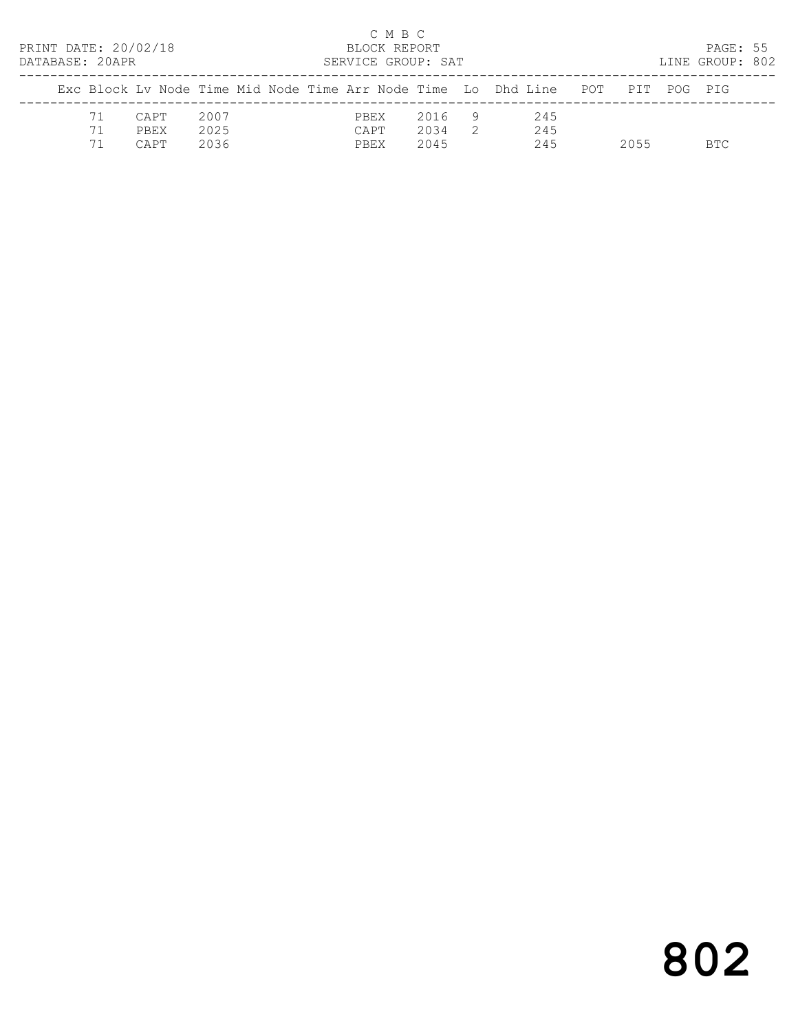| PRINT DATE: 20/02/18<br>DATABASE: 20APR |                |                             |                      |  | BLOCK REPORT<br>SERVICE GROUP: SAT | C M B C |                      |                |                                                                    |      | PAGE: 55<br>LINE GROUP: 802 |  |
|-----------------------------------------|----------------|-----------------------------|----------------------|--|------------------------------------|---------|----------------------|----------------|--------------------------------------------------------------------|------|-----------------------------|--|
|                                         |                |                             |                      |  |                                    |         |                      |                | Exc Block Ly Node Time Mid Node Time Arr Node Time Lo Dhd Line POT | PIT  | POG PTG                     |  |
|                                         | 71<br>71<br>71 | CAPT<br><b>PREX</b><br>CAPT | 2007<br>2025<br>2036 |  | PBEX<br>CAPT<br>PBEX               |         | 2016<br>2034<br>2045 | $\overline{2}$ | 245<br>245<br>245                                                  | 2055 | BTC.                        |  |

# 802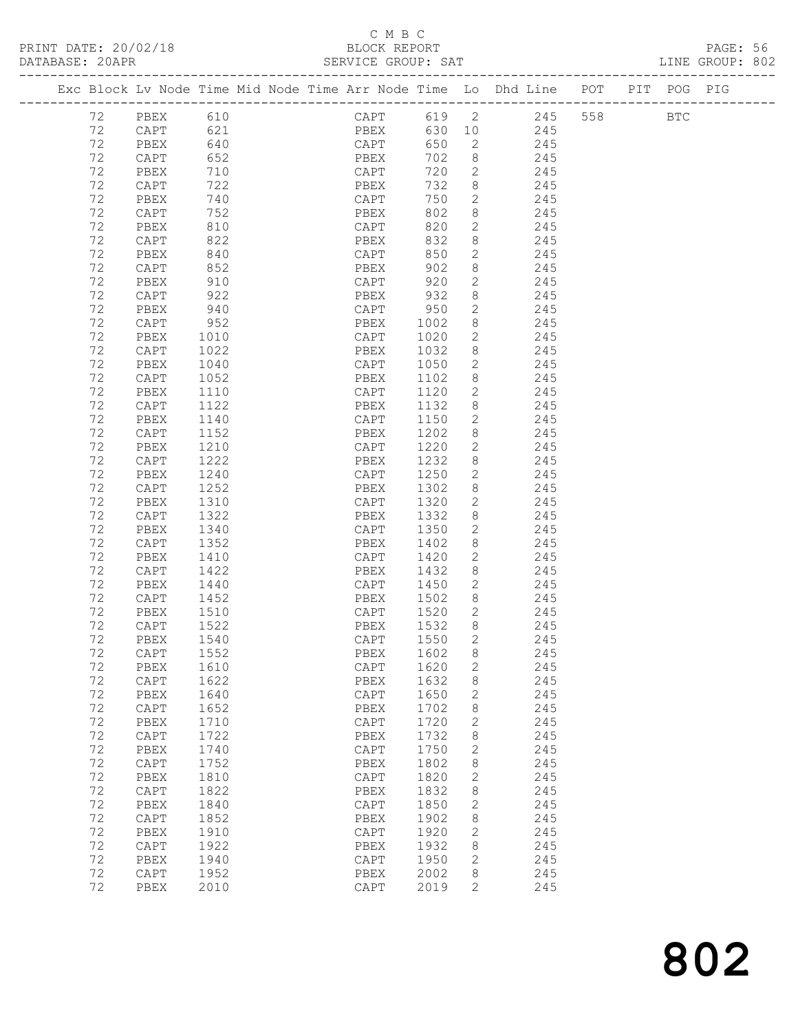### C M B C<br>BLOCK REPORT

PRINT DATE: 20/02/18 BLOCK REPORT BATABASE: 20APR BLOCK REPORT

PAGE: 56<br>LINE GROUP: 802

|    | Exc Block Lv Node Time Mid Node Time Arr Node Time Lo Dhd Line POT |            |  |      |      |             |                |                |     |     | PIT POG PIG  |  |
|----|--------------------------------------------------------------------|------------|--|------|------|-------------|----------------|----------------|-----|-----|--------------|--|
| 72 | PBEX                                                               | 610        |  |      |      |             |                | CAPT 619 2 245 |     | 558 | $_{\rm BTC}$ |  |
| 72 | CAPT                                                               | 621        |  |      |      | PBEX 630 10 |                | 245            |     |     |              |  |
| 72 | PBEX                                                               | 640        |  | CAPT |      | 650         | $\overline{2}$ | 245            |     |     |              |  |
| 72 | CAPT                                                               | 652        |  | PBEX |      | 702         | 8 <sup>8</sup> | 245            |     |     |              |  |
| 72 | PBEX                                                               | 710        |  | CAPT |      | 720         | $\overline{2}$ |                | 245 |     |              |  |
| 72 | CAPT                                                               | 722        |  | PBEX |      | 732         | 8              |                | 245 |     |              |  |
| 72 | PBEX                                                               | 740        |  |      | CAPT | 750         | $\mathbf{2}$   | 245            |     |     |              |  |
| 72 | CAPT                                                               | 752        |  | PBEX |      | 802         | 8              | 245            |     |     |              |  |
| 72 | PBEX                                                               |            |  | CAPT |      | 820         | $\mathbf{2}$   |                | 245 |     |              |  |
| 72 | CAPT                                                               | 810<br>822 |  | PBEX |      | 832         | 8              |                | 245 |     |              |  |
| 72 | PBEX                                                               | 840        |  |      | CAPT | 850         | $\mathbf{2}$   | 245            |     |     |              |  |
| 72 | CAPT                                                               | 852        |  | PBEX |      | 902         | 8              | 245            |     |     |              |  |
| 72 | PBEX                                                               | 910        |  | CAPT |      | 920         | $\mathbf{2}$   |                | 245 |     |              |  |
| 72 |                                                                    | 922        |  |      |      | 932         | 8              |                |     |     |              |  |
|    | CAPT                                                               | 940        |  | PBEX |      | CAPT 950    |                |                | 245 |     |              |  |
| 72 | PBEX                                                               |            |  |      |      |             | 2              | 245            |     |     |              |  |
| 72 | CAPT                                                               | 952        |  | PBEX |      | 1002        | 8              | 245            |     |     |              |  |
| 72 | PBEX                                                               | 1010       |  | CAPT |      | 1020        | 2              |                | 245 |     |              |  |
| 72 | CAPT                                                               | 1022       |  | PBEX |      | 1032        | 8              |                | 245 |     |              |  |
| 72 | PBEX                                                               | 1040       |  | CAPT |      | 1050        | $\mathbf{2}$   |                | 245 |     |              |  |
| 72 | CAPT                                                               | 1052       |  | PBEX |      | 1102        | 8              | 245            |     |     |              |  |
| 72 | PBEX                                                               | 1110       |  | CAPT |      | 1120        | $\mathbf{2}$   |                | 245 |     |              |  |
| 72 | CAPT                                                               | 1122       |  | PBEX |      | 1132        | 8              |                | 245 |     |              |  |
| 72 | PBEX                                                               | 1140       |  | CAPT |      | 1150        | 2              |                | 245 |     |              |  |
| 72 | CAPT                                                               | 1152       |  | PBEX |      | 1202        | 8              | 245            |     |     |              |  |
| 72 | PBEX                                                               | 1210       |  | CAPT |      | 1220        | 2              | 245            |     |     |              |  |
| 72 | CAPT                                                               | 1222       |  | PBEX |      | 1232        | 8              |                | 245 |     |              |  |
| 72 | PBEX                                                               | 1240       |  | CAPT |      | 1250        | 2              |                | 245 |     |              |  |
| 72 | CAPT                                                               | 1252       |  | PBEX |      | 1302        | 8              | 245            |     |     |              |  |
| 72 | PBEX                                                               | 1310       |  | CAPT |      | 1320        | 2              | 245            |     |     |              |  |
| 72 | CAPT                                                               | 1322       |  | PBEX |      | 1332        | 8              |                | 245 |     |              |  |
| 72 | PBEX                                                               | 1340       |  | CAPT |      | 1350        | 2              |                | 245 |     |              |  |
| 72 | CAPT                                                               | 1352       |  | PBEX |      | 1402        | 8              | 245            |     |     |              |  |
| 72 | PBEX                                                               | 1410       |  | CAPT |      | 1420        | 2              | 245            |     |     |              |  |
| 72 | CAPT                                                               | 1422       |  | PBEX |      | 1432        | 8              |                | 245 |     |              |  |
| 72 | PBEX                                                               | 1440       |  |      |      | CAPT 1450   | 2              |                | 245 |     |              |  |
| 72 | CAPT                                                               | 1452       |  | PBEX |      | 1502        | 8 <sup>8</sup> | 245            |     |     |              |  |
| 72 | PBEX                                                               | 1510       |  |      | CAPT | 1520        | $\mathbf{2}$   | 245            |     |     |              |  |
| 72 | CAPT                                                               | 1522       |  | PBEX |      | 1532        | 8              |                | 245 |     |              |  |
| 72 | PBEX                                                               | 1540       |  | CAPT |      | 1550        | 2              |                | 245 |     |              |  |
| 72 | CAPT                                                               | 1552       |  |      |      | PBEX 1602 8 |                |                | 245 |     |              |  |
| 72 | PBEX                                                               | 1610       |  | CAPT |      | 1620        | $\mathbf{2}$   |                | 245 |     |              |  |
| 72 | $\mathop{\mathtt{CAPT}}$                                           | 1622       |  | PBEX |      | 1632        | 8              |                | 245 |     |              |  |
| 72 | PBEX                                                               | 1640       |  | CAPT |      | 1650        | $\mathbf{2}$   |                | 245 |     |              |  |
| 72 | $\texttt{CAPT}$                                                    | 1652       |  | PBEX |      | 1702        | 8              |                | 245 |     |              |  |
| 72 | PBEX                                                               | 1710       |  | CAPT |      | 1720        | 2              |                | 245 |     |              |  |
| 72 | $\texttt{CAPT}$                                                    | 1722       |  | PBEX |      | 1732        | 8              |                | 245 |     |              |  |
| 72 | PBEX                                                               | 1740       |  | CAPT |      | 1750        | $\mathbf{2}$   |                | 245 |     |              |  |
| 72 | $\texttt{CAPT}$                                                    | 1752       |  | PBEX |      | 1802        | $\,8\,$        |                | 245 |     |              |  |
| 72 | PBEX                                                               | 1810       |  | CAPT |      | 1820        | $\mathbf{2}$   |                | 245 |     |              |  |
| 72 | CAPT                                                               | 1822       |  | PBEX |      | 1832        | 8              |                | 245 |     |              |  |
| 72 | PBEX                                                               | 1840       |  | CAPT |      | 1850        | $\mathbf{2}$   |                | 245 |     |              |  |
| 72 | $\texttt{CAPT}$                                                    | 1852       |  | PBEX |      | 1902        | 8              |                | 245 |     |              |  |
| 72 | PBEX                                                               | 1910       |  | CAPT |      | 1920        | $\mathbf{2}$   |                | 245 |     |              |  |
| 72 | CAPT                                                               | 1922       |  | PBEX |      | 1932        | 8              |                | 245 |     |              |  |
| 72 | PBEX                                                               | 1940       |  | CAPT |      | 1950        | $\mathbf{2}$   |                | 245 |     |              |  |
| 72 | CAPT                                                               | 1952       |  | PBEX |      | 2002        | 8              |                | 245 |     |              |  |
| 72 | PBEX                                                               | 2010       |  | CAPT |      | 2019        | 2              |                | 245 |     |              |  |
|    |                                                                    |            |  |      |      |             |                |                |     |     |              |  |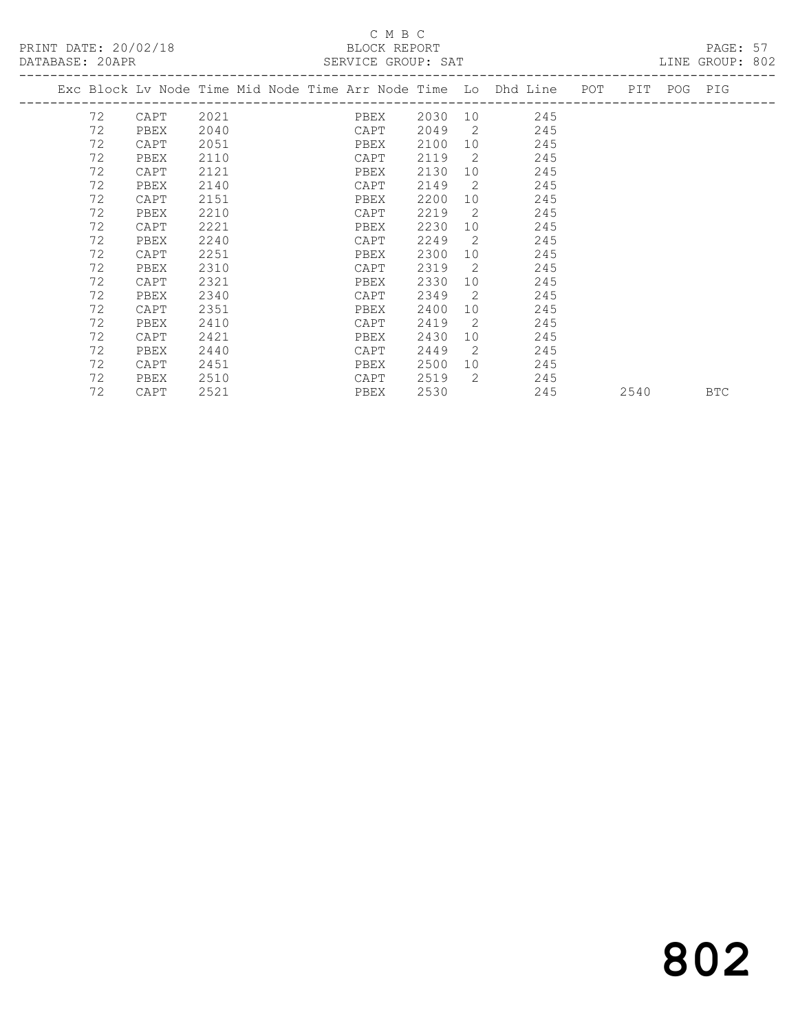PRINT DATE: 20/02/18 BLOCK REPORT BLOCK REPORT

## C M B C<br>BLOCK REPORT

| Exc Block Lv Node Time Mid Node Time Arr Node Time Lo Dhd Line POT PIT POG PIG<br>72<br>PBEX<br>2030 10 245<br>2021<br>CAPT<br>72<br>2049<br>$\overline{2}$<br>2040<br>245<br>CAPT<br>PBEX<br>72<br>2100<br>245<br>2051<br>10<br>CAPT<br>PBEX<br>72<br>2119<br>$\overline{2}$<br>245<br>2110<br>CAPT<br>PBEX<br>72<br>2130<br>2121<br>245<br>PBEX<br>10<br>CAPT<br>72<br>2149<br>$\overline{2}$<br>2140<br>245<br>CAPT<br>PBEX<br>72<br>2200<br>245<br>2151<br>10<br>CAPT<br>PBEX<br>72<br>2219<br>$\overline{2}$<br>245<br>2210<br>PBEX<br>CAPT<br>72<br>2230<br>245<br>2221<br>10<br>CAPT<br>PBEX<br>72<br>2249<br>2<br>245<br>2240<br>CAPT<br>PBEX<br>72<br>2300<br>245<br>2251<br>PBEX<br>10<br>CAPT<br>72<br>2319<br>$\overline{2}$<br>245<br>2310<br>PBEX<br>CAPT<br>72<br>2330<br>245<br>2321<br>10<br>CAPT<br>PBEX<br>72<br>2340<br>2349<br>$\overline{2}$<br>245<br>CAPT<br>PBEX |  |
|-------------------------------------------------------------------------------------------------------------------------------------------------------------------------------------------------------------------------------------------------------------------------------------------------------------------------------------------------------------------------------------------------------------------------------------------------------------------------------------------------------------------------------------------------------------------------------------------------------------------------------------------------------------------------------------------------------------------------------------------------------------------------------------------------------------------------------------------------------------------------------------------|--|
|                                                                                                                                                                                                                                                                                                                                                                                                                                                                                                                                                                                                                                                                                                                                                                                                                                                                                           |  |
|                                                                                                                                                                                                                                                                                                                                                                                                                                                                                                                                                                                                                                                                                                                                                                                                                                                                                           |  |
|                                                                                                                                                                                                                                                                                                                                                                                                                                                                                                                                                                                                                                                                                                                                                                                                                                                                                           |  |
|                                                                                                                                                                                                                                                                                                                                                                                                                                                                                                                                                                                                                                                                                                                                                                                                                                                                                           |  |
|                                                                                                                                                                                                                                                                                                                                                                                                                                                                                                                                                                                                                                                                                                                                                                                                                                                                                           |  |
|                                                                                                                                                                                                                                                                                                                                                                                                                                                                                                                                                                                                                                                                                                                                                                                                                                                                                           |  |
|                                                                                                                                                                                                                                                                                                                                                                                                                                                                                                                                                                                                                                                                                                                                                                                                                                                                                           |  |
|                                                                                                                                                                                                                                                                                                                                                                                                                                                                                                                                                                                                                                                                                                                                                                                                                                                                                           |  |
|                                                                                                                                                                                                                                                                                                                                                                                                                                                                                                                                                                                                                                                                                                                                                                                                                                                                                           |  |
|                                                                                                                                                                                                                                                                                                                                                                                                                                                                                                                                                                                                                                                                                                                                                                                                                                                                                           |  |
|                                                                                                                                                                                                                                                                                                                                                                                                                                                                                                                                                                                                                                                                                                                                                                                                                                                                                           |  |
|                                                                                                                                                                                                                                                                                                                                                                                                                                                                                                                                                                                                                                                                                                                                                                                                                                                                                           |  |
|                                                                                                                                                                                                                                                                                                                                                                                                                                                                                                                                                                                                                                                                                                                                                                                                                                                                                           |  |
|                                                                                                                                                                                                                                                                                                                                                                                                                                                                                                                                                                                                                                                                                                                                                                                                                                                                                           |  |
|                                                                                                                                                                                                                                                                                                                                                                                                                                                                                                                                                                                                                                                                                                                                                                                                                                                                                           |  |
| 72<br>2400<br>245<br>2351<br>10 <sup>1</sup><br>CAPT<br>PBEX                                                                                                                                                                                                                                                                                                                                                                                                                                                                                                                                                                                                                                                                                                                                                                                                                              |  |
| 72<br>2419<br>$\overline{2}$<br>245<br>2410<br>CAPT<br>PBEX                                                                                                                                                                                                                                                                                                                                                                                                                                                                                                                                                                                                                                                                                                                                                                                                                               |  |
| 72<br>2430<br>245<br>2421<br>10<br>CAPT<br>PBEX                                                                                                                                                                                                                                                                                                                                                                                                                                                                                                                                                                                                                                                                                                                                                                                                                                           |  |
| 72<br>2449<br>$\overline{2}$<br>245<br>2440<br>PBEX<br>CAPT                                                                                                                                                                                                                                                                                                                                                                                                                                                                                                                                                                                                                                                                                                                                                                                                                               |  |
| 72<br>2500<br>245<br>CAPT<br>2451<br>PBEX                                                                                                                                                                                                                                                                                                                                                                                                                                                                                                                                                                                                                                                                                                                                                                                                                                                 |  |
| 72<br>2<br>2519<br>245<br>2510<br>CAPT<br>PBEX                                                                                                                                                                                                                                                                                                                                                                                                                                                                                                                                                                                                                                                                                                                                                                                                                                            |  |
| 72<br>2530<br>245<br>CAPT<br>2521<br>PBEX<br>2540<br><b>BTC</b>                                                                                                                                                                                                                                                                                                                                                                                                                                                                                                                                                                                                                                                                                                                                                                                                                           |  |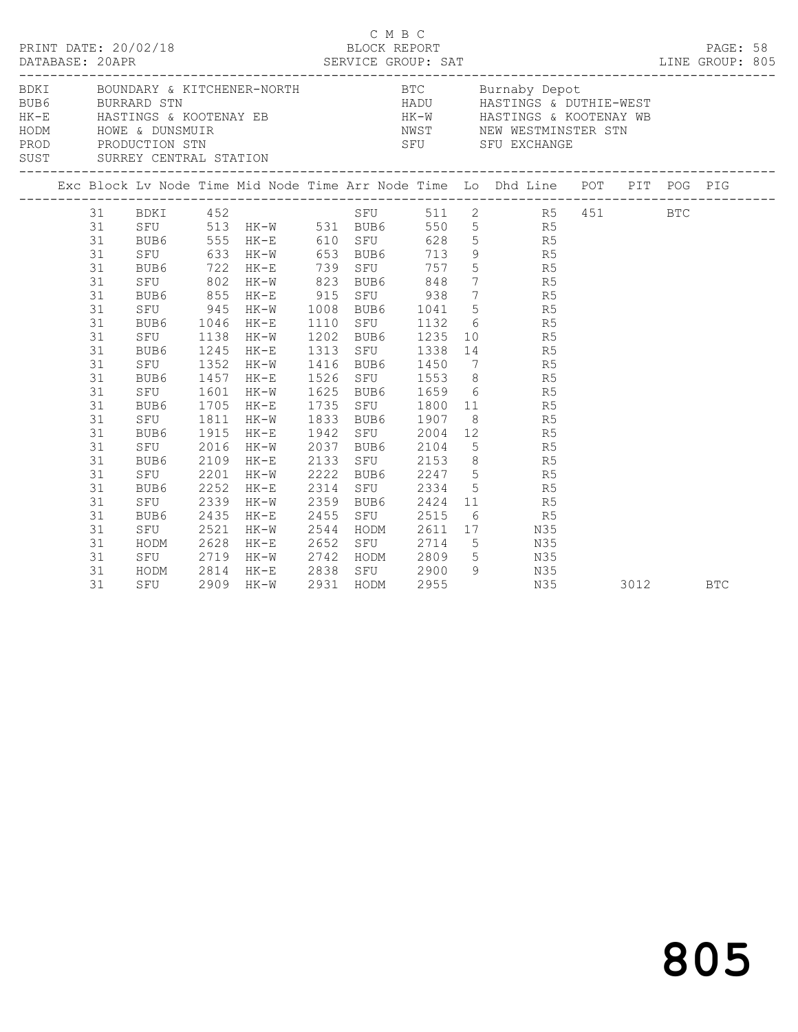|      |                                                                                                                                                                                                                                                                                        | DATABASE: 20APR                                                                                                                                          | PRINT DATE: 20/02/18                                                                                                                                                                      |                                                                                      |                                                                                                                                                                                                                  |                                                                                                          | C M B C |                                                                                                                                                                                                                                             |                                                                                                                                                                                                                                                                                                                                                                                                                                                                                                                                                                                                                                                                         |      |  |            |  |
|------|----------------------------------------------------------------------------------------------------------------------------------------------------------------------------------------------------------------------------------------------------------------------------------------|----------------------------------------------------------------------------------------------------------------------------------------------------------|-------------------------------------------------------------------------------------------------------------------------------------------------------------------------------------------|--------------------------------------------------------------------------------------|------------------------------------------------------------------------------------------------------------------------------------------------------------------------------------------------------------------|----------------------------------------------------------------------------------------------------------|---------|---------------------------------------------------------------------------------------------------------------------------------------------------------------------------------------------------------------------------------------------|-------------------------------------------------------------------------------------------------------------------------------------------------------------------------------------------------------------------------------------------------------------------------------------------------------------------------------------------------------------------------------------------------------------------------------------------------------------------------------------------------------------------------------------------------------------------------------------------------------------------------------------------------------------------------|------|--|------------|--|
| BDKI | BOUNDARY & KITCHENER-NORTH BTC Burnaby Depot<br>BURRARD STN BURRARD STN HADU HASTINGS & DUTHIE-WEST<br>HASTINGS & KOOTENAY EB HASTINGS & DUNSMUIR HASTINGS & COOTENAY AND HASTINGS & DUTHIE-WEST<br>HADU HASTINGS & NOOTENAY WE<br>HASTINGS & NOOTENAY WE<br>HASTINGS & DUNSMUIR HASTI |                                                                                                                                                          |                                                                                                                                                                                           |                                                                                      |                                                                                                                                                                                                                  |                                                                                                          |         |                                                                                                                                                                                                                                             |                                                                                                                                                                                                                                                                                                                                                                                                                                                                                                                                                                                                                                                                         |      |  |            |  |
|      |                                                                                                                                                                                                                                                                                        |                                                                                                                                                          |                                                                                                                                                                                           |                                                                                      |                                                                                                                                                                                                                  |                                                                                                          |         |                                                                                                                                                                                                                                             |                                                                                                                                                                                                                                                                                                                                                                                                                                                                                                                                                                                                                                                                         |      |  |            |  |
|      |                                                                                                                                                                                                                                                                                        | 31<br>31<br>31<br>31<br>31<br>31<br>31<br>31<br>31<br>31<br>31<br>31<br>31<br>31<br>31<br>31<br>31<br>31<br>31<br>31<br>31<br>31<br>31<br>31<br>31<br>31 | SFU 945<br>BUB6<br>SFU<br>BUB6<br>SFU<br>BUB6<br>SFU<br>BUB6 1705<br>SFU 1811<br>BUB6<br>SFU<br>BUB6<br>SFU<br>BUB6<br>SFU<br>BUB6<br>SFU<br>HODM 2628 HK-E<br>SFU 2719 HK-W<br>HODM 2814 | 1352<br>1457<br>1601<br>1915<br>2016<br>2109<br>2201<br>2252<br>2339<br>2435<br>2521 | 31 BDKI 452<br>BUB6 555 HK-E 610 SFU<br>1046 HK-E<br>1138 HK-W<br>1245 HK-E<br>$HK-W$<br>$HK-E$<br>HK-W<br>$HK-E$<br>$HK-W$<br>HK-E<br>$HK-W$<br>$HK-E$<br>HK-W<br>HK-E<br>HK-W<br>$HK-E$<br>$HK-W$<br>HK-E 2838 | 1416 BUB6 1450<br>1625<br>1942<br>2037 BUB6 2104<br>2133<br>2222<br>2314<br>2455<br>2544<br>2652<br>2742 |         | 1110 SFU 1132<br>1202 BUB6 1235<br>1313 SFU 1338<br>1526 SFU 1553<br>1625 BUB6 1659<br>1735 SFU 1800<br>1833 BUB6 1907<br>SFU 2004<br>SFU 2153<br>BUB6 2247<br>SFU 2334<br>2359 BUB6 2424<br>SFU 2515<br>HODM 2611<br>SFU 2714<br>HODM 2809 | SFU 511 2 R5 451 BTC<br>SFU 513 HK-W 531 BUB6 550 5 R5<br>BUB6 555 HK-E 610 SFU 628 5<br>SFU 633 HK-W 653 BUB6 713 9 R5<br>BUB6 722 HK-E 739 SFU 757 5 R5<br>SFU 802 HK-W 823 BUB6 848 7 R5<br>BUB6 855 HK-E 915 SFU 938 7 R5<br>HK-W 1008 BUB6 1041 5 R5<br>$\begin{array}{ccc} 6 & & \text{R5} \\ 10 & & \text{R5} \\ 14 & & \text{R5} \end{array}$<br>7 R5<br>8 R5<br>$6$ R5<br>$\begin{array}{ccc} 11 & \quad & \quad \text{R5} \\ 8 & \quad & \quad \text{R5} \end{array}$<br>$12$ R5<br>$5$ R5<br>8 R5<br>$\begin{array}{ccc} 5 & & \text{R5} \\ 5 & & \text{R5} \end{array}$<br>$11$ R5<br>6 R5<br>17 N35<br>SFU 2714 5 N35<br>HODM 2809 5 N35<br>SFU 2900 9 N35 |      |  |            |  |
|      |                                                                                                                                                                                                                                                                                        | 31                                                                                                                                                       | SFU                                                                                                                                                                                       |                                                                                      | 2909 HK-W                                                                                                                                                                                                        | 2931 HODM                                                                                                |         | 2955                                                                                                                                                                                                                                        | N35                                                                                                                                                                                                                                                                                                                                                                                                                                                                                                                                                                                                                                                                     | 3012 |  | <b>BTC</b> |  |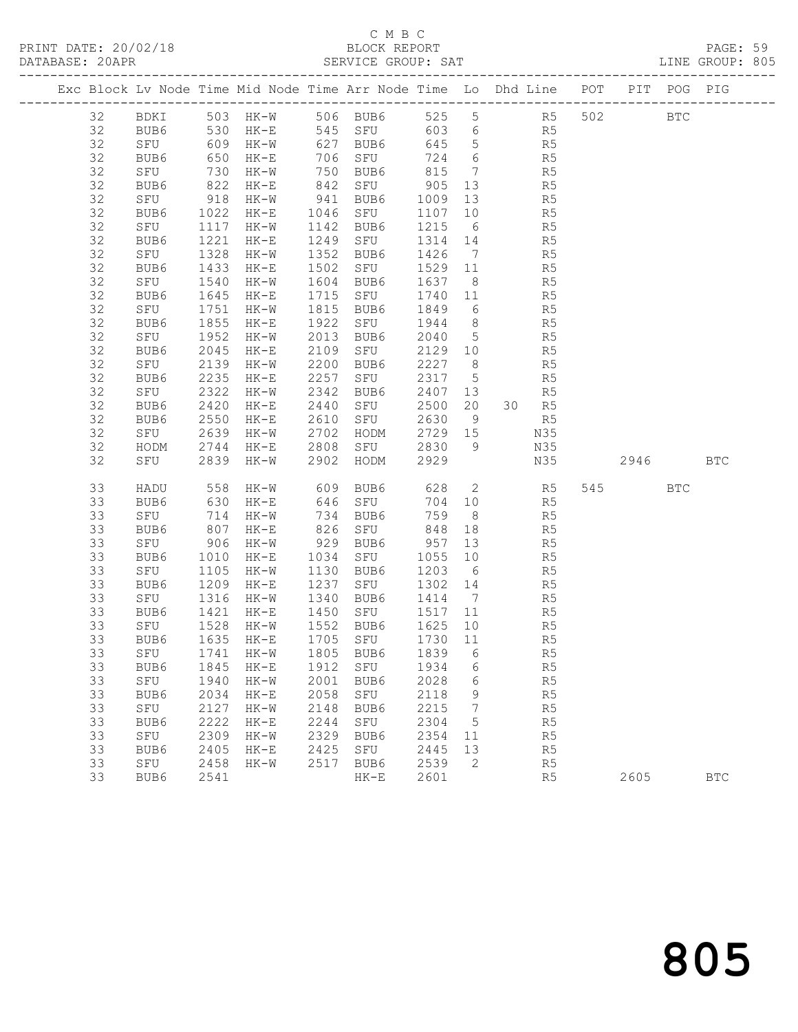# C M B C<br>BLOCK REPORT

|    |                                                                 |      | Exc Block Lv Node Time Mid Node Time Arr Node Time Lo Dhd Line POT PIT POG PIG                                                        |      |                                                             |         |        |                |                |      |            |  |
|----|-----------------------------------------------------------------|------|---------------------------------------------------------------------------------------------------------------------------------------|------|-------------------------------------------------------------|---------|--------|----------------|----------------|------|------------|--|
|    |                                                                 |      | 32 BDKI 503 HK-W 506 BUB6 525 5 R5 502 BTC                                                                                            |      |                                                             |         |        |                |                |      |            |  |
|    |                                                                 |      | 32 BUB6 530 HK-E 545 SFU 603 6 R5                                                                                                     |      |                                                             |         |        |                |                |      |            |  |
| 32 |                                                                 |      |                                                                                                                                       |      |                                                             |         |        |                |                |      |            |  |
| 32 |                                                                 |      | SFU 609 HK-W 627 BUB6 645 5 R5<br>BUB6 650 HK-E 706 SFU 724 6 R5<br>SFU 730 HK-W 750 BUB6 815 7 R5<br>BUB6 822 HK-E 842 SFU 905 13 R5 |      |                                                             |         |        |                |                |      |            |  |
| 32 |                                                                 |      |                                                                                                                                       |      |                                                             |         |        |                |                |      |            |  |
| 32 |                                                                 |      |                                                                                                                                       |      |                                                             |         |        |                |                |      |            |  |
| 32 |                                                                 |      | SFU 918 HK-W 941 BUB6 1009 13                                                                                                         |      |                                                             |         |        | R <sub>5</sub> |                |      |            |  |
| 32 |                                                                 |      | BUB6 1022 HK-E 1046 SFU 1107 10 R5<br>SFU 1117 HK-W 1142 BUB6 1215 6 R5<br>BUB6 1221 HK-E 1249 SFU 1314 14 R5                         |      |                                                             |         |        |                |                |      |            |  |
| 32 |                                                                 |      |                                                                                                                                       |      |                                                             |         |        |                |                |      |            |  |
| 32 |                                                                 |      |                                                                                                                                       |      |                                                             |         |        |                |                |      |            |  |
| 32 | SFU 1328 HK-W<br>FU<br>BUB6 1430<br>SFU 1540<br>TR6 1645<br>175 |      |                                                                                                                                       |      | 1352 BUB6 1426 7 R5                                         |         |        |                |                |      |            |  |
| 32 |                                                                 |      | $HK-E$                                                                                                                                |      | 1502 SFU 1529 11 R5                                         |         |        |                |                |      |            |  |
| 32 |                                                                 |      | HK-W                                                                                                                                  |      | 1604 BUB6 1637 8 R5<br>1715 SFU 1740 11 R5                  |         |        |                |                |      |            |  |
| 32 |                                                                 |      | 1645 HK-E                                                                                                                             |      |                                                             |         |        |                |                |      |            |  |
| 32 | SFU                                                             |      | 1751 HK-W                                                                                                                             |      | 1815 BUB6 1849 6 R5                                         |         |        |                |                |      |            |  |
| 32 | BUB6                                                            | 1855 | $HK-E$                                                                                                                                |      | 1922 SFU 1944 8 R5                                          |         |        |                |                |      |            |  |
| 32 | SFU 1952 HK-W<br>BUB6 2045 HK-E                                 |      |                                                                                                                                       |      | 2013 BUB6 2040 5 R5<br>2109 SFU 2129 10 R5                  |         |        |                |                |      |            |  |
| 32 | BUB6                                                            |      | 2045 HK-E                                                                                                                             |      |                                                             |         |        |                |                |      |            |  |
| 32 | SFU                                                             |      | 2139 HK-W                                                                                                                             |      | 2200 BUB6 2227 8 R5                                         |         |        |                |                |      |            |  |
| 32 | BUB6                                                            | 2235 | $HK-E$                                                                                                                                | 2257 | SFU 2317 5 R5                                               |         |        |                |                |      |            |  |
| 32 | SFU                                                             |      | 2322 HK-w<br>2420 HK-E                                                                                                                |      | 2342 BUB6<br>2342 BUB6 2407 13 R5<br>2440 SFU 2500 20 30 R5 |         |        |                |                |      |            |  |
| 32 | BUB6                                                            |      |                                                                                                                                       |      |                                                             |         |        |                |                |      |            |  |
| 32 | BUB6                                                            |      | 2550 HK-E                                                                                                                             |      | 2610 SFU 2630 9 R5                                          |         |        |                |                |      |            |  |
| 32 | SFU                                                             |      | 2639 HK-W                                                                                                                             |      | 2702 HODM 2729 15                                           |         |        | N35            |                |      |            |  |
| 32 |                                                                 |      |                                                                                                                                       |      |                                                             |         |        |                |                |      |            |  |
| 32 |                                                                 |      | HODM 2744 HK-E 2808 SFU 2830 9 N35<br>SFU 2839 HK-W 2902 HODM 2929 N35 2946 BTC                                                       |      |                                                             |         |        |                |                |      |            |  |
| 33 | HADU                                                            |      | 558 HK-W 609 BUB6 628 2 R5 545 BTC                                                                                                    |      |                                                             |         |        |                |                |      |            |  |
| 33 |                                                                 |      |                                                                                                                                       |      | 646 SFU<br>734 BUB6                                         |         |        | 704 10 R5      |                |      |            |  |
| 33 | BUB6 630 HK-E<br>SFU 714 HK-W<br>BUB6 807 HK-E                  |      |                                                                                                                                       |      |                                                             | 759 8   |        |                | R5             |      |            |  |
| 33 |                                                                 |      |                                                                                                                                       |      | $826$ SFU                                                   |         |        | $848$ 18 R5    |                |      |            |  |
| 33 | SFU 906 HK-W                                                    |      |                                                                                                                                       |      | 929 BUB6 957 13                                             |         |        | R <sub>5</sub> |                |      |            |  |
| 33 |                                                                 |      | BUB6 1010 HK-E 1034 SFU 1055 10 R5<br>SFU 1105 HK-W 1130 BUB6 1203 6 R5<br>BUB6 1209 HK-E 1237 SFU 1302 14 R5                         |      |                                                             |         |        |                |                |      |            |  |
| 33 |                                                                 |      |                                                                                                                                       |      |                                                             |         |        |                |                |      |            |  |
| 33 |                                                                 |      |                                                                                                                                       |      |                                                             |         |        |                |                |      |            |  |
| 33 |                                                                 |      | SFU 1316 HK-W 1340 BUB6 1414 7 R5                                                                                                     |      |                                                             |         |        |                |                |      |            |  |
| 33 | BUB6                                                            |      | 1421 HK-E<br>33 SFU 1528 HK-W 1552 BUB6 1625 10 R5                                                                                    |      | 1450 SFU                                                    | 1517 11 |        |                | R <sub>5</sub> |      |            |  |
| 33 | BUB6                                                            | 1635 | $HK-E$                                                                                                                                | 1705 | SFU                                                         | 1730    | 11     |                | R <sub>5</sub> |      |            |  |
| 33 | SFU                                                             | 1741 | $HK-W$                                                                                                                                | 1805 | BUB6                                                        | 1839    |        |                | R5             |      |            |  |
| 33 | BUB6                                                            | 1845 | $HK-E$                                                                                                                                | 1912 | SFU                                                         | 1934    | 6<br>6 |                | R5             |      |            |  |
| 33 | SFU                                                             | 1940 | $HK-W$                                                                                                                                | 2001 | BUB6                                                        | 2028    | 6      |                | R5             |      |            |  |
| 33 | BUB6                                                            | 2034 | $HK-E$                                                                                                                                | 2058 | ${\tt SFU}$                                                 | 2118    | 9      |                | $\mathbb{R}5$  |      |            |  |
| 33 | SFU                                                             | 2127 | $HK-W$                                                                                                                                | 2148 | BUB6                                                        | 2215    | 7      |                | R5             |      |            |  |
| 33 | BUB6                                                            | 2222 | $HK-E$                                                                                                                                | 2244 | SFU                                                         | 2304    | 5      |                | R5             |      |            |  |
| 33 | SFU                                                             | 2309 | $HK-W$                                                                                                                                | 2329 | BUB6                                                        | 2354    | 11     |                | R5             |      |            |  |
| 33 | BUB6                                                            | 2405 | $HK-E$                                                                                                                                | 2425 | SFU                                                         | 2445    | 13     |                | R5             |      |            |  |
| 33 | SFU                                                             | 2458 | $HK-W$                                                                                                                                | 2517 | BUB6                                                        | 2539    | 2      |                | R <sub>5</sub> |      |            |  |
| 33 | BUB6                                                            | 2541 |                                                                                                                                       |      | $HK-E$                                                      | 2601    |        |                | R5             | 2605 | <b>BTC</b> |  |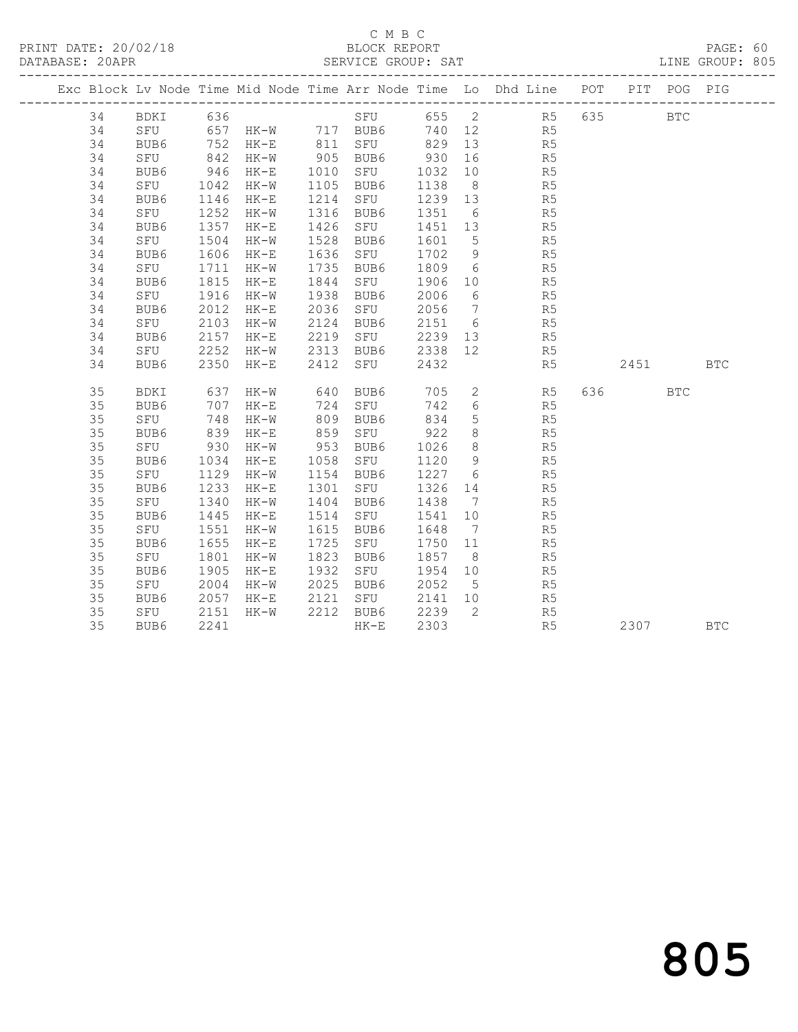PRINT DATE: 20/02/18 BLOCK REPORT BATABASE: 20APR BERVICE GROUP: SAT

# C M B C<br>BLOCK REPORT

PAGE: 60<br>LINE GROUP: 805

|    |    |                                    |             |               |      |                |         |                | Exc Block Lv Node Time Mid Node Time Arr Node Time Lo Dhd Line POT PIT POG PIG                        |         |            |            |
|----|----|------------------------------------|-------------|---------------|------|----------------|---------|----------------|-------------------------------------------------------------------------------------------------------|---------|------------|------------|
|    | 34 | BDKI 636                           |             |               |      |                |         |                | SFU 655 2 R5                                                                                          | 635 000 | <b>BTC</b> |            |
| 34 |    |                                    |             |               |      |                |         |                | SFU 657 HK-W 717 BUB6 740 12 R5<br>BUB6 752 HK-E 811 SFU 829 13 R5<br>SFU 842 HK-W 905 BUB6 930 16 R5 |         |            |            |
| 34 |    |                                    |             |               |      |                |         |                |                                                                                                       |         |            |            |
| 34 |    |                                    |             |               |      |                | 930 16  |                |                                                                                                       |         |            |            |
| 34 |    | BUB6                               | 946         | HK-E 1010 SFU |      |                | 1032 10 |                | R <sub>5</sub>                                                                                        |         |            |            |
| 34 |    | SFU                                | 1042        | $HK-W$        |      | 1105 BUB6      | 1138 8  |                | R <sub>5</sub>                                                                                        |         |            |            |
| 34 |    |                                    |             | HK-E          |      | 1214 SFU       | 1239 13 |                | R <sub>5</sub>                                                                                        |         |            |            |
| 34 |    |                                    |             | HK-W          |      | 1316 BUB6      | 1351 6  |                | R5                                                                                                    |         |            |            |
| 34 |    | BUB6 1146<br>SFU 1252<br>BUB6 1357 |             | HK-E          |      | 1426 SFU       | 1451 13 |                | R5                                                                                                    |         |            |            |
| 34 |    | SFU                                | 1504        | HK-W          |      | 1528 BUB6      | 1601 5  |                | R5                                                                                                    |         |            |            |
| 34 |    | BUB6                               | 1606        | $HK-E$        |      | 1636 SFU       | 1702 9  |                | R <sub>5</sub>                                                                                        |         |            |            |
| 34 |    | SFU                                | 1711        | HK-W          |      | 1735 BUB6      | 1809 6  |                | R <sub>5</sub>                                                                                        |         |            |            |
| 34 |    | BUB6                               | 1815        | $HK-E$        |      | 1844 SFU       | 1906 10 |                | R <sub>5</sub>                                                                                        |         |            |            |
| 34 |    | SFU 1916                           |             | HK-W          |      | 1938 BUB6      | 2006 6  |                | R5<br>R5                                                                                              |         |            |            |
| 34 |    | BUB6                               | 2012        | $HK-E$        |      | 2036 SFU       | 2056 7  |                |                                                                                                       |         |            |            |
| 34 |    | SFU                                | 2103        | HK-W          |      | 2124 BUB6      | 2151 6  |                | R <sub>5</sub>                                                                                        |         |            |            |
| 34 |    | BUB6                               | 2157        |               |      | HK-E 2219 SFU  |         |                | 2239 13 R5                                                                                            |         |            |            |
| 34 |    | SFU                                | 2252        |               |      | HK-W 2313 BUB6 | 2338 12 |                | R <sub>5</sub>                                                                                        |         |            |            |
| 34 |    | BUB6                               | 2350        | $HK-E$        |      | 2412 SFU       | 2432    |                | R5                                                                                                    | 2451    |            | <b>BTC</b> |
|    |    |                                    |             |               |      |                |         |                |                                                                                                       |         |            |            |
| 35 |    | BDKI                               | 637         | HK-W          |      | 640 BUB6       |         |                | 705 2 R5                                                                                              | 636 100 | <b>BTC</b> |            |
| 35 |    | BUB6                               | 707         | $HK-E$        |      | 724 SFU        |         |                | 742 6<br>R5                                                                                           |         |            |            |
| 35 |    | SFU                                | 748         | HK-W          |      | 809 BUB6       | 834     | 5 <sup>5</sup> | R <sub>5</sub>                                                                                        |         |            |            |
| 35 |    | BUB6                               | 839         | $HK-E$        |      | 859 SFU 922    |         | 8 <sup>8</sup> | R <sub>5</sub>                                                                                        |         |            |            |
| 35 |    | SFU                                | 930<br>1034 | $HK-W$        |      | 953 BUB6       | 1026    | 8 <sup>8</sup> | R <sub>5</sub>                                                                                        |         |            |            |
| 35 |    | BUB6                               |             | $HK-E$        |      | 1058 SFU       | 1120 9  |                | R5<br>R5                                                                                              |         |            |            |
| 35 |    | SFU 1129                           |             | $HK-W$        |      | 1154 BUB6      | 1227 6  |                |                                                                                                       |         |            |            |
| 35 |    | BUB6                               | 1233        | HK-E          | 1301 | SFU            | 1326 14 |                | R5                                                                                                    |         |            |            |
| 35 |    | SFU                                | 1340        | HK-W          |      | 1404 BUB6      | 1438 7  |                | R5                                                                                                    |         |            |            |
| 35 |    | BUB6                               | 1445        | $HK-E$        | 1514 | SFU            | 1541    | 10             | R5                                                                                                    |         |            |            |
| 35 |    | SFU                                | 1551        | HK-W          |      | 1615 BUB6      | 1648    | $\overline{7}$ | R5                                                                                                    |         |            |            |
| 35 |    | BUB6                               | 1655        | $HK-E$        | 1725 | SFU            | 1750 11 |                | R5                                                                                                    |         |            |            |
| 35 |    | SFU                                | 1801        | HK-W          |      | 1823 BUB6      | 1857 8  |                | R5                                                                                                    |         |            |            |
| 35 |    | BUB6                               | 1905        | $HK-E$        |      | 1932 SFU       | 1954 10 |                | R <sub>5</sub>                                                                                        |         |            |            |
| 35 |    | SFU                                | 2004        | HK-W          |      | 2025 BUB6      | 2052 5  |                | R5                                                                                                    |         |            |            |
| 35 |    | BUB6                               | 2057        | $HK-E$        |      | 2121 SFU       | 2141 10 |                | R5                                                                                                    |         |            |            |
| 35 |    | SFU                                | 2151        | HK-W          |      | 2212 BUB6      | 2239 2  |                | R <sub>5</sub>                                                                                        |         |            |            |
| 35 |    | BUB6                               | 2241        |               |      | $HK-E$         | 2303    |                | R5                                                                                                    | 2307    |            | <b>BTC</b> |

# 805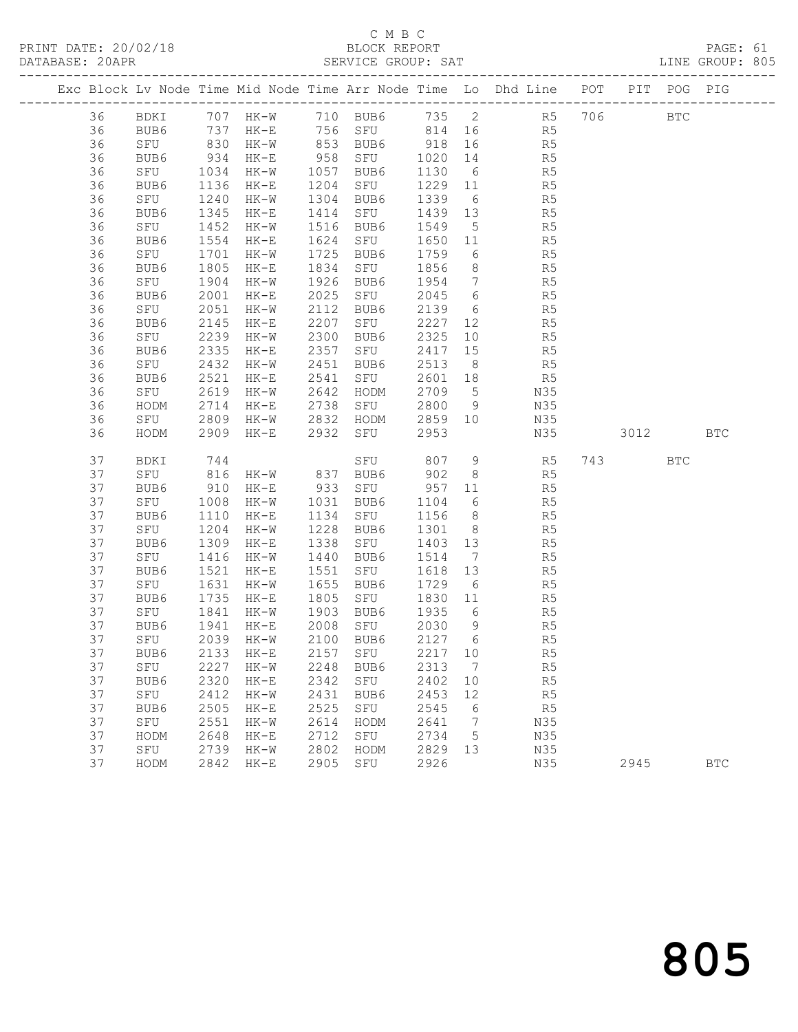### C M B C<br>BLOCK REPORT

PAGE: 61<br>LINE GROUP: 805

|  |    |                               |                       |        |      |                                            |         |                 | Exc Block Lv Node Time Mid Node Time Arr Node Time Lo Dhd Line POT |      | PIT POG PIG  |            |
|--|----|-------------------------------|-----------------------|--------|------|--------------------------------------------|---------|-----------------|--------------------------------------------------------------------|------|--------------|------------|
|  | 36 | BDKI                          |                       |        |      |                                            |         |                 | 707 HK-W 710 BUB6 735 2 R5 706                                     |      | $_{\rm BTC}$ |            |
|  | 36 | BUB6 737 HK-E<br>SFU 830 HK-W |                       |        |      |                                            |         |                 |                                                                    |      |              |            |
|  | 36 |                               |                       |        |      |                                            |         |                 |                                                                    |      |              |            |
|  | 36 | BUB6                          | 934                   | HK-E   |      | 958 SFU                                    | 1020 14 |                 | R5                                                                 |      |              |            |
|  | 36 | SFU                           | 1034<br>1136          | HK-W   | 1057 | BUB6                                       | 1130    | 6               | R5                                                                 |      |              |            |
|  | 36 | BUB6                          | 1136                  | $HK-E$ | 1204 | SFU                                        | 1229 11 |                 | $R$ <sup>1,<br/><math>R</math>5</sup>                              |      |              |            |
|  | 36 | SFU                           | 1240                  | HK-W   | 1304 | BUB6                                       | 1339    | 6               |                                                                    |      |              |            |
|  | 36 | BUB6                          | 1345                  | HK-E   | 1414 | SFU                                        | 1439 13 |                 | R5                                                                 |      |              |            |
|  | 36 | SFU                           | 1452                  | HK-W   | 1516 | BUB6                                       | 1549    | $5^{\circ}$     | R5                                                                 |      |              |            |
|  | 36 | BUB6                          | 1554                  | $HK-E$ | 1624 | SFU                                        | 1650 11 |                 | R5                                                                 |      |              |            |
|  | 36 | SFU                           | 1701                  | $HK-W$ | 1725 | BUB6                                       | 1759    | 6               | R5                                                                 |      |              |            |
|  | 36 | BUB6                          | 1805                  | $HK-E$ | 1834 | SFU                                        | 1856    | 8 <sup>8</sup>  | R5                                                                 |      |              |            |
|  | 36 | SFU                           | 1904                  | HK-W   | 1926 | BUB6                                       | 1954    |                 | $7\overline{ }$<br>R5                                              |      |              |            |
|  | 36 | BUB6                          | 2001                  | $HK-E$ | 2025 | SFU                                        | 2045    | $6\overline{6}$ | R5                                                                 |      |              |            |
|  | 36 | SFU                           | 2051                  | $HK-W$ | 2112 | BUB6                                       | 2139    | 6               | R5                                                                 |      |              |            |
|  | 36 | BUB6                          | 2145                  | $HK-E$ | 2207 | SFU                                        | 2227    | 12              | R5                                                                 |      |              |            |
|  | 36 | SFU                           | 2239                  | $HK-W$ | 2300 | BUB6                                       | 2325    | 10              | R5                                                                 |      |              |            |
|  | 36 | BUB6                          | 2335                  | HK-E   | 2357 | SFU                                        | 2417    | 15              | R5                                                                 |      |              |            |
|  | 36 | SFU                           | 2432                  | HK-W   | 2451 | BUB6                                       | 2513    | 8 <sup>8</sup>  | R5                                                                 |      |              |            |
|  | 36 | BUB6                          | 2521                  | $HK-E$ | 2541 | SFU                                        | 2601 18 |                 | R <sub>5</sub>                                                     |      |              |            |
|  | 36 | SFU                           | 2619                  | HK-W   | 2642 | HODM                                       | 2709    | $5\overline{)}$ | N35                                                                |      |              |            |
|  | 36 | HODM                          | 2714                  | $HK-E$ | 2738 | SFU                                        | 2800    | 9               | N35                                                                |      |              |            |
|  | 36 | SFU                           | 2809                  | HK-W   |      | 2832 HODM                                  | 2859 10 |                 | N35                                                                |      |              |            |
|  | 36 | HODM                          | 2909                  | $HK-E$ |      | 2932 SFU                                   | 2953    |                 | N35                                                                | 3012 |              | <b>BTC</b> |
|  | 37 | BDKI                          | 744                   |        |      | SFU                                        | 807     | 9               | R <sub>5</sub>                                                     | 743  | <b>BTC</b>   |            |
|  | 37 | SFU                           | 816<br>910            |        |      | HK-W 837 BUB6 902 8<br>HK-E 933 SFU 957 11 |         |                 | R5<br>R5                                                           |      |              |            |
|  | 37 | BUB6                          |                       |        |      |                                            |         |                 |                                                                    |      |              |            |
|  | 37 | SFU                           | 1008                  | HK-W   | 1031 | BUB6                                       | 1104    |                 | $6\overline{6}$<br>R5                                              |      |              |            |
|  | 37 | BUB6                          | 1110                  | $HK-E$ | 1134 | SFU                                        | 1156    | 8 <sup>1</sup>  | R5                                                                 |      |              |            |
|  | 37 | SFU                           | 1204                  | HK-W   | 1228 | BUB6                                       | 1301    | 8 <sup>8</sup>  | R5                                                                 |      |              |            |
|  | 37 | BUB6                          | 1309                  | $HK-E$ | 1338 | SFU                                        | 1403 13 |                 | R5                                                                 |      |              |            |
|  | 37 | SFU                           | 1416                  | HK-W   | 1440 | BUB6                                       | 1514    | $\overline{7}$  | R5                                                                 |      |              |            |
|  | 37 | BUB6                          | 1521                  | $HK-E$ | 1551 | SFU                                        | 1618    | 13              | R5                                                                 |      |              |            |
|  | 37 | SFU                           | 1631<br>$102$<br>1735 | $HK-W$ | 1655 | BUB6                                       | 1729 6  |                 | R5                                                                 |      |              |            |
|  | 37 | BUB6                          |                       | $HK-E$ | 1805 | SFU                                        | 1830 11 |                 | R5                                                                 |      |              |            |
|  | 37 | SFU                           | 1841                  | $HK-W$ |      | 1903 BUB6                                  | 1935 6  |                 | R <sub>5</sub>                                                     |      |              |            |
|  | 37 | BUB6                          | 1941                  | $HK-E$ |      | 2008 SFU                                   | 2030 9  |                 | R5                                                                 |      |              |            |
|  | 37 | SFU                           | 2039                  | HK-W   |      | 2100 BUB6                                  | 2127 6  |                 | R5                                                                 |      |              |            |
|  | 37 |                               |                       |        |      | BUB6 2133 HK-E 2157 SFU 2217 10            |         |                 | R5                                                                 |      |              |            |
|  | 37 | SFU                           | 2227                  | $HK-W$ | 2248 | BUB6                                       | 2313    | $\overline{7}$  | R5                                                                 |      |              |            |
|  | 37 | BUB6                          | 2320                  | $HK-E$ | 2342 | SFU                                        | 2402    | 10              | R5                                                                 |      |              |            |
|  | 37 | SFU                           | 2412                  | $HK-W$ | 2431 | BUB6                                       | 2453    | 12              | R5                                                                 |      |              |            |
|  | 37 | BUB6                          | 2505                  | $HK-E$ | 2525 | ${\tt SFU}$                                | 2545    | 6               | R <sub>5</sub>                                                     |      |              |            |
|  | 37 | SFU                           | 2551                  | $HK-W$ | 2614 | HODM                                       | 2641    | -7              | N35                                                                |      |              |            |
|  | 37 | HODM                          | 2648                  | $HK-E$ | 2712 | SFU                                        | 2734    | 5               | N35                                                                |      |              |            |
|  | 37 | SFU                           | 2739                  | $HK-W$ | 2802 | HODM                                       | 2829    | 13              | N35                                                                |      |              |            |
|  | 37 | HODM                          | 2842                  | $HK-E$ | 2905 | ${\tt SFU}$                                | 2926    |                 | N35                                                                | 2945 |              | <b>BTC</b> |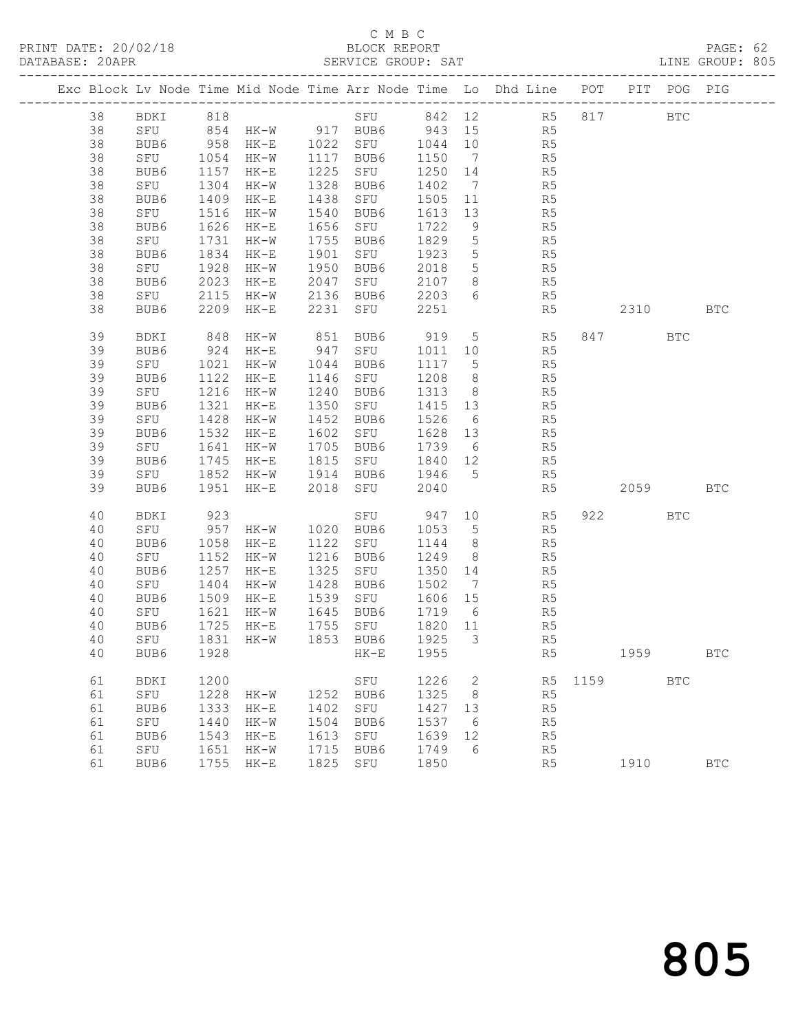PRINT DATE: 20/02/18 BLOCK REPORT BATABASE: 20APR BERVICE GROUP: SAT

# C M B C<br>BLOCK REPORT

PAGE: 62<br>LINE GROUP: 805

|  |    |              |      |                                                                |      |             |         |                         | Exc Block Lv Node Time Mid Node Time Arr Node Time Lo Dhd Line POT PIT POG PIG |      |          |              |              |
|--|----|--------------|------|----------------------------------------------------------------|------|-------------|---------|-------------------------|--------------------------------------------------------------------------------|------|----------|--------------|--------------|
|  | 38 | BDKI 818     |      |                                                                |      |             |         |                         | SFU 842 12 R5 817                                                              |      |          | $_{\rm BTC}$ |              |
|  | 38 |              |      |                                                                |      |             |         |                         | R5                                                                             |      |          |              |              |
|  | 38 |              |      | SFU 854 HK-W 917 BUB6 943 15<br>BUB6 958 HK-E 1022 SFU 1044 10 |      |             |         |                         | R5                                                                             |      |          |              |              |
|  | 38 | SFU          | 1054 | HK-W                                                           | 1117 | BUB6        | 1150    | $\overline{7}$          | R5                                                                             |      |          |              |              |
|  | 38 | BUB6         | 1157 | HK-E                                                           | 1225 | SFU         | 1250 14 |                         | R5                                                                             |      |          |              |              |
|  | 38 | SFU          | 1304 | HK-W                                                           | 1328 | BUB6        | 1402    | $\overline{7}$          | R5                                                                             |      |          |              |              |
|  | 38 | BUB6         | 1409 | HK-E                                                           | 1438 | SFU         | 1505    | 11                      | R5                                                                             |      |          |              |              |
|  | 38 | SFU          | 1516 | $HK-W$                                                         | 1540 | BUB6        | 1613    | 13                      | R5                                                                             |      |          |              |              |
|  | 38 | BUB6         | 1626 | HK-E                                                           | 1656 | SFU         | 1722    | 9                       | R <sub>5</sub>                                                                 |      |          |              |              |
|  | 38 | SFU          | 1731 | HK-W                                                           | 1755 | BUB6        | 1829    | $5\overline{)}$         | R5                                                                             |      |          |              |              |
|  | 38 | BUB6         | 1834 | $HK-E$                                                         | 1901 | SFU         | 1923    | $5\overline{)}$         | R5                                                                             |      |          |              |              |
|  | 38 | SFU          | 1928 | HK-W                                                           | 1950 | BUB6        | 2018    | 5 <sup>5</sup>          | R5                                                                             |      |          |              |              |
|  | 38 | BUB6         | 2023 | $HK-E$                                                         | 2047 | SFU         | 2107    | 8 <sup>8</sup>          | R <sub>5</sub>                                                                 |      |          |              |              |
|  | 38 | SFU          | 2115 | HK-W                                                           | 2136 | BUB6        | 2203    | 6                       | R5                                                                             |      |          |              |              |
|  | 38 | BUB6         | 2209 | HK-E                                                           | 2231 | SFU         | 2251    |                         | R5                                                                             |      | 2310     |              | <b>BTC</b>   |
|  | 39 | BDKI         | 848  | HK-W                                                           | 851  | BUB6        | 919     | $5\overline{)}$         | R <sub>5</sub>                                                                 |      | 847      | <b>BTC</b>   |              |
|  | 39 | BUB6         | 924  | $HK-E$                                                         | 947  | SFU         | 1011    | 10                      | R5                                                                             |      |          |              |              |
|  | 39 | SFU          | 1021 | HK-W                                                           | 1044 | BUB6        | 1117 5  |                         | R5                                                                             |      |          |              |              |
|  | 39 | BUB6         | 1122 | $HK-E$                                                         | 1146 | SFU         | 1208    | 8 <sup>1</sup>          | R5                                                                             |      |          |              |              |
|  | 39 | SFU          | 1216 | HK-W                                                           | 1240 | BUB6        | 1313    | 8 <sup>8</sup>          | R5                                                                             |      |          |              |              |
|  | 39 | BUB6         | 1321 | HK-E                                                           | 1350 | SFU         | 1415 13 |                         | R5                                                                             |      |          |              |              |
|  | 39 | SFU          | 1428 | HK-W                                                           | 1452 | BUB6        | 1526    | 6                       | R5                                                                             |      |          |              |              |
|  | 39 | BUB6         | 1532 | HK-E                                                           | 1602 | SFU         | 1628 13 |                         | R5                                                                             |      |          |              |              |
|  | 39 | SFU          | 1641 | HK-W                                                           | 1705 | BUB6        | 1739    | 6                       | R5                                                                             |      |          |              |              |
|  | 39 | BUB6         | 1745 | HK-E                                                           |      | 1815 SFU    | 1840 12 |                         | R5                                                                             |      |          |              |              |
|  | 39 | SFU          | 1852 | HK-W                                                           | 1914 | BUB6        | 1946    | $5\overline{)}$         | R5                                                                             |      |          |              |              |
|  | 39 | BUB6         | 1951 | HK-E                                                           | 2018 | SFU         | 2040    |                         | R5                                                                             |      | 2059 BTC |              |              |
|  | 40 | BDKI         | 923  |                                                                |      | SFU         | 947     | 10                      | R5                                                                             |      | 922      | <b>BTC</b>   |              |
|  | 40 | SFU          | 957  | $HK-W$                                                         |      | 1020 BUB6   | 1053    | $5\overline{)}$         | R5                                                                             |      |          |              |              |
|  | 40 | BUB6         | 1058 | HK-E                                                           | 1122 | SFU         | 1144    | 8 <sup>8</sup>          | R5                                                                             |      |          |              |              |
|  | 40 | SFU          | 1152 | HK-W                                                           | 1216 | BUB6        | 1249    | 8 <sup>8</sup>          | R5                                                                             |      |          |              |              |
|  | 40 | BUB6         | 1257 | HK-E                                                           | 1325 | SFU         | 1350 14 |                         | R5                                                                             |      |          |              |              |
|  | 40 | SFU          | 1404 | HK-W                                                           | 1428 | BUB6        | 1502    | $\overline{7}$          | R5                                                                             |      |          |              |              |
|  | 40 | BUB6         | 1509 | HK-E                                                           | 1539 | SFU         | 1606 15 |                         | R5                                                                             |      |          |              |              |
|  | 40 | SFU          | 1621 | HK-W                                                           | 1645 | BUB6        | 1719 6  |                         | R5                                                                             |      |          |              |              |
|  | 40 | BUB6         |      | 1725 HK-E                                                      | 1755 | SFU         | 1820 11 |                         | R5                                                                             |      |          |              |              |
|  | 40 | SFU          | 1831 | HK-W                                                           |      | 1853 BUB6   | 1925    | $\overline{\mathbf{3}}$ | R5                                                                             |      |          |              |              |
|  |    | 40 BUB6 1928 |      |                                                                |      | HK-E 1955   |         |                         | R5                                                                             |      | 1959     |              | $_{\rm BTC}$ |
|  | 61 | <b>BDKI</b>  | 1200 |                                                                |      | SFU         | 1226    | 2                       | R5                                                                             | 1159 |          | $_{\rm BTC}$ |              |
|  | 61 | ${\tt SFU}$  | 1228 | HK-W                                                           | 1252 | BUB6        | 1325    | 8                       | R5                                                                             |      |          |              |              |
|  | 61 | BUB6         | 1333 | $HK-E$                                                         | 1402 | ${\tt SFU}$ | 1427    | 13                      | R5                                                                             |      |          |              |              |
|  | 61 | ${\tt SFU}$  | 1440 | $HK-W$                                                         | 1504 | BUB6        | 1537    | - 6                     | R5                                                                             |      |          |              |              |
|  | 61 | BUB6         | 1543 | $HK-E$                                                         | 1613 | SFU         | 1639    | 12                      | R5                                                                             |      |          |              |              |
|  | 61 | SFU          | 1651 | $HK-W$                                                         | 1715 | BUB6        | 1749    | 6                       | R5                                                                             |      |          |              |              |
|  | 61 | BUB6         | 1755 | $HK-E$                                                         | 1825 | SFU         | 1850    |                         | R5                                                                             |      | 1910     |              | <b>BTC</b>   |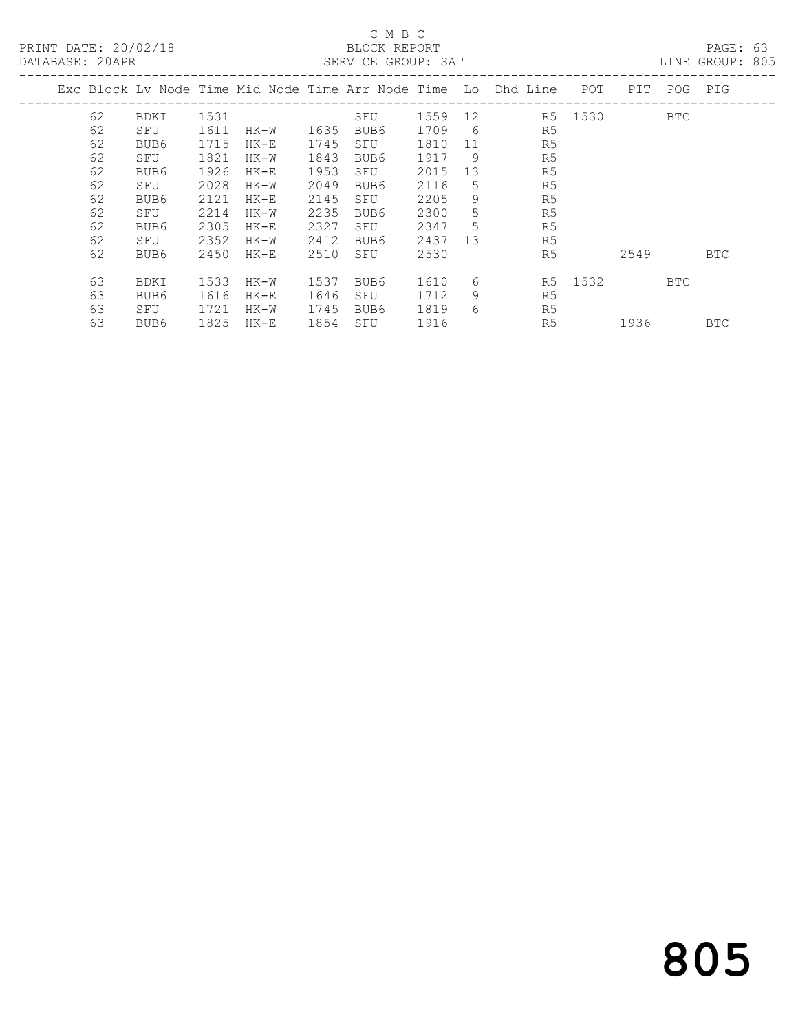PRINT DATE: 20/02/18 BLOCK REPORT<br>
DATABASE: 20APR

### C M B C<br>BLOCK REPORT

PAGE: 63<br>LINE GROUP: 805

| DAIADAOE, ZUALIV |    |             |      |        |      | DERVICE GROOT. DAI |         |    |                                                                |      |      |            | TIME GIVOL .<br>ぃ◡◡ |
|------------------|----|-------------|------|--------|------|--------------------|---------|----|----------------------------------------------------------------|------|------|------------|---------------------|
|                  |    |             |      |        |      |                    |         |    | Exc Block Lv Node Time Mid Node Time Arr Node Time Lo Dhd Line | POT. | PIT  | POG        | PIG                 |
|                  | 62 | <b>BDKI</b> | 1531 |        |      | SFU                | 1559 12 |    | R5                                                             | 1530 |      | <b>BTC</b> |                     |
|                  | 62 | SFU         | 1611 | HK-W   | 1635 | BUB6               | 1709    | 6  | R5                                                             |      |      |            |                     |
|                  | 62 | BUB6        | 1715 | $HK-E$ | 1745 | SFU                | 1810    | 11 | R5                                                             |      |      |            |                     |
|                  | 62 | SFU         | 1821 | HK-W   | 1843 | BUB6               | 1917    | 9  | R5                                                             |      |      |            |                     |
|                  | 62 | BUB6        | 1926 | $HK-E$ | 1953 | SFU                | 2015    | 13 | R5                                                             |      |      |            |                     |
|                  | 62 | SFU         | 2028 | HK-W   | 2049 | BUB6               | 2116    | 5  | R5                                                             |      |      |            |                     |
|                  | 62 | BUB6        | 2121 | $HK-E$ | 2145 | SFU                | 2205    | 9  | R <sub>5</sub>                                                 |      |      |            |                     |
|                  | 62 | SFU         | 2214 | HK-W   | 2235 | BUB6               | 2300    | 5  | R5                                                             |      |      |            |                     |
|                  | 62 | BUB6        | 2305 | $HK-E$ | 2327 | SFU                | 2347    | 5  | R <sub>5</sub>                                                 |      |      |            |                     |
|                  | 62 | SFU         | 2352 | HK-W   | 2412 | BUB6               | 2437    | 13 | R5                                                             |      |      |            |                     |
|                  | 62 | BUB6        | 2450 | HK-E   | 2510 | SFU                | 2530    |    | R <sub>5</sub>                                                 |      | 2549 |            | <b>BTC</b>          |
|                  | 63 | <b>BDKI</b> | 1533 | HK-W   | 1537 | BUB6               | 1610    | 6  | R5                                                             | 1532 |      | BTC        |                     |
|                  | 63 | BUB6        | 1616 | $HK-E$ | 1646 | SFU                | 1712    | 9  | R5                                                             |      |      |            |                     |
|                  | 63 | SFU         | 1721 | HK-W   | 1745 | BUB6               | 1819    | 6  | R5                                                             |      |      |            |                     |
|                  | 63 | BUB6        | 1825 | $HK-E$ | 1854 | SFU                | 1916    |    | R5                                                             |      | 1936 |            | BTC                 |
|                  |    |             |      |        |      |                    |         |    |                                                                |      |      |            |                     |

# 805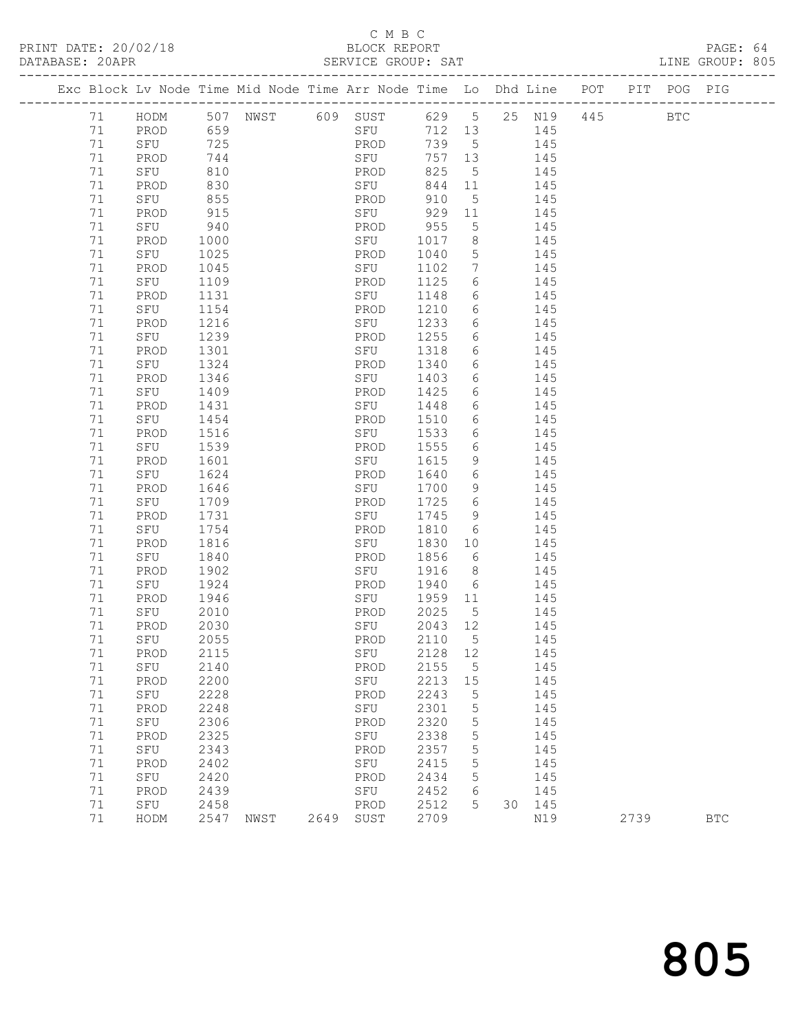### C M B C<br>BLOCK REPORT

| DATABASE: 20APR |          |             |              |                                                                                | SERVICE GROUP: SAT |              |                              |            |            |         |  | LINE GROUP: 805 |  |
|-----------------|----------|-------------|--------------|--------------------------------------------------------------------------------|--------------------|--------------|------------------------------|------------|------------|---------|--|-----------------|--|
|                 |          |             |              | Exc Block Lv Node Time Mid Node Time Arr Node Time Lo Dhd Line POT PIT POG PIG |                    |              |                              |            |            |         |  |                 |  |
|                 | 71       |             |              | HODM 507 NWST 609 SUST 629 5 25 N19                                            |                    |              |                              |            |            | 445 BTC |  |                 |  |
|                 | 71       | PROD 659    |              |                                                                                | SFU                |              |                              | 712 13 145 |            |         |  |                 |  |
|                 | 71       | SFU         | 725          |                                                                                | PROD               | 739 5        |                              | 145        |            |         |  |                 |  |
|                 | 71       | PROD        | 744          |                                                                                | SFU                | 757 13       |                              |            | 145        |         |  |                 |  |
|                 | 71       | SFU         | 810          |                                                                                | PROD               | 825          | $5^{\circ}$                  |            | 145        |         |  |                 |  |
|                 | 71       | PROD        | 830          |                                                                                | SFU                | 844 11       |                              | 145        |            |         |  |                 |  |
|                 | 71       | SFU         | 855          |                                                                                | PROD               | 910          | $5^{\circ}$                  |            | 145        |         |  |                 |  |
|                 | 71       | PROD        | 915          |                                                                                | SFU                | 929 11       |                              |            | 145        |         |  |                 |  |
|                 | 71       | SFU         | 940          |                                                                                | PROD               | 955          | 5 <sup>5</sup>               |            | 145        |         |  |                 |  |
|                 | 71       | PROD        | 1000         |                                                                                | SFU                | 1017         | 8 <sup>8</sup>               | 145        |            |         |  |                 |  |
|                 | 71       | SFU         | 1025         |                                                                                | PROD               | 1040         | $5\overline{)}$              | 145        |            |         |  |                 |  |
|                 | 71       | PROD        | 1045         |                                                                                | SFU                | 1102         | $7\phantom{.0}\phantom{.0}7$ |            | 145        |         |  |                 |  |
|                 | 71       | SFU         | 1109         |                                                                                | PROD               | 1125         | 6                            |            | 145        |         |  |                 |  |
|                 | 71       | PROD        | 1131         |                                                                                | SFU                | 1148         |                              | 6 145      |            |         |  |                 |  |
|                 | 71       | SFU         | 1154         |                                                                                | PROD               | 1210         |                              | 6 145      |            |         |  |                 |  |
|                 | 71       | PROD        | 1216         |                                                                                | SFU                | 1233         | $6\overline{6}$              |            | 145        |         |  |                 |  |
|                 | 71       | SFU         | 1239         |                                                                                | PROD               | 1255         | 6                            |            | 145        |         |  |                 |  |
|                 | 71       | PROD        | 1301         |                                                                                | SFU                | 1318         | 6                            | 145        |            |         |  |                 |  |
|                 | 71       | SFU         | 1324         |                                                                                | PROD               | 1340         |                              | 6 145      |            |         |  |                 |  |
|                 | 71       | PROD        | 1346         |                                                                                | SFU                | 1403         | $6\overline{6}$              |            | 145        |         |  |                 |  |
|                 | 71       | SFU         | 1409         |                                                                                | PROD               | 1425         | 6                            | 6 145      | 145        |         |  |                 |  |
|                 | 71       | PROD        | 1431         |                                                                                | SFU                | 1448         |                              |            |            |         |  |                 |  |
|                 | 71<br>71 | SFU         | 1454         |                                                                                | PROD               | 1510         | 6                            | 6 145      |            |         |  |                 |  |
|                 | 71       | PROD        | 1516         |                                                                                | SFU<br>PROD        | 1533         | $6\overline{6}$              |            | 145<br>145 |         |  |                 |  |
|                 | 71       | SFU<br>PROD | 1539<br>1601 |                                                                                | SFU                | 1555<br>1615 | 9                            |            | 145        |         |  |                 |  |
|                 | 71       | SFU         | 1624         |                                                                                | PROD               | 1640         | $6\overline{6}$              | 145        |            |         |  |                 |  |
|                 | 71       | PROD        | 1646         |                                                                                | SFU                | 1700         | 9                            |            | 145        |         |  |                 |  |
|                 | 71       | SFU         | 1709         |                                                                                | PROD               | 1725         | $6\overline{6}$              |            | 145        |         |  |                 |  |
|                 | 71       | PROD        | 1731         |                                                                                | SFU                | 1745         | 9                            |            | 145        |         |  |                 |  |
|                 | 71       | SFU         | 1754         |                                                                                | PROD               | 1810         | 6                            | 145        |            |         |  |                 |  |
|                 | 71       | PROD        | 1816         |                                                                                | SFU                | 1830         | 10                           |            | 145        |         |  |                 |  |
|                 | 71       | SFU         | 1840         |                                                                                | PROD               | 1856         | 6                            |            | 145        |         |  |                 |  |
|                 | 71       | PROD        | 1902         |                                                                                | SFU                | 1916         | 8 <sup>1</sup>               |            | 145        |         |  |                 |  |
|                 | 71       | SFU         | 1924         |                                                                                | PROD               | 1940         |                              | 6 145      |            |         |  |                 |  |
|                 | 71       | PROD        | 1946         |                                                                                | SFU                | 1959         | 11                           | 145        |            |         |  |                 |  |
|                 | 71       | SFU         | 2010         |                                                                                | PROD               | 2025         | $5^{\circ}$                  |            | 145        |         |  |                 |  |
|                 | 71       | PROD        | 2030         |                                                                                | SFU                | 2043 12      |                              |            | 145        |         |  |                 |  |
|                 |          | 71 SFU 2055 |              |                                                                                | PROD 2110 5        |              |                              |            | 145        |         |  |                 |  |
|                 | 71       | PROD        | 2115         |                                                                                | SFU                | 2128         | 12                           |            | 145        |         |  |                 |  |
|                 | 71       | SFU         | 2140         |                                                                                | PROD               | 2155         | $5^{\circ}$                  |            | 145        |         |  |                 |  |
|                 | 71       | PROD        | 2200         |                                                                                | SFU                | 2213         | 15                           |            | 145        |         |  |                 |  |
|                 | 71       | SFU         | 2228         |                                                                                | PROD               | 2243         | 5                            |            | 145        |         |  |                 |  |
|                 | 71       | PROD        | 2248         |                                                                                | SFU                | 2301         | 5                            |            | 145        |         |  |                 |  |
|                 | 71       | SFU         | 2306         |                                                                                | PROD               | 2320         | 5                            |            | 145        |         |  |                 |  |
|                 | 71       | PROD        | 2325         |                                                                                | SFU                | 2338         | $\mathsf S$                  |            | 145        |         |  |                 |  |
|                 | 71       | SFU         | 2343         |                                                                                | PROD               | 2357         | 5                            |            | 145        |         |  |                 |  |
|                 | 71       | PROD        | 2402         |                                                                                | SFU                | 2415         | 5                            |            | 145        |         |  |                 |  |
|                 | 71       | SFU         | 2420         |                                                                                | PROD               | 2434         | 5                            |            | 145        |         |  |                 |  |
|                 | 71       | PROD        | 2439         |                                                                                | SFU                | 2452         | 6                            |            | 145        |         |  |                 |  |
|                 | 71       | SFU         | 2458         |                                                                                | PROD               | 2512         | 5 <sup>5</sup>               |            | 30 145     |         |  |                 |  |

71 HODM 2547 NWST 2649 SUST 2709 N19 2739 BTC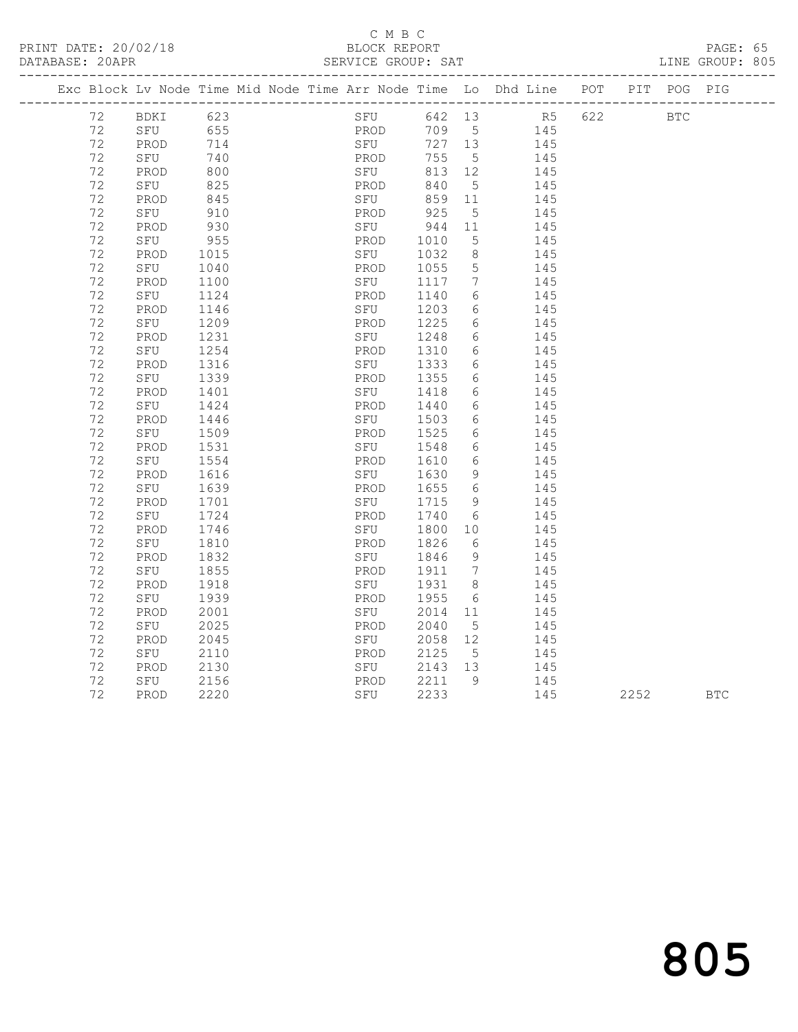PRINT DATE: 20/02/18 BLOCK REPORT BATABASE: 20APR

### C M B C<br>BLOCK REPORT

PAGE: 65<br>LINE GROUP: 805

|  |    | Exc Block Lv Node Time Mid Node Time Arr Node Time Lo Dhd Line POT PIT POG PIG |      |  |      |             |         |                              |                |     |            |            |
|--|----|--------------------------------------------------------------------------------|------|--|------|-------------|---------|------------------------------|----------------|-----|------------|------------|
|  | 72 | BDKI                                                                           | 623  |  |      | SFU         | 642 13  |                              | R <sub>5</sub> | 622 | <b>BTC</b> |            |
|  | 72 | SFU                                                                            | 655  |  | PROD |             | 709 5   |                              | 145            |     |            |            |
|  | 72 | PROD                                                                           | 714  |  |      | FROD<br>SFU | 727 13  |                              | 145            |     |            |            |
|  | 72 | SFU                                                                            | 740  |  | PROD |             | 755     | $5\overline{)}$              | 145            |     |            |            |
|  | 72 | PROD                                                                           | 800  |  | SFU  |             | 813 12  |                              | 145            |     |            |            |
|  | 72 | SFU                                                                            | 825  |  | PROD |             | 840     | $5^{\circ}$                  | 145            |     |            |            |
|  | 72 | PROD                                                                           | 845  |  | SFU  |             | 859 11  |                              | 145            |     |            |            |
|  | 72 | SFU                                                                            | 910  |  | PROD |             | 925     | $5^{\circ}$                  | 145            |     |            |            |
|  | 72 | PROD                                                                           | 930  |  | SFU  |             | 944     | 11                           | 145            |     |            |            |
|  | 72 | SFU                                                                            | 955  |  | PROD |             | 1010    | 5                            | 145            |     |            |            |
|  | 72 | PROD                                                                           | 1015 |  | SFU  |             | 1032    | 8 <sup>8</sup>               | 145            |     |            |            |
|  | 72 | SFU                                                                            | 1040 |  | PROD |             | 1055    | $5\phantom{.0}$              | 145            |     |            |            |
|  | 72 | PROD                                                                           | 1100 |  | SFU  |             | 1117    | $7\phantom{.0}\phantom{.0}7$ | 145            |     |            |            |
|  | 72 | SFU                                                                            | 1124 |  | PROD |             | 1140    | 6                            | 145            |     |            |            |
|  | 72 | PROD                                                                           | 1146 |  |      | SFU         | 1203    | 6                            | 145            |     |            |            |
|  | 72 | SFU                                                                            | 1209 |  | PROD |             | 1225    | 6                            | 145            |     |            |            |
|  | 72 | PROD                                                                           | 1231 |  | SFU  |             | 1248    | 6                            | 145            |     |            |            |
|  | 72 | SFU                                                                            | 1254 |  | PROD |             | 1310    | 6                            | 145            |     |            |            |
|  | 72 | PROD                                                                           | 1316 |  | SFU  |             | 1333    | 6                            | 145            |     |            |            |
|  | 72 | SFU                                                                            | 1339 |  | PROD |             | 1355    | 6                            | 145            |     |            |            |
|  | 72 | PROD                                                                           | 1401 |  | SFU  |             | 1418    | 6                            | 145            |     |            |            |
|  | 72 | SFU                                                                            | 1424 |  | PROD |             | 1440    | 6                            | 145            |     |            |            |
|  | 72 | PROD                                                                           | 1446 |  | SFU  |             | 1503    | 6                            | 145            |     |            |            |
|  | 72 | SFU                                                                            | 1509 |  | PROD |             | 1525    | 6                            | 145            |     |            |            |
|  | 72 | PROD                                                                           | 1531 |  | SFU  |             | 1548    | 6                            | 145            |     |            |            |
|  | 72 | SFU                                                                            | 1554 |  | PROD |             | 1610    | 6                            | 145            |     |            |            |
|  | 72 | PROD                                                                           | 1616 |  | SFU  |             | 1630    | 9                            | 145            |     |            |            |
|  | 72 | SFU                                                                            | 1639 |  | PROD |             | 1655    | 6                            | 145            |     |            |            |
|  | 72 | PROD                                                                           | 1701 |  | SFU  |             | 1715    | 9                            | 145            |     |            |            |
|  | 72 | SFU                                                                            | 1724 |  | PROD |             | 1740    | 6                            | 145            |     |            |            |
|  | 72 | PROD                                                                           | 1746 |  |      | SFU         | 1800    | 10                           | 145            |     |            |            |
|  | 72 | SFU                                                                            | 1810 |  | PROD |             | 1826    | 6                            | 145            |     |            |            |
|  | 72 | PROD                                                                           | 1832 |  | SFU  |             | 1846    | 9                            | 145            |     |            |            |
|  | 72 | SFU                                                                            | 1855 |  | PROD |             | 1911    | $\overline{7}$               | 145            |     |            |            |
|  | 72 | PROD                                                                           | 1918 |  | SFU  |             | 1931 8  |                              | 145            |     |            |            |
|  | 72 | SFU                                                                            | 1939 |  | PROD |             | 1955    | 6                            | 145            |     |            |            |
|  | 72 | PROD                                                                           | 2001 |  | SFU  |             | 2014 11 |                              | 145            |     |            |            |
|  | 72 | SFU                                                                            | 2025 |  | PROD |             | 2040    | $5^{\circ}$                  | 145            |     |            |            |
|  | 72 | PROD                                                                           | 2045 |  | SFU  |             | 2058 12 |                              | 145            |     |            |            |
|  | 72 | SFU                                                                            | 2110 |  | PROD |             | 2125    | $5^{\circ}$                  | 145            |     |            |            |
|  | 72 | PROD                                                                           | 2130 |  |      | SFU         | 2143 13 |                              | 145            |     |            |            |
|  | 72 | SFU                                                                            | 2156 |  | PROD |             | 2211    | - 9                          | 145            |     |            |            |
|  | 72 | PROD                                                                           | 2220 |  |      | SFU         | 2233    |                              | 145            |     | 2252       | <b>BTC</b> |
|  |    |                                                                                |      |  |      |             |         |                              |                |     |            |            |